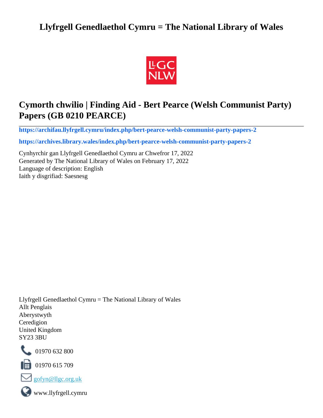# **Llyfrgell Genedlaethol Cymru = The National Library of Wales**



# **Cymorth chwilio | Finding Aid - Bert Pearce (Welsh Communist Party) Papers (GB 0210 PEARCE)**

**[https://archifau.llyfrgell.cymru/index.php/bert-pearce-welsh-communist-party-papers-2](https://archifau.llyfrgell.cymru/index.php/bert-pearce-welsh-communist-party-papers-2;isad?sf_culture=cy)**

**[https://archives.library.wales/index.php/bert-pearce-welsh-communist-party-papers-2](https://archives.library.wales/index.php/bert-pearce-welsh-communist-party-papers-2;isad?sf_culture=en)**

Cynhyrchir gan Llyfrgell Genedlaethol Cymru ar Chwefror 17, 2022 Generated by The National Library of Wales on February 17, 2022 Language of description: English Iaith y disgrifiad: Saesnesg

Llyfrgell Genedlaethol Cymru = The National Library of Wales Allt Penglais Aberystwyth Ceredigion United Kingdom SY23 3BU



101970 632 800

 $\blacksquare$  01970 615 709



www.llyfrgell.cymru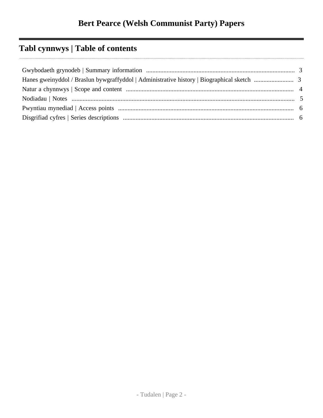# **Tabl cynnwys | Table of contents**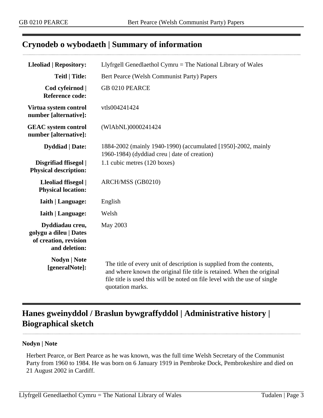## <span id="page-2-0"></span>**Crynodeb o wybodaeth | Summary of information**

| <b>Lleoliad   Repository:</b>                                                       | Llyfrgell Genedlaethol Cymru = The National Library of Wales                                                                                                                                                                                      |
|-------------------------------------------------------------------------------------|---------------------------------------------------------------------------------------------------------------------------------------------------------------------------------------------------------------------------------------------------|
| <b>Teitl   Title:</b>                                                               | Bert Pearce (Welsh Communist Party) Papers                                                                                                                                                                                                        |
| Cod cyfeirnod  <br><b>Reference code:</b>                                           | GB 0210 PEARCE                                                                                                                                                                                                                                    |
| Virtua system control<br>number [alternative]:                                      | vtls004241424                                                                                                                                                                                                                                     |
| <b>GEAC</b> system control<br>number [alternative]:                                 | (WIAbNL)0000241424                                                                                                                                                                                                                                |
| <b>Dyddiad</b>   Date:                                                              | 1884-2002 (mainly 1940-1990) (accumulated [1950]-2002, mainly<br>1960-1984) (dyddiad creu   date of creation)                                                                                                                                     |
| Disgrifiad ffisegol  <br><b>Physical description:</b>                               | 1.1 cubic metres (120 boxes)                                                                                                                                                                                                                      |
| Lleoliad ffisegol  <br><b>Physical location:</b>                                    | ARCH/MSS (GB0210)                                                                                                                                                                                                                                 |
| <b>Iaith   Language:</b>                                                            | English                                                                                                                                                                                                                                           |
| <b>Iaith   Language:</b>                                                            | Welsh                                                                                                                                                                                                                                             |
| Dyddiadau creu,<br>golygu a dileu   Dates<br>of creation, revision<br>and deletion: | May 2003                                                                                                                                                                                                                                          |
| <b>Nodyn</b>   Note<br>[generalNote]:                                               | The title of every unit of description is supplied from the contents,<br>and where known the original file title is retained. When the original<br>file title is used this will be noted on file level with the use of single<br>quotation marks. |

# <span id="page-2-1"></span>**Hanes gweinyddol / Braslun bywgraffyddol | Administrative history | Biographical sketch**

### **Nodyn | Note**

Herbert Pearce, or Bert Pearce as he was known, was the full time Welsh Secretary of the Communist Party from 1960 to 1984. He was born on 6 January 1919 in Pembroke Dock, Pembrokeshire and died on 21 August 2002 in Cardiff.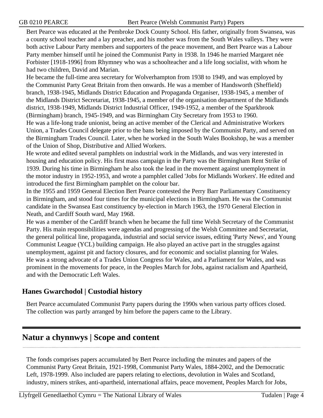Bert Pearce was educated at the Pembroke Dock County School. His father, originally from Swansea, was a county school teacher and a lay preacher, and his mother was from the South Wales valleys. They were both active Labour Party members and supporters of the peace movement, and Bert Pearce was a Labour Party member himself until he joined the Communist Party in 1938. In 1946 he married Margaret née Forbister [1918-1996] from Rhymney who was a schoolteacher and a life long socialist, with whom he had two children, David and Marian.

He became the full-time area secretary for Wolverhampton from 1938 to 1949, and was employed by the Communist Party Great Britain from then onwards. He was a member of Handsworth (Sheffield) branch, 1938-1945, Midlands District Education and Propaganda Organiser, 1938-1945, a member of the Midlands District Secretariat, 1938-1945, a member of the organisation department of the Midlands district, 1938-1949, Midlands District Industrial Officer, 1949-1952, a member of the Sparkbrook (Birmingham) branch, 1945-1949, and was Birmingham City Secretary from 1953 to 1960. He was a life-long trade unionist, being an active member of the Clerical and Administrative Workers Union, a Trades Council delegate prior to the bans being imposed by the Communist Party, and served on the Birmingham Trades Council. Later, when he worked in the South Wales Bookshop, he was a member of the Union of Shop, Distributive and Allied Workers.

He wrote and edited several pamphlets on industrial work in the Midlands, and was very interested in housing and education policy. His first mass campaign in the Party was the Birmingham Rent Strike of 1939. During his time in Birmingham he also took the lead in the movement against unemployment in the motor industry in 1952-1953, and wrote a pamphlet called 'Jobs for Midlands Workers'. He edited and introduced the first Birmingham pamphlet on the colour bar.

In the 1955 and 1959 General Election Bert Pearce contested the Perry Barr Parliamentary Constituency in Birmingham, and stood four times for the municipal elections in Birmingham. He was the Communist candidate in the Swansea East constituency by-election in March 1963, the 1970 General Election in Neath, and Cardiff South ward, May 1968.

He was a member of the Cardiff branch when he became the full time Welsh Secretary of the Communist Party. His main responsibilities were agendas and progressing of the Welsh Committee and Secretariat, the general political line, propaganda, industrial and social service issues, editing 'Party News', and Young Communist League (YCL) building campaign. He also played an active part in the struggles against unemployment, against pit and factory closures, and for economic and socialist planning for Wales. He was a strong advocate of a Trades Union Congress for Wales, and a Parliament for Wales, and was prominent in the movements for peace, in the Peoples March for Jobs, against racialism and Apartheid, and with the Democratic Left Wales.

## **Hanes Gwarchodol | Custodial history**

Bert Pearce accumulated Communist Party papers during the 1990s when various party offices closed. The collection was partly arranged by him before the papers came to the Library.

# <span id="page-3-0"></span>**Natur a chynnwys | Scope and content**

The fonds comprises papers accumulated by Bert Pearce including the minutes and papers of the Communist Party Great Britain, 1921-1998, Communist Party Wales, 1884-2002, and the Democratic Left, 1978-1999. Also included are papers relating to elections, devolution in Wales and Scotland, industry, miners strikes, anti-apartheid, international affairs, peace movement, Peoples March for Jobs,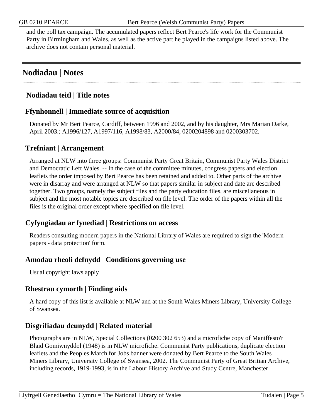and the poll tax campaign. The accumulated papers reflect Bert Pearce's life work for the Communist Party in Birmingham and Wales, as well as the active part he played in the campaigns listed above. The archive does not contain personal material.

# <span id="page-4-0"></span>**Nodiadau | Notes**

## **Nodiadau teitl | Title notes**

## **Ffynhonnell | Immediate source of acquisition**

Donated by Mr Bert Pearce, Cardiff, between 1996 and 2002, and by his daughter, Mrs Marian Darke, April 2003.; A1996/127, A1997/116, A1998/83, A2000/84, 0200204898 and 0200303702.

## **Trefniant | Arrangement**

Arranged at NLW into three groups: Communist Party Great Britain, Communist Party Wales District and Democratic Left Wales. -- In the case of the committee minutes, congress papers and election leaflets the order imposed by Bert Pearce has been retained and added to. Other parts of the archive were in disarray and were arranged at NLW so that papers similar in subject and date are described together. Two groups, namely the subject files and the party education files, are miscellaneous in subject and the most notable topics are described on file level. The order of the papers within all the files is the original order except where specified on file level.

## **Cyfyngiadau ar fynediad | Restrictions on access**

Readers consulting modern papers in the National Library of Wales are required to sign the 'Modern papers - data protection' form.

## **Amodau rheoli defnydd | Conditions governing use**

Usual copyright laws apply

## **Rhestrau cymorth | Finding aids**

A hard copy of this list is available at NLW and at the South Wales Miners Library, University College of Swansea.

## **Disgrifiadau deunydd | Related material**

Photographs are in NLW, Special Collections (0200 302 653) and a microfiche copy of Maniffesto'r Blaid Gomiwnyddol (1948) is in NLW microfiche. Communist Party publications, duplicate election leaflets and the Peoples March for Jobs banner were donated by Bert Pearce to the South Wales Miners Library, University College of Swansea, 2002. The Communist Party of Great Britian Archive, including records, 1919-1993, is in the Labour History Archive and Study Centre, Manchester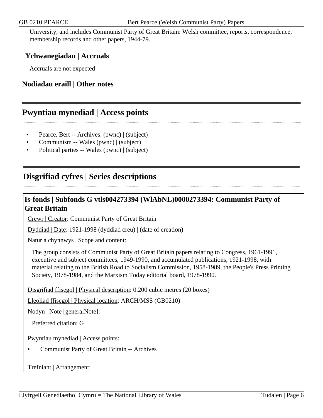University, and includes Communist Party of Great Britain: Welsh committee, reports, correspondence, membership records and other papers, 1944-79.

## **Ychwanegiadau | Accruals**

Accruals are not expected

## **Nodiadau eraill | Other notes**

## <span id="page-5-0"></span>**Pwyntiau mynediad | Access points**

- Pearce, Bert -- Archives. (pwnc) | (subject)
- Communism -- Wales (pwnc) | (subject)
- Political parties -- Wales (pwnc) | (subject)

## <span id="page-5-1"></span>**Disgrifiad cyfres | Series descriptions**

## **Is-fonds | Subfonds G vtls004273394 (WlAbNL)0000273394: Communist Party of Great Britain**

Crëwr | Creator: Communist Party of Great Britain

Dyddiad | Date: 1921-1998 (dyddiad creu) | (date of creation)

Natur a chynnwys | Scope and content:

The group consists of Communist Party of Great Britain papers relating to Congress, 1961-1991, executive and subject committees, 1949-1990, and accumulated publications, 1921-1998, with material relating to the British Road to Socialism Commission, 1958-1989, the People's Press Printing Society, 1978-1984, and the Marxism Today editorial board, 1978-1990.

Disgrifiad ffisegol | Physical description: 0.200 cubic metres (20 boxes)

Lleoliad ffisegol | Physical location: ARCH/MSS (GB0210)

Nodyn | Note [generalNote]:

Preferred citation: G

Pwyntiau mynediad | Access points:

• Communist Party of Great Britain -- Archives

#### Trefniant | Arrangement: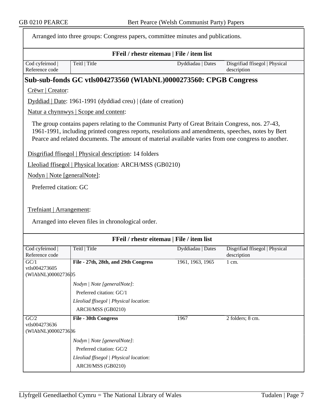|                                             | Arranged into three groups: Congress papers, committee minutes and publications.                                                                                                                                                                                                                              |                   |                                               |  |  |
|---------------------------------------------|---------------------------------------------------------------------------------------------------------------------------------------------------------------------------------------------------------------------------------------------------------------------------------------------------------------|-------------------|-----------------------------------------------|--|--|
|                                             | FFeil / rhestr eitemau   File / item list                                                                                                                                                                                                                                                                     |                   |                                               |  |  |
| Cod cyfeirnod  <br>Reference code           | Teitl   Title                                                                                                                                                                                                                                                                                                 | Dyddiadau   Dates | Disgrifiad ffisegol   Physical<br>description |  |  |
|                                             | Sub-sub-fonds GC vtls004273560 (WIAbNL)0000273560: CPGB Congress                                                                                                                                                                                                                                              |                   |                                               |  |  |
| Crëwr   Creator:                            |                                                                                                                                                                                                                                                                                                               |                   |                                               |  |  |
|                                             | $Dyddiad   Date: 1961-1991 (dyddiad creu)   (date of creation)$                                                                                                                                                                                                                                               |                   |                                               |  |  |
|                                             | Natur a chynnwys   Scope and content:                                                                                                                                                                                                                                                                         |                   |                                               |  |  |
|                                             | The group contains papers relating to the Communist Party of Great Britain Congress, nos. 27-43,<br>1961-1991, including printed congress reports, resolutions and amendments, speeches, notes by Bert<br>Pearce and related documents. The amount of material available varies from one congress to another. |                   |                                               |  |  |
|                                             | Disgrifiad ffisegol   Physical description: 14 folders                                                                                                                                                                                                                                                        |                   |                                               |  |  |
|                                             | Lleoliad ffisegol   Physical location: ARCH/MSS (GB0210)                                                                                                                                                                                                                                                      |                   |                                               |  |  |
| Nodyn   Note [generalNote]:                 |                                                                                                                                                                                                                                                                                                               |                   |                                               |  |  |
| Preferred citation: GC                      |                                                                                                                                                                                                                                                                                                               |                   |                                               |  |  |
| Trefniant   Arrangement:                    | Arranged into eleven files in chronological order.                                                                                                                                                                                                                                                            |                   |                                               |  |  |
|                                             | FFeil / rhestr eitemau   File / item list                                                                                                                                                                                                                                                                     |                   |                                               |  |  |
| Cod cyfeirnod  <br>Reference code           | Teitl   Title                                                                                                                                                                                                                                                                                                 | Dyddiadau   Dates | Disgrifiad ffisegol   Physical<br>description |  |  |
| GC/1                                        | File - 27th, 28th, and 29th Congress                                                                                                                                                                                                                                                                          | 1961, 1963, 1965  | 1 cm.                                         |  |  |
| vtls004273605<br>(WIAbNL)0000273605         |                                                                                                                                                                                                                                                                                                               |                   |                                               |  |  |
|                                             | Nodyn   Note [generalNote]:                                                                                                                                                                                                                                                                                   |                   |                                               |  |  |
|                                             | Preferred citation: GC/1                                                                                                                                                                                                                                                                                      |                   |                                               |  |  |
|                                             | Lleoliad ffisegol   Physical location:                                                                                                                                                                                                                                                                        |                   |                                               |  |  |
|                                             | ARCH/MSS (GB0210)                                                                                                                                                                                                                                                                                             |                   |                                               |  |  |
| GC/2<br>vtls004273636<br>(WIAbNL)0000273686 | <b>File - 30th Congress</b>                                                                                                                                                                                                                                                                                   | 1967              | 2 folders; 8 cm.                              |  |  |
|                                             | Nodyn   Note [generalNote]:                                                                                                                                                                                                                                                                                   |                   |                                               |  |  |
|                                             | Preferred citation: GC/2                                                                                                                                                                                                                                                                                      |                   |                                               |  |  |
|                                             | Lleoliad ffisegol   Physical location:                                                                                                                                                                                                                                                                        |                   |                                               |  |  |
|                                             | ARCH/MSS (GB0210)                                                                                                                                                                                                                                                                                             |                   |                                               |  |  |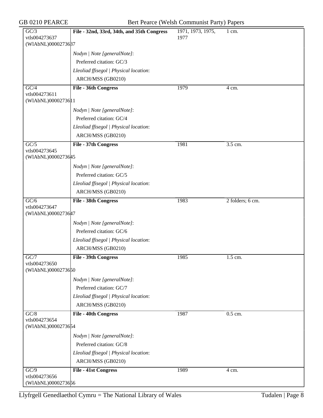| GC/3                                | File - 32nd, 33rd, 34th, and 35th Congress | 1971, 1973, 1975, | $1 \text{ cm}$ . |
|-------------------------------------|--------------------------------------------|-------------------|------------------|
| vtls004273637                       |                                            | 1977              |                  |
| (WIAbNL)0000273687                  |                                            |                   |                  |
|                                     | Nodyn   Note [generalNote]:                |                   |                  |
|                                     | Preferred citation: GC/3                   |                   |                  |
|                                     | Lleoliad ffisegol   Physical location:     |                   |                  |
|                                     | ARCH/MSS (GB0210)                          |                   |                  |
| $\overline{GC/4}$                   | <b>File - 36th Congress</b>                | 1979              | 4 cm.            |
| vtls004273611<br>(WIAbNL)0000273611 |                                            |                   |                  |
|                                     |                                            |                   |                  |
|                                     | Nodyn   Note [generalNote]:                |                   |                  |
|                                     | Preferred citation: GC/4                   |                   |                  |
|                                     | Lleoliad ffisegol   Physical location:     |                   |                  |
|                                     | ARCH/MSS (GB0210)                          |                   |                  |
| $\overline{GC/5}$<br>vtls004273645  | File - 37th Congress                       | 1981              | 3.5 cm.          |
| (WIAbNL)0000273645                  |                                            |                   |                  |
|                                     | Nodyn   Note [generalNote]:                |                   |                  |
|                                     | Preferred citation: GC/5                   |                   |                  |
|                                     | Lleoliad ffisegol   Physical location:     |                   |                  |
|                                     | ARCH/MSS (GB0210)                          |                   |                  |
| GC/6                                | <b>File - 38th Congress</b>                | 1983              | 2 folders; 6 cm. |
| vtls004273647                       |                                            |                   |                  |
| (WIAbNL)0000273647                  |                                            |                   |                  |
|                                     | Nodyn   Note [generalNote]:                |                   |                  |
|                                     | Preferred citation: GC/6                   |                   |                  |
|                                     | Lleoliad ffisegol   Physical location:     |                   |                  |
|                                     | ARCH/MSS (GB0210)                          |                   |                  |
| GC/7                                | File - 39th Congress                       | 1985              | 1.5 cm.          |
| vtls004273650<br>(WIAbNL)0000273650 |                                            |                   |                  |
|                                     |                                            |                   |                  |
|                                     | Nodyn   Note [generalNote]:                |                   |                  |
|                                     | Preferred citation: GC/7                   |                   |                  |
|                                     | Lleoliad ffisegol   Physical location:     |                   |                  |
|                                     | ARCH/MSS (GB0210)                          |                   |                  |
| GC/8<br>vtls004273654               | <b>File - 40th Congress</b>                | 1987              | 0.5 cm.          |
| (WIAbNL)0000273654                  |                                            |                   |                  |
|                                     | Nodyn   Note [generalNote]:                |                   |                  |
|                                     | Preferred citation: GC/8                   |                   |                  |
|                                     | Lleoliad ffisegol   Physical location:     |                   |                  |
|                                     | ARCH/MSS (GB0210)                          |                   |                  |
| $\overline{GC/9}$                   |                                            |                   |                  |
| vtls004273656                       | <b>File - 41st Congress</b>                | 1989              | 4 cm.            |
| (WIAbNL)0000273656                  |                                            |                   |                  |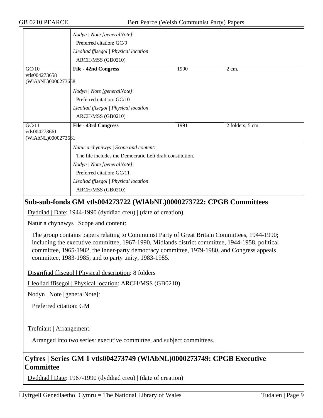|                    | Nodyn   Note [generalNote]:                               |      |                  |  |
|--------------------|-----------------------------------------------------------|------|------------------|--|
|                    | Preferred citation: GC/9                                  |      |                  |  |
|                    | Lleoliad ffisegol   Physical location:                    |      |                  |  |
|                    | ARCH/MSS (GB0210)                                         |      |                  |  |
| GC/10              | <b>File - 42nd Congress</b>                               | 1990 | $2 \text{ cm}$ . |  |
| vtls004273658      |                                                           |      |                  |  |
| (WIAbNL)0000273658 |                                                           |      |                  |  |
|                    | Nodyn   Note [generalNote]:                               |      |                  |  |
|                    | Preferred citation: GC/10                                 |      |                  |  |
|                    | Lleoliad ffisegol   Physical location:                    |      |                  |  |
|                    | ARCH/MSS (GB0210)                                         |      |                  |  |
| GC/11              | File - 43rd Congress                                      | 1991 | 2 folders; 5 cm. |  |
| vtls004273661      |                                                           |      |                  |  |
| (WIAbNL)0000273661 |                                                           |      |                  |  |
|                    | Natur a chynnwys / Scope and content:                     |      |                  |  |
|                    | The file includes the Democratic Left draft constitution. |      |                  |  |
|                    | Nodyn   Note [generalNote]:                               |      |                  |  |
|                    | Preferred citation: GC/11                                 |      |                  |  |
|                    | Lleoliad ffisegol   Physical location:                    |      |                  |  |
|                    |                                                           |      |                  |  |
|                    | ARCH/MSS (GB0210)                                         |      |                  |  |

## **Sub-sub-fonds GM vtls004273722 (WlAbNL)0000273722: CPGB Committees**

Dyddiad | Date: 1944-1990 (dyddiad creu) | (date of creation)

Natur a chynnwys | Scope and content:

The group contains papers relating to Communist Party of Great Britain Committees, 1944-1990; including the executive committee, 1967-1990, Midlands district committee, 1944-1958, political committee, 1965-1982, the inner-party democracy committee, 1979-1980, and Congress appeals committee, 1983-1985; and to party unity, 1983-1985.

Disgrifiad ffisegol | Physical description: 8 folders

Lleoliad ffisegol | Physical location: ARCH/MSS (GB0210)

Nodyn | Note [generalNote]:

Preferred citation: GM

Trefniant | Arrangement:

Arranged into two series: executive committee, and subject committees.

## **Cyfres | Series GM 1 vtls004273749 (WlAbNL)0000273749: CPGB Executive Committee**

Dyddiad | Date: 1967-1990 (dyddiad creu) | (date of creation)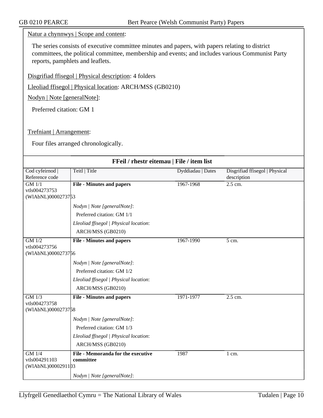### Natur a chynnwys | Scope and content:

The series consists of executive committee minutes and papers, with papers relating to district committees, the political committee, membership and events; and includes various Communist Party reports, pamphlets and leaflets.

Disgrifiad ffisegol | Physical description: 4 folders

Lleoliad ffisegol | Physical location: ARCH/MSS (GB0210)

Nodyn | Note [generalNote]:

Preferred citation: GM 1

### Trefniant | Arrangement:

Four files arranged chronologically.

| FFeil / rhestr eitemau   File / item list |                                        |                   |                                |
|-------------------------------------------|----------------------------------------|-------------------|--------------------------------|
| Cod cyfeirnod                             | Teitl   Title                          | Dyddiadau   Dates | Disgrifiad ffisegol   Physical |
| Reference code                            |                                        |                   | description                    |
| $GM$ $1/1$                                | <b>File - Minutes and papers</b>       | 1967-1968         | $2.5$ cm.                      |
| vtls004273753                             |                                        |                   |                                |
| (WIAbNL)0000273753                        |                                        |                   |                                |
|                                           | Nodyn   Note [generalNote]:            |                   |                                |
|                                           | Preferred citation: GM 1/1             |                   |                                |
|                                           | Lleoliad ffisegol   Physical location: |                   |                                |
|                                           | ARCH/MSS (GB0210)                      |                   |                                |
| GM 1/2                                    | <b>File - Minutes and papers</b>       | 1967-1990         | $\overline{5}$ cm.             |
| vtls004273756                             |                                        |                   |                                |
| (WIAbNL)0000273756                        |                                        |                   |                                |
|                                           | Nodyn   Note [generalNote]:            |                   |                                |
|                                           | Preferred citation: GM 1/2             |                   |                                |
|                                           | Lleoliad ffisegol   Physical location: |                   |                                |
|                                           | ARCH/MSS (GB0210)                      |                   |                                |
| $GM$ $1/3$                                | <b>File - Minutes and papers</b>       | 1971-1977         | $2.5$ cm.                      |
| vtls004273758                             |                                        |                   |                                |
| (WIAbNL)0000273758                        |                                        |                   |                                |
|                                           | Nodyn   Note [generalNote]:            |                   |                                |
|                                           | Preferred citation: GM 1/3             |                   |                                |
|                                           | Lleoliad ffisegol   Physical location: |                   |                                |
|                                           | ARCH/MSS (GB0210)                      |                   |                                |
| $GM$ 1/4                                  | File - Memoranda for the executive     | 1987              | 1 cm.                          |
| vtls004291103                             | committee                              |                   |                                |
| (WIAbNL)0000291103                        |                                        |                   |                                |
|                                           | Nodyn   Note [generalNote]:            |                   |                                |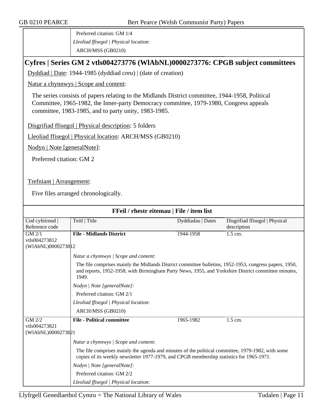Preferred citation: GM 1/4 *Lleoliad ffisegol | Physical location*: ARCH/MSS (GB0210)

## **Cyfres | Series GM 2 vtls004273776 (WlAbNL)0000273776: CPGB subject committees**

Dyddiad | Date: 1944-1985 (dyddiad creu) | (date of creation)

Natur a chynnwys | Scope and content:

The series consists of papers relating to the Midlands District committee, 1944-1958, Political Committee, 1965-1982, the Inner-party Democracy committee, 1979-1980, Congress appeals committee, 1983-1985, and to party unity, 1983-1985.

Disgrifiad ffisegol | Physical description: 5 folders

Lleoliad ffisegol | Physical location: ARCH/MSS (GB0210)

Nodyn | Note [generalNote]:

Preferred citation: GM 2

Trefniant | Arrangement:

Five files arranged chronologically.

| FFeil / rhestr eitemau   File / item list         |                                                                                                                                                                                                                        |                   |                                               |  |  |
|---------------------------------------------------|------------------------------------------------------------------------------------------------------------------------------------------------------------------------------------------------------------------------|-------------------|-----------------------------------------------|--|--|
| Cod cyfeirnod  <br>Reference code                 | Teitl   Title                                                                                                                                                                                                          | Dyddiadau   Dates | Disgrifiad ffisegol   Physical<br>description |  |  |
| GM 2/1                                            | <b>File - Midlands District</b>                                                                                                                                                                                        | 1944-1958         | $1.5$ cm.                                     |  |  |
| vtls004273812                                     |                                                                                                                                                                                                                        |                   |                                               |  |  |
| (WIAbNL)0000273812                                |                                                                                                                                                                                                                        |                   |                                               |  |  |
|                                                   | Natur a chynnwys / Scope and content:                                                                                                                                                                                  |                   |                                               |  |  |
|                                                   | The file comprises mainly the Midlands District committee bulletins, 1952-1953, congress papers, 1950,<br>and reports, 1952-1958; with Birmingham Party News, 1955, and Yorkshire District committee minutes,<br>1949. |                   |                                               |  |  |
|                                                   | Nodyn   Note [generalNote]:                                                                                                                                                                                            |                   |                                               |  |  |
|                                                   | Preferred citation: GM 2/1                                                                                                                                                                                             |                   |                                               |  |  |
|                                                   | Lleoliad ffisegol   Physical location:                                                                                                                                                                                 |                   |                                               |  |  |
|                                                   | ARCH/MSS (GB0210)                                                                                                                                                                                                      |                   |                                               |  |  |
| $GM$ $2/2$<br>vtls004273821<br>(WIAbNL)0000273821 | <b>File - Political committee</b>                                                                                                                                                                                      | 1965-1982         | 1.5 cm.                                       |  |  |
|                                                   | Natur a chynnwys / Scope and content:                                                                                                                                                                                  |                   |                                               |  |  |
|                                                   | The file comprises mainly the agenda and minutes of the political committee, 1979-1982, with some<br>copies of its weekly newsletter 1977-1979, and CPGB membership statistics for 1965-1971.                          |                   |                                               |  |  |
|                                                   | Nodyn   Note [generalNote]:                                                                                                                                                                                            |                   |                                               |  |  |
|                                                   | Preferred citation: GM 2/2                                                                                                                                                                                             |                   |                                               |  |  |
|                                                   | Lleoliad ffisegol   Physical location:                                                                                                                                                                                 |                   |                                               |  |  |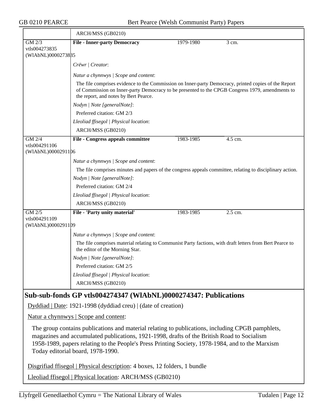|                                     | ARCH/MSS (GB0210)                                                                                                                                                                                                                                |           |           |
|-------------------------------------|--------------------------------------------------------------------------------------------------------------------------------------------------------------------------------------------------------------------------------------------------|-----------|-----------|
| GM 2/3                              | <b>File - Inner-party Democracy</b>                                                                                                                                                                                                              | 1979-1980 | 3 cm.     |
| vtls004273835                       |                                                                                                                                                                                                                                                  |           |           |
| (WIAbNL)0000273835                  |                                                                                                                                                                                                                                                  |           |           |
|                                     | Crëwr   Creator:                                                                                                                                                                                                                                 |           |           |
|                                     | Natur a chynnwys / Scope and content:                                                                                                                                                                                                            |           |           |
|                                     | The file comprises evidence to the Commission on Inner-party Democracy, printed copies of the Report<br>of Commission on Inner-party Democracy to be presented to the CPGB Congress 1979, amendments to<br>the report, and notes by Bert Pearce. |           |           |
|                                     | Nodyn   Note [generalNote]:                                                                                                                                                                                                                      |           |           |
|                                     | Preferred citation: GM 2/3                                                                                                                                                                                                                       |           |           |
|                                     | Lleoliad ffisegol   Physical location:                                                                                                                                                                                                           |           |           |
|                                     | ARCH/MSS (GB0210)                                                                                                                                                                                                                                |           |           |
| $\overline{GM\ 2/4}$                | File - Congress appeals committee                                                                                                                                                                                                                | 1983-1985 | 4.5 cm.   |
| vtls004291106<br>(WIAbNL)0000291106 |                                                                                                                                                                                                                                                  |           |           |
|                                     | Natur a chynnwys / Scope and content:                                                                                                                                                                                                            |           |           |
|                                     | The file comprises minutes and papers of the congress appeals committee, relating to disciplinary action.                                                                                                                                        |           |           |
|                                     | Nodyn   Note [generalNote]:                                                                                                                                                                                                                      |           |           |
|                                     | Preferred citation: GM 2/4                                                                                                                                                                                                                       |           |           |
|                                     | Lleoliad ffisegol   Physical location:                                                                                                                                                                                                           |           |           |
|                                     | ARCH/MSS (GB0210)                                                                                                                                                                                                                                |           |           |
| GM 2/5                              | File - 'Party unity material'                                                                                                                                                                                                                    | 1983-1985 | $2.5$ cm. |
| vtls004291109<br>(WIAbNL)0000291109 |                                                                                                                                                                                                                                                  |           |           |
|                                     | Natur a chynnwys / Scope and content:                                                                                                                                                                                                            |           |           |
|                                     | The file comprises material relating to Communist Party factions, with draft letters from Bert Pearce to<br>the editor of the Morning Star.                                                                                                      |           |           |
|                                     | Nodyn   Note [generalNote]:                                                                                                                                                                                                                      |           |           |
|                                     | Preferred citation: GM 2/5                                                                                                                                                                                                                       |           |           |
|                                     | Lleoliad ffisegol   Physical location:                                                                                                                                                                                                           |           |           |
|                                     | ARCH/MSS (GB0210)                                                                                                                                                                                                                                |           |           |
|                                     | Sub-sub-fonds GP vtls004274347 (WIAbNL)0000274347: Publications                                                                                                                                                                                  |           |           |

Dyddiad | Date: 1921-1998 (dyddiad creu) | (date of creation)

Natur a chynnwys | Scope and content:

The group contains publications and material relating to publications, including CPGB pamphlets, magazines and accumulated publications, 1921-1998, drafts of the British Road to Socialism 1958-1989, papers relating to the People's Press Printing Society, 1978-1984, and to the Marxism Today editorial board, 1978-1990.

Disgrifiad ffisegol | Physical description: 4 boxes, 12 folders, 1 bundle

Lleoliad ffisegol | Physical location: ARCH/MSS (GB0210)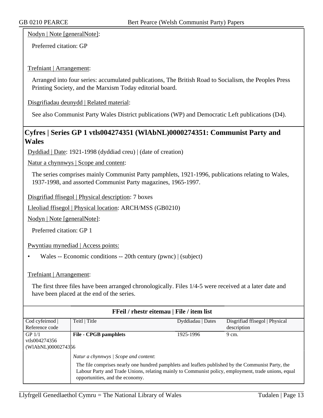Nodyn | Note [generalNote]:

Preferred citation: GP

### Trefniant | Arrangement:

Arranged into four series: accumulated publications, The British Road to Socialism, the Peoples Press Printing Society, and the Marxism Today editorial board.

Disgrifiadau deunydd | Related material:

See also Communist Party Wales District publications (WP) and Democratic Left publications (D4).

## **Cyfres | Series GP 1 vtls004274351 (WlAbNL)0000274351: Communist Party and Wales**

Dyddiad | Date: 1921-1998 (dyddiad creu) | (date of creation)

Natur a chynnwys | Scope and content:

The series comprises mainly Communist Party pamphlets, 1921-1996, publications relating to Wales, 1937-1998, and assorted Communist Party magazines, 1965-1997.

Disgrifiad ffisegol | Physical description: 7 boxes

Lleoliad ffisegol | Physical location: ARCH/MSS (GB0210)

Nodyn | Note [generalNote]:

Preferred citation: GP 1

Pwyntiau mynediad | Access points:

• Wales -- Economic conditions -- 20th century (pwnc) | (subject)

#### Trefniant | Arrangement:

The first three files have been arranged chronologically. Files 1/4-5 were received at a later date and have been placed at the end of the series.

| FFeil / rhestr eitemau   File / item list |                                                                                                                                                                                                                                                                                       |                   |                                |  |
|-------------------------------------------|---------------------------------------------------------------------------------------------------------------------------------------------------------------------------------------------------------------------------------------------------------------------------------------|-------------------|--------------------------------|--|
| Cod cyfeirnod                             | Teitl   Title                                                                                                                                                                                                                                                                         | Dyddiadau   Dates | Disgrifiad ffisegol   Physical |  |
| Reference code                            |                                                                                                                                                                                                                                                                                       |                   | description                    |  |
| GP $1/1$                                  | <b>File - CPGB pamphlets</b>                                                                                                                                                                                                                                                          | 1925-1996         | 9 cm.                          |  |
| vtls004274356                             |                                                                                                                                                                                                                                                                                       |                   |                                |  |
| (WIAbNL)0000274356                        |                                                                                                                                                                                                                                                                                       |                   |                                |  |
|                                           | Natur a chynnwys / Scope and content:<br>The file comprises nearly one hundred pamphlets and leaflets published by the Communist Party, the<br>Labour Party and Trade Unions, relating mainly to Communist policy, employment, trade unions, equal<br>opportunities, and the economy. |                   |                                |  |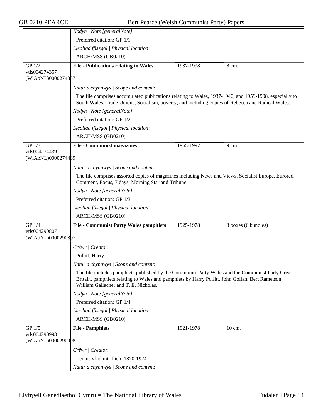|                                     | Nodyn   Note [generalNote]:                                                                                                                                                                                                                   |           |                     |
|-------------------------------------|-----------------------------------------------------------------------------------------------------------------------------------------------------------------------------------------------------------------------------------------------|-----------|---------------------|
|                                     | Preferred citation: GP 1/1                                                                                                                                                                                                                    |           |                     |
|                                     | Lleoliad ffisegol   Physical location:                                                                                                                                                                                                        |           |                     |
|                                     | ARCH/MSS (GB0210)                                                                                                                                                                                                                             |           |                     |
| $GP$ 1/2                            | <b>File - Publications relating to Wales</b>                                                                                                                                                                                                  | 1937-1998 | 8 cm.               |
| vtls004274357                       |                                                                                                                                                                                                                                               |           |                     |
| (WIAbNL)0000274357                  |                                                                                                                                                                                                                                               |           |                     |
|                                     | Natur a chynnwys / Scope and content:                                                                                                                                                                                                         |           |                     |
|                                     | The file comprises accumulated publications relating to Wales, 1937-1940, and 1959-1998, especially to<br>South Wales, Trade Unions, Socialism, poverty, and including copies of Rebecca and Radical Wales.                                   |           |                     |
|                                     | Nodyn   Note [generalNote]:                                                                                                                                                                                                                   |           |                     |
|                                     | Preferred citation: GP 1/2                                                                                                                                                                                                                    |           |                     |
|                                     | Lleoliad ffisegol   Physical location:                                                                                                                                                                                                        |           |                     |
|                                     | ARCH/MSS (GB0210)                                                                                                                                                                                                                             |           |                     |
| GP 1/3                              | <b>File - Communist magazines</b>                                                                                                                                                                                                             | 1965-1997 | 9 cm.               |
| vtls004274439<br>(WIAbNL)0000274489 |                                                                                                                                                                                                                                               |           |                     |
|                                     | Natur a chynnwys / Scope and content:                                                                                                                                                                                                         |           |                     |
|                                     | The file comprises assorted copies of magazines including News and Views, Socialist Europe, Eurored,<br>Comment, Focus, 7 days, Morning Star and Tribune.                                                                                     |           |                     |
|                                     | Nodyn   Note [generalNote]:                                                                                                                                                                                                                   |           |                     |
|                                     | Preferred citation: GP 1/3                                                                                                                                                                                                                    |           |                     |
|                                     | Lleoliad ffisegol   Physical location:                                                                                                                                                                                                        |           |                     |
|                                     | ARCH/MSS (GB0210)                                                                                                                                                                                                                             |           |                     |
| GP 1/4                              | <b>File - Communist Party Wales pamphlets</b>                                                                                                                                                                                                 | 1925-1978 | 3 boxes (6 bundles) |
| vtls004290807<br>(WIAbNL)0000290807 |                                                                                                                                                                                                                                               |           |                     |
|                                     | Crëwr / Creator:                                                                                                                                                                                                                              |           |                     |
|                                     | Pollitt, Harry                                                                                                                                                                                                                                |           |                     |
|                                     | Natur a chynnwys / Scope and content:                                                                                                                                                                                                         |           |                     |
|                                     | The file includes pamphlets published by the Communist Party Wales and the Communist Party Great<br>Britain, pamphlets relating to Wales and pamphlets by Harry Pollitt, John Gollan, Bert Ramelson,<br>William Gallacher and T. E. Nicholas. |           |                     |
|                                     | Nodyn   Note [generalNote]:                                                                                                                                                                                                                   |           |                     |
|                                     | Preferred citation: GP 1/4                                                                                                                                                                                                                    |           |                     |
|                                     | Lleoliad ffisegol   Physical location:                                                                                                                                                                                                        |           |                     |
|                                     | ARCH/MSS (GB0210)                                                                                                                                                                                                                             |           |                     |
| $GP$ 1/5<br>vtls004290998           | <b>File - Pamphlets</b>                                                                                                                                                                                                                       | 1921-1978 | 10 cm.              |
| (WIAbNL)0000290998                  |                                                                                                                                                                                                                                               |           |                     |
|                                     | Crëwr   Creator:                                                                                                                                                                                                                              |           |                     |
|                                     | Lenin, Vladimir Ilích, 1870-1924                                                                                                                                                                                                              |           |                     |
|                                     | Natur a chynnwys / Scope and content:                                                                                                                                                                                                         |           |                     |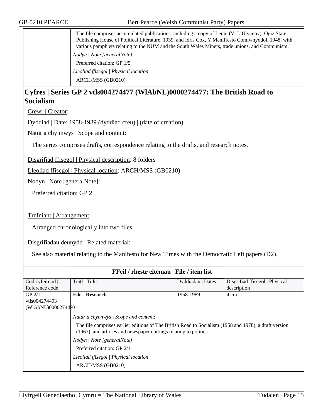| The file comprises accumulated publications, including a copy of Lenin (V. I. Ulyanov), Ogiz State<br>Publishing House of Political Literature, 1939, and Idris Cox, Y Maniffesto Comiwnyddol, 1948, with<br>various pamphlets relating to the NUM and the South Wales Miners, trade unions, and Communism. |
|-------------------------------------------------------------------------------------------------------------------------------------------------------------------------------------------------------------------------------------------------------------------------------------------------------------|
| Nodyn / Note [generalNote]:                                                                                                                                                                                                                                                                                 |
| Preferred citation: GP 1/5                                                                                                                                                                                                                                                                                  |
| Lleoliad ffisegol   Physical location:                                                                                                                                                                                                                                                                      |
| ARCH/MSS (GB0210)                                                                                                                                                                                                                                                                                           |

## **Cyfres | Series GP 2 vtls004274477 (WlAbNL)0000274477: The British Road to Socialism**

Crëwr | Creator:

Dyddiad | Date: 1958-1989 (dyddiad creu) | (date of creation)

Natur a chynnwys | Scope and content:

The series comprises drafts, correspondence relating to the drafts, and research notes.

Disgrifiad ffisegol | Physical description: 8 folders

Lleoliad ffisegol | Physical location: ARCH/MSS (GB0210)

Nodyn | Note [generalNote]:

Preferred citation: GP 2

Trefniant | Arrangement:

Arranged chronologically into two files.

Disgrifiadau deunydd | Related material:

See also material relating to the Manifesto for New Times with the Democratic Left papers (D2).

| FFeil / rhestr eitemau   File / item list |                                                                                                                                                                                                                                                                                                                                                 |                   |                                |  |
|-------------------------------------------|-------------------------------------------------------------------------------------------------------------------------------------------------------------------------------------------------------------------------------------------------------------------------------------------------------------------------------------------------|-------------------|--------------------------------|--|
| Cod cyfeirnod                             | Teitl   Title                                                                                                                                                                                                                                                                                                                                   | Dyddiadau   Dates | Disgrifiad ffisegol   Physical |  |
| Reference code                            |                                                                                                                                                                                                                                                                                                                                                 |                   | description                    |  |
| $GP$ 2/1                                  | <b>File - Research</b>                                                                                                                                                                                                                                                                                                                          | 1958-1989         | 4 cm.                          |  |
| vtls004274493                             |                                                                                                                                                                                                                                                                                                                                                 |                   |                                |  |
| (WIAbNL)0000274493                        |                                                                                                                                                                                                                                                                                                                                                 |                   |                                |  |
|                                           | Natur a chynnwys / Scope and content:<br>The file comprises earlier editions of The British Road to Socialism (1958 and 1978), a draft version<br>(1967), and articles and newspaper cuttings relating to politics.<br>Nodyn   Note [generalNote]:<br>Preferred citation: GP 2/1<br>Lleoliad ffisegol   Physical location:<br>ARCH/MSS (GB0210) |                   |                                |  |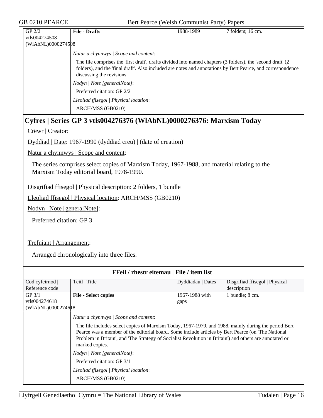| GP <sub>2/2</sub>  | <b>File - Drafts</b>                                                                                                                                                                                                                                    | 1988-1989 | 7 folders; 16 cm. |
|--------------------|---------------------------------------------------------------------------------------------------------------------------------------------------------------------------------------------------------------------------------------------------------|-----------|-------------------|
| vtls004274508      |                                                                                                                                                                                                                                                         |           |                   |
| (WIAbNL)0000274508 |                                                                                                                                                                                                                                                         |           |                   |
|                    | Natur a chynnwys / Scope and content:                                                                                                                                                                                                                   |           |                   |
|                    | The file comprises the 'first draft', drafts divided into named chapters (3 folders), the 'second draft' (2<br>folders), and the 'final draft'. Also included are notes and annotations by Bert Pearce, and correspondence<br>discussing the revisions. |           |                   |
|                    | Nodyn / Note [generalNote]:                                                                                                                                                                                                                             |           |                   |
|                    | Preferred citation: GP 2/2                                                                                                                                                                                                                              |           |                   |
|                    | Lleoliad ffisegol   Physical location:                                                                                                                                                                                                                  |           |                   |
|                    | ARCH/MSS (GB0210)                                                                                                                                                                                                                                       |           |                   |

## **Cyfres | Series GP 3 vtls004276376 (WlAbNL)0000276376: Marxism Today**

Crëwr | Creator:

Dyddiad | Date: 1967-1990 (dyddiad creu) | (date of creation)

Natur a chynnwys | Scope and content:

The series comprises select copies of Marxism Today, 1967-1988, and material relating to the Marxism Today editorial board, 1978-1990.

Disgrifiad ffisegol | Physical description: 2 folders, 1 bundle

Lleoliad ffisegol | Physical location: ARCH/MSS (GB0210)

Nodyn | Note [generalNote]:

Preferred citation: GP 3

Trefniant | Arrangement:

Arranged chronologically into three files.

| FFeil / rhestr eitemau   File / item list |                                                                                                                                                                                                                                                                                                                                                                                                                                                                                         |                   |                                |  |  |
|-------------------------------------------|-----------------------------------------------------------------------------------------------------------------------------------------------------------------------------------------------------------------------------------------------------------------------------------------------------------------------------------------------------------------------------------------------------------------------------------------------------------------------------------------|-------------------|--------------------------------|--|--|
| Cod cyfeirnod                             | Teitl   Title                                                                                                                                                                                                                                                                                                                                                                                                                                                                           | Dyddiadau   Dates | Disgrifiad ffisegol   Physical |  |  |
| Reference code                            |                                                                                                                                                                                                                                                                                                                                                                                                                                                                                         |                   | description                    |  |  |
| GP <sub>3/1</sub>                         | <b>File - Select copies</b>                                                                                                                                                                                                                                                                                                                                                                                                                                                             | 1967-1988 with    | 1 bundle; 8 cm.                |  |  |
| vtls004274618                             |                                                                                                                                                                                                                                                                                                                                                                                                                                                                                         | gaps              |                                |  |  |
| (WIAbNL)00002746 18                       |                                                                                                                                                                                                                                                                                                                                                                                                                                                                                         |                   |                                |  |  |
|                                           | Natur a chynnwys / Scope and content:<br>The file includes select copies of Marxism Today, 1967-1979, and 1988, mainly during the period Bert<br>Pearce was a member of the editorial board. Some include articles by Bert Pearce (on 'The National<br>Problem in Britain', and 'The Strategy of Socialist Revolution in Britain') and others are annotated or<br>marked copies.<br>Nodyn / Note [generalNote]:<br>Preferred citation: GP 3/1<br>Lleoliad ffisegol   Physical location: |                   |                                |  |  |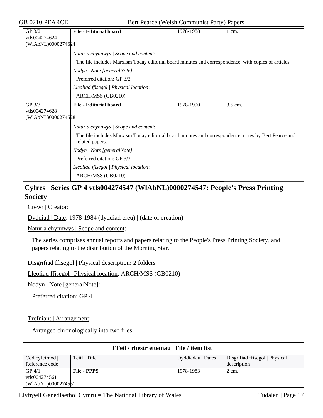| GP 3/2                                                                         | <b>File - Editorial board</b>                                                                                           | 1978-1988 | $1 \text{ cm}$ . |  |  |  |
|--------------------------------------------------------------------------------|-------------------------------------------------------------------------------------------------------------------------|-----------|------------------|--|--|--|
| vtls004274624                                                                  |                                                                                                                         |           |                  |  |  |  |
|                                                                                | (WIAbNL)0000274624                                                                                                      |           |                  |  |  |  |
|                                                                                | Natur a chynnwys / Scope and content:                                                                                   |           |                  |  |  |  |
|                                                                                | The file includes Marxism Today editorial board minutes and correspondence, with copies of articles.                    |           |                  |  |  |  |
|                                                                                | Nodyn   Note [generalNote]:                                                                                             |           |                  |  |  |  |
|                                                                                | Preferred citation: GP 3/2                                                                                              |           |                  |  |  |  |
|                                                                                | Lleoliad ffisegol   Physical location:                                                                                  |           |                  |  |  |  |
|                                                                                | ARCH/MSS (GB0210)                                                                                                       |           |                  |  |  |  |
| $GP$ 3/3                                                                       | <b>File - Editorial board</b>                                                                                           | 1978-1990 | 3.5 cm.          |  |  |  |
| vtls004274628                                                                  |                                                                                                                         |           |                  |  |  |  |
| (WIAbNL)0000274628                                                             |                                                                                                                         |           |                  |  |  |  |
|                                                                                | Natur a chynnwys / Scope and content:                                                                                   |           |                  |  |  |  |
|                                                                                | The file includes Marxism Today editorial board minutes and correspondence, notes by Bert Pearce and<br>related papers. |           |                  |  |  |  |
|                                                                                | Nodyn   Note [generalNote]:                                                                                             |           |                  |  |  |  |
|                                                                                | Preferred citation: GP 3/3                                                                                              |           |                  |  |  |  |
|                                                                                | Lleoliad ffisegol   Physical location:                                                                                  |           |                  |  |  |  |
|                                                                                | ARCH/MSS (GB0210)                                                                                                       |           |                  |  |  |  |
| Cyfres   Series GP 4 vtls004274547 (WlAbNL)0000274547: People's Press Printing |                                                                                                                         |           |                  |  |  |  |

## **Society**

Crëwr | Creator:

Dyddiad | Date: 1978-1984 (dyddiad creu) | (date of creation)

Natur a chynnwys | Scope and content:

The series comprises annual reports and papers relating to the People's Press Printing Society, and papers relating to the distribution of the Morning Star.

Disgrifiad ffisegol | Physical description: 2 folders

Lleoliad ffisegol | Physical location: ARCH/MSS (GB0210)

Nodyn | Note [generalNote]:

Preferred citation: GP 4

### Trefniant | Arrangement:

Arranged chronologically into two files.

| Freil / rhestr eitemau   File / item list |                    |                   |                                |  |
|-------------------------------------------|--------------------|-------------------|--------------------------------|--|
| Cod cyfeirnod                             | Teitl   Title      | Dyddiadau   Dates | Disgrifiad ffisegol   Physical |  |
| Reference code                            |                    |                   | description                    |  |
| GP 4/1                                    | <b>File - PPPS</b> | 1978-1983         | 2 cm.                          |  |
| vtls004274561                             |                    |                   |                                |  |
| (WIAbNL)0000274561                        |                    |                   |                                |  |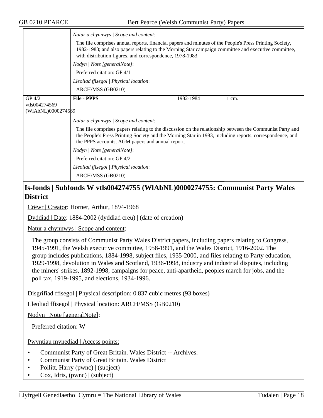|                    | Natur a chynnwys / Scope and content:<br>The file comprises annual reports, financial papers and minutes of the People's Press Printing Society,<br>1982-1983; and also papers relating to the Morning Star campaign committee and executive committee,<br>with distribution figures, and correspondence, 1978-1983. |  |  |  |  |
|--------------------|----------------------------------------------------------------------------------------------------------------------------------------------------------------------------------------------------------------------------------------------------------------------------------------------------------------------|--|--|--|--|
|                    | Nodyn   Note [generalNote]:                                                                                                                                                                                                                                                                                          |  |  |  |  |
|                    | Preferred citation: GP 4/1                                                                                                                                                                                                                                                                                           |  |  |  |  |
|                    | Lleoliad ffisegol   Physical location:                                                                                                                                                                                                                                                                               |  |  |  |  |
|                    | ARCH/MSS (GB0210)                                                                                                                                                                                                                                                                                                    |  |  |  |  |
| $GP$ 4/2           | <b>File - PPPS</b><br>1982-1984<br>$1 \text{ cm}$ .                                                                                                                                                                                                                                                                  |  |  |  |  |
| vtls004274569      |                                                                                                                                                                                                                                                                                                                      |  |  |  |  |
| (WIAbNL)0000274569 |                                                                                                                                                                                                                                                                                                                      |  |  |  |  |
|                    | Natur a chynnwys / Scope and content:                                                                                                                                                                                                                                                                                |  |  |  |  |
|                    | The file comprises papers relating to the discussion on the relationship between the Communist Party and<br>the People's Press Printing Society and the Morning Star in 1983, including reports, correspondence, and<br>the PPPS accounts, AGM papers and annual report.                                             |  |  |  |  |
|                    | Nodyn   Note [generalNote]:                                                                                                                                                                                                                                                                                          |  |  |  |  |
|                    | Preferred citation: GP 4/2                                                                                                                                                                                                                                                                                           |  |  |  |  |
|                    | Lleoliad ffisegol   Physical location:                                                                                                                                                                                                                                                                               |  |  |  |  |
|                    | ARCH/MSS (GB0210)                                                                                                                                                                                                                                                                                                    |  |  |  |  |

## **Is-fonds | Subfonds W vtls004274755 (WlAbNL)0000274755: Communist Party Wales District**

Crëwr | Creator: Horner, Arthur, 1894-1968

Dyddiad | Date: 1884-2002 (dyddiad creu) | (date of creation)

Natur a chynnwys | Scope and content:

The group consists of Communist Party Wales District papers, including papers relating to Congress, 1945-1991, the Welsh executive committee, 1958-1991, and the Wales District, 1916-2002. The group includes publications, 1884-1998, subject files, 1935-2000, and files relating to Party education, 1929-1998, devolution in Wales and Scotland, 1936-1998, industry and industrial disputes, including the miners' strikes, 1892-1998, campaigns for peace, anti-apartheid, peoples march for jobs, and the poll tax, 1919-1995, and elections, 1934-1996.

Disgrifiad ffisegol | Physical description: 0.837 cubic metres (93 boxes)

Lleoliad ffisegol | Physical location: ARCH/MSS (GB0210)

Nodyn | Note [generalNote]:

Preferred citation: W

Pwyntiau mynediad | Access points:

- Communist Party of Great Britain. Wales District -- Archives.
- Communist Party of Great Britain. Wales District
- Pollitt, Harry (pwnc) | (subject)
- Cox, Idris, (pwnc) | (subject)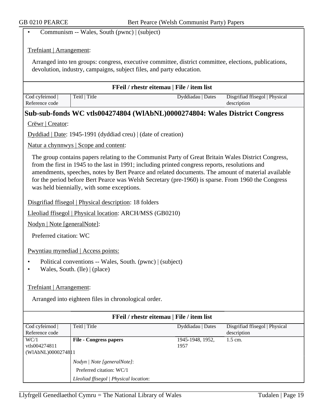• Communism -- Wales, South (pwnc) | (subject)

#### Trefniant | Arrangement:

Arranged into ten groups: congress, executive committee, district committee, elections, publications, devolution, industry, campaigns, subject files, and party education.

| <b>FFeil / rhestr eitemau   File / item list</b> |               |                   |                                |  |
|--------------------------------------------------|---------------|-------------------|--------------------------------|--|
| Cod cyfeirnod                                    | Teitl   Title | Dyddiadau   Dates | Disgrifiad ffisegol   Physical |  |
| Reference code                                   |               |                   | description                    |  |

### **Sub-sub-fonds WC vtls004274804 (WlAbNL)0000274804: Wales District Congress**

Crëwr | Creator:

Dyddiad | Date: 1945-1991 (dyddiad creu) | (date of creation)

Natur a chynnwys | Scope and content:

The group contains papers relating to the Communist Party of Great Britain Wales District Congress, from the first in 1945 to the last in 1991; including printed congress reports, resolutions and amendments, speeches, notes by Bert Pearce and related documents. The amount of material available for the period before Bert Pearce was Welsh Secretary (pre-1960) is sparse. From 1960 the Congress was held biennially, with some exceptions.

Disgrifiad ffisegol | Physical description: 18 folders

Lleoliad ffisegol | Physical location: ARCH/MSS (GB0210)

Nodyn | Note [generalNote]:

Preferred citation: WC

Pwyntiau mynediad | Access points:

- Political conventions -- Wales, South. (pwnc) | (subject)
- Wales, South. (lle) | (place)

Trefniant | Arrangement:

Arranged into eighteen files in chronological order.

| FFeil / rhestr eitemau   File / item list |                                                    |                   |                                |  |  |
|-------------------------------------------|----------------------------------------------------|-------------------|--------------------------------|--|--|
| Cod cyfeirnod                             | Teitl   Title                                      | Dyddiadau   Dates | Disgrifiad ffisegol   Physical |  |  |
| Reference code                            |                                                    |                   | description                    |  |  |
| WC/1                                      | <b>File - Congress papers</b>                      | 1945-1948, 1952,  | $1.5$ cm.                      |  |  |
| vtls004274811                             |                                                    | 1957              |                                |  |  |
| (WIAbNL)0000274811                        |                                                    |                   |                                |  |  |
|                                           | <i>Nodyn</i>   <i>Note</i> [general <i>Note</i> ]: |                   |                                |  |  |
|                                           | Preferred citation: WC/1                           |                   |                                |  |  |
|                                           | Lleoliad ffisegol   Physical location:             |                   |                                |  |  |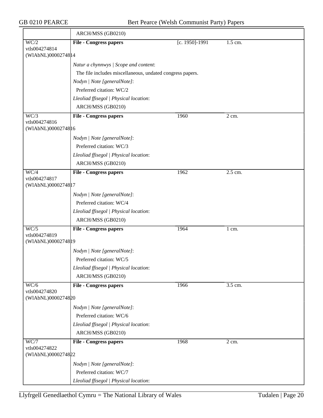|                                     | ARCH/MSS (GB0210)                                                                        |                |                    |
|-------------------------------------|------------------------------------------------------------------------------------------|----------------|--------------------|
| $\overline{WC/2}$                   | <b>File - Congress papers</b>                                                            | [c. 1950]-1991 | 1.5 cm.            |
| vtls004274814<br>(WIAbNL)0000274814 |                                                                                          |                |                    |
|                                     |                                                                                          |                |                    |
|                                     | Natur a chynnwys / Scope and content:                                                    |                |                    |
|                                     | The file includes miscellaneous, undated congress papers.<br>Nodyn   Note [generalNote]: |                |                    |
|                                     | Preferred citation: WC/2                                                                 |                |                    |
|                                     | Lleoliad ffisegol   Physical location:                                                   |                |                    |
|                                     | ARCH/MSS (GB0210)                                                                        |                |                    |
| WC/3                                | <b>File - Congress papers</b>                                                            | 1960           | $\overline{2}$ cm. |
| vtls004274816                       |                                                                                          |                |                    |
| (WIAbNL)0000274816                  |                                                                                          |                |                    |
|                                     | Nodyn   Note [generalNote]:                                                              |                |                    |
|                                     | Preferred citation: WC/3                                                                 |                |                    |
|                                     | Lleoliad ffisegol   Physical location:                                                   |                |                    |
|                                     | ARCH/MSS (GB0210)                                                                        |                |                    |
| $\overline{WC/4}$                   | <b>File - Congress papers</b>                                                            | 1962           | 2.5 cm.            |
| vtls004274817                       |                                                                                          |                |                    |
| (WIAbNL)0000274817                  |                                                                                          |                |                    |
|                                     | Nodyn   Note [generalNote]:                                                              |                |                    |
|                                     | Preferred citation: WC/4                                                                 |                |                    |
|                                     | Lleoliad ffisegol   Physical location:                                                   |                |                    |
|                                     | ARCH/MSS (GB0210)                                                                        |                |                    |
| $\overline{WC/5}$<br>vtls004274819  | <b>File - Congress papers</b>                                                            | 1964           | 1 cm.              |
| (WIAbNL)0000274819                  |                                                                                          |                |                    |
|                                     | Nodyn   Note [generalNote]:                                                              |                |                    |
|                                     | Preferred citation: WC/5                                                                 |                |                    |
|                                     | Lleoliad ffisegol   Physical location:                                                   |                |                    |
|                                     | ARCH/MSS (GB0210)                                                                        |                |                    |
| WC/6                                | <b>File - Congress papers</b>                                                            | 1966           | 3.5 cm.            |
| vtls004274820                       |                                                                                          |                |                    |
| (WIAbNL)0000274820                  |                                                                                          |                |                    |
|                                     | Nodyn   Note [generalNote]:                                                              |                |                    |
|                                     | Preferred citation: WC/6                                                                 |                |                    |
|                                     | Lleoliad ffisegol   Physical location:                                                   |                |                    |
|                                     | ARCH/MSS (GB0210)                                                                        |                |                    |
| WC/7<br>vtls004274822               | <b>File - Congress papers</b>                                                            | 1968           | 2 cm.              |
| (WIAbNL)0000274822                  |                                                                                          |                |                    |
|                                     | Nodyn   Note [generalNote]:                                                              |                |                    |
|                                     | Preferred citation: WC/7                                                                 |                |                    |
|                                     | Lleoliad ffisegol   Physical location:                                                   |                |                    |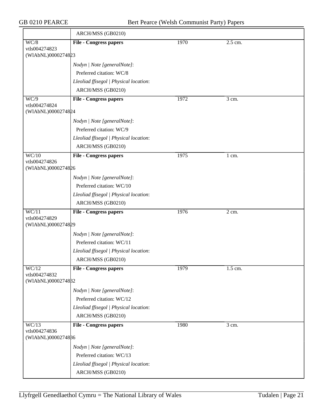|                                     | ARCH/MSS (GB0210)                      |      |                  |  |
|-------------------------------------|----------------------------------------|------|------------------|--|
| WC/8                                | <b>File - Congress papers</b>          | 1970 | 2.5 cm.          |  |
| vtls004274823<br>(WIAbNL)0000274823 |                                        |      |                  |  |
|                                     | Nodyn   Note [generalNote]:            |      |                  |  |
|                                     | Preferred citation: WC/8               |      |                  |  |
|                                     | Lleoliad ffisegol   Physical location: |      |                  |  |
|                                     | ARCH/MSS (GB0210)                      |      |                  |  |
| $\overline{WC/9}$                   | <b>File - Congress papers</b>          | 1972 | $3 \text{ cm}$ . |  |
| vtls004274824                       |                                        |      |                  |  |
| (WIAbNL)0000274824                  |                                        |      |                  |  |
|                                     | Nodyn   Note [generalNote]:            |      |                  |  |
|                                     | Preferred citation: WC/9               |      |                  |  |
|                                     | Lleoliad ffisegol   Physical location: |      |                  |  |
|                                     | ARCH/MSS (GB0210)                      |      |                  |  |
| $\overline{WC/10}$                  | <b>File - Congress papers</b>          | 1975 | 1 cm.            |  |
| vtls004274826<br>(WIAbNL)0000274826 |                                        |      |                  |  |
|                                     | Nodyn   Note [generalNote]:            |      |                  |  |
|                                     | Preferred citation: WC/10              |      |                  |  |
|                                     | Lleoliad ffisegol   Physical location: |      |                  |  |
|                                     | ARCH/MSS (GB0210)                      |      |                  |  |
| $\overline{WC/11}$                  | <b>File - Congress papers</b>          | 1976 | 2 cm.            |  |
| vtls004274829                       |                                        |      |                  |  |
| (WIAbNL)0000274829                  |                                        |      |                  |  |
|                                     | Nodyn   Note [generalNote]:            |      |                  |  |
|                                     | Preferred citation: WC/11              |      |                  |  |
|                                     | Lleoliad ffisegol   Physical location: |      |                  |  |
|                                     | ARCH/MSS (GB0210)                      |      |                  |  |
| WC/12<br>vtls004274832              | <b>File - Congress papers</b>          | 1979 | 1.5 cm.          |  |
| (WIAbNL)0000274832                  |                                        |      |                  |  |
|                                     | Nodyn   Note [generalNote]:            |      |                  |  |
|                                     | Preferred citation: WC/12              |      |                  |  |
|                                     | Lleoliad ffisegol   Physical location: |      |                  |  |
|                                     | ARCH/MSS (GB0210)                      |      |                  |  |
| WC/13                               | <b>File - Congress papers</b>          | 1980 | 3 cm.            |  |
| vtls004274836                       |                                        |      |                  |  |
| (WIAbNL)0000274886                  |                                        |      |                  |  |
|                                     | Nodyn   Note [generalNote]:            |      |                  |  |
|                                     | Preferred citation: WC/13              |      |                  |  |
|                                     | Lleoliad ffisegol   Physical location: |      |                  |  |
|                                     | ARCH/MSS (GB0210)                      |      |                  |  |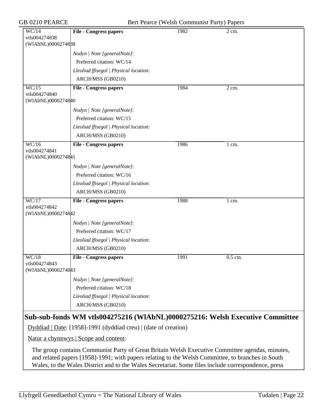| WC/14                                                                                               | <b>File - Congress papers</b>                                                                     | 1982 | 2 cm.            |  |
|-----------------------------------------------------------------------------------------------------|---------------------------------------------------------------------------------------------------|------|------------------|--|
| vtls004274838                                                                                       |                                                                                                   |      |                  |  |
| (WIAbNL)0000274838                                                                                  |                                                                                                   |      |                  |  |
|                                                                                                     | Nodyn   Note [generalNote]:                                                                       |      |                  |  |
|                                                                                                     | Preferred citation: WC/14                                                                         |      |                  |  |
|                                                                                                     | Lleoliad ffisegol   Physical location:                                                            |      |                  |  |
|                                                                                                     | ARCH/MSS (GB0210)                                                                                 |      |                  |  |
| WC/15                                                                                               | <b>File - Congress papers</b>                                                                     | 1984 | $2 \text{ cm}$ . |  |
| vtls004274840<br>(WIAbNL)0000274840                                                                 |                                                                                                   |      |                  |  |
|                                                                                                     | Nodyn   Note [generalNote]:                                                                       |      |                  |  |
|                                                                                                     | Preferred citation: WC/15                                                                         |      |                  |  |
|                                                                                                     | Lleoliad ffisegol   Physical location:                                                            |      |                  |  |
|                                                                                                     | ARCH/MSS (GB0210)                                                                                 |      |                  |  |
| $\overline{WC/16}$                                                                                  | <b>File - Congress papers</b>                                                                     | 1986 | 1 cm.            |  |
| vtls004274841                                                                                       |                                                                                                   |      |                  |  |
| (WIAbNL)0000274841                                                                                  |                                                                                                   |      |                  |  |
|                                                                                                     | Nodyn   Note [generalNote]:                                                                       |      |                  |  |
|                                                                                                     | Preferred citation: WC/16                                                                         |      |                  |  |
|                                                                                                     | Lleoliad ffisegol   Physical location:                                                            |      |                  |  |
|                                                                                                     | ARCH/MSS (GB0210)                                                                                 |      |                  |  |
| WC/17                                                                                               | <b>File - Congress papers</b>                                                                     | 1988 | 1 cm.            |  |
| vtls004274842<br>(W1AbNL)00002748#2                                                                 |                                                                                                   |      |                  |  |
|                                                                                                     |                                                                                                   |      |                  |  |
|                                                                                                     | Nodyn   Note [generalNote]:                                                                       |      |                  |  |
|                                                                                                     | Preferred citation: WC/17                                                                         |      |                  |  |
|                                                                                                     | Lleoliad ffisegol   Physical location:                                                            |      |                  |  |
|                                                                                                     | ARCH/MSS (GB0210)                                                                                 |      |                  |  |
| $\overline{WC/18}$<br>vtls004274843                                                                 | <b>File - Congress papers</b>                                                                     | 1991 | 0.5 cm.          |  |
| (W1AbNL)00002748#3                                                                                  |                                                                                                   |      |                  |  |
|                                                                                                     | Nodyn   Note [generalNote]:                                                                       |      |                  |  |
|                                                                                                     | Preferred citation: WC/18                                                                         |      |                  |  |
|                                                                                                     | Lleoliad ffisegol   Physical location:                                                            |      |                  |  |
|                                                                                                     | ARCH/MSS (GB0210)                                                                                 |      |                  |  |
|                                                                                                     |                                                                                                   |      |                  |  |
| Sub-sub-fonds WM vtls004275216 (WIAbNL)0000275216: Welsh Executive Committee                        |                                                                                                   |      |                  |  |
|                                                                                                     | Dyddiad   Date: [1958]-1991 (dyddiad creu)   (date of creation)                                   |      |                  |  |
| Natur a chynnwys   Scope and content:                                                               |                                                                                                   |      |                  |  |
|                                                                                                     | The group contains Communist Party of Great Britain Welsh Executive Committee agendas, minutes,   |      |                  |  |
|                                                                                                     | and related papers [1958]-1991; with papers relating to the Welsh Committee, to branches in South |      |                  |  |
| Wales, to the Wales District and to the Wales Secretariat. Some files include correspondence, press |                                                                                                   |      |                  |  |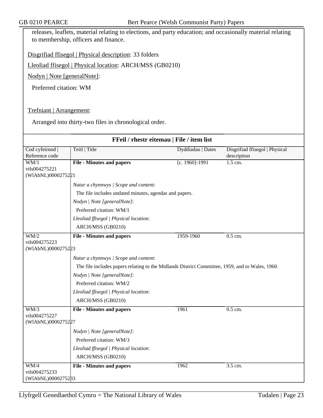releases, leaflets, material relating to elections, and party education; and occasionally material relating to membership, officers and finance.

Disgrifiad ffisegol | Physical description: 33 folders

Lleoliad ffisegol | Physical location: ARCH/MSS (GB0210)

Nodyn | Note [generalNote]:

Preferred citation: WM

Trefniant | Arrangement:

Arranged into thirty-two files in chronological order.

| FFeil / rhestr eitemau   File / item list |                                                                                                 |                   |                                |  |  |
|-------------------------------------------|-------------------------------------------------------------------------------------------------|-------------------|--------------------------------|--|--|
| Cod cyfeirnod                             | Teitl   Title                                                                                   | Dyddiadau   Dates | Disgrifiad ffisegol   Physical |  |  |
| Reference code                            |                                                                                                 |                   | description                    |  |  |
| $\overline{\text{WM}/1}$<br>vtls004275221 | <b>File - Minutes and papers</b>                                                                | [c. 1960]-1991    | $1.5$ cm.                      |  |  |
| (WIAbNL)0000275221                        |                                                                                                 |                   |                                |  |  |
|                                           | Natur a chynnwys / Scope and content:                                                           |                   |                                |  |  |
|                                           | The file includes undated minutes, agendas and papers.                                          |                   |                                |  |  |
|                                           | Nodyn   Note [generalNote]:                                                                     |                   |                                |  |  |
|                                           | Preferred citation: WM/1                                                                        |                   |                                |  |  |
|                                           | Lleoliad ffisegol   Physical location:                                                          |                   |                                |  |  |
|                                           | ARCH/MSS (GB0210)                                                                               |                   |                                |  |  |
| WM/2                                      | <b>File - Minutes and papers</b>                                                                | 1959-1960         | $0.5$ cm.                      |  |  |
| vtls004275223                             |                                                                                                 |                   |                                |  |  |
| (WIAbNL)0000275223                        |                                                                                                 |                   |                                |  |  |
|                                           | Natur a chynnwys / Scope and content:                                                           |                   |                                |  |  |
|                                           | The file includes papers relating to the Midlands District Committee, 1959, and to Wales, 1960. |                   |                                |  |  |
|                                           | Nodyn   Note [generalNote]:                                                                     |                   |                                |  |  |
|                                           | Preferred citation: WM/2                                                                        |                   |                                |  |  |
|                                           | Lleoliad ffisegol   Physical location:                                                          |                   |                                |  |  |
|                                           | ARCH/MSS (GB0210)                                                                               |                   |                                |  |  |
| WM/3                                      | <b>File - Minutes and papers</b>                                                                | 1961              | 0.5 cm.                        |  |  |
| vtls004275227<br>(WIAbNL)0000275227       |                                                                                                 |                   |                                |  |  |
|                                           |                                                                                                 |                   |                                |  |  |
|                                           | Nodyn   Note [generalNote]:                                                                     |                   |                                |  |  |
|                                           | Preferred citation: WM/3                                                                        |                   |                                |  |  |
|                                           | Lleoliad ffisegol   Physical location:                                                          |                   |                                |  |  |
|                                           | ARCH/MSS (GB0210)                                                                               |                   |                                |  |  |
| $\overline{WM/4}$                         | <b>File - Minutes and papers</b>                                                                | 1962              | 3.5 cm.                        |  |  |
| vtls004275233                             |                                                                                                 |                   |                                |  |  |
| (WIAbNL)0000275233                        |                                                                                                 |                   |                                |  |  |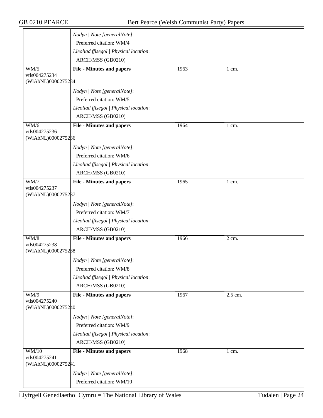|                                     | Nodyn   Note [generalNote]:                                 |      |                  |  |
|-------------------------------------|-------------------------------------------------------------|------|------------------|--|
|                                     | Preferred citation: WM/4                                    |      |                  |  |
|                                     | Lleoliad ffisegol   Physical location:                      |      |                  |  |
|                                     | ARCH/MSS (GB0210)                                           |      |                  |  |
| WM/5                                | <b>File - Minutes and papers</b>                            | 1963 | 1 cm.            |  |
| vtls004275234                       |                                                             |      |                  |  |
| (WIAbNL)0000275284                  |                                                             |      |                  |  |
|                                     | Nodyn   Note [generalNote]:                                 |      |                  |  |
|                                     | Preferred citation: WM/5                                    |      |                  |  |
|                                     | Lleoliad ffisegol   Physical location:                      |      |                  |  |
|                                     | ARCH/MSS (GB0210)                                           |      |                  |  |
| WM/6                                | <b>File - Minutes and papers</b>                            | 1964 | $1 \text{ cm}$ . |  |
| vtls004275236                       |                                                             |      |                  |  |
| (WIAbNL)0000275286                  |                                                             |      |                  |  |
|                                     | Nodyn   Note [generalNote]:                                 |      |                  |  |
|                                     | Preferred citation: WM/6                                    |      |                  |  |
|                                     | Lleoliad ffisegol   Physical location:                      |      |                  |  |
|                                     | ARCH/MSS (GB0210)                                           |      |                  |  |
| <b>WM/7</b>                         | <b>File - Minutes and papers</b>                            | 1965 | 1 cm.            |  |
| vtls004275237                       |                                                             |      |                  |  |
| (WIAbNL)0000275287                  |                                                             |      |                  |  |
|                                     | Nodyn   Note [generalNote]:                                 |      |                  |  |
|                                     | Preferred citation: WM/7                                    |      |                  |  |
|                                     | Lleoliad ffisegol   Physical location:                      |      |                  |  |
|                                     | ARCH/MSS (GB0210)                                           |      |                  |  |
| $\overline{WM/8}$                   | <b>File - Minutes and papers</b>                            | 1966 | 2 cm.            |  |
| vtls004275238                       |                                                             |      |                  |  |
| (WIAbNL)0000275288                  |                                                             |      |                  |  |
|                                     | Nodyn   Note [generalNote]:                                 |      |                  |  |
|                                     | Preferred citation: WM/8                                    |      |                  |  |
|                                     | Lleoliad ffisegol   Physical location:                      |      |                  |  |
|                                     | ARCH/MSS (GB0210)                                           |      |                  |  |
| $\overline{WM/9}$                   | <b>File - Minutes and papers</b>                            | 1967 | 2.5 cm.          |  |
| vtls004275240<br>(WIAbNL)0000275240 |                                                             |      |                  |  |
|                                     | Nodyn   Note [generalNote]:                                 |      |                  |  |
|                                     | Preferred citation: WM/9                                    |      |                  |  |
|                                     |                                                             |      |                  |  |
|                                     | Lleoliad ffisegol   Physical location:<br>ARCH/MSS (GB0210) |      |                  |  |
|                                     |                                                             |      |                  |  |
| <b>WM/10</b><br>vtls004275241       | <b>File - Minutes and papers</b>                            | 1968 | $1 \text{ cm}$ . |  |
| (WIAbNL)0000275241                  |                                                             |      |                  |  |
|                                     | Nodyn   Note [generalNote]:                                 |      |                  |  |
|                                     | Preferred citation: WM/10                                   |      |                  |  |
|                                     |                                                             |      |                  |  |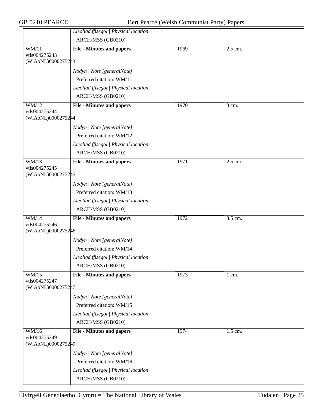|                                              | Lleoliad ffisegol   Physical location:<br>ARCH/MSS (GB0210) |      |                  |  |
|----------------------------------------------|-------------------------------------------------------------|------|------------------|--|
| WM/11                                        | <b>File - Minutes and papers</b>                            | 1969 | 2.5 cm.          |  |
| vtls004275243                                |                                                             |      |                  |  |
| (WIAbNL)0000275243                           |                                                             |      |                  |  |
|                                              | Nodyn   Note [generalNote]:                                 |      |                  |  |
|                                              | Preferred citation: WM/11                                   |      |                  |  |
|                                              | Lleoliad ffisegol   Physical location:                      |      |                  |  |
|                                              | ARCH/MSS (GB0210)                                           |      |                  |  |
| WM/12<br>vtls004275244<br>(WIAbNL)0000275244 | <b>File - Minutes and papers</b>                            | 1970 | 3 cm.            |  |
|                                              | Nodyn   Note [generalNote]:                                 |      |                  |  |
|                                              | Preferred citation: WM/12                                   |      |                  |  |
|                                              | Lleoliad ffisegol   Physical location:                      |      |                  |  |
|                                              | ARCH/MSS (GB0210)                                           |      |                  |  |
| $\overline{\text{WM}/13}$<br>vtls004275245   | <b>File - Minutes and papers</b>                            | 1971 | 2.5 cm.          |  |
| (WIAbNL)0000275245                           |                                                             |      |                  |  |
|                                              | Nodyn   Note [generalNote]:                                 |      |                  |  |
|                                              | Preferred citation: WM/13                                   |      |                  |  |
|                                              | Lleoliad ffisegol   Physical location:                      |      |                  |  |
|                                              | ARCH/MSS (GB0210)                                           |      |                  |  |
| WM/14<br>vtls004275246                       | <b>File - Minutes and papers</b>                            | 1972 | 3.5 cm.          |  |
| (WIAbNL)0000275246                           |                                                             |      |                  |  |
|                                              | Nodyn   Note [generalNote]:                                 |      |                  |  |
|                                              | Preferred citation: WM/14                                   |      |                  |  |
|                                              | Lleoliad ffisegol   Physical location:                      |      |                  |  |
|                                              | ARCH/MSS (GB0210)                                           |      |                  |  |
| $\overline{WM/15}$                           | <b>File - Minutes and papers</b>                            | 1973 | $1 \text{ cm}$ . |  |
| vtls004275247<br>(WIAbNL)0000275247          |                                                             |      |                  |  |
|                                              | Nodyn   Note [generalNote]:                                 |      |                  |  |
|                                              | Preferred citation: WM/15                                   |      |                  |  |
|                                              | Lleoliad ffisegol   Physical location:                      |      |                  |  |
|                                              | ARCH/MSS (GB0210)                                           |      |                  |  |
| WM/16                                        | <b>File - Minutes and papers</b>                            | 1974 | 1.5 cm.          |  |
| vtls004275249<br>(WIAbNL)0000275249          |                                                             |      |                  |  |
|                                              | Nodyn   Note [generalNote]:                                 |      |                  |  |
|                                              | Preferred citation: WM/16                                   |      |                  |  |
|                                              | Lleoliad ffisegol   Physical location:                      |      |                  |  |
|                                              | ARCH/MSS (GB0210)                                           |      |                  |  |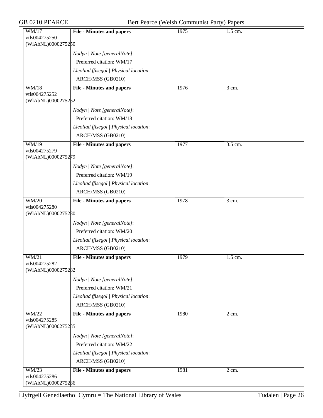|  | GB 0210 PEARCE |  |  |
|--|----------------|--|--|
|--|----------------|--|--|

| GB 0210 PEARCE<br>Bert Pearce (Welsh Communist Party) Papers |                                        |      |         |  |
|--------------------------------------------------------------|----------------------------------------|------|---------|--|
| WM/17<br>vtls004275250<br>(WIAbNL)0000275250                 | <b>File - Minutes and papers</b>       | 1975 | 1.5 cm. |  |
|                                                              | Nodyn   Note [generalNote]:            |      |         |  |
|                                                              | Preferred citation: WM/17              |      |         |  |
|                                                              | Lleoliad ffisegol   Physical location: |      |         |  |
|                                                              | ARCH/MSS (GB0210)                      |      |         |  |
| WM/18<br>vtls004275252                                       | <b>File - Minutes and papers</b>       | 1976 | 3 cm.   |  |
| (WIAbNL)0000275252                                           |                                        |      |         |  |
|                                                              | Nodyn   Note [generalNote]:            |      |         |  |
|                                                              | Preferred citation: WM/18              |      |         |  |
|                                                              | Lleoliad ffisegol   Physical location: |      |         |  |
|                                                              | ARCH/MSS (GB0210)                      |      |         |  |
| WM/19                                                        | <b>File - Minutes and papers</b>       | 1977 | 3.5 cm. |  |
| vtls004275279<br>(WIAbNL)0000275279                          |                                        |      |         |  |
|                                                              | Nodyn   Note [generalNote]:            |      |         |  |
|                                                              | Preferred citation: WM/19              |      |         |  |
|                                                              | Lleoliad ffisegol   Physical location: |      |         |  |
|                                                              | ARCH/MSS (GB0210)                      |      |         |  |
| WM/20<br>vtls004275280                                       | <b>File - Minutes and papers</b>       | 1978 | 3 cm.   |  |
| (WIAbNL)0000275280                                           |                                        |      |         |  |
|                                                              | Nodyn   Note [generalNote]:            |      |         |  |
|                                                              | Preferred citation: WM/20              |      |         |  |
|                                                              | Lleoliad ffisegol   Physical location: |      |         |  |
|                                                              | ARCH/MSS (GB0210)                      |      |         |  |
| WM/21<br>vtls004275282                                       | <b>File - Minutes and papers</b>       | 1979 | 1.5 cm. |  |
| (WIAbNL)0000275282                                           |                                        |      |         |  |
|                                                              | Nodyn   Note [generalNote]:            |      |         |  |
|                                                              | Preferred citation: WM/21              |      |         |  |
|                                                              | Lleoliad ffisegol   Physical location: |      |         |  |
|                                                              | ARCH/MSS (GB0210)                      |      |         |  |
| WM/22<br>vtls004275285<br>(WIAbNL)0000275285                 | <b>File - Minutes and papers</b>       | 1980 | 2 cm.   |  |
|                                                              | Nodyn   Note [generalNote]:            |      |         |  |
|                                                              | Preferred citation: WM/22              |      |         |  |
|                                                              | Lleoliad ffisegol   Physical location: |      |         |  |
|                                                              | ARCH/MSS (GB0210)                      |      |         |  |
| WM/23                                                        | <b>File - Minutes and papers</b>       | 1981 | 2 cm.   |  |
| vtls004275286<br>(WIAbNL)0000275286                          |                                        |      |         |  |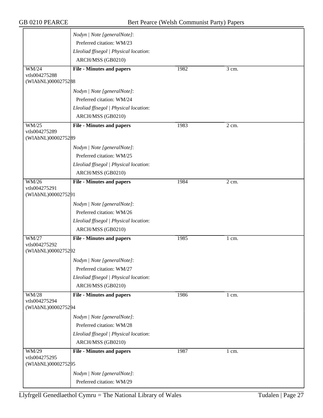|                                     | Nodyn   Note [generalNote]:            |      |                  |  |
|-------------------------------------|----------------------------------------|------|------------------|--|
|                                     | Preferred citation: WM/23              |      |                  |  |
|                                     | Lleoliad ffisegol   Physical location: |      |                  |  |
|                                     | ARCH/MSS (GB0210)                      |      |                  |  |
| WM/24                               | <b>File - Minutes and papers</b>       | 1982 | 3 cm.            |  |
| vtls004275288                       |                                        |      |                  |  |
| (WIAbNL)0000275288                  |                                        |      |                  |  |
|                                     | Nodyn   Note [generalNote]:            |      |                  |  |
|                                     | Preferred citation: WM/24              |      |                  |  |
|                                     | Lleoliad ffisegol   Physical location: |      |                  |  |
|                                     | ARCH/MSS (GB0210)                      |      |                  |  |
| WM/25                               | <b>File - Minutes and papers</b>       | 1983 | 2 cm.            |  |
| vtls004275289<br>(WIAbNL)0000275289 |                                        |      |                  |  |
|                                     | Nodyn   Note [generalNote]:            |      |                  |  |
|                                     | Preferred citation: WM/25              |      |                  |  |
|                                     | Lleoliad ffisegol   Physical location: |      |                  |  |
|                                     | ARCH/MSS (GB0210)                      |      |                  |  |
| WM/26                               | <b>File - Minutes and papers</b>       | 1984 | 2 cm.            |  |
| vtls004275291                       |                                        |      |                  |  |
| (WIAbNL)0000275291                  |                                        |      |                  |  |
|                                     | Nodyn   Note [generalNote]:            |      |                  |  |
|                                     | Preferred citation: WM/26              |      |                  |  |
|                                     | Lleoliad ffisegol   Physical location: |      |                  |  |
|                                     | ARCH/MSS (GB0210)                      |      |                  |  |
| WM/27                               | <b>File - Minutes and papers</b>       | 1985 | $1 \text{ cm}$ . |  |
| vtls004275292                       |                                        |      |                  |  |
| (WIAbNL)0000275292                  |                                        |      |                  |  |
|                                     | Nodyn   Note [generalNote]:            |      |                  |  |
|                                     | Preferred citation: WM/27              |      |                  |  |
|                                     | Lleoliad ffisegol   Physical location: |      |                  |  |
|                                     | ARCH/MSS (GB0210)                      |      |                  |  |
| <b>WM/28</b>                        | <b>File - Minutes and papers</b>       | 1986 | 1 cm.            |  |
| vtls004275294                       |                                        |      |                  |  |
| (WIAbNL)0000275294                  |                                        |      |                  |  |
|                                     | Nodyn   Note [generalNote]:            |      |                  |  |
|                                     | Preferred citation: WM/28              |      |                  |  |
|                                     | Lleoliad ffisegol   Physical location: |      |                  |  |
|                                     | ARCH/MSS (GB0210)                      |      |                  |  |
| WM/29                               | <b>File - Minutes and papers</b>       | 1987 | 1 cm.            |  |
| vtls004275295                       |                                        |      |                  |  |
| (WIAbNL)0000275295                  |                                        |      |                  |  |
|                                     | Nodyn   Note [generalNote]:            |      |                  |  |
|                                     | Preferred citation: WM/29              |      |                  |  |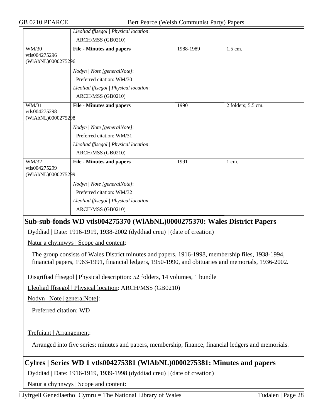|                                                                                                                                                                                                         | Lleoliad ffisegol   Physical location:                                       |           |                    |  |  |
|---------------------------------------------------------------------------------------------------------------------------------------------------------------------------------------------------------|------------------------------------------------------------------------------|-----------|--------------------|--|--|
|                                                                                                                                                                                                         | ARCH/MSS (GB0210)                                                            |           |                    |  |  |
| <b>WM/30</b>                                                                                                                                                                                            | <b>File - Minutes and papers</b>                                             | 1988-1989 | 1.5 cm.            |  |  |
| vtls004275296<br>(WIAbNL)0000275296                                                                                                                                                                     |                                                                              |           |                    |  |  |
|                                                                                                                                                                                                         |                                                                              |           |                    |  |  |
|                                                                                                                                                                                                         | Nodyn   Note [generalNote]:                                                  |           |                    |  |  |
|                                                                                                                                                                                                         | Preferred citation: WM/30                                                    |           |                    |  |  |
|                                                                                                                                                                                                         | Lleoliad ffisegol   Physical location:                                       |           |                    |  |  |
|                                                                                                                                                                                                         | ARCH/MSS (GB0210)                                                            |           |                    |  |  |
| $\overline{\text{WM}/31}$                                                                                                                                                                               | <b>File - Minutes and papers</b>                                             | 1990      | 2 folders; 5.5 cm. |  |  |
| vtls004275298<br>(WIAbNL)0000275298                                                                                                                                                                     |                                                                              |           |                    |  |  |
|                                                                                                                                                                                                         |                                                                              |           |                    |  |  |
|                                                                                                                                                                                                         | Nodyn   Note [generalNote]:                                                  |           |                    |  |  |
|                                                                                                                                                                                                         | Preferred citation: WM/31                                                    |           |                    |  |  |
|                                                                                                                                                                                                         | Lleoliad ffisegol   Physical location:                                       |           |                    |  |  |
|                                                                                                                                                                                                         | ARCH/MSS (GB0210)                                                            |           |                    |  |  |
| $\overline{\text{WM}/32}$<br>vtls004275299                                                                                                                                                              | <b>File - Minutes and papers</b>                                             | 1991      | 1 cm.              |  |  |
| (WIAbNL)0000275299                                                                                                                                                                                      |                                                                              |           |                    |  |  |
|                                                                                                                                                                                                         | Nodyn   Note [generalNote]:                                                  |           |                    |  |  |
|                                                                                                                                                                                                         | Preferred citation: WM/32                                                    |           |                    |  |  |
|                                                                                                                                                                                                         | Lleoliad ffisegol   Physical location:                                       |           |                    |  |  |
|                                                                                                                                                                                                         | ARCH/MSS (GB0210)                                                            |           |                    |  |  |
|                                                                                                                                                                                                         |                                                                              |           |                    |  |  |
|                                                                                                                                                                                                         | Sub-sub-fonds WD vtls004275370 (WIAbNL)0000275370: Wales District Papers     |           |                    |  |  |
| Dyddiad   Date: 1916-1919, 1938-2002 (dyddiad creu)   (date of creation)                                                                                                                                |                                                                              |           |                    |  |  |
| Natur a chynnwys   Scope and content:                                                                                                                                                                   |                                                                              |           |                    |  |  |
| The group consists of Wales District minutes and papers, 1916-1998, membership files, 1938-1994,<br>financial papers, 1963-1991, financial ledgers, 1950-1990, and obituaries and memorials, 1936-2002. |                                                                              |           |                    |  |  |
|                                                                                                                                                                                                         | Disgrifiad ffisegol   Physical description: 52 folders, 14 volumes, 1 bundle |           |                    |  |  |
| Lleoliad ffisegol   Physical location: ARCH/MSS (GB0210)                                                                                                                                                |                                                                              |           |                    |  |  |

Nodyn | Note [generalNote]:

Preferred citation: WD

Trefniant | Arrangement:

Arranged into five series: minutes and papers, membership, finance, financial ledgers and memorials.

## **Cyfres | Series WD 1 vtls004275381 (WlAbNL)0000275381: Minutes and papers**

Dyddiad | Date: 1916-1919, 1939-1998 (dyddiad creu) | (date of creation)

Natur a chynnwys | Scope and content: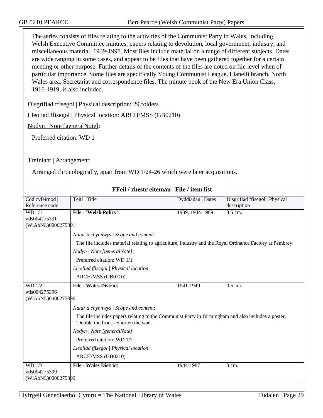The series consists of files relating to the activities of the Communist Party in Wales, including Welsh Executive Committee minutes, papers relating to devolution, local government, industry, and miscellaneous material, 1939-1998. Most files include material on a range of different subjects. Dates are wide ranging in some cases, and appear to be files that have been gathered together for a certain meeting or other purpose. Further details of the contents of the files are noted on file level when of particular importance. Some files are specifically Young Communist League, Llanelli branch, North Wales area, Secretariat and correspondence files. The minute book of the New Era Union Class, 1916-1919, is also included.

Disgrifiad ffisegol | Physical description: 29 folders

Lleoliad ffisegol | Physical location: ARCH/MSS (GB0210)

Nodyn | Note [generalNote]:

Preferred citation: WD 1

Trefniant | Arrangement:

Arranged chronologically, apart from WD 1/24-26 which were later acquisitions.

| FFeil / rhestr eitemau   File / item list |                                                                                                                                             |                   |                                |  |  |
|-------------------------------------------|---------------------------------------------------------------------------------------------------------------------------------------------|-------------------|--------------------------------|--|--|
| Cod cyfeirnod                             | Teitl   Title                                                                                                                               | Dyddiadau   Dates | Disgrifiad ffisegol   Physical |  |  |
| Reference code                            |                                                                                                                                             |                   | description                    |  |  |
| WD 1/1                                    | <b>File - 'Welsh Policy'</b>                                                                                                                | 1939, 1944-1969   | 3.5 cm.                        |  |  |
| vtls004275391                             |                                                                                                                                             |                   |                                |  |  |
| (WIAbNL)0000275391                        |                                                                                                                                             |                   |                                |  |  |
|                                           | Natur a chynnwys / Scope and content:                                                                                                       |                   |                                |  |  |
|                                           | The file includes material relating to agriculture, industry and the Royal Ordnance Factory at Pembrey.                                     |                   |                                |  |  |
|                                           | Nodyn   Note [generalNote]:                                                                                                                 |                   |                                |  |  |
|                                           | Preferred citation: WD 1/1                                                                                                                  |                   |                                |  |  |
|                                           | Lleoliad ffisegol   Physical location:                                                                                                      |                   |                                |  |  |
|                                           | ARCH/MSS (GB0210)                                                                                                                           |                   |                                |  |  |
| WD 1/2                                    | <b>File - Wales District</b>                                                                                                                | 1941-1949         | $0.5$ cm.                      |  |  |
| vtls004275396                             |                                                                                                                                             |                   |                                |  |  |
| (WIAbNL)0000275396                        |                                                                                                                                             |                   |                                |  |  |
|                                           | Natur a chynnwys / Scope and content:                                                                                                       |                   |                                |  |  |
|                                           | The file includes papers relating to the Communist Party in Birmingham and also includes a poster,<br>'Double the front - Shorten the war'. |                   |                                |  |  |
|                                           | Nodyn   Note [generalNote]:                                                                                                                 |                   |                                |  |  |
|                                           | Preferred citation: WD 1/2                                                                                                                  |                   |                                |  |  |
|                                           | Lleoliad ffisegol   Physical location:                                                                                                      |                   |                                |  |  |
|                                           | ARCH/MSS (GB0210)                                                                                                                           |                   |                                |  |  |
| WD 1/3                                    | <b>File - Wales District</b>                                                                                                                | 1944-1987         | 3 cm.                          |  |  |
| vtls004275399                             |                                                                                                                                             |                   |                                |  |  |
| (WIAbNL)0000275399                        |                                                                                                                                             |                   |                                |  |  |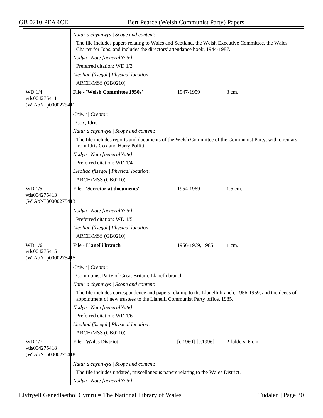|                                     | Natur a chynnwys / Scope and content:                                                                                                                                                 |                         |                      |  |  |
|-------------------------------------|---------------------------------------------------------------------------------------------------------------------------------------------------------------------------------------|-------------------------|----------------------|--|--|
|                                     | The file includes papers relating to Wales and Scotland, the Welsh Executive Committee, the Wales<br>Charter for Jobs, and includes the directors' attendance book, 1944-1987.        |                         |                      |  |  |
|                                     | Nodyn   Note [generalNote]:                                                                                                                                                           |                         |                      |  |  |
|                                     | Preferred citation: WD 1/3                                                                                                                                                            |                         |                      |  |  |
|                                     | Lleoliad ffisegol   Physical location:                                                                                                                                                |                         |                      |  |  |
|                                     | ARCH/MSS (GB0210)                                                                                                                                                                     |                         |                      |  |  |
| $WD$ 1/4                            | File - 'Welsh Committee 1950s'                                                                                                                                                        | 1947-1959               | $\overline{3}$ cm.   |  |  |
| vtls004275411<br>(WIAbNL)0000275411 |                                                                                                                                                                                       |                         |                      |  |  |
|                                     | Crëwr   Creator:                                                                                                                                                                      |                         |                      |  |  |
|                                     | Cox, Idris,                                                                                                                                                                           |                         |                      |  |  |
|                                     | Natur a chynnwys / Scope and content:                                                                                                                                                 |                         |                      |  |  |
|                                     | The file includes reports and documents of the Welsh Committee of the Communist Party, with circulars<br>from Idris Cox and Harry Pollitt.                                            |                         |                      |  |  |
|                                     | Nodyn   Note [generalNote]:                                                                                                                                                           |                         |                      |  |  |
|                                     | Preferred citation: WD 1/4                                                                                                                                                            |                         |                      |  |  |
|                                     | Lleoliad ffisegol   Physical location:                                                                                                                                                |                         |                      |  |  |
|                                     | ARCH/MSS (GB0210)                                                                                                                                                                     |                         |                      |  |  |
| $WD$ 1/5                            | <b>File - 'Secretariat documents'</b>                                                                                                                                                 | 1954-1969               | $\overline{1.5}$ cm. |  |  |
| vtls004275413<br>(WIAbNL)0000275413 |                                                                                                                                                                                       |                         |                      |  |  |
|                                     | Nodyn   Note [generalNote]:                                                                                                                                                           |                         |                      |  |  |
|                                     | Preferred citation: WD 1/5                                                                                                                                                            |                         |                      |  |  |
|                                     | Lleoliad ffisegol   Physical location:                                                                                                                                                |                         |                      |  |  |
|                                     | ARCH/MSS (GB0210)                                                                                                                                                                     |                         |                      |  |  |
| WD 1/6                              | <b>File - Llanelli branch</b>                                                                                                                                                         | 1956-1969, 1985         | $1 \text{ cm}$ .     |  |  |
| vtls004275415<br>(WIAbNL)0000275415 |                                                                                                                                                                                       |                         |                      |  |  |
|                                     | Crëwr / Creator:                                                                                                                                                                      |                         |                      |  |  |
|                                     |                                                                                                                                                                                       |                         |                      |  |  |
|                                     | Communist Party of Great Britain. Llanelli branch<br>Natur a chynnwys / Scope and content:                                                                                            |                         |                      |  |  |
|                                     |                                                                                                                                                                                       |                         |                      |  |  |
|                                     | The file includes correspondence and papers relating to the Llanelli branch, 1956-1969, and the deeds of<br>appointment of new trustees to the Llanelli Communist Party office, 1985. |                         |                      |  |  |
|                                     | Nodyn   Note [generalNote]:                                                                                                                                                           |                         |                      |  |  |
|                                     | Preferred citation: WD 1/6                                                                                                                                                            |                         |                      |  |  |
|                                     | Lleoliad ffisegol   Physical location:                                                                                                                                                |                         |                      |  |  |
|                                     | ARCH/MSS (GB0210)                                                                                                                                                                     |                         |                      |  |  |
| WD 1/7<br>vtls004275418             | <b>File - Wales District</b>                                                                                                                                                          | $[c.1960]$ - $[c.1996]$ | 2 folders; 6 cm.     |  |  |
| (WIAbNL)0000275418                  |                                                                                                                                                                                       |                         |                      |  |  |
|                                     | Natur a chynnwys / Scope and content:                                                                                                                                                 |                         |                      |  |  |
|                                     | The file includes undated, miscellaneous papers relating to the Wales District.                                                                                                       |                         |                      |  |  |
|                                     | Nodyn   Note [generalNote]:                                                                                                                                                           |                         |                      |  |  |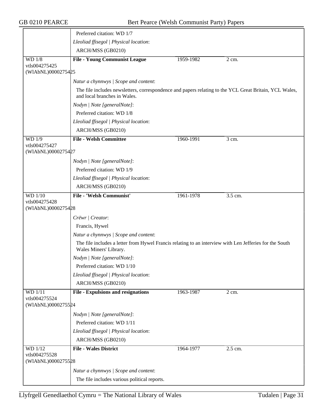|                                     | Preferred citation: WD 1/7                                                                                                             |           |                  |
|-------------------------------------|----------------------------------------------------------------------------------------------------------------------------------------|-----------|------------------|
|                                     | Lleoliad ffisegol   Physical location:                                                                                                 |           |                  |
|                                     | ARCH/MSS (GB0210)                                                                                                                      |           |                  |
| WD 1/8                              | <b>File - Young Communist League</b>                                                                                                   | 1959-1982 | $2 \text{ cm}$ . |
| vtls004275425                       |                                                                                                                                        |           |                  |
| (WIAbNL)0000275425                  |                                                                                                                                        |           |                  |
|                                     | Natur a chynnwys / Scope and content:                                                                                                  |           |                  |
|                                     | The file includes newsletters, correspondence and papers relating to the YCL Great Britain, YCL Wales,<br>and local branches in Wales. |           |                  |
|                                     | Nodyn   Note [generalNote]:                                                                                                            |           |                  |
|                                     | Preferred citation: WD 1/8                                                                                                             |           |                  |
|                                     | Lleoliad ffisegol   Physical location:                                                                                                 |           |                  |
|                                     | ARCH/MSS (GB0210)                                                                                                                      |           |                  |
| WD 1/9                              | <b>File - Welsh Committee</b>                                                                                                          | 1960-1991 | 3 cm.            |
| vtls004275427<br>(WIAbNL)0000275427 |                                                                                                                                        |           |                  |
|                                     | Nodyn   Note [generalNote]:                                                                                                            |           |                  |
|                                     | Preferred citation: WD 1/9                                                                                                             |           |                  |
|                                     | Lleoliad ffisegol   Physical location:                                                                                                 |           |                  |
|                                     | ARCH/MSS (GB0210)                                                                                                                      |           |                  |
|                                     |                                                                                                                                        |           |                  |
| <b>WD</b> 1/10<br>vtls004275428     | File - 'Welsh Communist'                                                                                                               | 1961-1978 | 3.5 cm.          |
| (WIAbNL)0000275428                  |                                                                                                                                        |           |                  |
|                                     | Crëwr   Creator:                                                                                                                       |           |                  |
|                                     | Francis, Hywel                                                                                                                         |           |                  |
|                                     | Natur a chynnwys / Scope and content:                                                                                                  |           |                  |
|                                     | The file includes a letter from Hywel Francis relating to an interview with Len Jefferies for the South<br>Wales Miners' Library.      |           |                  |
|                                     | Nodyn   Note [generalNote]:                                                                                                            |           |                  |
|                                     | Preferred citation: WD 1/10                                                                                                            |           |                  |
|                                     | Lleoliad ffisegol   Physical location:                                                                                                 |           |                  |
|                                     | ARCH/MSS (GB0210)                                                                                                                      |           |                  |
| WD 1/11                             | <b>File - Expulsions and resignations</b>                                                                                              | 1963-1987 | 2 cm.            |
| vtls004275524<br>(WIAbNL)0000275524 |                                                                                                                                        |           |                  |
|                                     | Nodyn   Note [generalNote]:                                                                                                            |           |                  |
|                                     | Preferred citation: WD 1/11                                                                                                            |           |                  |
|                                     | Lleoliad ffisegol   Physical location:                                                                                                 |           |                  |
|                                     | ARCH/MSS (GB0210)                                                                                                                      |           |                  |
| WD 1/12                             | <b>File - Wales District</b>                                                                                                           | 1964-1977 | $2.5$ cm.        |
| vtls004275528<br>(WIAbNL)0000275528 |                                                                                                                                        |           |                  |
|                                     | Natur a chynnwys / Scope and content:                                                                                                  |           |                  |
|                                     | The file includes various political reports.                                                                                           |           |                  |
|                                     |                                                                                                                                        |           |                  |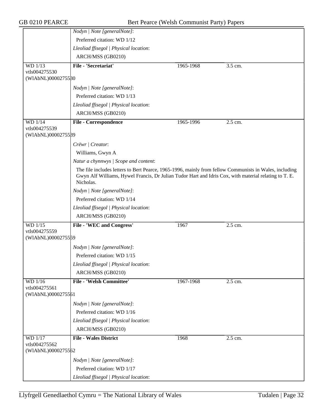|                                                | Nodyn   Note [generalNote]:                                                                                                                                                                                                  |           |           |
|------------------------------------------------|------------------------------------------------------------------------------------------------------------------------------------------------------------------------------------------------------------------------------|-----------|-----------|
|                                                | Preferred citation: WD 1/12                                                                                                                                                                                                  |           |           |
|                                                | Lleoliad ffisegol   Physical location:                                                                                                                                                                                       |           |           |
|                                                | ARCH/MSS (GB0210)                                                                                                                                                                                                            |           |           |
| <b>WD</b> 1/13                                 | File - 'Secretariat'                                                                                                                                                                                                         | 1965-1968 | 3.5 cm.   |
| vtls004275530                                  |                                                                                                                                                                                                                              |           |           |
| (WIAbNL)0000275580                             |                                                                                                                                                                                                                              |           |           |
|                                                | Nodyn   Note [generalNote]:                                                                                                                                                                                                  |           |           |
|                                                | Preferred citation: WD 1/13                                                                                                                                                                                                  |           |           |
|                                                | Lleoliad ffisegol   Physical location:                                                                                                                                                                                       |           |           |
|                                                | ARCH/MSS (GB0210)                                                                                                                                                                                                            |           |           |
| WD 1/14                                        | <b>File - Correspondence</b>                                                                                                                                                                                                 | 1965-1996 | $2.5$ cm. |
| vtls004275539                                  |                                                                                                                                                                                                                              |           |           |
| (WIAbNL)0000275589                             |                                                                                                                                                                                                                              |           |           |
|                                                | Crëwr   Creator:                                                                                                                                                                                                             |           |           |
|                                                | Williams, Gwyn A                                                                                                                                                                                                             |           |           |
|                                                | Natur a chynnwys / Scope and content:                                                                                                                                                                                        |           |           |
|                                                | The file includes letters to Bert Pearce, 1965-1996, mainly from fellow Communists in Wales, including<br>Gwyn Alf Williams, Hywel Francis, Dr Julian Tudor Hart and Idris Cox, with material relating to T. E.<br>Nicholas. |           |           |
|                                                | Nodyn   Note [generalNote]:                                                                                                                                                                                                  |           |           |
|                                                | Preferred citation: WD 1/14                                                                                                                                                                                                  |           |           |
|                                                | Lleoliad ffisegol   Physical location:                                                                                                                                                                                       |           |           |
|                                                | ARCH/MSS (GB0210)                                                                                                                                                                                                            |           |           |
| WD 1/15                                        | <b>File - 'WEC and Congress'</b>                                                                                                                                                                                             | 1967      | 2.5 cm.   |
| vtls004275559                                  |                                                                                                                                                                                                                              |           |           |
| (WIAbNL)0000275559                             |                                                                                                                                                                                                                              |           |           |
|                                                | Nodyn   Note [generalNote]:                                                                                                                                                                                                  |           |           |
|                                                | Preferred citation: WD 1/15                                                                                                                                                                                                  |           |           |
|                                                | Lleoliad ffisegol   Physical location:                                                                                                                                                                                       |           |           |
|                                                | ARCH/MSS (GB0210)                                                                                                                                                                                                            |           |           |
| WD 1/16<br>vtls004275561<br>(WIAbNL)0000275561 | <b>File - 'Welsh Committee'</b>                                                                                                                                                                                              | 1967-1968 | 2.5 cm.   |
|                                                | Nodyn   Note [generalNote]:                                                                                                                                                                                                  |           |           |
|                                                | Preferred citation: WD 1/16                                                                                                                                                                                                  |           |           |
|                                                | Lleoliad ffisegol   Physical location:                                                                                                                                                                                       |           |           |
|                                                | ARCH/MSS (GB0210)                                                                                                                                                                                                            |           |           |
| <b>WD</b> 1/17                                 | <b>File - Wales District</b>                                                                                                                                                                                                 | 1968      | 2.5 cm.   |
| vtls004275562<br>(WIAbNL)0000275562            |                                                                                                                                                                                                                              |           |           |
|                                                | Nodyn   Note [generalNote]:                                                                                                                                                                                                  |           |           |
|                                                | Preferred citation: WD 1/17                                                                                                                                                                                                  |           |           |
|                                                |                                                                                                                                                                                                                              |           |           |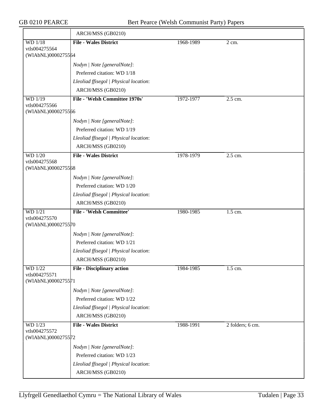|                                     | ARCH/MSS (GB0210)                                          |           |                  |
|-------------------------------------|------------------------------------------------------------|-----------|------------------|
| WD 1/18                             | <b>File - Wales District</b>                               | 1968-1989 | $2$ cm.          |
| vtls004275564<br>(WIAbNL)0000275564 |                                                            |           |                  |
|                                     |                                                            |           |                  |
|                                     | Nodyn   Note [generalNote]:<br>Preferred citation: WD 1/18 |           |                  |
|                                     | Lleoliad ffisegol   Physical location:                     |           |                  |
|                                     | ARCH/MSS (GB0210)                                          |           |                  |
| $WD$ $1/19$                         | File - 'Welsh Committee 1970s'                             | 1972-1977 | 2.5 cm.          |
| vtls004275566                       |                                                            |           |                  |
| (WIAbNL)0000275566                  |                                                            |           |                  |
|                                     | Nodyn   Note [generalNote]:                                |           |                  |
|                                     | Preferred citation: WD 1/19                                |           |                  |
|                                     | Lleoliad ffisegol   Physical location:                     |           |                  |
|                                     | ARCH/MSS (GB0210)                                          |           |                  |
| <b>WD</b> 1/20                      | <b>File - Wales District</b>                               | 1978-1979 | 2.5 cm.          |
| vtls004275568                       |                                                            |           |                  |
| (WIAbNL)0000275568                  |                                                            |           |                  |
|                                     | Nodyn   Note [generalNote]:                                |           |                  |
|                                     | Preferred citation: WD 1/20                                |           |                  |
|                                     | Lleoliad ffisegol   Physical location:                     |           |                  |
|                                     | ARCH/MSS (GB0210)                                          |           |                  |
| <b>WD</b> 1/21<br>vtls004275570     | <b>File - 'Welsh Committee'</b>                            | 1980-1985 | 1.5 cm.          |
| (WIAbNL)0000275570                  |                                                            |           |                  |
|                                     | Nodyn   Note [generalNote]:                                |           |                  |
|                                     | Preferred citation: WD 1/21                                |           |                  |
|                                     | Lleoliad ffisegol   Physical location:                     |           |                  |
|                                     | ARCH/MSS (GB0210)                                          |           |                  |
| <b>WD</b> 1/22                      | <b>File - Disciplinary action</b>                          | 1984-1985 | 1.5 cm.          |
| vtls004275571                       |                                                            |           |                  |
| (WIAbNL)0000275571                  |                                                            |           |                  |
|                                     | Nodyn   Note [generalNote]:                                |           |                  |
|                                     | Preferred citation: WD 1/22                                |           |                  |
|                                     | Lleoliad ffisegol   Physical location:                     |           |                  |
|                                     | ARCH/MSS (GB0210)                                          |           |                  |
| WD 1/23                             | <b>File - Wales District</b>                               | 1988-1991 | 2 folders; 6 cm. |
| vtls004275572<br>(WIAbNL)0000275572 |                                                            |           |                  |
|                                     |                                                            |           |                  |
|                                     | Nodyn   Note [generalNote]:                                |           |                  |
|                                     | Preferred citation: WD 1/23                                |           |                  |
|                                     | Lleoliad ffisegol   Physical location:                     |           |                  |
|                                     | ARCH/MSS (GB0210)                                          |           |                  |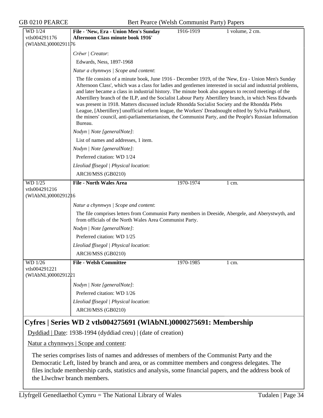| <b>GB 0210 PEARCE</b>                           | Bert Pearce (Welsh Communist Party) Papers                                                                                                                                                                                                                                                                                                                                                                                                                                                                                                                                                                                                                                                                                                                              |                 |
|-------------------------------------------------|-------------------------------------------------------------------------------------------------------------------------------------------------------------------------------------------------------------------------------------------------------------------------------------------------------------------------------------------------------------------------------------------------------------------------------------------------------------------------------------------------------------------------------------------------------------------------------------------------------------------------------------------------------------------------------------------------------------------------------------------------------------------------|-----------------|
| WD 1/24<br>vtls004291176<br>(WIAbNL)0000291176  | File - 'New, Era - Union Men's Sunday<br>1916-1919<br><b>Afternoon Class minute book 1916'</b>                                                                                                                                                                                                                                                                                                                                                                                                                                                                                                                                                                                                                                                                          | 1 volume, 2 cm. |
|                                                 | Crëwr   Creator:                                                                                                                                                                                                                                                                                                                                                                                                                                                                                                                                                                                                                                                                                                                                                        |                 |
|                                                 | Edwards, Ness, 1897-1968                                                                                                                                                                                                                                                                                                                                                                                                                                                                                                                                                                                                                                                                                                                                                |                 |
|                                                 | Natur a chynnwys / Scope and content:                                                                                                                                                                                                                                                                                                                                                                                                                                                                                                                                                                                                                                                                                                                                   |                 |
|                                                 | The file consists of a minute book, June 1916 - December 1919, of the 'New, Era - Union Men's Sunday<br>Afternoon Class', which was a class for ladies and gentlemen interested in social and industrial problems,<br>and later became a class in industrial history. The minute book also appears to record meetings of the<br>Abertillery branch of the ILP, and the Socialist Labour Party Abertillery branch, in which Ness Edwards<br>was present in 1918. Matters discussed include Rhondda Socialist Society and the Rhondda Plebs<br>League, [Abertillery] unofficial reform league, the Workers' Dreadnought edited by Sylvia Pankhurst,<br>the miners' council, anti-parliamentarianism, the Communist Party, and the People's Russian Information<br>Bureau. |                 |
|                                                 | Nodyn   Note [generalNote]:                                                                                                                                                                                                                                                                                                                                                                                                                                                                                                                                                                                                                                                                                                                                             |                 |
|                                                 | List of names and addresses, 1 item.                                                                                                                                                                                                                                                                                                                                                                                                                                                                                                                                                                                                                                                                                                                                    |                 |
|                                                 | Nodyn   Note [generalNote]:                                                                                                                                                                                                                                                                                                                                                                                                                                                                                                                                                                                                                                                                                                                                             |                 |
|                                                 | Preferred citation: WD 1/24                                                                                                                                                                                                                                                                                                                                                                                                                                                                                                                                                                                                                                                                                                                                             |                 |
|                                                 | Lleoliad ffisegol   Physical location:                                                                                                                                                                                                                                                                                                                                                                                                                                                                                                                                                                                                                                                                                                                                  |                 |
|                                                 | ARCH/MSS (GB0210)                                                                                                                                                                                                                                                                                                                                                                                                                                                                                                                                                                                                                                                                                                                                                       |                 |
| WD 1/25<br>vtls004291216<br>(WIAbNL)00002912 16 | <b>File - North Wales Area</b><br>1970-1974                                                                                                                                                                                                                                                                                                                                                                                                                                                                                                                                                                                                                                                                                                                             | 1 cm.           |
|                                                 | Natur a chynnwys / Scope and content:                                                                                                                                                                                                                                                                                                                                                                                                                                                                                                                                                                                                                                                                                                                                   |                 |
|                                                 | The file comprises letters from Communist Party members in Deeside, Abergele, and Aberystwyth, and<br>from officials of the North Wales Area Communist Party.                                                                                                                                                                                                                                                                                                                                                                                                                                                                                                                                                                                                           |                 |
|                                                 | Nodyn   Note [generalNote]:                                                                                                                                                                                                                                                                                                                                                                                                                                                                                                                                                                                                                                                                                                                                             |                 |
|                                                 | Preferred citation: WD 1/25                                                                                                                                                                                                                                                                                                                                                                                                                                                                                                                                                                                                                                                                                                                                             |                 |
|                                                 | Lleoliad ffisegol   Physical location:                                                                                                                                                                                                                                                                                                                                                                                                                                                                                                                                                                                                                                                                                                                                  |                 |
|                                                 | ARCH/MSS (GB0210)                                                                                                                                                                                                                                                                                                                                                                                                                                                                                                                                                                                                                                                                                                                                                       |                 |
| WD 1/26<br>vtls004291221<br>(WIAbNL)0000291221  | <b>File - Welsh Committee</b><br>1970-1985                                                                                                                                                                                                                                                                                                                                                                                                                                                                                                                                                                                                                                                                                                                              | 1 cm.           |
|                                                 | Nodyn   Note [generalNote]:                                                                                                                                                                                                                                                                                                                                                                                                                                                                                                                                                                                                                                                                                                                                             |                 |
|                                                 | Preferred citation: WD 1/26                                                                                                                                                                                                                                                                                                                                                                                                                                                                                                                                                                                                                                                                                                                                             |                 |
|                                                 | Lleoliad ffisegol   Physical location:                                                                                                                                                                                                                                                                                                                                                                                                                                                                                                                                                                                                                                                                                                                                  |                 |
|                                                 | ARCH/MSS (GB0210)                                                                                                                                                                                                                                                                                                                                                                                                                                                                                                                                                                                                                                                                                                                                                       |                 |
|                                                 | Cyfres   Series WD 2 vtls004275691 (WlAbNL)0000275691: Membership                                                                                                                                                                                                                                                                                                                                                                                                                                                                                                                                                                                                                                                                                                       |                 |
|                                                 | Dyddiad   Date: 1938-1994 (dyddiad creu)   (date of creation)                                                                                                                                                                                                                                                                                                                                                                                                                                                                                                                                                                                                                                                                                                           |                 |
|                                                 | Natur a chynnwys   Scope and content:                                                                                                                                                                                                                                                                                                                                                                                                                                                                                                                                                                                                                                                                                                                                   |                 |
|                                                 | The series comprises lists of names and addresses of members of the Communist Party and the<br>Democratic Left, listed by branch and area, or as committee members and congress delegates. The<br>files include membership cards, statistics and analysis, some financial papers, and the address book of<br>the Llwchwr branch members.                                                                                                                                                                                                                                                                                                                                                                                                                                |                 |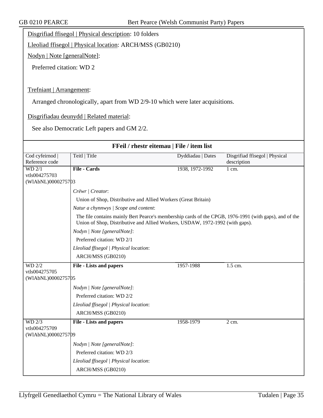Disgrifiad ffisegol | Physical description: 10 folders

Lleoliad ffisegol | Physical location: ARCH/MSS (GB0210)

Nodyn | Note [generalNote]:

Preferred citation: WD 2

Trefniant | Arrangement:

Arranged chronologically, apart from WD 2/9-10 which were later acquisitions.

Disgrifiadau deunydd | Related material:

See also Democratic Left papers and GM 2/2.

| FFeil / rhestr eitemau   File / item list |                                                                                                                                                                                         |                   |                                |  |  |
|-------------------------------------------|-----------------------------------------------------------------------------------------------------------------------------------------------------------------------------------------|-------------------|--------------------------------|--|--|
| Cod cyfeirnod                             | Teitl   Title                                                                                                                                                                           | Dyddiadau   Dates | Disgrifiad ffisegol   Physical |  |  |
| Reference code                            |                                                                                                                                                                                         |                   | description                    |  |  |
| WD 2/1                                    | <b>File - Cards</b>                                                                                                                                                                     | 1938, 1972-1992   | 1 cm.                          |  |  |
| vtls004275703<br>(WIAbNL)0000275703       |                                                                                                                                                                                         |                   |                                |  |  |
|                                           |                                                                                                                                                                                         |                   |                                |  |  |
|                                           | Crëwr   Creator:                                                                                                                                                                        |                   |                                |  |  |
|                                           | Union of Shop, Distributive and Allied Workers (Great Britain)                                                                                                                          |                   |                                |  |  |
|                                           | Natur a chynnwys / Scope and content:                                                                                                                                                   |                   |                                |  |  |
|                                           | The file contains mainly Bert Pearce's membership cards of the CPGB, 1976-1991 (with gaps), and of the<br>Union of Shop, Distributive and Allied Workers, USDAW, 1972-1992 (with gaps). |                   |                                |  |  |
|                                           | Nodyn   Note [generalNote]:                                                                                                                                                             |                   |                                |  |  |
|                                           | Preferred citation: WD 2/1                                                                                                                                                              |                   |                                |  |  |
|                                           | Lleoliad ffisegol   Physical location:                                                                                                                                                  |                   |                                |  |  |
|                                           | ARCH/MSS (GB0210)                                                                                                                                                                       |                   |                                |  |  |
| $WD$ 2/2                                  | <b>File - Lists and papers</b>                                                                                                                                                          | 1957-1988         | $1.5$ cm.                      |  |  |
| vtls004275705                             |                                                                                                                                                                                         |                   |                                |  |  |
| (WIAbNL)0000275705                        |                                                                                                                                                                                         |                   |                                |  |  |
|                                           | Nodyn   Note [generalNote]:                                                                                                                                                             |                   |                                |  |  |
|                                           | Preferred citation: WD 2/2                                                                                                                                                              |                   |                                |  |  |
|                                           | Lleoliad ffisegol   Physical location:                                                                                                                                                  |                   |                                |  |  |
|                                           | ARCH/MSS (GB0210)                                                                                                                                                                       |                   |                                |  |  |
| $WD$ $2/3$                                | <b>File - Lists and papers</b>                                                                                                                                                          | 1958-1979         | $\overline{2}$ cm.             |  |  |
| vtls004275709                             |                                                                                                                                                                                         |                   |                                |  |  |
| (WIAbNL)0000275709                        |                                                                                                                                                                                         |                   |                                |  |  |
|                                           | Nodyn   Note [generalNote]:                                                                                                                                                             |                   |                                |  |  |
|                                           | Preferred citation: WD 2/3                                                                                                                                                              |                   |                                |  |  |
|                                           | Lleoliad ffisegol   Physical location:                                                                                                                                                  |                   |                                |  |  |
|                                           | ARCH/MSS (GB0210)                                                                                                                                                                       |                   |                                |  |  |
|                                           |                                                                                                                                                                                         |                   |                                |  |  |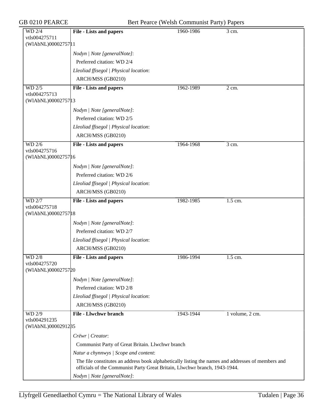| <b>WD 2/4</b><br>vtls004275711      | <b>File - Lists and papers</b>                                                                                                                                                   | 1960-1986 | $\overline{3}$ cm. |
|-------------------------------------|----------------------------------------------------------------------------------------------------------------------------------------------------------------------------------|-----------|--------------------|
| (WIAbNL)0000275711                  |                                                                                                                                                                                  |           |                    |
|                                     | Nodyn   Note [generalNote]:                                                                                                                                                      |           |                    |
|                                     | Preferred citation: WD 2/4                                                                                                                                                       |           |                    |
|                                     | Lleoliad ffisegol   Physical location:                                                                                                                                           |           |                    |
|                                     | ARCH/MSS (GB0210)                                                                                                                                                                |           |                    |
| WD 2/5                              | <b>File - Lists and papers</b>                                                                                                                                                   | 1962-1989 | 2 cm.              |
| vtls004275713<br>(WIAbNL)0000275713 |                                                                                                                                                                                  |           |                    |
|                                     | Nodyn   Note [generalNote]:                                                                                                                                                      |           |                    |
|                                     | Preferred citation: WD 2/5                                                                                                                                                       |           |                    |
|                                     | Lleoliad ffisegol   Physical location:                                                                                                                                           |           |                    |
|                                     | ARCH/MSS (GB0210)                                                                                                                                                                |           |                    |
| <b>WD 2/6</b>                       | <b>File - Lists and papers</b>                                                                                                                                                   | 1964-1968 | 3 cm.              |
| vtls004275716                       |                                                                                                                                                                                  |           |                    |
| (WIAbNL)00002757 16                 |                                                                                                                                                                                  |           |                    |
|                                     | Nodyn   Note [generalNote]:                                                                                                                                                      |           |                    |
|                                     | Preferred citation: WD 2/6                                                                                                                                                       |           |                    |
|                                     | Lleoliad ffisegol   Physical location:                                                                                                                                           |           |                    |
|                                     | ARCH/MSS (GB0210)                                                                                                                                                                |           |                    |
| <b>WD 2/7</b>                       | <b>File - Lists and papers</b>                                                                                                                                                   | 1982-1985 | 1.5 cm.            |
| vtls004275718<br>(WIAbNL)0000275718 |                                                                                                                                                                                  |           |                    |
|                                     |                                                                                                                                                                                  |           |                    |
|                                     | Nodyn   Note [generalNote]:<br>Preferred citation: WD 2/7                                                                                                                        |           |                    |
|                                     | Lleoliad ffisegol   Physical location:                                                                                                                                           |           |                    |
|                                     |                                                                                                                                                                                  |           |                    |
|                                     | ARCH/MSS (GB0210)                                                                                                                                                                |           |                    |
| <b>WD 2/8</b><br>vtls004275720      | <b>File - Lists and papers</b>                                                                                                                                                   | 1986-1994 | 1.5 cm.            |
| (WIAbNL)0000275720                  |                                                                                                                                                                                  |           |                    |
|                                     | Nodyn   Note [generalNote]:                                                                                                                                                      |           |                    |
|                                     | Preferred citation: WD 2/8                                                                                                                                                       |           |                    |
|                                     | Lleoliad ffisegol   Physical location:                                                                                                                                           |           |                    |
|                                     | ARCH/MSS (GB0210)                                                                                                                                                                |           |                    |
| WD 2/9                              | <b>File - Llwchwr branch</b>                                                                                                                                                     | 1943-1944 | 1 volume, 2 cm.    |
| vtls004291235                       |                                                                                                                                                                                  |           |                    |
| (WIAbNL)0000291285                  |                                                                                                                                                                                  |           |                    |
|                                     | Crëwr   Creator:                                                                                                                                                                 |           |                    |
|                                     | Communist Party of Great Britain. Llwchwr branch                                                                                                                                 |           |                    |
|                                     | Natur a chynnwys / Scope and content:                                                                                                                                            |           |                    |
|                                     | The file constitutes an address book alphabetically listing the names and addresses of members and<br>officials of the Communist Party Great Britain, Llwchwr branch, 1943-1944. |           |                    |
|                                     | Nodyn   Note [generalNote]:                                                                                                                                                      |           |                    |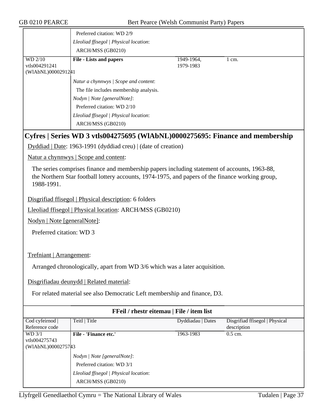|                                     | Preferred citation: WD 2/9                                                                                                                                                                       |                   |                                |  |
|-------------------------------------|--------------------------------------------------------------------------------------------------------------------------------------------------------------------------------------------------|-------------------|--------------------------------|--|
|                                     |                                                                                                                                                                                                  |                   |                                |  |
|                                     | Lleoliad ffisegol   Physical location:                                                                                                                                                           |                   |                                |  |
|                                     | ARCH/MSS (GB0210)                                                                                                                                                                                |                   |                                |  |
| <b>WD 2/10</b>                      | <b>File - Lists and papers</b>                                                                                                                                                                   | 1949-1964,        | $\overline{1}$ cm.             |  |
| vtls004291241<br>(WIAbNL)0000291241 |                                                                                                                                                                                                  | 1979-1983         |                                |  |
|                                     |                                                                                                                                                                                                  |                   |                                |  |
|                                     | Natur a chynnwys / Scope and content:                                                                                                                                                            |                   |                                |  |
|                                     | The file includes membership analysis.                                                                                                                                                           |                   |                                |  |
|                                     | Nodyn   Note [generalNote]:                                                                                                                                                                      |                   |                                |  |
|                                     | Preferred citation: WD 2/10                                                                                                                                                                      |                   |                                |  |
|                                     | Lleoliad ffisegol   Physical location:                                                                                                                                                           |                   |                                |  |
|                                     | ARCH/MSS (GB0210)                                                                                                                                                                                |                   |                                |  |
|                                     | Cyfres   Series WD 3 vtls004275695 (WIAbNL)0000275695: Finance and membership<br>Dyddiad   Date: 1963-1991 (dyddiad creu)   (date of creation)                                                   |                   |                                |  |
|                                     | Natur a chynnwys   Scope and content:                                                                                                                                                            |                   |                                |  |
| 1988-1991.                          | The series comprises finance and membership papers including statement of accounts, 1963-88,<br>the Northern Star football lottery accounts, 1974-1975, and papers of the finance working group, |                   |                                |  |
|                                     | Disgrifiad ffisegol   Physical description: 6 folders                                                                                                                                            |                   |                                |  |
|                                     | Lleoliad ffisegol   Physical location: ARCH/MSS (GB0210)                                                                                                                                         |                   |                                |  |
| Nodyn   Note [generalNote]:         |                                                                                                                                                                                                  |                   |                                |  |
| Preferred citation: WD 3            |                                                                                                                                                                                                  |                   |                                |  |
|                                     |                                                                                                                                                                                                  |                   |                                |  |
| Trefniant   Arrangement:            |                                                                                                                                                                                                  |                   |                                |  |
|                                     | Arranged chronologically, apart from WD 3/6 which was a later acquisition.                                                                                                                       |                   |                                |  |
|                                     | Disgrifiadau deunydd   Related material:                                                                                                                                                         |                   |                                |  |
|                                     | For related material see also Democratic Left membership and finance, D3.                                                                                                                        |                   |                                |  |
|                                     | FFeil / rhestr eitemau   File / item list                                                                                                                                                        |                   |                                |  |
| Cod cyfeirnod                       | Teitl   Title                                                                                                                                                                                    | Dyddiadau   Dates | Disgrifiad ffisegol   Physical |  |
| Reference code                      |                                                                                                                                                                                                  |                   | description                    |  |
| WD 3/1                              | File - 'Finance etc.'                                                                                                                                                                            | 1963-1983         | 0.5 cm.                        |  |
| vtls004275743<br>(WIAbNL)0000275743 |                                                                                                                                                                                                  |                   |                                |  |
|                                     |                                                                                                                                                                                                  |                   |                                |  |
|                                     | Nodyn   Note [generalNote]:                                                                                                                                                                      |                   |                                |  |
|                                     | Preferred citation: WD 3/1                                                                                                                                                                       |                   |                                |  |
|                                     | Lleoliad ffisegol   Physical location:                                                                                                                                                           |                   |                                |  |
|                                     | ARCH/MSS (GB0210)                                                                                                                                                                                |                   |                                |  |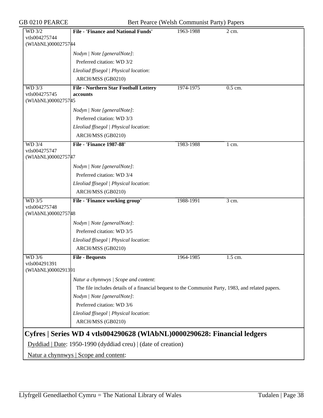GB 0210 PEARCE Bert Pearce (Welsh Communist Party) Papers

| WD 3/2                                                        | <b>File - 'Finance and National Funds'</b>                                                         | 1963-1988 | 2 cm.                |  |
|---------------------------------------------------------------|----------------------------------------------------------------------------------------------------|-----------|----------------------|--|
| vtls004275744<br>(WIAbNL)0000275744                           |                                                                                                    |           |                      |  |
|                                                               |                                                                                                    |           |                      |  |
|                                                               | Nodyn   Note [generalNote]:<br>Preferred citation: WD 3/2                                          |           |                      |  |
|                                                               |                                                                                                    |           |                      |  |
|                                                               | Lleoliad ffisegol   Physical location:                                                             |           |                      |  |
|                                                               | ARCH/MSS (GB0210)                                                                                  |           |                      |  |
| <b>WD 3/3</b><br>vtls004275745                                | <b>File - Northern Star Football Lottery</b>                                                       | 1974-1975 | 0.5 cm.              |  |
| (WIAbNL)0000275745                                            | accounts                                                                                           |           |                      |  |
|                                                               | Nodyn   Note [generalNote]:                                                                        |           |                      |  |
|                                                               | Preferred citation: WD 3/3                                                                         |           |                      |  |
|                                                               |                                                                                                    |           |                      |  |
|                                                               | Lleoliad ffisegol   Physical location:                                                             |           |                      |  |
|                                                               | ARCH/MSS (GB0210)                                                                                  |           |                      |  |
| WD 3/4<br>vtls004275747                                       | <b>File - 'Finance 1987-88'</b>                                                                    | 1983-1988 | $1 \text{ cm}$ .     |  |
| (WIAbNL)0000275747                                            |                                                                                                    |           |                      |  |
|                                                               | Nodyn   Note [generalNote]:                                                                        |           |                      |  |
|                                                               | Preferred citation: WD 3/4                                                                         |           |                      |  |
|                                                               | Lleoliad ffisegol   Physical location:                                                             |           |                      |  |
|                                                               | ARCH/MSS (GB0210)                                                                                  |           |                      |  |
| WD 3/5                                                        | File - 'Finance working group'                                                                     | 1988-1991 | 3 cm.                |  |
| vtls004275748                                                 |                                                                                                    |           |                      |  |
| (WIAbNL)0000275748                                            |                                                                                                    |           |                      |  |
|                                                               | Nodyn   Note [generalNote]:                                                                        |           |                      |  |
|                                                               | Preferred citation: WD 3/5                                                                         |           |                      |  |
|                                                               | Lleoliad ffisegol   Physical location:                                                             |           |                      |  |
|                                                               | ARCH/MSS (GB0210)                                                                                  |           |                      |  |
| WD 3/6                                                        | <b>File - Bequests</b>                                                                             | 1964-1985 | $\overline{1.5}$ cm. |  |
| vtls004291391                                                 |                                                                                                    |           |                      |  |
| (WIAbNL)0000291391                                            |                                                                                                    |           |                      |  |
|                                                               | Natur a chynnwys / Scope and content:                                                              |           |                      |  |
|                                                               | The file includes details of a financial bequest to the Communist Party, 1983, and related papers. |           |                      |  |
|                                                               | Nodyn   Note [generalNote]:                                                                        |           |                      |  |
|                                                               | Preferred citation: WD 3/6                                                                         |           |                      |  |
|                                                               | Lleoliad ffisegol   Physical location:                                                             |           |                      |  |
|                                                               | ARCH/MSS (GB0210)                                                                                  |           |                      |  |
|                                                               |                                                                                                    |           |                      |  |
|                                                               | Cyfres   Series WD 4 vtls004290628 (WIAbNL)0000290628: Financial ledgers                           |           |                      |  |
| Dyddiad   Date: 1950-1990 (dyddiad creu)   (date of creation) |                                                                                                    |           |                      |  |
| Natur a chynnwys   Scope and content:                         |                                                                                                    |           |                      |  |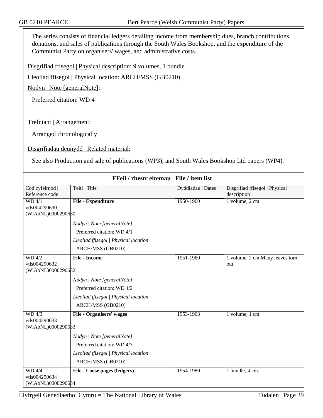The series consists of financial ledgers detailing income from membership dues, branch contributions, donations, and sales of publications through the South Wales Bookshop, and the expenditure of the Communist Party on organisers' wages, and administrative costs.

Disgrifiad ffisegol | Physical description: 9 volumes, 1 bundle

Lleoliad ffisegol | Physical location: ARCH/MSS (GB0210)

Nodyn | Note [generalNote]:

Preferred citation: WD 4

Trefniant | Arrangement:

Arranged chronologically

Disgrifiadau deunydd | Related material:

See also Production and sale of publications (WP3), and South Wales Bookshop Ltd papers (WP4).

| FFeil / rhestr eitemau   File / item list            |                                                                                                                          |                   |                                               |
|------------------------------------------------------|--------------------------------------------------------------------------------------------------------------------------|-------------------|-----------------------------------------------|
| Cod cyfeirnod  <br>Reference code                    | Teitl   Title                                                                                                            | Dyddiadau   Dates | Disgrifiad ffisegol   Physical<br>description |
| WD 4/1<br>vtls004290630<br>(WIAbNL)0000290680        | <b>File - Expenditure</b>                                                                                                | 1950-1960         | 1 volume, 2 cm.                               |
|                                                      | Nodyn   Note [generalNote]:<br>Preferred citation: WD 4/1<br>Lleoliad ffisegol   Physical location:<br>ARCH/MSS (GB0210) |                   |                                               |
| WD 4/2<br>vtls004290632<br>(WIAbNL)0000290632        | <b>File - Income</b>                                                                                                     | 1951-1960         | 1 volume, 2 cm. Many leaves torn<br>out.      |
|                                                      | Nodyn / Note [generalNote]:<br>Preferred citation: WD 4/2<br>Lleoliad ffisegol   Physical location:<br>ARCH/MSS (GB0210) |                   |                                               |
| WD 4/3<br>vtls004290633<br>(WIAbNL)0000290633        | <b>File - Organisers' wages</b>                                                                                          | 1953-1963         | 1 volume, 1 cm.                               |
|                                                      | Nodyn   Note [generalNote]:<br>Preferred citation: WD 4/3<br>Lleoliad ffisegol   Physical location:<br>ARCH/MSS (GB0210) |                   |                                               |
| <b>WD 4/4</b><br>vtls004290634<br>(WIAbNL)0000290684 | File - Loose pages (ledgers)                                                                                             | 1954-1980         | 1 bundle, 4 cm.                               |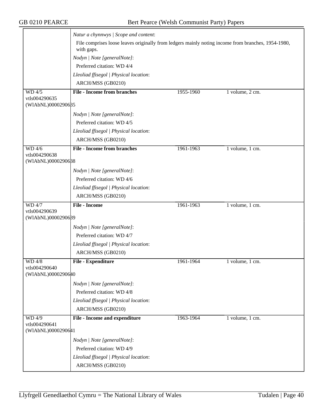|                                               | Natur a chynnwys / Scope and content:                                                                            |           |                 |  |
|-----------------------------------------------|------------------------------------------------------------------------------------------------------------------|-----------|-----------------|--|
|                                               | File comprises loose leaves originally from ledgers mainly noting income from branches, 1954-1980,<br>with gaps. |           |                 |  |
|                                               | Nodyn   Note [generalNote]:                                                                                      |           |                 |  |
|                                               | Preferred citation: WD 4/4                                                                                       |           |                 |  |
|                                               | Lleoliad ffisegol   Physical location:                                                                           |           |                 |  |
|                                               | ARCH/MSS (GB0210)                                                                                                |           |                 |  |
| WD 4/5<br>vtls004290635                       | <b>File - Income from branches</b>                                                                               | 1955-1960 | 1 volume, 2 cm. |  |
| (WIAbNL)0000290635                            |                                                                                                                  |           |                 |  |
|                                               | Nodyn   Note [generalNote]:                                                                                      |           |                 |  |
|                                               | Preferred citation: WD 4/5                                                                                       |           |                 |  |
|                                               | Lleoliad ffisegol   Physical location:                                                                           |           |                 |  |
|                                               | ARCH/MSS (GB0210)                                                                                                |           |                 |  |
| WD 4/6                                        | <b>File - Income from branches</b>                                                                               | 1961-1963 | 1 volume, 1 cm. |  |
| vtls004290638<br>(WIAbNL)0000290688           |                                                                                                                  |           |                 |  |
|                                               | Nodyn   Note [generalNote]:                                                                                      |           |                 |  |
|                                               | Preferred citation: WD 4/6                                                                                       |           |                 |  |
|                                               | Lleoliad ffisegol   Physical location:                                                                           |           |                 |  |
|                                               | ARCH/MSS (GB0210)                                                                                                |           |                 |  |
| <b>WD 4/7</b>                                 | <b>File - Income</b>                                                                                             | 1961-1963 | 1 volume, 1 cm. |  |
| vtls004290639<br>(WIAbNL)0000290639           |                                                                                                                  |           |                 |  |
|                                               | Nodyn   Note [generalNote]:                                                                                      |           |                 |  |
|                                               | Preferred citation: WD 4/7                                                                                       |           |                 |  |
|                                               | Lleoliad ffisegol   Physical location:                                                                           |           |                 |  |
|                                               | ARCH/MSS (GB0210)                                                                                                |           |                 |  |
| WD 4/8                                        | File - Expenditure                                                                                               | 1961-1964 | 1 volume, 1 cm. |  |
| vtls004290640                                 |                                                                                                                  |           |                 |  |
| (WIAbNL)0000290640                            |                                                                                                                  |           |                 |  |
|                                               | Nodyn   Note [generalNote]:                                                                                      |           |                 |  |
|                                               | Preferred citation: WD 4/8                                                                                       |           |                 |  |
|                                               | Lleoliad ffisegol   Physical location:                                                                           |           |                 |  |
|                                               | ARCH/MSS (GB0210)                                                                                                |           |                 |  |
| WD 4/9<br>vtls004290641<br>(WIAbNL)0000290641 | <b>File - Income and expenditure</b>                                                                             | 1963-1964 | 1 volume, 1 cm. |  |
|                                               | Nodyn   Note [generalNote]:                                                                                      |           |                 |  |
|                                               | Preferred citation: WD 4/9                                                                                       |           |                 |  |
|                                               | Lleoliad ffisegol   Physical location:                                                                           |           |                 |  |
|                                               | ARCH/MSS (GB0210)                                                                                                |           |                 |  |
|                                               |                                                                                                                  |           |                 |  |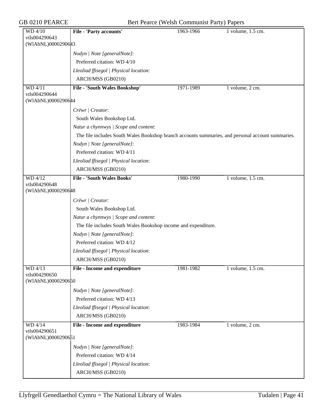| GB 0210 PEARCE                      | Bert Pearce (Welsh Communist Party) Papers                                                        |           |                       |  |
|-------------------------------------|---------------------------------------------------------------------------------------------------|-----------|-----------------------|--|
| WD 4/10<br>vtls004290643            | File - 'Party accounts'                                                                           | 1963-1966 | 1 volume, 1.5 cm.     |  |
| (WIAbNL)0000290643                  |                                                                                                   |           |                       |  |
|                                     | Nodyn   Note [generalNote]:                                                                       |           |                       |  |
|                                     | Preferred citation: WD 4/10                                                                       |           |                       |  |
|                                     | Lleoliad ffisegol   Physical location:                                                            |           |                       |  |
|                                     | ARCH/MSS (GB0210)                                                                                 |           |                       |  |
| <b>WD 4/11</b>                      | File - 'South Wales Bookshop'                                                                     | 1971-1989 | 1 volume, 2 cm.       |  |
| vtls004290644                       |                                                                                                   |           |                       |  |
| (WIAbNL)0000290644                  |                                                                                                   |           |                       |  |
|                                     | Crëwr / Creator:                                                                                  |           |                       |  |
|                                     | South Wales Bookshop Ltd.                                                                         |           |                       |  |
|                                     | Natur a chynnwys / Scope and content:                                                             |           |                       |  |
|                                     | The file includes South Wales Bookshop branch accounts summaries, and personal account summaries. |           |                       |  |
|                                     | Nodyn   Note [generalNote]:                                                                       |           |                       |  |
|                                     | Preferred citation: WD 4/11                                                                       |           |                       |  |
|                                     | Lleoliad ffisegol   Physical location:                                                            |           |                       |  |
|                                     | ARCH/MSS (GB0210)                                                                                 |           |                       |  |
| <b>WD 4/12</b>                      | <b>File - 'South Wales Books'</b>                                                                 | 1980-1990 | 1 volume, 1.5 cm.     |  |
| vtls004290648<br>(WIAbNL)0000290648 |                                                                                                   |           |                       |  |
|                                     | Crëwr   Creator:                                                                                  |           |                       |  |
|                                     |                                                                                                   |           |                       |  |
|                                     | South Wales Bookshop Ltd.                                                                         |           |                       |  |
|                                     | Natur a chynnwys / Scope and content:                                                             |           |                       |  |
|                                     | The file includes South Wales Bookshop income and expenditure.                                    |           |                       |  |
|                                     | Nodyn   Note [generalNote]:<br>Preferred citation: WD 4/12                                        |           |                       |  |
|                                     |                                                                                                   |           |                       |  |
|                                     | Lleoliad ffisegol   Physical location:                                                            |           |                       |  |
|                                     | ARCH/MSS (GB0210)                                                                                 |           |                       |  |
| WD 4/13<br>vtls004290650            | <b>File - Income and expenditure</b>                                                              | 1981-1982 | $1$ volume, $1.5$ cm. |  |
| (WIAbNL)0000290650                  |                                                                                                   |           |                       |  |
|                                     | Nodyn   Note [generalNote]:                                                                       |           |                       |  |
|                                     | Preferred citation: WD 4/13                                                                       |           |                       |  |
|                                     | Lleoliad ffisegol   Physical location:                                                            |           |                       |  |
|                                     | ARCH/MSS (GB0210)                                                                                 |           |                       |  |
| WD 4/14<br>vtls004290651            | <b>File - Income and expenditure</b>                                                              | 1983-1984 | 1 volume, 2 cm.       |  |
| (WIAbNL)0000290651                  |                                                                                                   |           |                       |  |
|                                     | Nodyn   Note [generalNote]:                                                                       |           |                       |  |
|                                     | Preferred citation: WD 4/14                                                                       |           |                       |  |
|                                     | Lleoliad ffisegol   Physical location:                                                            |           |                       |  |
|                                     | ARCH/MSS (GB0210)                                                                                 |           |                       |  |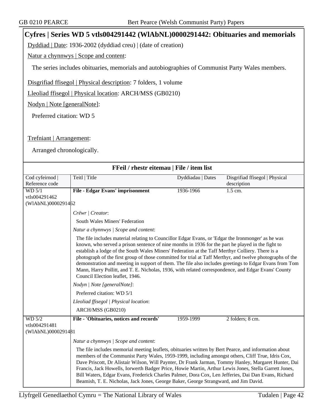## **Cyfres | Series WD 5 vtls004291442 (WlAbNL)0000291442: Obituaries and memorials**

Dyddiad | Date: 1936-2002 (dyddiad creu) | (date of creation)

Natur a chynnwys | Scope and content:

The series includes obituaries, memorials and autobiographies of Communist Party Wales members.

Disgrifiad ffisegol | Physical description: 7 folders, 1 volume

Lleoliad ffisegol | Physical location: ARCH/MSS (GB0210)

Nodyn | Note [generalNote]:

Preferred citation: WD 5

Trefniant | Arrangement:

Arranged chronologically.

| FFeil / rhestr eitemau   File / item list     |                                                                                                                                                                                                                                                                                                                                                                                                                                                                                                                                                                                                                                                                              |                   |                                |
|-----------------------------------------------|------------------------------------------------------------------------------------------------------------------------------------------------------------------------------------------------------------------------------------------------------------------------------------------------------------------------------------------------------------------------------------------------------------------------------------------------------------------------------------------------------------------------------------------------------------------------------------------------------------------------------------------------------------------------------|-------------------|--------------------------------|
| Cod cyfeirnod                                 | Teitl   Title                                                                                                                                                                                                                                                                                                                                                                                                                                                                                                                                                                                                                                                                | Dyddiadau   Dates | Disgrifiad ffisegol   Physical |
| Reference code                                |                                                                                                                                                                                                                                                                                                                                                                                                                                                                                                                                                                                                                                                                              |                   | description                    |
| WD 5/1                                        | File - Edgar Evans' imprisonment                                                                                                                                                                                                                                                                                                                                                                                                                                                                                                                                                                                                                                             | 1936-1966         | 1.5 cm.                        |
| vtls004291462                                 |                                                                                                                                                                                                                                                                                                                                                                                                                                                                                                                                                                                                                                                                              |                   |                                |
| (WIAbNL)0000291462                            |                                                                                                                                                                                                                                                                                                                                                                                                                                                                                                                                                                                                                                                                              |                   |                                |
|                                               | Crëwr   Creator:                                                                                                                                                                                                                                                                                                                                                                                                                                                                                                                                                                                                                                                             |                   |                                |
|                                               | South Wales Miners' Federation                                                                                                                                                                                                                                                                                                                                                                                                                                                                                                                                                                                                                                               |                   |                                |
|                                               | Natur a chynnwys / Scope and content:                                                                                                                                                                                                                                                                                                                                                                                                                                                                                                                                                                                                                                        |                   |                                |
|                                               | The file includes material relating to Councillor Edgar Evans, or 'Edgar the Ironmonger' as he was<br>known, who served a prison sentence of nine months in 1936 for the part he played in the fight to<br>establish a lodge of the South Wales Miners' Federation at the Taff Merthyr Colliery. There is a<br>photograph of the first group of those committed for trial at Taff Merthyr, and twelve photographs of the<br>demonstration and meeting in support of them. The file also includes greetings to Edgar Evans from Tom<br>Mann, Harry Pollitt, and T. E. Nicholas, 1936, with related correspondence, and Edgar Evans' County<br>Council Election leaflet, 1946. |                   |                                |
|                                               | Nodyn   Note [generalNote]:                                                                                                                                                                                                                                                                                                                                                                                                                                                                                                                                                                                                                                                  |                   |                                |
|                                               | Preferred citation: WD 5/1                                                                                                                                                                                                                                                                                                                                                                                                                                                                                                                                                                                                                                                   |                   |                                |
|                                               | Lleoliad ffisegol   Physical location:                                                                                                                                                                                                                                                                                                                                                                                                                                                                                                                                                                                                                                       |                   |                                |
|                                               | ARCH/MSS (GB0210)                                                                                                                                                                                                                                                                                                                                                                                                                                                                                                                                                                                                                                                            |                   |                                |
| WD 5/2<br>vtls004291481<br>(WIAbNL)0000291481 | File - 'Obituaries, notices and records'                                                                                                                                                                                                                                                                                                                                                                                                                                                                                                                                                                                                                                     | 1959-1999         | 2 folders; 8 cm.               |
|                                               | Natur a chynnwys / Scope and content:                                                                                                                                                                                                                                                                                                                                                                                                                                                                                                                                                                                                                                        |                   |                                |
|                                               | The file includes memorial meeting leaflets, obituaries written by Bert Pearce, and information about<br>members of the Communist Party Wales, 1959-1999, including amongst others, Cliff True, Idris Cox,<br>Dave Priscott, Dr Alistair Wilson, Will Paynter, Dr Frank Jarman, Tommy Hanley, Margaret Hunter, Dai<br>Francis, Jack Howells, Iorwerth Badger Price, Howie Martin, Arthur Lewis Jones, Stella Garrett Jones,<br>Bill Waters, Edgar Evans, Frederick Charles Palmer, Dora Cox, Len Jefferies, Dai Dan Evans, Richard<br>Beamish, T. E. Nicholas, Jack Jones, George Baker, George Strangward, and Jim David.                                                   |                   |                                |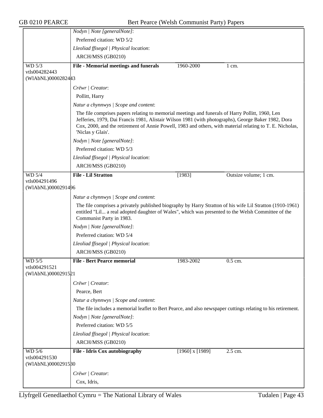|                                     | Nodyn   Note [generalNote]:                                                                                                                                                                                                                                                                                                               |                     |                       |
|-------------------------------------|-------------------------------------------------------------------------------------------------------------------------------------------------------------------------------------------------------------------------------------------------------------------------------------------------------------------------------------------|---------------------|-----------------------|
|                                     | Preferred citation: WD 5/2                                                                                                                                                                                                                                                                                                                |                     |                       |
|                                     | Lleoliad ffisegol   Physical location:                                                                                                                                                                                                                                                                                                    |                     |                       |
|                                     | ARCH/MSS (GB0210)                                                                                                                                                                                                                                                                                                                         |                     |                       |
| WD 5/3                              | <b>File - Memorial meetings and funerals</b>                                                                                                                                                                                                                                                                                              | 1960-2000           | $1 \text{ cm}$ .      |
| vtls004282443<br>(WIAbNL)00002824#3 |                                                                                                                                                                                                                                                                                                                                           |                     |                       |
|                                     | Crëwr   Creator:                                                                                                                                                                                                                                                                                                                          |                     |                       |
|                                     | Pollitt, Harry                                                                                                                                                                                                                                                                                                                            |                     |                       |
|                                     | Natur a chynnwys / Scope and content:                                                                                                                                                                                                                                                                                                     |                     |                       |
|                                     | The file comprises papers relating to memorial meetings and funerals of Harry Pollitt, 1960, Len<br>Jefferies, 1979, Dai Francis 1981, Alistair Wilson 1981 (with photographs), George Baker 1982, Dora<br>Cox, 2000, and the retirement of Annie Powell, 1983 and others, with material relating to T. E. Nicholas,<br>'Niclas y Glais'. |                     |                       |
|                                     | Nodyn   Note [generalNote]:                                                                                                                                                                                                                                                                                                               |                     |                       |
|                                     | Preferred citation: WD 5/3                                                                                                                                                                                                                                                                                                                |                     |                       |
|                                     | Lleoliad ffisegol   Physical location:                                                                                                                                                                                                                                                                                                    |                     |                       |
|                                     | ARCH/MSS (GB0210)                                                                                                                                                                                                                                                                                                                         |                     |                       |
| WD 5/4                              | <b>File - Lil Stratton</b>                                                                                                                                                                                                                                                                                                                | [1983]              | Outsize volume; 1 cm. |
| vtls004291496<br>(WIAbNL)0000291496 |                                                                                                                                                                                                                                                                                                                                           |                     |                       |
|                                     | Natur a chynnwys / Scope and content:                                                                                                                                                                                                                                                                                                     |                     |                       |
|                                     | The file comprises a privately published biography by Harry Stratton of his wife Lil Stratton (1910-1961)<br>entitled "Lil a real adopted daughter of Wales", which was presented to the Welsh Committee of the<br>Communist Party in 1983.                                                                                               |                     |                       |
|                                     | Nodyn   Note [generalNote]:                                                                                                                                                                                                                                                                                                               |                     |                       |
|                                     | Preferred citation: WD 5/4                                                                                                                                                                                                                                                                                                                |                     |                       |
|                                     | Lleoliad ffisegol   Physical location:                                                                                                                                                                                                                                                                                                    |                     |                       |
|                                     | ARCH/MSS (GB0210)                                                                                                                                                                                                                                                                                                                         |                     |                       |
| WD 5/5                              | <b>File - Bert Pearce memorial</b>                                                                                                                                                                                                                                                                                                        | 1983-2002           | 0.5 cm.               |
| vtls004291521<br>(WIAbNL)0000291521 |                                                                                                                                                                                                                                                                                                                                           |                     |                       |
|                                     | Crëwr   Creator:                                                                                                                                                                                                                                                                                                                          |                     |                       |
|                                     | Pearce, Bert                                                                                                                                                                                                                                                                                                                              |                     |                       |
|                                     | Natur a chynnwys / Scope and content:                                                                                                                                                                                                                                                                                                     |                     |                       |
|                                     | The file includes a memorial leaflet to Bert Pearce, and also newspaper cuttings relating to his retirement.                                                                                                                                                                                                                              |                     |                       |
|                                     | Nodyn   Note [generalNote]:                                                                                                                                                                                                                                                                                                               |                     |                       |
|                                     | Preferred citation: WD 5/5                                                                                                                                                                                                                                                                                                                |                     |                       |
|                                     | Lleoliad ffisegol   Physical location:                                                                                                                                                                                                                                                                                                    |                     |                       |
|                                     | ARCH/MSS (GB0210)                                                                                                                                                                                                                                                                                                                         |                     |                       |
| WD 5/6                              | File - Idris Cox autobiography                                                                                                                                                                                                                                                                                                            | $[1960]$ x $[1989]$ | 2.5 cm.               |
| vtls004291530<br>(WIAbNL)0000291580 |                                                                                                                                                                                                                                                                                                                                           |                     |                       |
|                                     |                                                                                                                                                                                                                                                                                                                                           |                     |                       |
|                                     | Crëwr   Creator:                                                                                                                                                                                                                                                                                                                          |                     |                       |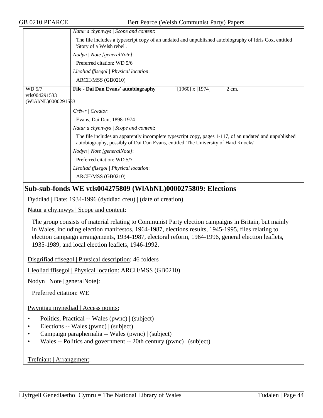|                                               | Natur a chynnwys / Scope and content:                                                                                                                                                         |  |  |  |
|-----------------------------------------------|-----------------------------------------------------------------------------------------------------------------------------------------------------------------------------------------------|--|--|--|
|                                               | The file includes a typescript copy of an undated and unpublished autobiography of Idris Cox, entitled<br>'Story of a Welsh rebel'.                                                           |  |  |  |
|                                               | Nodyn   Note [generalNote]:                                                                                                                                                                   |  |  |  |
|                                               | Preferred citation: WD 5/6                                                                                                                                                                    |  |  |  |
|                                               | Lleoliad ffisegol   Physical location:                                                                                                                                                        |  |  |  |
|                                               | ARCH/MSS (GB0210)                                                                                                                                                                             |  |  |  |
| WD 5/7<br>vtls004291533<br>(WIAbNL)0000291533 | File - Dai Dan Evans' autobiography<br>$[1960]$ x $[1974]$<br>$2 \text{ cm}$ .                                                                                                                |  |  |  |
|                                               | Crëwr   Creator:                                                                                                                                                                              |  |  |  |
|                                               | Evans, Dai Dan, 1898-1974                                                                                                                                                                     |  |  |  |
|                                               | Natur a chynnwys / Scope and content:                                                                                                                                                         |  |  |  |
|                                               | The file includes an apparently incomplete typescript copy, pages 1-117, of an undated and unpublished<br>autobiography, possibly of Dai Dan Evans, entitled 'The University of Hard Knocks'. |  |  |  |
|                                               | Nodyn   Note [generalNote]:                                                                                                                                                                   |  |  |  |
|                                               | Preferred citation: WD 5/7                                                                                                                                                                    |  |  |  |
|                                               | Lleoliad ffisegol   Physical location:                                                                                                                                                        |  |  |  |
|                                               | ARCH/MSS (GB0210)                                                                                                                                                                             |  |  |  |

### **Sub-sub-fonds WE vtls004275809 (WlAbNL)0000275809: Elections**

Dyddiad | Date: 1934-1996 (dyddiad creu) | (date of creation)

Natur a chynnwys | Scope and content:

The group consists of material relating to Communist Party election campaigns in Britain, but mainly in Wales, including election manifestos, 1964-1987, elections results, 1945-1995, files relating to election campaign arrangements, 1934-1987, electoral reform, 1964-1996, general election leaflets, 1935-1989, and local election leaflets, 1946-1992.

Disgrifiad ffisegol | Physical description: 46 folders

Lleoliad ffisegol | Physical location: ARCH/MSS (GB0210)

Nodyn | Note [generalNote]:

Preferred citation: WE

Pwyntiau mynediad | Access points:

- Politics, Practical -- Wales (pwnc) | (subject)
- Elections -- Wales (pwnc) | (subject)
- Campaign paraphernalia -- Wales (pwnc) | (subject)
- Wales -- Politics and government -- 20th century (pwnc) | (subject)

Trefniant | Arrangement: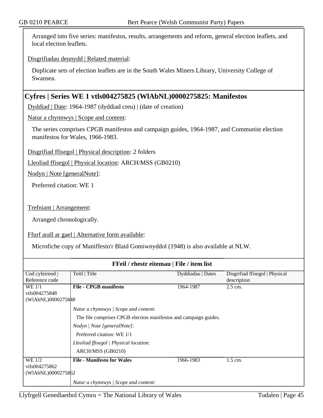Arranged into five series: manifestos, results, arrangements and reform, general election leaflets, and local election leaflets.

Disgrifiadau deunydd | Related material:

Duplicate sets of election leaflets are in the South Wales Miners Library, University College of Swansea.

## **Cyfres | Series WE 1 vtls004275825 (WlAbNL)0000275825: Manifestos**

Dyddiad | Date: 1964-1987 (dyddiad creu) | (date of creation)

Natur a chynnwys | Scope and content:

The series comprises CPGB manifestos and campaign guides, 1964-1987, and Communist election manifestos for Wales, 1966-1983.

Disgrifiad ffisegol | Physical description: 2 folders

Lleoliad ffisegol | Physical location: ARCH/MSS (GB0210)

Nodyn | Note [generalNote]:

Preferred citation: WE 1

Trefniant | Arrangement:

Arranged chronologically.

Ffurf arall ar gael | Alternative form available:

Microfiche copy of Maniffesto'r Blaid Gomiwnyddol (1948) is also available at NLW.

| FFeil / rhestr eitemau   File / item list |                                                                  |                   |                                |  |
|-------------------------------------------|------------------------------------------------------------------|-------------------|--------------------------------|--|
| Cod cyfeirnod                             | Teitl   Title                                                    | Dyddiadau   Dates | Disgrifiad ffisegol   Physical |  |
| Reference code                            |                                                                  |                   | description                    |  |
| WE 1/1                                    | <b>File - CPGB manifesto</b>                                     | 1964-1987         | $2.5$ cm.                      |  |
| vtls004275848                             |                                                                  |                   |                                |  |
| (WIAbNL)0000275848                        |                                                                  |                   |                                |  |
|                                           | Natur a chynnwys / Scope and content:                            |                   |                                |  |
|                                           | The file comprises CPGB election manifestos and campaign guides. |                   |                                |  |
|                                           | Nodyn   Note [generalNote]:                                      |                   |                                |  |
|                                           | Preferred citation: WE 1/1                                       |                   |                                |  |
|                                           | Lleoliad ffisegol   Physical location:                           |                   |                                |  |
|                                           | ARCH/MSS (GB0210)                                                |                   |                                |  |
| WE 1/2                                    | <b>File - Manifesto for Wales</b>                                | 1966-1983         | $1.5$ cm.                      |  |
| vtls004275862                             |                                                                  |                   |                                |  |
| (WIAbNL)0000275862                        |                                                                  |                   |                                |  |
|                                           |                                                                  |                   |                                |  |
|                                           | Natur a chynnwys / Scope and content:                            |                   |                                |  |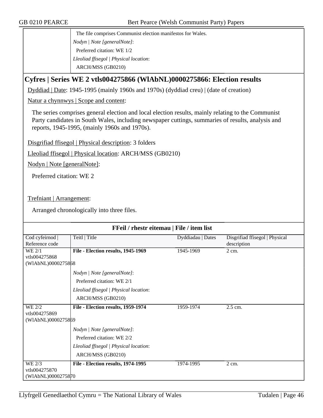The file comprises Communist election manifestos for Wales. *Nodyn | Note [generalNote]*: Preferred citation: WE 1/2 *Lleoliad ffisegol | Physical location*: ARCH/MSS (GB0210)

# **Cyfres | Series WE 2 vtls004275866 (WlAbNL)0000275866: Election results**

Dyddiad | Date: 1945-1995 (mainly 1960s and 1970s) (dyddiad creu) | (date of creation)

Natur a chynnwys | Scope and content:

The series comprises general election and local election results, mainly relating to the Communist Party candidates in South Wales, including newspaper cuttings, summaries of results, analysis and reports, 1945-1995, (mainly 1960s and 1970s).

Disgrifiad ffisegol | Physical description: 3 folders

Lleoliad ffisegol | Physical location: ARCH/MSS (GB0210)

Nodyn | Note [generalNote]:

Preferred citation: WE 2

Trefniant | Arrangement:

Arranged chronologically into three files.

| FFeil / rhestr eitemau   File / item list |                                        |                   |                                |
|-------------------------------------------|----------------------------------------|-------------------|--------------------------------|
| Cod cyfeirnod                             | Teitl   Title                          | Dyddiadau   Dates | Disgrifiad ffisegol   Physical |
| Reference code                            |                                        |                   | description                    |
| WE 2/1                                    | File - Election results, 1945-1969     | 1945-1969         | $2 \text{ cm}$ .               |
| vtls004275868                             |                                        |                   |                                |
| (WIAbNL)0000275868                        |                                        |                   |                                |
|                                           | Nodyn   Note [generalNote]:            |                   |                                |
|                                           | Preferred citation: WE 2/1             |                   |                                |
|                                           | Lleoliad ffisegol   Physical location: |                   |                                |
|                                           | ARCH/MSS (GB0210)                      |                   |                                |
| WE 2/2                                    | File - Election results, 1959-1974     | 1959-1974         | 2.5 cm.                        |
| vtls004275869                             |                                        |                   |                                |
| (WIAbNL)0000275869                        |                                        |                   |                                |
|                                           |                                        |                   |                                |
|                                           | Nodyn   Note [generalNote]:            |                   |                                |
|                                           | Preferred citation: WE 2/2             |                   |                                |
|                                           | Lleoliad ffisegol   Physical location: |                   |                                |
|                                           | ARCH/MSS (GB0210)                      |                   |                                |
| WE 2/3                                    | File - Election results, 1974-1995     | 1974-1995         | $2 \text{ cm}$ .               |
| vtls004275870                             |                                        |                   |                                |
| (WIAbNL)0000275870                        |                                        |                   |                                |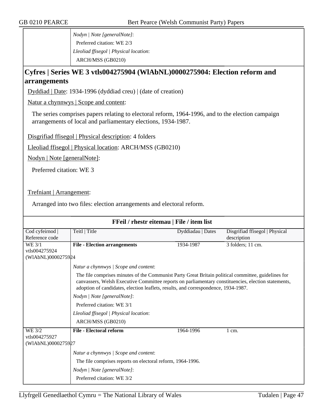*Nodyn | Note [generalNote]*: Preferred citation: WE 2/3 *Lleoliad ffisegol | Physical location*: ARCH/MSS (GB0210)

# **Cyfres | Series WE 3 vtls004275904 (WlAbNL)0000275904: Election reform and arrangements**

Dyddiad | Date: 1934-1996 (dyddiad creu) | (date of creation)

Natur a chynnwys | Scope and content:

The series comprises papers relating to electoral reform, 1964-1996, and to the election campaign arrangements of local and parliamentary elections, 1934-1987.

Disgrifiad ffisegol | Physical description: 4 folders

Lleoliad ffisegol | Physical location: ARCH/MSS (GB0210)

Nodyn | Note [generalNote]:

Preferred citation: WE 3

Trefniant | Arrangement:

Arranged into two files: election arrangements and electoral reform.

| FFeil / rhestr eitemau   File / item list |                                                                                                                                                                                                                                                                                                  |                   |                                |
|-------------------------------------------|--------------------------------------------------------------------------------------------------------------------------------------------------------------------------------------------------------------------------------------------------------------------------------------------------|-------------------|--------------------------------|
| Cod cyfeirnod                             | Teitl   Title                                                                                                                                                                                                                                                                                    | Dyddiadau   Dates | Disgrifiad ffisegol   Physical |
| Reference code                            |                                                                                                                                                                                                                                                                                                  |                   | description                    |
| WE 3/1                                    | <b>File - Election arrangements</b>                                                                                                                                                                                                                                                              | 1934-1987         | 3 folders; 11 cm.              |
| vtls004275924                             |                                                                                                                                                                                                                                                                                                  |                   |                                |
| (WIAbNL)0000275924                        |                                                                                                                                                                                                                                                                                                  |                   |                                |
|                                           | Natur a chynnwys / Scope and content:                                                                                                                                                                                                                                                            |                   |                                |
|                                           | The file comprises minutes of the Communist Party Great Britain political committee, guidelines for<br>canvassers, Welsh Executive Committee reports on parliamentary constituencies, election statements,<br>adoption of candidates, election leaflets, results, and correspondence, 1934-1987. |                   |                                |
|                                           | Nodyn   Note [generalNote]:                                                                                                                                                                                                                                                                      |                   |                                |
|                                           | Preferred citation: WE 3/1                                                                                                                                                                                                                                                                       |                   |                                |
|                                           | Lleoliad ffisegol   Physical location:                                                                                                                                                                                                                                                           |                   |                                |
|                                           | ARCH/MSS (GB0210)                                                                                                                                                                                                                                                                                |                   |                                |
| <b>WE 3/2</b>                             | <b>File - Electoral reform</b>                                                                                                                                                                                                                                                                   | 1964-1996         | $1 \text{ cm}$ .               |
| vtls004275927                             |                                                                                                                                                                                                                                                                                                  |                   |                                |
| (WIAbNL)0000275927                        |                                                                                                                                                                                                                                                                                                  |                   |                                |
|                                           | Natur a chynnwys / Scope and content:                                                                                                                                                                                                                                                            |                   |                                |
|                                           | The file comprises reports on electoral reform, 1964-1996.                                                                                                                                                                                                                                       |                   |                                |
|                                           | Nodyn   Note [generalNote]:                                                                                                                                                                                                                                                                      |                   |                                |
|                                           | Preferred citation: WE 3/2                                                                                                                                                                                                                                                                       |                   |                                |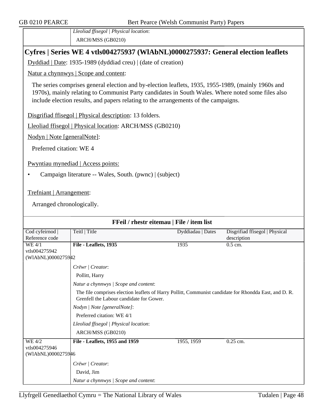*Lleoliad ffisegol | Physical location*: ARCH/MSS (GB0210)

## **Cyfres | Series WE 4 vtls004275937 (WlAbNL)0000275937: General election leaflets**

Dyddiad | Date: 1935-1989 (dyddiad creu) | (date of creation)

Natur a chynnwys | Scope and content:

The series comprises general election and by-election leaflets, 1935, 1955-1989, (mainly 1960s and 1970s), mainly relating to Communist Party candidates in South Wales. Where noted some files also include election results, and papers relating to the arrangements of the campaigns.

Disgrifiad ffisegol | Physical description: 13 folders.

Lleoliad ffisegol | Physical location: ARCH/MSS (GB0210)

Nodyn | Note [generalNote]:

Preferred citation: WE 4

Pwyntiau mynediad | Access points:

• Campaign literature -- Wales, South. (pwnc) | (subject)

Trefniant | Arrangement:

Arranged chronologically.

| FFeil / rhestr eitemau   File / item list |                                                                                                                                                    |                   |                                |
|-------------------------------------------|----------------------------------------------------------------------------------------------------------------------------------------------------|-------------------|--------------------------------|
| Cod cyfeirnod                             | Teitl   Title                                                                                                                                      | Dyddiadau   Dates | Disgrifiad ffisegol   Physical |
| Reference code                            |                                                                                                                                                    |                   | description                    |
| WE 4/1                                    | File - Leaflets, 1935                                                                                                                              | 1935              | $0.5$ cm.                      |
| vtls004275942                             |                                                                                                                                                    |                   |                                |
| (WIAbNL)0000275942                        |                                                                                                                                                    |                   |                                |
|                                           | Crëwr   Creator:                                                                                                                                   |                   |                                |
|                                           | Pollitt, Harry                                                                                                                                     |                   |                                |
|                                           | Natur a chynnwys / Scope and content:                                                                                                              |                   |                                |
|                                           | The file comprises election leaflets of Harry Pollitt, Communist candidate for Rhondda East, and D. R.<br>Grenfell the Labour candidate for Gower. |                   |                                |
|                                           | Nodyn   Note [generalNote]:                                                                                                                        |                   |                                |
|                                           | Preferred citation: WE 4/1                                                                                                                         |                   |                                |
|                                           | Lleoliad ffisegol   Physical location:                                                                                                             |                   |                                |
|                                           | ARCH/MSS (GB0210)                                                                                                                                  |                   |                                |
| WE 4/2                                    | File - Leaflets, 1955 and 1959                                                                                                                     | 1955, 1959        | 0.25 cm.                       |
| vtls004275946                             |                                                                                                                                                    |                   |                                |
| (WIAbNL)0000275946                        |                                                                                                                                                    |                   |                                |
|                                           | Crëwr   Creator:                                                                                                                                   |                   |                                |
|                                           | David, Jim                                                                                                                                         |                   |                                |
|                                           | Natur a chynnwys / Scope and content:                                                                                                              |                   |                                |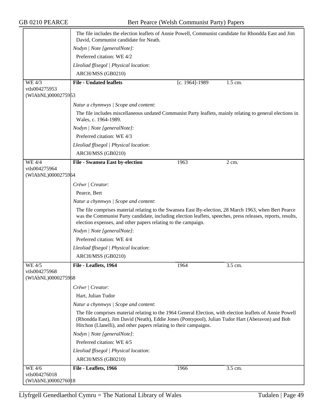|                                     | The file includes the election leaflets of Annie Powell, Communist candidate for Rhondda East and Jim<br>David, Communist candidate for Neath.                                                                                                                                        |                |                    |
|-------------------------------------|---------------------------------------------------------------------------------------------------------------------------------------------------------------------------------------------------------------------------------------------------------------------------------------|----------------|--------------------|
|                                     | Nodyn   Note [generalNote]:                                                                                                                                                                                                                                                           |                |                    |
|                                     | Preferred citation: WE 4/2                                                                                                                                                                                                                                                            |                |                    |
|                                     | Lleoliad ffisegol   Physical location:                                                                                                                                                                                                                                                |                |                    |
|                                     | ARCH/MSS (GB0210)                                                                                                                                                                                                                                                                     |                |                    |
| WE 4/3                              | <b>File - Undated leaflets</b>                                                                                                                                                                                                                                                        | [c. 1964]-1989 | $1.5$ cm.          |
| vtls004275953                       |                                                                                                                                                                                                                                                                                       |                |                    |
| (WIAbNL)0000275953                  |                                                                                                                                                                                                                                                                                       |                |                    |
|                                     | Natur a chynnwys / Scope and content:                                                                                                                                                                                                                                                 |                |                    |
|                                     | The file includes miscellaneous undated Communist Party leaflets, mainly relating to general elections in<br>Wales, c. 1964-1989.                                                                                                                                                     |                |                    |
|                                     | Nodyn   Note [generalNote]:                                                                                                                                                                                                                                                           |                |                    |
|                                     | Preferred citation: WE 4/3                                                                                                                                                                                                                                                            |                |                    |
|                                     | Lleoliad ffisegol   Physical location:                                                                                                                                                                                                                                                |                |                    |
|                                     | ARCH/MSS (GB0210)                                                                                                                                                                                                                                                                     |                |                    |
| $WE$ 4/4                            | File - Swansea East by-election                                                                                                                                                                                                                                                       | 1963           | $\overline{2}$ cm. |
| vtls004275964<br>(WIAbNL)0000275964 |                                                                                                                                                                                                                                                                                       |                |                    |
|                                     | Crëwr   Creator:                                                                                                                                                                                                                                                                      |                |                    |
|                                     | Pearce, Bert                                                                                                                                                                                                                                                                          |                |                    |
|                                     | Natur a chynnwys / Scope and content:                                                                                                                                                                                                                                                 |                |                    |
|                                     | The file comprises material relating to the Swansea East By-election, 28 March 1963, when Bert Pearce<br>was the Communist Party candidate, including election leaflets, speeches, press releases, reports, results,<br>election expenses, and other papers relating to the campaign. |                |                    |
|                                     | Nodyn   Note [generalNote]:                                                                                                                                                                                                                                                           |                |                    |
|                                     | Preferred citation: WE 4/4                                                                                                                                                                                                                                                            |                |                    |
|                                     | Lleoliad ffisegol   Physical location:                                                                                                                                                                                                                                                |                |                    |
|                                     | ARCH/MSS (GB0210)                                                                                                                                                                                                                                                                     |                |                    |
| WE 4/5                              | File - Leaflets, 1964                                                                                                                                                                                                                                                                 | 1964           | 3.5 cm.            |
| vtls004275968<br>(WIAbNL)0000275968 |                                                                                                                                                                                                                                                                                       |                |                    |
|                                     | Crëwr   Creator:                                                                                                                                                                                                                                                                      |                |                    |
|                                     | Hart, Julian Tudor                                                                                                                                                                                                                                                                    |                |                    |
|                                     | Natur a chynnwys / Scope and content:                                                                                                                                                                                                                                                 |                |                    |
|                                     | The file comprises material relating to the 1964 General Election, with election leaflets of Annie Powell                                                                                                                                                                             |                |                    |
|                                     | (Rhondda East), Jim David (Neath), Eddie Jones (Pontypool), Julian Tudor Hart (Aberavon) and Bob<br>Hitchon (Llanelli), and other papers relating to their campaigns.                                                                                                                 |                |                    |
|                                     | Nodyn   Note [generalNote]:                                                                                                                                                                                                                                                           |                |                    |
|                                     | Preferred citation: WE 4/5                                                                                                                                                                                                                                                            |                |                    |
|                                     | Lleoliad ffisegol   Physical location:                                                                                                                                                                                                                                                |                |                    |
|                                     | ARCH/MSS (GB0210)                                                                                                                                                                                                                                                                     |                |                    |
| <b>WE 4/6</b>                       | File - Leaflets, 1966                                                                                                                                                                                                                                                                 | 1966           | 3.5 cm.            |
| vtls004276018                       |                                                                                                                                                                                                                                                                                       |                |                    |
| (WIAbNL)0000276018                  |                                                                                                                                                                                                                                                                                       |                |                    |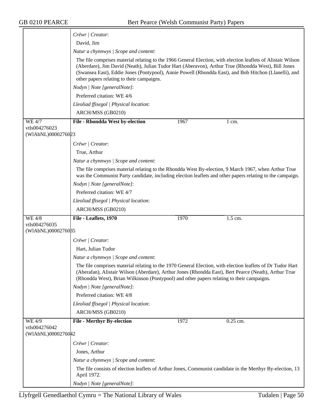|                                     | Crëwr   Creator:                                                                                                                                                                                                                                                                                                                                                          |  |  |  |
|-------------------------------------|---------------------------------------------------------------------------------------------------------------------------------------------------------------------------------------------------------------------------------------------------------------------------------------------------------------------------------------------------------------------------|--|--|--|
|                                     | David, Jim                                                                                                                                                                                                                                                                                                                                                                |  |  |  |
|                                     | Natur a chynnwys / Scope and content:                                                                                                                                                                                                                                                                                                                                     |  |  |  |
|                                     | The file comprises material relating to the 1966 General Election, with election leaflets of Alistair Wilson<br>(Aberdare), Jim David (Neath), Julian Tudor Hart (Aberavon), Arthur True (Rhondda West), Bill Jones<br>(Swansea East), Eddie Jones (Pontypool), Annie Powell (Rhondda East), and Bob Hitchon (Llanelli), and<br>other papers relating to their campaigns. |  |  |  |
|                                     | Nodyn   Note [generalNote]:                                                                                                                                                                                                                                                                                                                                               |  |  |  |
|                                     | Preferred citation: WE 4/6                                                                                                                                                                                                                                                                                                                                                |  |  |  |
|                                     | Lleoliad ffisegol   Physical location:                                                                                                                                                                                                                                                                                                                                    |  |  |  |
|                                     | ARCH/MSS (GB0210)                                                                                                                                                                                                                                                                                                                                                         |  |  |  |
| <b>WE 4/7</b>                       | File - Rhondda West by-election<br>1967<br>$1 \text{ cm}$ .                                                                                                                                                                                                                                                                                                               |  |  |  |
| vtls004276023<br>(WIAbNL)0000276023 |                                                                                                                                                                                                                                                                                                                                                                           |  |  |  |
|                                     | Crëwr   Creator:                                                                                                                                                                                                                                                                                                                                                          |  |  |  |
|                                     | True, Arthur                                                                                                                                                                                                                                                                                                                                                              |  |  |  |
|                                     | Natur a chynnwys / Scope and content:                                                                                                                                                                                                                                                                                                                                     |  |  |  |
|                                     | The file comprises material relating to the Rhondda West By-election, 9 March 1967, when Arthur True<br>was the Communist Party candidate, including election leaflets and other papers relating to the campaign.                                                                                                                                                         |  |  |  |
|                                     | Nodyn   Note [generalNote]:                                                                                                                                                                                                                                                                                                                                               |  |  |  |
|                                     | Preferred citation: WE 4/7                                                                                                                                                                                                                                                                                                                                                |  |  |  |
|                                     | Lleoliad ffisegol   Physical location:                                                                                                                                                                                                                                                                                                                                    |  |  |  |
|                                     | ARCH/MSS (GB0210)                                                                                                                                                                                                                                                                                                                                                         |  |  |  |
| <b>WE 4/8</b>                       | File - Leaflets, 1970<br>1970<br>1.5 cm.                                                                                                                                                                                                                                                                                                                                  |  |  |  |
| vtls004276035                       |                                                                                                                                                                                                                                                                                                                                                                           |  |  |  |
| (WIAbNL)0000276085                  |                                                                                                                                                                                                                                                                                                                                                                           |  |  |  |
|                                     | Crëwr   Creator:                                                                                                                                                                                                                                                                                                                                                          |  |  |  |
|                                     | Hart, Julian Tudor                                                                                                                                                                                                                                                                                                                                                        |  |  |  |
|                                     | Natur a chynnwys / Scope and content:                                                                                                                                                                                                                                                                                                                                     |  |  |  |
|                                     | The file comprises material relating to the 1970 General Election, with election leaflets of Dr Tudor Hart<br>(Aberafan), Alistair Wilson (Aberdare), Arthur Jones (Rhondda East), Bert Pearce (Neath), Arthur True<br>(Rhondda West), Brian Wilkinson (Pontypool) and other papers relating to their campaigns.                                                          |  |  |  |
|                                     | Nodyn   Note [generalNote]:                                                                                                                                                                                                                                                                                                                                               |  |  |  |
|                                     | Preferred citation: WE 4/8                                                                                                                                                                                                                                                                                                                                                |  |  |  |
|                                     | Lleoliad ffisegol   Physical location:                                                                                                                                                                                                                                                                                                                                    |  |  |  |
|                                     | ARCH/MSS (GB0210)                                                                                                                                                                                                                                                                                                                                                         |  |  |  |
| WE 4/9                              | <b>File - Merthyr By-election</b><br>0.25 cm.<br>1972                                                                                                                                                                                                                                                                                                                     |  |  |  |
| vtls004276042<br>(WIAbNL)0000276042 |                                                                                                                                                                                                                                                                                                                                                                           |  |  |  |
|                                     | Crëwr   Creator:                                                                                                                                                                                                                                                                                                                                                          |  |  |  |
|                                     | Jones, Arthur                                                                                                                                                                                                                                                                                                                                                             |  |  |  |
|                                     | Natur a chynnwys / Scope and content:                                                                                                                                                                                                                                                                                                                                     |  |  |  |
|                                     | The file consists of election leaflets of Arthur Jones, Communist candidate in the Merthyr By-election, 13<br>April 1972.                                                                                                                                                                                                                                                 |  |  |  |
|                                     | Nodyn   Note [generalNote]:                                                                                                                                                                                                                                                                                                                                               |  |  |  |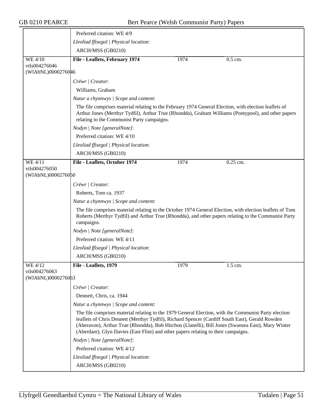|                                     | Preferred citation: WE 4/9                                                                                                                                                                                                                                                                                                                                                                         |      |                                                                                                     |  |  |
|-------------------------------------|----------------------------------------------------------------------------------------------------------------------------------------------------------------------------------------------------------------------------------------------------------------------------------------------------------------------------------------------------------------------------------------------------|------|-----------------------------------------------------------------------------------------------------|--|--|
|                                     | Lleoliad ffisegol   Physical location:                                                                                                                                                                                                                                                                                                                                                             |      |                                                                                                     |  |  |
|                                     | ARCH/MSS (GB0210)                                                                                                                                                                                                                                                                                                                                                                                  |      |                                                                                                     |  |  |
| <b>WE 4/10</b>                      | File - Leaflets, February 1974                                                                                                                                                                                                                                                                                                                                                                     | 1974 | 0.5 cm.                                                                                             |  |  |
| vtls004276046<br>(WIAbNL)0000276046 |                                                                                                                                                                                                                                                                                                                                                                                                    |      |                                                                                                     |  |  |
|                                     | Crëwr   Creator:                                                                                                                                                                                                                                                                                                                                                                                   |      |                                                                                                     |  |  |
|                                     | Williams, Graham                                                                                                                                                                                                                                                                                                                                                                                   |      |                                                                                                     |  |  |
|                                     |                                                                                                                                                                                                                                                                                                                                                                                                    |      |                                                                                                     |  |  |
|                                     | Natur a chynnwys / Scope and content:                                                                                                                                                                                                                                                                                                                                                              |      |                                                                                                     |  |  |
|                                     | The file comprises material relating to the February 1974 General Election, with election leaflets of<br>relating to the Communist Party campaigns.                                                                                                                                                                                                                                                |      | Arthur Jones (Merthyr Tydfil), Arthur True (Rhondda), Graham Williams (Pontypool), and other papers |  |  |
|                                     | Nodyn   Note [generalNote]:                                                                                                                                                                                                                                                                                                                                                                        |      |                                                                                                     |  |  |
|                                     | Preferred citation: WE 4/10                                                                                                                                                                                                                                                                                                                                                                        |      |                                                                                                     |  |  |
|                                     | Lleoliad ffisegol   Physical location:                                                                                                                                                                                                                                                                                                                                                             |      |                                                                                                     |  |  |
|                                     | ARCH/MSS (GB0210)                                                                                                                                                                                                                                                                                                                                                                                  |      |                                                                                                     |  |  |
| WE 4/11                             | File - Leaflets, October 1974                                                                                                                                                                                                                                                                                                                                                                      | 1974 | $0.25$ cm.                                                                                          |  |  |
| vtls004276050                       |                                                                                                                                                                                                                                                                                                                                                                                                    |      |                                                                                                     |  |  |
| (WIAbNL)0000276050                  |                                                                                                                                                                                                                                                                                                                                                                                                    |      |                                                                                                     |  |  |
|                                     | Crëwr   Creator:                                                                                                                                                                                                                                                                                                                                                                                   |      |                                                                                                     |  |  |
|                                     | Roberts, Tom ca. 1937                                                                                                                                                                                                                                                                                                                                                                              |      |                                                                                                     |  |  |
|                                     | Natur a chynnwys / Scope and content:                                                                                                                                                                                                                                                                                                                                                              |      |                                                                                                     |  |  |
|                                     | The file comprises material relating to the October 1974 General Election, with election leaflets of Tom<br>Roberts (Merthyr Tydfil) and Arthur True (Rhondda), and other papers relating to the Communist Party<br>campaigns.                                                                                                                                                                     |      |                                                                                                     |  |  |
|                                     | Nodyn   Note [generalNote]:                                                                                                                                                                                                                                                                                                                                                                        |      |                                                                                                     |  |  |
|                                     | Preferred citation: WE 4/11                                                                                                                                                                                                                                                                                                                                                                        |      |                                                                                                     |  |  |
|                                     | Lleoliad ffisegol   Physical location:                                                                                                                                                                                                                                                                                                                                                             |      |                                                                                                     |  |  |
|                                     | ARCH/MSS (GB0210)                                                                                                                                                                                                                                                                                                                                                                                  |      |                                                                                                     |  |  |
| WE 4/12                             | File - Leaflets, 1979                                                                                                                                                                                                                                                                                                                                                                              | 1979 | 1.5 cm.                                                                                             |  |  |
| vtls004276063<br>(WIAbNL)0000276063 |                                                                                                                                                                                                                                                                                                                                                                                                    |      |                                                                                                     |  |  |
|                                     | Crëwr   Creator:                                                                                                                                                                                                                                                                                                                                                                                   |      |                                                                                                     |  |  |
|                                     | Dennett, Chris, ca. 1944                                                                                                                                                                                                                                                                                                                                                                           |      |                                                                                                     |  |  |
|                                     | Natur a chynnwys / Scope and content:                                                                                                                                                                                                                                                                                                                                                              |      |                                                                                                     |  |  |
|                                     | The file comprises material relating to the 1979 General Election, with the Communist Party election<br>leaflets of Chris Dennett (Merthyr Tydfil), Richard Spencer (Cardiff South East), Gerald Rowden<br>(Aberavon), Arthur True (Rhondda), Bob Hitchon (Llanelli), Bill Jones (Swansea East), Mary Winter<br>(Aberdare), Glyn Davies (East Flint) and other papers relating to their campaigns. |      |                                                                                                     |  |  |
|                                     | Nodyn   Note [generalNote]:                                                                                                                                                                                                                                                                                                                                                                        |      |                                                                                                     |  |  |
|                                     | Preferred citation: WE 4/12                                                                                                                                                                                                                                                                                                                                                                        |      |                                                                                                     |  |  |
|                                     | Lleoliad ffisegol   Physical location:                                                                                                                                                                                                                                                                                                                                                             |      |                                                                                                     |  |  |
|                                     | ARCH/MSS (GB0210)                                                                                                                                                                                                                                                                                                                                                                                  |      |                                                                                                     |  |  |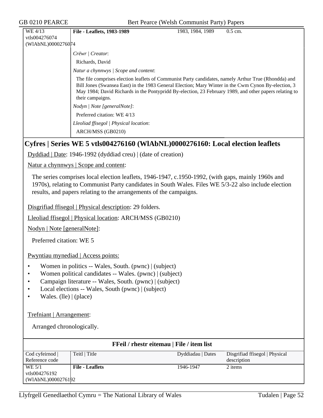| WE 4/13            | <b>File - Leaflets, 1983-1989</b>                                                                                                                                                                                                                                                                                                         | 1983, 1984, 1989 | $0.5$ cm. |
|--------------------|-------------------------------------------------------------------------------------------------------------------------------------------------------------------------------------------------------------------------------------------------------------------------------------------------------------------------------------------|------------------|-----------|
| vtls004276074      |                                                                                                                                                                                                                                                                                                                                           |                  |           |
| (WIAbNL)0000276074 |                                                                                                                                                                                                                                                                                                                                           |                  |           |
|                    | Crëwr   Creator:                                                                                                                                                                                                                                                                                                                          |                  |           |
|                    | Richards, David                                                                                                                                                                                                                                                                                                                           |                  |           |
|                    | Natur a chynnwys / Scope and content:                                                                                                                                                                                                                                                                                                     |                  |           |
|                    | The file comprises election leaflets of Communist Party candidates, namely Arthur True (Rhondda) and<br>Bill Jones (Swansea East) in the 1983 General Election; Mary Winter in the Cwm Cynon By-election, 3<br>May 1984; David Richards in the Pontypridd By-election, 23 February 1989, and other papers relating to<br>their campaigns. |                  |           |
|                    | Nodyn / Note [generalNote]:                                                                                                                                                                                                                                                                                                               |                  |           |
|                    | Preferred citation: WE 4/13                                                                                                                                                                                                                                                                                                               |                  |           |
|                    | Lleoliad ffisegol   Physical location:                                                                                                                                                                                                                                                                                                    |                  |           |
|                    | ARCH/MSS (GB0210)                                                                                                                                                                                                                                                                                                                         |                  |           |

### **Cyfres | Series WE 5 vtls004276160 (WlAbNL)0000276160: Local election leaflets**

Dyddiad | Date: 1946-1992 (dyddiad creu) | (date of creation)

Natur a chynnwys | Scope and content:

The series comprises local election leaflets, 1946-1947, c.1950-1992, (with gaps, mainly 1960s and 1970s), relating to Communist Party candidates in South Wales. Files WE 5/3-22 also include election results, and papers relating to the arrangements of the campaigns.

Disgrifiad ffisegol | Physical description: 29 folders.

Lleoliad ffisegol | Physical location: ARCH/MSS (GB0210)

Nodyn | Note [generalNote]:

Preferred citation: WE 5

Pwyntiau mynediad | Access points:

- Women in politics -- Wales, South. (pwnc) | (subject)
- Women political candidates -- Wales. (pwnc) | (subject)
- Campaign literature -- Wales, South. (pwnc) | (subject)
- Local elections -- Wales, South (pwnc) | (subject)
- Wales. (lle) | (place)

Trefniant | Arrangement:

Arranged chronologically.

| FFeil / rhestr eitemau   File / item list |                        |                   |                                |  |
|-------------------------------------------|------------------------|-------------------|--------------------------------|--|
| $\text{Cod}$ cyfeirnod $\vert$            | Teitl   Title          | Dyddiadau   Dates | Disgrifiad ffisegol   Physical |  |
| Reference code                            |                        |                   | description                    |  |
| WE 5/1                                    | <b>File - Leaflets</b> | 1946-1947         | 2 items                        |  |
| vtls004276192                             |                        |                   |                                |  |
| (WIAbNL)0000276192                        |                        |                   |                                |  |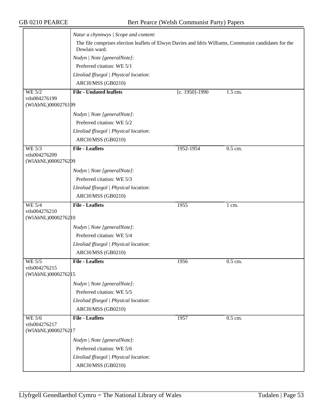|                                     | Natur a chynnwys / Scope and content:                                                                                  |                |         |
|-------------------------------------|------------------------------------------------------------------------------------------------------------------------|----------------|---------|
|                                     | The file comprises election leaflets of Elwyn Davies and Idris Williams, Communist candidates for the<br>Dowlais ward. |                |         |
|                                     | Nodyn   Note [generalNote]:                                                                                            |                |         |
|                                     | Preferred citation: WE 5/1                                                                                             |                |         |
|                                     |                                                                                                                        |                |         |
|                                     | Lleoliad ffisegol   Physical location:                                                                                 |                |         |
|                                     | ARCH/MSS (GB0210)                                                                                                      |                |         |
| <b>WE 5/2</b><br>vtls004276199      | <b>File - Undated leaflets</b>                                                                                         | [c. 1950]-1990 | 1.5 cm. |
| (WIAbNL)0000276199                  |                                                                                                                        |                |         |
|                                     | Nodyn   Note [generalNote]:                                                                                            |                |         |
|                                     | Preferred citation: WE 5/2                                                                                             |                |         |
|                                     | Lleoliad ffisegol   Physical location:                                                                                 |                |         |
|                                     | ARCH/MSS (GB0210)                                                                                                      |                |         |
| WE 5/3                              | <b>File - Leaflets</b>                                                                                                 | 1952-1954      | 0.5 cm. |
| vtls004276209<br>(WIAbNL)0000276209 |                                                                                                                        |                |         |
|                                     | Nodyn   Note [generalNote]:                                                                                            |                |         |
|                                     | Preferred citation: WE 5/3                                                                                             |                |         |
|                                     | Lleoliad ffisegol   Physical location:                                                                                 |                |         |
|                                     | ARCH/MSS (GB0210)                                                                                                      |                |         |
| <b>WE 5/4</b>                       | <b>File - Leaflets</b>                                                                                                 | 1955           | 1 cm.   |
| vtls004276210                       |                                                                                                                        |                |         |
| (WIAbNL)0000276210                  |                                                                                                                        |                |         |
|                                     | Nodyn   Note [generalNote]:                                                                                            |                |         |
|                                     | Preferred citation: WE 5/4                                                                                             |                |         |
|                                     | Lleoliad ffisegol   Physical location:                                                                                 |                |         |
|                                     | ARCH/MSS (GB0210)                                                                                                      |                |         |
| <b>WE 5/5</b><br>vtls004276215      | <b>File - Leaflets</b>                                                                                                 | 1956           | 0.5 cm. |
| (WIAbNL)00002762 15                 |                                                                                                                        |                |         |
|                                     | Nodyn   Note [generalNote]:                                                                                            |                |         |
|                                     | Preferred citation: WE 5/5                                                                                             |                |         |
|                                     | Lleoliad ffisegol   Physical location:                                                                                 |                |         |
|                                     | ARCH/MSS (GB0210)                                                                                                      |                |         |
| WE 5/6                              | <b>File - Leaflets</b>                                                                                                 | 1957           | 0.5 cm. |
| vtls004276217<br>(WIAbNL)0000276217 |                                                                                                                        |                |         |
|                                     |                                                                                                                        |                |         |
|                                     | Nodyn   Note [generalNote]:                                                                                            |                |         |
|                                     | Preferred citation: WE 5/6                                                                                             |                |         |
|                                     | Lleoliad ffisegol   Physical location:                                                                                 |                |         |
|                                     | ARCH/MSS (GB0210)                                                                                                      |                |         |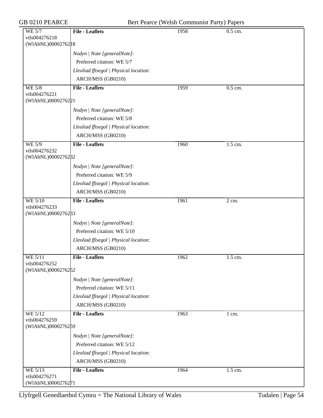| GB 0210 PEARCE                                        | Bert Pearce (Welsh Communist Party) Papers |      |           |  |  |
|-------------------------------------------------------|--------------------------------------------|------|-----------|--|--|
| <b>WE 5/7</b><br>vtls004276218<br>(WIAbNL)00002762 18 | <b>File - Leaflets</b>                     | 1958 | 0.5 cm.   |  |  |
|                                                       |                                            |      |           |  |  |
|                                                       | Nodyn   Note [generalNote]:                |      |           |  |  |
|                                                       | Preferred citation: WE 5/7                 |      |           |  |  |
|                                                       | Lleoliad ffisegol   Physical location:     |      |           |  |  |
|                                                       | ARCH/MSS (GB0210)                          |      |           |  |  |
| <b>WE 5/8</b><br>vtls004276221                        | <b>File - Leaflets</b>                     | 1959 | $0.5$ cm. |  |  |
| (WIAbNL)0000276221                                    |                                            |      |           |  |  |
|                                                       | Nodyn   Note [generalNote]:                |      |           |  |  |
|                                                       | Preferred citation: WE 5/8                 |      |           |  |  |
|                                                       | Lleoliad ffisegol   Physical location:     |      |           |  |  |
|                                                       | ARCH/MSS (GB0210)                          |      |           |  |  |
| <b>WE 5/9</b>                                         | <b>File - Leaflets</b>                     | 1960 | 1.5 cm.   |  |  |
| vtls004276232<br>(WIAbNL)0000276232                   |                                            |      |           |  |  |
|                                                       | Nodyn   Note [generalNote]:                |      |           |  |  |
|                                                       | Preferred citation: WE 5/9                 |      |           |  |  |
|                                                       | Lleoliad ffisegol   Physical location:     |      |           |  |  |
|                                                       | ARCH/MSS (GB0210)                          |      |           |  |  |
| <b>WE 5/10</b><br>vtls004276233<br>(WIAbNL)0000276233 | <b>File - Leaflets</b>                     | 1961 | 2 cm.     |  |  |
|                                                       | Nodyn   Note [generalNote]:                |      |           |  |  |
|                                                       | Preferred citation: WE 5/10                |      |           |  |  |
|                                                       | Lleoliad ffisegol   Physical location:     |      |           |  |  |
|                                                       | ARCH/MSS (GB0210)                          |      |           |  |  |
| WE 5/11                                               | <b>File - Leaflets</b>                     | 1962 | 1.5 cm.   |  |  |
| vtls004276252                                         |                                            |      |           |  |  |
| (WIAbNL)0000276252                                    |                                            |      |           |  |  |
|                                                       | Nodyn   Note [generalNote]:                |      |           |  |  |
|                                                       | Preferred citation: WE 5/11                |      |           |  |  |
|                                                       | Lleoliad ffisegol   Physical location:     |      |           |  |  |
|                                                       | ARCH/MSS (GB0210)                          |      |           |  |  |
| <b>WE 5/12</b><br>vtls004276259<br>(WIAbNL)0000276259 | <b>File - Leaflets</b>                     | 1963 | 1 cm.     |  |  |
|                                                       |                                            |      |           |  |  |
|                                                       | Nodyn   Note [generalNote]:                |      |           |  |  |
|                                                       | Preferred citation: WE 5/12                |      |           |  |  |
|                                                       | Lleoliad ffisegol   Physical location:     |      |           |  |  |
|                                                       | ARCH/MSS (GB0210)                          |      |           |  |  |
| WE 5/13<br>vtls004276271<br>(WIAbNL)0000276271        | <b>File - Leaflets</b>                     | 1964 | 1.5 cm.   |  |  |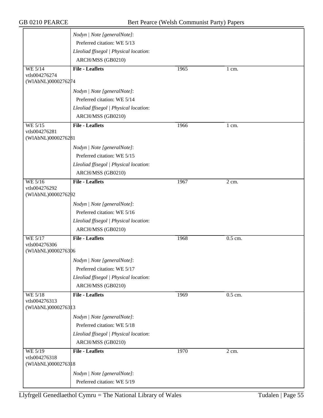|                                     | Nodyn   Note [generalNote]:            |      |                  |  |
|-------------------------------------|----------------------------------------|------|------------------|--|
|                                     | Preferred citation: WE 5/13            |      |                  |  |
|                                     | Lleoliad ffisegol   Physical location: |      |                  |  |
|                                     | ARCH/MSS (GB0210)                      |      |                  |  |
| <b>WE 5/14</b>                      | <b>File - Leaflets</b>                 | 1965 | $1 \text{ cm}$ . |  |
| vtls004276274                       |                                        |      |                  |  |
| (WIAbNL)0000276274                  |                                        |      |                  |  |
|                                     | Nodyn   Note [generalNote]:            |      |                  |  |
|                                     | Preferred citation: WE 5/14            |      |                  |  |
|                                     | Lleoliad ffisegol   Physical location: |      |                  |  |
|                                     | ARCH/MSS (GB0210)                      |      |                  |  |
| <b>WE 5/15</b>                      | <b>File - Leaflets</b>                 | 1966 | 1 cm.            |  |
| vtls004276281<br>(WIAbNL)0000276281 |                                        |      |                  |  |
|                                     |                                        |      |                  |  |
|                                     | Nodyn   Note [generalNote]:            |      |                  |  |
|                                     | Preferred citation: WE 5/15            |      |                  |  |
|                                     | Lleoliad ffisegol   Physical location: |      |                  |  |
|                                     | ARCH/MSS (GB0210)                      |      |                  |  |
| WE 5/16                             | <b>File - Leaflets</b>                 | 1967 | $2$ cm.          |  |
| vtls004276292<br>(WIAbNL)0000276292 |                                        |      |                  |  |
|                                     | Nodyn   Note [generalNote]:            |      |                  |  |
|                                     | Preferred citation: WE 5/16            |      |                  |  |
|                                     | Lleoliad ffisegol   Physical location: |      |                  |  |
|                                     | ARCH/MSS (GB0210)                      |      |                  |  |
|                                     | <b>File - Leaflets</b>                 |      |                  |  |
| <b>WE 5/17</b><br>vtls004276306     |                                        | 1968 | 0.5 cm.          |  |
| (WIAbNL)0000276306                  |                                        |      |                  |  |
|                                     | Nodyn   Note [generalNote]:            |      |                  |  |
|                                     | Preferred citation: WE 5/17            |      |                  |  |
|                                     | Lleoliad ffisegol   Physical location: |      |                  |  |
|                                     | ARCH/MSS (GB0210)                      |      |                  |  |
|                                     | <b>File - Leaflets</b>                 |      |                  |  |
| <b>WE 5/18</b><br>vtls004276313     |                                        | 1969 | $0.5$ cm.        |  |
| (WIAbNL)0000276313                  |                                        |      |                  |  |
|                                     | Nodyn   Note [generalNote]:            |      |                  |  |
|                                     | Preferred citation: WE 5/18            |      |                  |  |
|                                     | Lleoliad ffisegol   Physical location: |      |                  |  |
|                                     | ARCH/MSS (GB0210)                      |      |                  |  |
| WE 5/19                             | <b>File - Leaflets</b>                 | 1970 | 2 cm.            |  |
| vtls004276318                       |                                        |      |                  |  |
| (WIAbNL)0000276318                  |                                        |      |                  |  |
|                                     | Nodyn   Note [generalNote]:            |      |                  |  |
|                                     | Preferred citation: WE 5/19            |      |                  |  |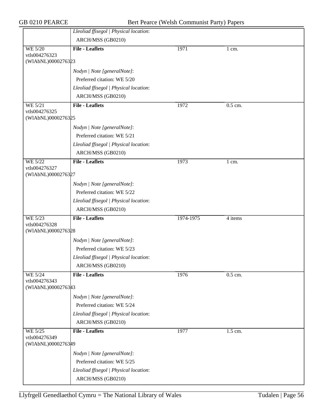|                                     | Lleoliad ffisegol   Physical location: |           |         |
|-------------------------------------|----------------------------------------|-----------|---------|
|                                     | ARCH/MSS (GB0210)                      |           |         |
| WE 5/20                             | <b>File - Leaflets</b>                 | 1971      | 1 cm.   |
| vtls004276323<br>(WIAbNL)0000276323 |                                        |           |         |
|                                     | Nodyn   Note [generalNote]:            |           |         |
|                                     | Preferred citation: WE 5/20            |           |         |
|                                     | Lleoliad ffisegol   Physical location: |           |         |
|                                     | ARCH/MSS (GB0210)                      |           |         |
| WE 5/21                             | <b>File - Leaflets</b>                 | 1972      | 0.5 cm. |
| vtls004276325                       |                                        |           |         |
| (WIAbNL)0000276325                  |                                        |           |         |
|                                     | Nodyn   Note [generalNote]:            |           |         |
|                                     | Preferred citation: WE 5/21            |           |         |
|                                     | Lleoliad ffisegol   Physical location: |           |         |
|                                     | ARCH/MSS (GB0210)                      |           |         |
| <b>WE 5/22</b>                      | <b>File - Leaflets</b>                 | 1973      | 1 cm.   |
| vtls004276327<br>(WIAbNL)0000276327 |                                        |           |         |
|                                     | Nodyn   Note [generalNote]:            |           |         |
|                                     | Preferred citation: WE 5/22            |           |         |
|                                     | Lleoliad ffisegol   Physical location: |           |         |
|                                     | ARCH/MSS (GB0210)                      |           |         |
| WE 5/23                             | <b>File - Leaflets</b>                 | 1974-1975 | 4 items |
| vtls004276328                       |                                        |           |         |
| (WIAbNL)0000276328                  |                                        |           |         |
|                                     | Nodyn   Note [generalNote]:            |           |         |
|                                     | Preferred citation: WE 5/23            |           |         |
|                                     | Lleoliad ffisegol   Physical location: |           |         |
|                                     | ARCH/MSS (GB0210)                      |           |         |
| WE 5/24                             | <b>File - Leaflets</b>                 | 1976      | 0.5 cm. |
| vtls004276343<br>(WIAbNL)0000276343 |                                        |           |         |
|                                     |                                        |           |         |
|                                     | Nodyn   Note [generalNote]:            |           |         |
|                                     | Preferred citation: WE 5/24            |           |         |
|                                     | Lleoliad ffisegol   Physical location: |           |         |
|                                     | ARCH/MSS (GB0210)                      |           |         |
| <b>WE 5/25</b><br>vtls004276349     | <b>File - Leaflets</b>                 | 1977      | 1.5 cm. |
| (WIAbNL)0000276349                  |                                        |           |         |
|                                     | Nodyn   Note [generalNote]:            |           |         |
|                                     | Preferred citation: WE 5/25            |           |         |
|                                     | Lleoliad ffisegol   Physical location: |           |         |
|                                     | ARCH/MSS (GB0210)                      |           |         |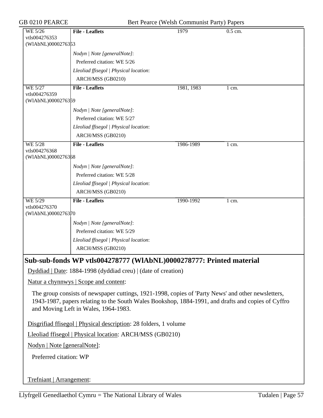GB 0210 PEARCE Bert Pearce (Welsh Communist Party) Papers

|                                                                  |                                                                                                                                                                                                          | $\mathcal{L}$ . The commutation of $\mathcal{L}$ , $\mathcal{L}$ , $\mathcal{L}$ |                      |  |  |
|------------------------------------------------------------------|----------------------------------------------------------------------------------------------------------------------------------------------------------------------------------------------------------|----------------------------------------------------------------------------------|----------------------|--|--|
| WE 5/26                                                          | <b>File - Leaflets</b>                                                                                                                                                                                   | 1979                                                                             | $\overline{0.5}$ cm. |  |  |
| vtls004276353<br>(WIAbNL)0000276353                              |                                                                                                                                                                                                          |                                                                                  |                      |  |  |
|                                                                  | Nodyn   Note [generalNote]:                                                                                                                                                                              |                                                                                  |                      |  |  |
|                                                                  | Preferred citation: WE 5/26                                                                                                                                                                              |                                                                                  |                      |  |  |
|                                                                  | Lleoliad ffisegol   Physical location:                                                                                                                                                                   |                                                                                  |                      |  |  |
|                                                                  | ARCH/MSS (GB0210)                                                                                                                                                                                        |                                                                                  |                      |  |  |
| WE 5/27                                                          | <b>File - Leaflets</b>                                                                                                                                                                                   | 1981, 1983                                                                       | $1 \text{ cm}$ .     |  |  |
| vtls004276359<br>(WIAbNL)0000276359                              |                                                                                                                                                                                                          |                                                                                  |                      |  |  |
|                                                                  | Nodyn   Note [generalNote]:                                                                                                                                                                              |                                                                                  |                      |  |  |
|                                                                  | Preferred citation: WE 5/27                                                                                                                                                                              |                                                                                  |                      |  |  |
|                                                                  | Lleoliad ffisegol   Physical location:                                                                                                                                                                   |                                                                                  |                      |  |  |
|                                                                  | ARCH/MSS (GB0210)                                                                                                                                                                                        |                                                                                  |                      |  |  |
| WE 5/28                                                          | <b>File - Leaflets</b>                                                                                                                                                                                   | 1986-1989                                                                        | $1 \text{ cm}$ .     |  |  |
| vtls004276368                                                    |                                                                                                                                                                                                          |                                                                                  |                      |  |  |
| (WIAbNL)0000276368                                               |                                                                                                                                                                                                          |                                                                                  |                      |  |  |
|                                                                  | Nodyn   Note [generalNote]:                                                                                                                                                                              |                                                                                  |                      |  |  |
|                                                                  | Preferred citation: WE 5/28                                                                                                                                                                              |                                                                                  |                      |  |  |
|                                                                  | Lleoliad ffisegol   Physical location:                                                                                                                                                                   |                                                                                  |                      |  |  |
|                                                                  | ARCH/MSS (GB0210)                                                                                                                                                                                        |                                                                                  |                      |  |  |
| WE 5/29<br>vtls004276370                                         | <b>File - Leaflets</b>                                                                                                                                                                                   | 1990-1992                                                                        | 1 cm.                |  |  |
| (WIAbNL)0000276370                                               |                                                                                                                                                                                                          |                                                                                  |                      |  |  |
|                                                                  | Nodyn   Note [generalNote]:                                                                                                                                                                              |                                                                                  |                      |  |  |
|                                                                  | Preferred citation: WE 5/29                                                                                                                                                                              |                                                                                  |                      |  |  |
|                                                                  | Lleoliad ffisegol   Physical location:                                                                                                                                                                   |                                                                                  |                      |  |  |
|                                                                  | ARCH/MSS (GB0210)                                                                                                                                                                                        |                                                                                  |                      |  |  |
|                                                                  | Sub-sub-fonds WP vtls004278777 (WlAbNL)0000278777: Printed material                                                                                                                                      |                                                                                  |                      |  |  |
|                                                                  | $Dyddiad   Date: 1884-1998 (dyddiad creu)   (date of creation)$                                                                                                                                          |                                                                                  |                      |  |  |
|                                                                  | <u>Natur a chynnwys</u>   Scope and content:                                                                                                                                                             |                                                                                  |                      |  |  |
|                                                                  |                                                                                                                                                                                                          |                                                                                  |                      |  |  |
|                                                                  | The group consists of newspaper cuttings, 1921-1998, copies of 'Party News' and other newsletters,<br>1943-1987, papers relating to the South Wales Bookshop, 1884-1991, and drafts and copies of Cyffro |                                                                                  |                      |  |  |
|                                                                  | and Moving Left in Wales, 1964-1983.                                                                                                                                                                     |                                                                                  |                      |  |  |
|                                                                  |                                                                                                                                                                                                          |                                                                                  |                      |  |  |
| Disgrifiad ffisegol   Physical description: 28 folders, 1 volume |                                                                                                                                                                                                          |                                                                                  |                      |  |  |
| Lleoliad ffisegol   Physical location: ARCH/MSS (GB0210)         |                                                                                                                                                                                                          |                                                                                  |                      |  |  |
| Nodyn   Note [generalNote]:                                      |                                                                                                                                                                                                          |                                                                                  |                      |  |  |
| Preferred citation: WP                                           |                                                                                                                                                                                                          |                                                                                  |                      |  |  |
|                                                                  |                                                                                                                                                                                                          |                                                                                  |                      |  |  |
|                                                                  |                                                                                                                                                                                                          |                                                                                  |                      |  |  |
| Trefniant   Arrangement:                                         |                                                                                                                                                                                                          |                                                                                  |                      |  |  |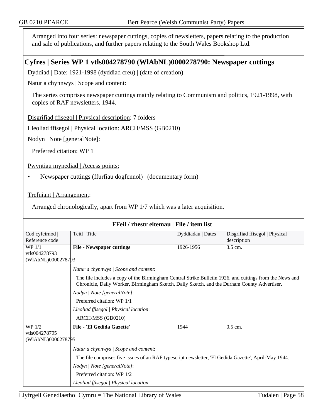Arranged into four series: newspaper cuttings, copies of newsletters, papers relating to the production and sale of publications, and further papers relating to the South Wales Bookshop Ltd.

## **Cyfres | Series WP 1 vtls004278790 (WlAbNL)0000278790: Newspaper cuttings**

Dyddiad | Date: 1921-1998 (dyddiad creu) | (date of creation)

Natur a chynnwys | Scope and content:

The series comprises newspaper cuttings mainly relating to Communism and politics, 1921-1998, with copies of RAF newsletters, 1944.

Disgrifiad ffisegol | Physical description: 7 folders

Lleoliad ffisegol | Physical location: ARCH/MSS (GB0210)

Nodyn | Note [generalNote]:

Preferred citation: WP 1

Pwyntiau mynediad | Access points:

• Newspaper cuttings (ffurfiau dogfennol) | (documentary form)

Trefniant | Arrangement:

Arranged chronologically, apart from WP 1/7 which was a later acquisition.

| FFeil / rhestr eitemau   File / item list |                                                                                                                                                                                                        |                   |                                |  |  |
|-------------------------------------------|--------------------------------------------------------------------------------------------------------------------------------------------------------------------------------------------------------|-------------------|--------------------------------|--|--|
| Cod cyfeirnod                             | Teitl   Title                                                                                                                                                                                          | Dyddiadau   Dates | Disgrifiad ffisegol   Physical |  |  |
| Reference code                            |                                                                                                                                                                                                        |                   | description                    |  |  |
| WP 1/1                                    | <b>File - Newspaper cuttings</b>                                                                                                                                                                       | 1926-1956         | $3.5$ cm.                      |  |  |
| vtls004278793                             |                                                                                                                                                                                                        |                   |                                |  |  |
| (WIAbNL)0000278793                        |                                                                                                                                                                                                        |                   |                                |  |  |
|                                           | Natur a chynnwys / Scope and content:                                                                                                                                                                  |                   |                                |  |  |
|                                           | The file includes a copy of the Birmingham Central Strike Bulletin 1926, and cuttings from the News and<br>Chronicle, Daily Worker, Birmingham Sketch, Daily Sketch, and the Durham County Advertiser. |                   |                                |  |  |
|                                           | Nodyn   Note [generalNote]:                                                                                                                                                                            |                   |                                |  |  |
|                                           | Preferred citation: WP 1/1                                                                                                                                                                             |                   |                                |  |  |
|                                           | Lleoliad ffisegol   Physical location:                                                                                                                                                                 |                   |                                |  |  |
|                                           | ARCH/MSS (GB0210)                                                                                                                                                                                      |                   |                                |  |  |
| WP 1/2                                    | File - 'El Gedida Gazette'                                                                                                                                                                             | 1944              | 0.5 cm.                        |  |  |
| vtls004278795                             |                                                                                                                                                                                                        |                   |                                |  |  |
| (WIAbNL)0000278795                        |                                                                                                                                                                                                        |                   |                                |  |  |
|                                           | Natur a chynnwys / Scope and content:                                                                                                                                                                  |                   |                                |  |  |
|                                           | The file comprises five issues of an RAF typescript newsletter, 'El Gedida Gazette', April-May 1944.                                                                                                   |                   |                                |  |  |
|                                           | Nodyn   Note [generalNote]:                                                                                                                                                                            |                   |                                |  |  |
|                                           | Preferred citation: WP 1/2                                                                                                                                                                             |                   |                                |  |  |
|                                           | Lleoliad ffisegol   Physical location:                                                                                                                                                                 |                   |                                |  |  |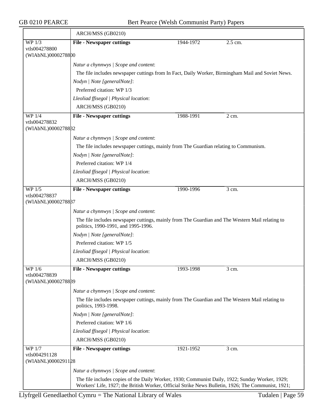|                                               | ARCH/MSS (GB0210)                                                                                                                                                                                     |           |                    |  |  |  |
|-----------------------------------------------|-------------------------------------------------------------------------------------------------------------------------------------------------------------------------------------------------------|-----------|--------------------|--|--|--|
| WP 1/3                                        | <b>File - Newspaper cuttings</b>                                                                                                                                                                      | 1944-1972 | 2.5 cm.            |  |  |  |
| vtls004278800<br>(WIAbNL)0000278800           |                                                                                                                                                                                                       |           |                    |  |  |  |
|                                               |                                                                                                                                                                                                       |           |                    |  |  |  |
|                                               | Natur a chynnwys / Scope and content:                                                                                                                                                                 |           |                    |  |  |  |
|                                               | The file includes newspaper cuttings from In Fact, Daily Worker, Birmingham Mail and Soviet News.                                                                                                     |           |                    |  |  |  |
|                                               | Nodyn   Note [generalNote]:<br>Preferred citation: WP 1/3                                                                                                                                             |           |                    |  |  |  |
|                                               | Lleoliad ffisegol   Physical location:                                                                                                                                                                |           |                    |  |  |  |
|                                               | ARCH/MSS (GB0210)                                                                                                                                                                                     |           |                    |  |  |  |
| $WP$ 1/4                                      | <b>File - Newspaper cuttings</b>                                                                                                                                                                      | 1988-1991 | $2 \text{ cm}$ .   |  |  |  |
| vtls004278832                                 |                                                                                                                                                                                                       |           |                    |  |  |  |
| (WIAbNL)0000278832                            |                                                                                                                                                                                                       |           |                    |  |  |  |
|                                               | Natur a chynnwys / Scope and content:                                                                                                                                                                 |           |                    |  |  |  |
|                                               | The file includes newspaper cuttings, mainly from The Guardian relating to Communism.                                                                                                                 |           |                    |  |  |  |
|                                               | Nodyn   Note [generalNote]:                                                                                                                                                                           |           |                    |  |  |  |
|                                               | Preferred citation: WP 1/4                                                                                                                                                                            |           |                    |  |  |  |
|                                               | Lleoliad ffisegol   Physical location:                                                                                                                                                                |           |                    |  |  |  |
|                                               | ARCH/MSS (GB0210)                                                                                                                                                                                     |           |                    |  |  |  |
| WP 1/5                                        | <b>File - Newspaper cuttings</b>                                                                                                                                                                      | 1990-1996 | $\overline{3}$ cm. |  |  |  |
| vtls004278837<br>(WIAbNL)0000278887           |                                                                                                                                                                                                       |           |                    |  |  |  |
|                                               |                                                                                                                                                                                                       |           |                    |  |  |  |
|                                               | Natur a chynnwys / Scope and content:<br>The file includes newspaper cuttings, mainly from The Guardian and The Western Mail relating to<br>politics, 1990-1991, and 1995-1996.                       |           |                    |  |  |  |
|                                               | Nodyn   Note [generalNote]:                                                                                                                                                                           |           |                    |  |  |  |
|                                               | Preferred citation: WP 1/5                                                                                                                                                                            |           |                    |  |  |  |
|                                               | Lleoliad ffisegol   Physical location:                                                                                                                                                                |           |                    |  |  |  |
|                                               | ARCH/MSS (GB0210)                                                                                                                                                                                     |           |                    |  |  |  |
| WP 1/6                                        | <b>File - Newspaper cuttings</b>                                                                                                                                                                      | 1993-1998 | 3 cm.              |  |  |  |
| vtls004278839                                 |                                                                                                                                                                                                       |           |                    |  |  |  |
| (WIAbNL)0000278889                            |                                                                                                                                                                                                       |           |                    |  |  |  |
|                                               | Natur a chynnwys / Scope and content:                                                                                                                                                                 |           |                    |  |  |  |
|                                               | The file includes newspaper cuttings, mainly from The Guardian and The Western Mail relating to<br>politics, 1993-1998.                                                                               |           |                    |  |  |  |
|                                               | Nodyn   Note [generalNote]:                                                                                                                                                                           |           |                    |  |  |  |
|                                               | Preferred citation: WP 1/6                                                                                                                                                                            |           |                    |  |  |  |
|                                               | Lleoliad ffisegol   Physical location:                                                                                                                                                                |           |                    |  |  |  |
|                                               | ARCH/MSS (GB0210)                                                                                                                                                                                     |           |                    |  |  |  |
| WP 1/7<br>vtls004291128<br>(WIAbNL)0000291128 | <b>File - Newspaper cuttings</b>                                                                                                                                                                      | 1921-1952 | 3 cm.              |  |  |  |
|                                               | Natur a chynnwys / Scope and content:                                                                                                                                                                 |           |                    |  |  |  |
|                                               |                                                                                                                                                                                                       |           |                    |  |  |  |
|                                               | The file includes copies of the Daily Worker, 1930; Communist Daily, 1922; Sunday Worker, 1929;<br>Workers' Life, 1927; the British Worker, Official Strike News Bulletin, 1926; The Communist, 1921; |           |                    |  |  |  |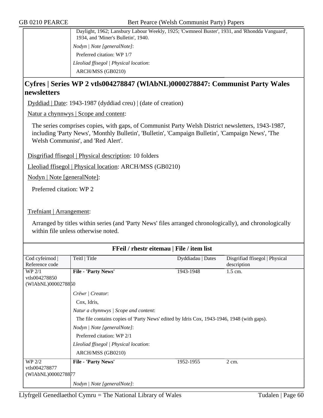Daylight, 1962; Lansbury Labour Weekly, 1925; 'Cwmneol Buster', 1931, and 'Rhondda Vanguard', 1934, and 'Miner's Bulletin', 1940. *Nodyn | Note [generalNote]*: Preferred citation: WP 1/7 *Lleoliad ffisegol | Physical location*: ARCH/MSS (GB0210)

## **Cyfres | Series WP 2 vtls004278847 (WlAbNL)0000278847: Communist Party Wales newsletters**

Dyddiad | Date: 1943-1987 (dyddiad creu) | (date of creation)

Natur a chynnwys | Scope and content:

The series comprises copies, with gaps, of Communist Party Welsh District newsletters, 1943-1987, including 'Party News', 'Monthly Bulletin', 'Bulletin', 'Campaign Bulletin', 'Campaign News', 'The Welsh Communist', and 'Red Alert'.

Disgrifiad ffisegol | Physical description: 10 folders

Lleoliad ffisegol | Physical location: ARCH/MSS (GB0210)

Nodyn | Note [generalNote]:

Preferred citation: WP 2

Trefniant | Arrangement:

Arranged by titles within series (and 'Party News' files arranged chronologically), and chronologically within file unless otherwise noted.

| FFeil / rhestr eitemau   File / item list |                                                                                            |                   |                                |
|-------------------------------------------|--------------------------------------------------------------------------------------------|-------------------|--------------------------------|
| Cod cyfeirnod                             | Teitl   Title                                                                              | Dyddiadau   Dates | Disgrifiad ffisegol   Physical |
| Reference code                            |                                                                                            |                   | description                    |
| WP 2/1                                    | File - 'Party News'                                                                        | 1943-1948         | $1.5$ cm.                      |
| vtls004278850                             |                                                                                            |                   |                                |
| (WIAbNL)0000278850                        |                                                                                            |                   |                                |
|                                           | Crëwr   Creator:                                                                           |                   |                                |
|                                           | Cox, Idris,                                                                                |                   |                                |
|                                           | Natur a chynnwys / Scope and content:                                                      |                   |                                |
|                                           | The file contains copies of 'Party News' edited by Idris Cox, 1943-1946, 1948 (with gaps). |                   |                                |
|                                           | Nodyn   Note [generalNote]:                                                                |                   |                                |
|                                           | Preferred citation: WP 2/1                                                                 |                   |                                |
|                                           | Lleoliad ffisegol   Physical location:                                                     |                   |                                |
|                                           | ARCH/MSS (GB0210)                                                                          |                   |                                |
| WP 2/2                                    | File - 'Party News'                                                                        | 1952-1955         | $2 \text{ cm}$ .               |
| vtls004278877                             |                                                                                            |                   |                                |
| (WIAbNL)0000278877                        |                                                                                            |                   |                                |
|                                           | Nodyn   Note [generalNote]:                                                                |                   |                                |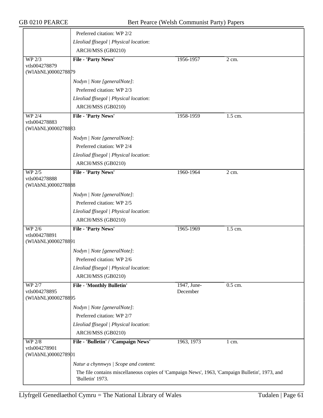|                                     | Preferred citation: WP 2/2                                                                                          |             |         |
|-------------------------------------|---------------------------------------------------------------------------------------------------------------------|-------------|---------|
|                                     | Lleoliad ffisegol   Physical location:                                                                              |             |         |
|                                     | ARCH/MSS (GB0210)                                                                                                   |             |         |
| WP 2/3                              | File - 'Party News'                                                                                                 | 1956-1957   | 2 cm.   |
| vtls004278879<br>(WIAbNL)0000278879 |                                                                                                                     |             |         |
|                                     |                                                                                                                     |             |         |
|                                     | Nodyn   Note [generalNote]:                                                                                         |             |         |
|                                     | Preferred citation: WP 2/3                                                                                          |             |         |
|                                     | Lleoliad ffisegol   Physical location:                                                                              |             |         |
|                                     | ARCH/MSS (GB0210)                                                                                                   |             |         |
| WP 2/4<br>vtls004278883             | File - 'Party News'                                                                                                 | 1958-1959   | 1.5 cm. |
| (WIAbNL)0000278883                  |                                                                                                                     |             |         |
|                                     | Nodyn   Note [generalNote]:                                                                                         |             |         |
|                                     | Preferred citation: WP 2/4                                                                                          |             |         |
|                                     | Lleoliad ffisegol   Physical location:                                                                              |             |         |
|                                     | ARCH/MSS (GB0210)                                                                                                   |             |         |
| WP 2/5                              | File - 'Party News'                                                                                                 | 1960-1964   | $2$ cm. |
| vtls004278888                       |                                                                                                                     |             |         |
| (WIAbNL)0000278888                  |                                                                                                                     |             |         |
|                                     | Nodyn   Note [generalNote]:                                                                                         |             |         |
|                                     | Preferred citation: WP 2/5                                                                                          |             |         |
|                                     | Lleoliad ffisegol   Physical location:                                                                              |             |         |
|                                     | ARCH/MSS (GB0210)                                                                                                   |             |         |
| <b>WP 2/6</b>                       | File - 'Party News'                                                                                                 | 1965-1969   | 1.5 cm. |
| vtls004278891<br>(WIAbNL)0000278891 |                                                                                                                     |             |         |
|                                     | Nodyn   Note [generalNote]:                                                                                         |             |         |
|                                     | Preferred citation: WP 2/6                                                                                          |             |         |
|                                     | Lleoliad ffisegol   Physical location:                                                                              |             |         |
|                                     | ARCH/MSS (GB0210)                                                                                                   |             |         |
| <b>WP 2/7</b>                       | <b>File - 'Monthly Bulletin'</b>                                                                                    | 1947, June- | 0.5 cm. |
| vtls004278895                       |                                                                                                                     | December    |         |
| (WIAbNL)0000278895                  |                                                                                                                     |             |         |
|                                     | Nodyn   Note [generalNote]:                                                                                         |             |         |
|                                     | Preferred citation: WP 2/7                                                                                          |             |         |
|                                     | Lleoliad ffisegol   Physical location:                                                                              |             |         |
|                                     | ARCH/MSS (GB0210)                                                                                                   |             |         |
| <b>WP 2/8</b>                       | File - 'Bulletin' / 'Campaign News'                                                                                 | 1963, 1973  | $1$ cm. |
| vtls004278901<br>(WIAbNL)0000278901 |                                                                                                                     |             |         |
|                                     |                                                                                                                     |             |         |
|                                     | Natur a chynnwys / Scope and content:                                                                               |             |         |
|                                     | The file contains miscellaneous copies of 'Campaign News', 1963, 'Campaign Bulletin', 1973, and<br>'Bulletin' 1973. |             |         |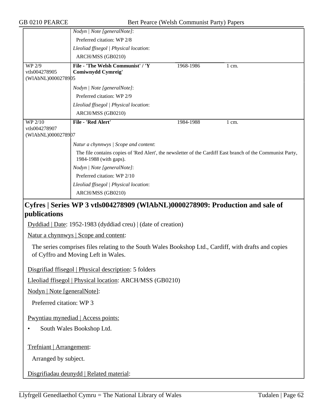|                                   | Nodyn   Note [generalNote]:                                                                                                          |           |                  |
|-----------------------------------|--------------------------------------------------------------------------------------------------------------------------------------|-----------|------------------|
|                                   | Preferred citation: WP 2/8                                                                                                           |           |                  |
|                                   | Lleoliad ffisegol   Physical location:                                                                                               |           |                  |
|                                   | ARCH/MSS (GB0210)                                                                                                                    |           |                  |
| WP 2/9                            | File - 'The Welsh Communist' / 'Y                                                                                                    | 1968-1986 | $1 \text{ cm}$ . |
| vtls004278905                     | <b>Comiwnydd Cymreig'</b>                                                                                                            |           |                  |
| (WIAbNL)0000278905                |                                                                                                                                      |           |                  |
|                                   | Nodyn   Note [generalNote]:                                                                                                          |           |                  |
|                                   | Preferred citation: WP 2/9                                                                                                           |           |                  |
|                                   | Lleoliad ffisegol   Physical location:                                                                                               |           |                  |
|                                   | ARCH/MSS (GB0210)                                                                                                                    |           |                  |
| WP 2/10                           | File - 'Red Alert'                                                                                                                   | 1984-1988 | $1 \text{ cm}$ . |
| vtls004278907                     |                                                                                                                                      |           |                  |
| (WIAbNL)0000278907                |                                                                                                                                      |           |                  |
|                                   | Natur a chynnwys / Scope and content:                                                                                                |           |                  |
|                                   | The file contains copies of 'Red Alert', the newsletter of the Cardiff East branch of the Communist Party,<br>1984-1988 (with gaps). |           |                  |
|                                   | Nodyn   Note [generalNote]:                                                                                                          |           |                  |
|                                   | Preferred citation: WP 2/10                                                                                                          |           |                  |
|                                   | Lleoliad ffisegol   Physical location:                                                                                               |           |                  |
|                                   | ARCH/MSS (GB0210)                                                                                                                    |           |                  |
| $C_{\text{max}}$ $C_{\text{max}}$ | $\sim$ WD 2 -41 004250000 (WILLNII )0000250000. Due deed on and rele of                                                              |           |                  |

### **Cyfres | Series WP 3 vtls004278909 (WlAbNL)0000278909: Production and sale of publications**

Dyddiad | Date: 1952-1983 (dyddiad creu) | (date of creation)

Natur a chynnwys | Scope and content:

The series comprises files relating to the South Wales Bookshop Ltd., Cardiff, with drafts and copies of Cyffro and Moving Left in Wales.

Disgrifiad ffisegol | Physical description: 5 folders

Lleoliad ffisegol | Physical location: ARCH/MSS (GB0210)

Nodyn | Note [generalNote]:

Preferred citation: WP 3

Pwyntiau mynediad | Access points:

• South Wales Bookshop Ltd.

Trefniant | Arrangement:

Arranged by subject.

Disgrifiadau deunydd | Related material: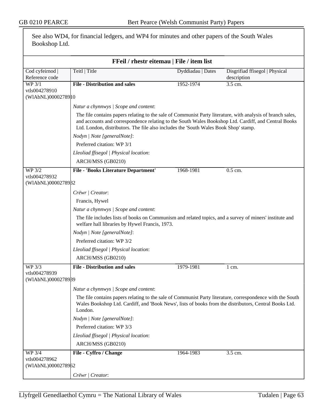| See also WD4, for financial ledgers, and WP4 for minutes and other papers of the South Wales<br>Bookshop Ltd. |                                                                                                                                                                                                                                                                                                             |                   |                                               |  |  |
|---------------------------------------------------------------------------------------------------------------|-------------------------------------------------------------------------------------------------------------------------------------------------------------------------------------------------------------------------------------------------------------------------------------------------------------|-------------------|-----------------------------------------------|--|--|
|                                                                                                               | FFeil / rhestr eitemau   File / item list                                                                                                                                                                                                                                                                   |                   |                                               |  |  |
| Cod cyfeirnod<br>Reference code                                                                               | Teitl   Title                                                                                                                                                                                                                                                                                               | Dyddiadau   Dates | Disgrifiad ffisegol   Physical<br>description |  |  |
| <b>WP 3/1</b>                                                                                                 | <b>File - Distribution and sales</b>                                                                                                                                                                                                                                                                        | 1952-1974         | $3.5$ cm.                                     |  |  |
| vtls004278910<br>(WIAbNL)0000278910                                                                           |                                                                                                                                                                                                                                                                                                             |                   |                                               |  |  |
|                                                                                                               | Natur a chynnwys / Scope and content:                                                                                                                                                                                                                                                                       |                   |                                               |  |  |
|                                                                                                               | The file contains papers relating to the sale of Communist Party literature, with analysis of branch sales,<br>and accounts and correspondence relating to the South Wales Bookshop Ltd. Cardiff, and Central Books<br>Ltd. London, distributors. The file also includes the 'South Wales Book Shop' stamp. |                   |                                               |  |  |
|                                                                                                               | Nodyn   Note [generalNote]:                                                                                                                                                                                                                                                                                 |                   |                                               |  |  |
|                                                                                                               | Preferred citation: WP 3/1                                                                                                                                                                                                                                                                                  |                   |                                               |  |  |
|                                                                                                               | Lleoliad ffisegol   Physical location:                                                                                                                                                                                                                                                                      |                   |                                               |  |  |
|                                                                                                               | ARCH/MSS (GB0210)                                                                                                                                                                                                                                                                                           |                   |                                               |  |  |
| <b>WP 3/2</b>                                                                                                 | <b>File - 'Books Literature Department'</b>                                                                                                                                                                                                                                                                 | 1968-1981         | 0.5 cm.                                       |  |  |
| vtls004278932<br>(WIAbNL)0000278932                                                                           |                                                                                                                                                                                                                                                                                                             |                   |                                               |  |  |
|                                                                                                               | Crëwr   Creator:                                                                                                                                                                                                                                                                                            |                   |                                               |  |  |
|                                                                                                               | Francis, Hywel                                                                                                                                                                                                                                                                                              |                   |                                               |  |  |
|                                                                                                               | Natur a chynnwys / Scope and content:                                                                                                                                                                                                                                                                       |                   |                                               |  |  |
|                                                                                                               | The file includes lists of books on Communism and related topics, and a survey of miners' institute and<br>welfare hall libraries by Hywel Francis, 1973.                                                                                                                                                   |                   |                                               |  |  |
|                                                                                                               | Nodyn   Note [generalNote]:                                                                                                                                                                                                                                                                                 |                   |                                               |  |  |
|                                                                                                               | Preferred citation: WP 3/2                                                                                                                                                                                                                                                                                  |                   |                                               |  |  |
|                                                                                                               | Lleoliad ffisegol   Physical location:                                                                                                                                                                                                                                                                      |                   |                                               |  |  |
|                                                                                                               | ARCH/MSS (GB0210)                                                                                                                                                                                                                                                                                           |                   |                                               |  |  |
| WP 3/3<br>vtls004278939<br>(WIAbNL)0000278989                                                                 | <b>File - Distribution and sales</b>                                                                                                                                                                                                                                                                        | 1979-1981         | 1 cm.                                         |  |  |
|                                                                                                               | Natur a chynnwys / Scope and content:                                                                                                                                                                                                                                                                       |                   |                                               |  |  |
|                                                                                                               | The file contains papers relating to the sale of Communist Party literature, correspondence with the South<br>Wales Bookshop Ltd. Cardiff, and 'Book News', lists of books from the distributors, Central Books Ltd.<br>London.                                                                             |                   |                                               |  |  |
|                                                                                                               | Nodyn   Note [generalNote]:                                                                                                                                                                                                                                                                                 |                   |                                               |  |  |
|                                                                                                               | Preferred citation: WP 3/3                                                                                                                                                                                                                                                                                  |                   |                                               |  |  |
|                                                                                                               | Lleoliad ffisegol   Physical location:                                                                                                                                                                                                                                                                      |                   |                                               |  |  |
|                                                                                                               | ARCH/MSS (GB0210)                                                                                                                                                                                                                                                                                           |                   |                                               |  |  |
| WP 3/4<br>vtls004278962<br>(WIAbNL)0000278962                                                                 | File - Cyffro / Change                                                                                                                                                                                                                                                                                      | 1964-1983         | 3.5 cm.                                       |  |  |
|                                                                                                               | Crëwr   Creator:                                                                                                                                                                                                                                                                                            |                   |                                               |  |  |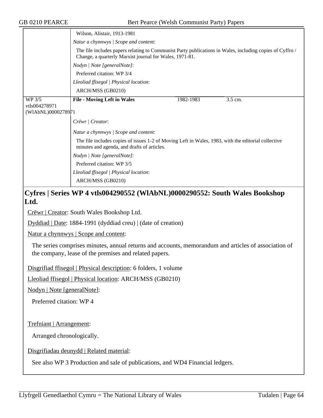|                    | Wilson, Alistair, 1913-1981                                                                                                                                                                                                                 |           |         |  |
|--------------------|---------------------------------------------------------------------------------------------------------------------------------------------------------------------------------------------------------------------------------------------|-----------|---------|--|
|                    |                                                                                                                                                                                                                                             |           |         |  |
|                    | Natur a chynnwys / Scope and content:<br>The file includes papers relating to Communist Party publications in Wales, including copies of Cyffro /<br>Change, a quarterly Marxist journal for Wales, 1971-81.<br>Nodyn   Note [generalNote]: |           |         |  |
|                    |                                                                                                                                                                                                                                             |           |         |  |
|                    |                                                                                                                                                                                                                                             |           |         |  |
|                    |                                                                                                                                                                                                                                             |           |         |  |
|                    | Preferred citation: WP 3/4<br>Lleoliad ffisegol   Physical location:                                                                                                                                                                        |           |         |  |
|                    |                                                                                                                                                                                                                                             |           |         |  |
|                    | ARCH/MSS (GB0210)                                                                                                                                                                                                                           |           |         |  |
| WP 3/5             | <b>File - Moving Left in Wales</b>                                                                                                                                                                                                          | 1982-1983 | 3.5 cm. |  |
| vtls004278971      |                                                                                                                                                                                                                                             |           |         |  |
| (WIAbNL)0000278971 |                                                                                                                                                                                                                                             |           |         |  |
|                    | Crëwr   Creator:                                                                                                                                                                                                                            |           |         |  |
|                    | Natur a chynnwys / Scope and content:                                                                                                                                                                                                       |           |         |  |
|                    | The file includes copies of issues 1-2 of Moving Left in Wales, 1983, with the editorial collective<br>minutes and agenda, and drafts of articles.                                                                                          |           |         |  |
|                    | Nodyn   Note [generalNote]:                                                                                                                                                                                                                 |           |         |  |
|                    | Preferred citation: WP 3/5                                                                                                                                                                                                                  |           |         |  |
|                    | Lleoliad ffisegol   Physical location:                                                                                                                                                                                                      |           |         |  |
|                    | ARCH/MSS (GB0210)                                                                                                                                                                                                                           |           |         |  |

# **Cyfres | Series WP 4 vtls004290552 (WlAbNL)0000290552: South Wales Bookshop Ltd.**

Crëwr | Creator: South Wales Bookshop Ltd.

Dyddiad | Date: 1884-1991 (dyddiad creu) | (date of creation)

Natur a chynnwys | Scope and content:

The series comprises minutes, annual returns and accounts, memorandum and articles of association of the company, lease of the premises and related papers.

Disgrifiad ffisegol | Physical description: 6 folders, 1 volume

Lleoliad ffisegol | Physical location: ARCH/MSS (GB0210)

Nodyn | Note [generalNote]:

Preferred citation: WP 4

Trefniant | Arrangement:

Arranged chronologically.

Disgrifiadau deunydd | Related material:

See also WP 3 Production and sale of publications, and WD4 Financial ledgers.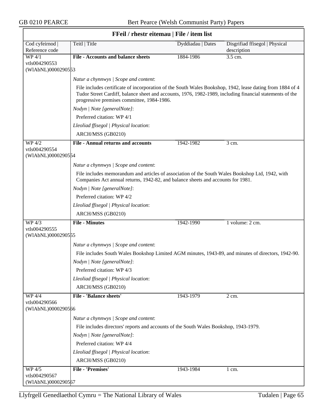| Teitl   Title<br>Disgrifiad ffisegol   Physical<br>Cod cyfeirnod<br>Dyddiadau   Dates<br>Reference code<br>description<br><b>WP 4/1</b><br><b>File - Accounts and balance sheets</b><br>3.5 cm.<br>1884-1986<br>vtls004290553<br>(WIAbNL)0000290553<br>Natur a chynnwys / Scope and content:<br>File includes certificate of incorporation of the South Wales Bookshop, 1942, lease dating from 1884 of 4<br>Tudor Street Cardiff, balance sheet and accounts, 1976, 1982-1989, including financial statements of the<br>progressive premises committee, 1984-1986.<br>Nodyn   Note [generalNote]:<br>Preferred citation: WP 4/1<br>Lleoliad ffisegol   Physical location:<br>ARCH/MSS (GB0210)<br><b>File - Annual returns and accounts</b><br>WP 4/2<br>1942-1982<br>3 cm.<br>vtls004290554<br>(WIAbNL)0000290554<br>Natur a chynnwys / Scope and content:<br>File includes memorandum and articles of association of the South Wales Bookshop Ltd, 1942, with<br>Companies Act annual returns, 1942-82, and balance sheets and accounts for 1981.<br>Nodyn   Note [generalNote]:<br>Preferred citation: WP 4/2<br>Lleoliad ffisegol   Physical location:<br>ARCH/MSS (GB0210)<br><b>File - Minutes</b><br>1 volume: 2 cm.<br>WP 4/3<br>1942-1990<br>vtls004290555<br>(WIAbNL)0000290555<br>Natur a chynnwys / Scope and content:<br>File includes South Wales Bookshop Limited AGM minutes, 1943-89, and minutes of directors, 1942-90.<br>Nodyn   Note [generalNote]:<br>Preferred citation: WP 4/3<br>Lleoliad ffisegol   Physical location:<br>ARCH/MSS (GB0210)<br><b>File - 'Balance sheets'</b><br><b>WP 4/4</b><br>1943-1979<br>2 cm.<br>vtls004290566<br>(WIAbNL)0000290566<br>Natur a chynnwys / Scope and content:<br>File includes directors' reports and accounts of the South Wales Bookshop, 1943-1979.<br>Nodyn   Note [generalNote]:<br>Preferred citation: WP 4/4<br>Lleoliad ffisegol   Physical location:<br>ARCH/MSS (GB0210)<br>File - 'Premises'<br>WP 4/5<br>1943-1984<br>$1 \text{ cm}$ . | FFeil / rhestr eitemau   File / item list |  |  |  |
|----------------------------------------------------------------------------------------------------------------------------------------------------------------------------------------------------------------------------------------------------------------------------------------------------------------------------------------------------------------------------------------------------------------------------------------------------------------------------------------------------------------------------------------------------------------------------------------------------------------------------------------------------------------------------------------------------------------------------------------------------------------------------------------------------------------------------------------------------------------------------------------------------------------------------------------------------------------------------------------------------------------------------------------------------------------------------------------------------------------------------------------------------------------------------------------------------------------------------------------------------------------------------------------------------------------------------------------------------------------------------------------------------------------------------------------------------------------------------------------------------------------------------------------------------------------------------------------------------------------------------------------------------------------------------------------------------------------------------------------------------------------------------------------------------------------------------------------------------------------------------------------------------------------------------------------------------------------------------------------------------------------------|-------------------------------------------|--|--|--|
|                                                                                                                                                                                                                                                                                                                                                                                                                                                                                                                                                                                                                                                                                                                                                                                                                                                                                                                                                                                                                                                                                                                                                                                                                                                                                                                                                                                                                                                                                                                                                                                                                                                                                                                                                                                                                                                                                                                                                                                                                      |                                           |  |  |  |
|                                                                                                                                                                                                                                                                                                                                                                                                                                                                                                                                                                                                                                                                                                                                                                                                                                                                                                                                                                                                                                                                                                                                                                                                                                                                                                                                                                                                                                                                                                                                                                                                                                                                                                                                                                                                                                                                                                                                                                                                                      |                                           |  |  |  |
|                                                                                                                                                                                                                                                                                                                                                                                                                                                                                                                                                                                                                                                                                                                                                                                                                                                                                                                                                                                                                                                                                                                                                                                                                                                                                                                                                                                                                                                                                                                                                                                                                                                                                                                                                                                                                                                                                                                                                                                                                      |                                           |  |  |  |
|                                                                                                                                                                                                                                                                                                                                                                                                                                                                                                                                                                                                                                                                                                                                                                                                                                                                                                                                                                                                                                                                                                                                                                                                                                                                                                                                                                                                                                                                                                                                                                                                                                                                                                                                                                                                                                                                                                                                                                                                                      |                                           |  |  |  |
|                                                                                                                                                                                                                                                                                                                                                                                                                                                                                                                                                                                                                                                                                                                                                                                                                                                                                                                                                                                                                                                                                                                                                                                                                                                                                                                                                                                                                                                                                                                                                                                                                                                                                                                                                                                                                                                                                                                                                                                                                      |                                           |  |  |  |
|                                                                                                                                                                                                                                                                                                                                                                                                                                                                                                                                                                                                                                                                                                                                                                                                                                                                                                                                                                                                                                                                                                                                                                                                                                                                                                                                                                                                                                                                                                                                                                                                                                                                                                                                                                                                                                                                                                                                                                                                                      |                                           |  |  |  |
|                                                                                                                                                                                                                                                                                                                                                                                                                                                                                                                                                                                                                                                                                                                                                                                                                                                                                                                                                                                                                                                                                                                                                                                                                                                                                                                                                                                                                                                                                                                                                                                                                                                                                                                                                                                                                                                                                                                                                                                                                      |                                           |  |  |  |
|                                                                                                                                                                                                                                                                                                                                                                                                                                                                                                                                                                                                                                                                                                                                                                                                                                                                                                                                                                                                                                                                                                                                                                                                                                                                                                                                                                                                                                                                                                                                                                                                                                                                                                                                                                                                                                                                                                                                                                                                                      |                                           |  |  |  |
|                                                                                                                                                                                                                                                                                                                                                                                                                                                                                                                                                                                                                                                                                                                                                                                                                                                                                                                                                                                                                                                                                                                                                                                                                                                                                                                                                                                                                                                                                                                                                                                                                                                                                                                                                                                                                                                                                                                                                                                                                      |                                           |  |  |  |
|                                                                                                                                                                                                                                                                                                                                                                                                                                                                                                                                                                                                                                                                                                                                                                                                                                                                                                                                                                                                                                                                                                                                                                                                                                                                                                                                                                                                                                                                                                                                                                                                                                                                                                                                                                                                                                                                                                                                                                                                                      |                                           |  |  |  |
|                                                                                                                                                                                                                                                                                                                                                                                                                                                                                                                                                                                                                                                                                                                                                                                                                                                                                                                                                                                                                                                                                                                                                                                                                                                                                                                                                                                                                                                                                                                                                                                                                                                                                                                                                                                                                                                                                                                                                                                                                      |                                           |  |  |  |
|                                                                                                                                                                                                                                                                                                                                                                                                                                                                                                                                                                                                                                                                                                                                                                                                                                                                                                                                                                                                                                                                                                                                                                                                                                                                                                                                                                                                                                                                                                                                                                                                                                                                                                                                                                                                                                                                                                                                                                                                                      |                                           |  |  |  |
|                                                                                                                                                                                                                                                                                                                                                                                                                                                                                                                                                                                                                                                                                                                                                                                                                                                                                                                                                                                                                                                                                                                                                                                                                                                                                                                                                                                                                                                                                                                                                                                                                                                                                                                                                                                                                                                                                                                                                                                                                      |                                           |  |  |  |
|                                                                                                                                                                                                                                                                                                                                                                                                                                                                                                                                                                                                                                                                                                                                                                                                                                                                                                                                                                                                                                                                                                                                                                                                                                                                                                                                                                                                                                                                                                                                                                                                                                                                                                                                                                                                                                                                                                                                                                                                                      |                                           |  |  |  |
|                                                                                                                                                                                                                                                                                                                                                                                                                                                                                                                                                                                                                                                                                                                                                                                                                                                                                                                                                                                                                                                                                                                                                                                                                                                                                                                                                                                                                                                                                                                                                                                                                                                                                                                                                                                                                                                                                                                                                                                                                      |                                           |  |  |  |
|                                                                                                                                                                                                                                                                                                                                                                                                                                                                                                                                                                                                                                                                                                                                                                                                                                                                                                                                                                                                                                                                                                                                                                                                                                                                                                                                                                                                                                                                                                                                                                                                                                                                                                                                                                                                                                                                                                                                                                                                                      |                                           |  |  |  |
|                                                                                                                                                                                                                                                                                                                                                                                                                                                                                                                                                                                                                                                                                                                                                                                                                                                                                                                                                                                                                                                                                                                                                                                                                                                                                                                                                                                                                                                                                                                                                                                                                                                                                                                                                                                                                                                                                                                                                                                                                      |                                           |  |  |  |
|                                                                                                                                                                                                                                                                                                                                                                                                                                                                                                                                                                                                                                                                                                                                                                                                                                                                                                                                                                                                                                                                                                                                                                                                                                                                                                                                                                                                                                                                                                                                                                                                                                                                                                                                                                                                                                                                                                                                                                                                                      |                                           |  |  |  |
|                                                                                                                                                                                                                                                                                                                                                                                                                                                                                                                                                                                                                                                                                                                                                                                                                                                                                                                                                                                                                                                                                                                                                                                                                                                                                                                                                                                                                                                                                                                                                                                                                                                                                                                                                                                                                                                                                                                                                                                                                      |                                           |  |  |  |
|                                                                                                                                                                                                                                                                                                                                                                                                                                                                                                                                                                                                                                                                                                                                                                                                                                                                                                                                                                                                                                                                                                                                                                                                                                                                                                                                                                                                                                                                                                                                                                                                                                                                                                                                                                                                                                                                                                                                                                                                                      |                                           |  |  |  |
|                                                                                                                                                                                                                                                                                                                                                                                                                                                                                                                                                                                                                                                                                                                                                                                                                                                                                                                                                                                                                                                                                                                                                                                                                                                                                                                                                                                                                                                                                                                                                                                                                                                                                                                                                                                                                                                                                                                                                                                                                      |                                           |  |  |  |
|                                                                                                                                                                                                                                                                                                                                                                                                                                                                                                                                                                                                                                                                                                                                                                                                                                                                                                                                                                                                                                                                                                                                                                                                                                                                                                                                                                                                                                                                                                                                                                                                                                                                                                                                                                                                                                                                                                                                                                                                                      |                                           |  |  |  |
|                                                                                                                                                                                                                                                                                                                                                                                                                                                                                                                                                                                                                                                                                                                                                                                                                                                                                                                                                                                                                                                                                                                                                                                                                                                                                                                                                                                                                                                                                                                                                                                                                                                                                                                                                                                                                                                                                                                                                                                                                      |                                           |  |  |  |
|                                                                                                                                                                                                                                                                                                                                                                                                                                                                                                                                                                                                                                                                                                                                                                                                                                                                                                                                                                                                                                                                                                                                                                                                                                                                                                                                                                                                                                                                                                                                                                                                                                                                                                                                                                                                                                                                                                                                                                                                                      |                                           |  |  |  |
|                                                                                                                                                                                                                                                                                                                                                                                                                                                                                                                                                                                                                                                                                                                                                                                                                                                                                                                                                                                                                                                                                                                                                                                                                                                                                                                                                                                                                                                                                                                                                                                                                                                                                                                                                                                                                                                                                                                                                                                                                      |                                           |  |  |  |
|                                                                                                                                                                                                                                                                                                                                                                                                                                                                                                                                                                                                                                                                                                                                                                                                                                                                                                                                                                                                                                                                                                                                                                                                                                                                                                                                                                                                                                                                                                                                                                                                                                                                                                                                                                                                                                                                                                                                                                                                                      |                                           |  |  |  |
|                                                                                                                                                                                                                                                                                                                                                                                                                                                                                                                                                                                                                                                                                                                                                                                                                                                                                                                                                                                                                                                                                                                                                                                                                                                                                                                                                                                                                                                                                                                                                                                                                                                                                                                                                                                                                                                                                                                                                                                                                      |                                           |  |  |  |
|                                                                                                                                                                                                                                                                                                                                                                                                                                                                                                                                                                                                                                                                                                                                                                                                                                                                                                                                                                                                                                                                                                                                                                                                                                                                                                                                                                                                                                                                                                                                                                                                                                                                                                                                                                                                                                                                                                                                                                                                                      |                                           |  |  |  |
|                                                                                                                                                                                                                                                                                                                                                                                                                                                                                                                                                                                                                                                                                                                                                                                                                                                                                                                                                                                                                                                                                                                                                                                                                                                                                                                                                                                                                                                                                                                                                                                                                                                                                                                                                                                                                                                                                                                                                                                                                      |                                           |  |  |  |
|                                                                                                                                                                                                                                                                                                                                                                                                                                                                                                                                                                                                                                                                                                                                                                                                                                                                                                                                                                                                                                                                                                                                                                                                                                                                                                                                                                                                                                                                                                                                                                                                                                                                                                                                                                                                                                                                                                                                                                                                                      |                                           |  |  |  |
|                                                                                                                                                                                                                                                                                                                                                                                                                                                                                                                                                                                                                                                                                                                                                                                                                                                                                                                                                                                                                                                                                                                                                                                                                                                                                                                                                                                                                                                                                                                                                                                                                                                                                                                                                                                                                                                                                                                                                                                                                      |                                           |  |  |  |
|                                                                                                                                                                                                                                                                                                                                                                                                                                                                                                                                                                                                                                                                                                                                                                                                                                                                                                                                                                                                                                                                                                                                                                                                                                                                                                                                                                                                                                                                                                                                                                                                                                                                                                                                                                                                                                                                                                                                                                                                                      |                                           |  |  |  |
|                                                                                                                                                                                                                                                                                                                                                                                                                                                                                                                                                                                                                                                                                                                                                                                                                                                                                                                                                                                                                                                                                                                                                                                                                                                                                                                                                                                                                                                                                                                                                                                                                                                                                                                                                                                                                                                                                                                                                                                                                      |                                           |  |  |  |
|                                                                                                                                                                                                                                                                                                                                                                                                                                                                                                                                                                                                                                                                                                                                                                                                                                                                                                                                                                                                                                                                                                                                                                                                                                                                                                                                                                                                                                                                                                                                                                                                                                                                                                                                                                                                                                                                                                                                                                                                                      |                                           |  |  |  |
|                                                                                                                                                                                                                                                                                                                                                                                                                                                                                                                                                                                                                                                                                                                                                                                                                                                                                                                                                                                                                                                                                                                                                                                                                                                                                                                                                                                                                                                                                                                                                                                                                                                                                                                                                                                                                                                                                                                                                                                                                      |                                           |  |  |  |
|                                                                                                                                                                                                                                                                                                                                                                                                                                                                                                                                                                                                                                                                                                                                                                                                                                                                                                                                                                                                                                                                                                                                                                                                                                                                                                                                                                                                                                                                                                                                                                                                                                                                                                                                                                                                                                                                                                                                                                                                                      |                                           |  |  |  |
| vtls004290567<br>(WIAbNL)0000290567                                                                                                                                                                                                                                                                                                                                                                                                                                                                                                                                                                                                                                                                                                                                                                                                                                                                                                                                                                                                                                                                                                                                                                                                                                                                                                                                                                                                                                                                                                                                                                                                                                                                                                                                                                                                                                                                                                                                                                                  |                                           |  |  |  |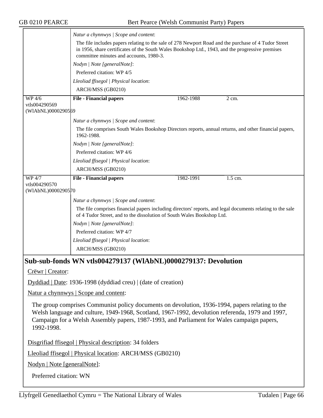|                                     | Natur a chynnwys / Scope and content:                                                                                                                                                                                                                                                             |           |         |
|-------------------------------------|---------------------------------------------------------------------------------------------------------------------------------------------------------------------------------------------------------------------------------------------------------------------------------------------------|-----------|---------|
|                                     | The file includes papers relating to the sale of 278 Newport Road and the purchase of 4 Tudor Street<br>in 1956, share certificates of the South Wales Bookshop Ltd., 1943, and the progressive premises<br>committee minutes and accounts, 1980-3.                                               |           |         |
|                                     | Nodyn   Note [generalNote]:                                                                                                                                                                                                                                                                       |           |         |
|                                     | Preferred citation: WP 4/5                                                                                                                                                                                                                                                                        |           |         |
|                                     | Lleoliad ffisegol   Physical location:                                                                                                                                                                                                                                                            |           |         |
|                                     | ARCH/MSS (GB0210)                                                                                                                                                                                                                                                                                 |           |         |
| WP 4/6                              | <b>File - Financial papers</b>                                                                                                                                                                                                                                                                    | 1962-1988 | 2 cm.   |
| vtls004290569<br>(WIAbNL)0000290569 |                                                                                                                                                                                                                                                                                                   |           |         |
|                                     | Natur a chynnwys / Scope and content:                                                                                                                                                                                                                                                             |           |         |
|                                     | The file comprises South Wales Bookshop Directors reports, annual returns, and other financial papers,<br>1962-1988.                                                                                                                                                                              |           |         |
|                                     | Nodyn   Note [generalNote]:                                                                                                                                                                                                                                                                       |           |         |
|                                     | Preferred citation: WP 4/6                                                                                                                                                                                                                                                                        |           |         |
|                                     | Lleoliad ffisegol   Physical location:                                                                                                                                                                                                                                                            |           |         |
|                                     | ARCH/MSS (GB0210)                                                                                                                                                                                                                                                                                 |           |         |
| WP 4/7                              | <b>File - Financial papers</b>                                                                                                                                                                                                                                                                    | 1982-1991 | 1.5 cm. |
| vtls004290570                       |                                                                                                                                                                                                                                                                                                   |           |         |
| (WIAbNL)0000290570                  |                                                                                                                                                                                                                                                                                                   |           |         |
|                                     | Natur a chynnwys / Scope and content:                                                                                                                                                                                                                                                             |           |         |
|                                     | The file comprises financial papers including directors' reports, and legal documents relating to the sale<br>of 4 Tudor Street, and to the dissolution of South Wales Bookshop Ltd.                                                                                                              |           |         |
|                                     | Nodyn   Note [generalNote]:                                                                                                                                                                                                                                                                       |           |         |
|                                     | Preferred citation: WP 4/7                                                                                                                                                                                                                                                                        |           |         |
|                                     | Lleoliad ffisegol   Physical location:                                                                                                                                                                                                                                                            |           |         |
|                                     | ARCH/MSS (GB0210)                                                                                                                                                                                                                                                                                 |           |         |
|                                     | Sub-sub-fonds WN vtls004279137 (WIAbNL)0000279137: Devolution                                                                                                                                                                                                                                     |           |         |
| Crëwr   Creator:                    |                                                                                                                                                                                                                                                                                                   |           |         |
|                                     | Dyddiad   Date: 1936-1998 (dyddiad creu)   (date of creation)                                                                                                                                                                                                                                     |           |         |
|                                     | Natur a chynnwys   Scope and content:                                                                                                                                                                                                                                                             |           |         |
|                                     | The group comprises Communist policy documents on devolution, 1936-1994, papers relating to the<br>Welsh language and culture, 1949-1968, Scotland, 1967-1992, devolution referenda, 1979 and 1997,<br>Campaign for a Welsh Assembly papers, 1987-1993, and Parliament for Wales campaign papers, |           |         |

1992-1998.

Disgrifiad ffisegol | Physical description: 34 folders

Lleoliad ffisegol | Physical location: ARCH/MSS (GB0210)

Nodyn | Note [generalNote]:

Preferred citation: WN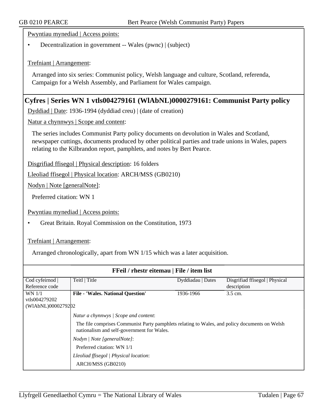Pwyntiau mynediad | Access points:

• Decentralization in government -- Wales (pwnc) | (subject)

Trefniant | Arrangement:

Arranged into six series: Communist policy, Welsh language and culture, Scotland, referenda, Campaign for a Welsh Assembly, and Parliament for Wales campaign.

### **Cyfres | Series WN 1 vtls004279161 (WlAbNL)0000279161: Communist Party policy**

Dyddiad | Date: 1936-1994 (dyddiad creu) | (date of creation)

Natur a chynnwys | Scope and content:

The series includes Communist Party policy documents on devolution in Wales and Scotland, newspaper cuttings, documents produced by other political parties and trade unions in Wales, papers relating to the Kilbrandon report, pamphlets, and notes by Bert Pearce.

Disgrifiad ffisegol | Physical description: 16 folders

Lleoliad ffisegol | Physical location: ARCH/MSS (GB0210)

Nodyn | Note [generalNote]:

Preferred citation: WN 1

Pwyntiau mynediad | Access points:

• Great Britain. Royal Commission on the Constitution, 1973

Trefniant | Arrangement:

Arranged chronologically, apart from WN 1/15 which was a later acquisition.

| <b>FFeil</b> / rhestr eitemau   File / item list |                                                                                                                                             |                   |                                |  |
|--------------------------------------------------|---------------------------------------------------------------------------------------------------------------------------------------------|-------------------|--------------------------------|--|
| Cod cyfeirnod                                    | Teitl   Title                                                                                                                               | Dyddiadau   Dates | Disgrifiad ffisegol   Physical |  |
| Reference code                                   |                                                                                                                                             |                   | description                    |  |
| WN 1/1                                           | <b>File - 'Wales. National Question'</b>                                                                                                    | 1936-1966         | 3.5 cm.                        |  |
| vtls004279202                                    |                                                                                                                                             |                   |                                |  |
| (WIAbNL)0000279202                               |                                                                                                                                             |                   |                                |  |
|                                                  | Natur a chynnwys / Scope and content:                                                                                                       |                   |                                |  |
|                                                  | The file comprises Communist Party pamphlets relating to Wales, and policy documents on Welsh<br>nationalism and self-government for Wales. |                   |                                |  |
|                                                  | Nodyn / Note [generalNote]:                                                                                                                 |                   |                                |  |
|                                                  | Preferred citation: WN 1/1                                                                                                                  |                   |                                |  |
|                                                  | Lleoliad ffisegol   Physical location:                                                                                                      |                   |                                |  |
|                                                  | ARCH/MSS (GB0210)                                                                                                                           |                   |                                |  |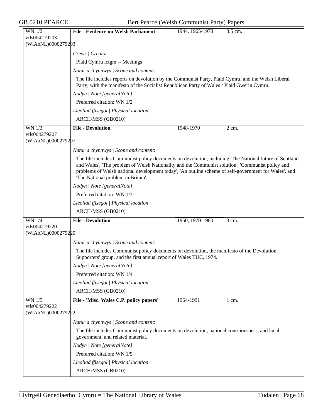GB 0210 PEARCE Bert Pearce (Welsh Communist Party) Papers

| <b>WN 1/2</b>      | <b>File - Evidence on Welsh Parliament</b><br>1944, 1965-1978<br>3.5 cm.                                                                                                                                                                                                                                                                                |
|--------------------|---------------------------------------------------------------------------------------------------------------------------------------------------------------------------------------------------------------------------------------------------------------------------------------------------------------------------------------------------------|
| vtls004279203      |                                                                                                                                                                                                                                                                                                                                                         |
| (WIAbNL)0000279203 |                                                                                                                                                                                                                                                                                                                                                         |
|                    | Crëwr   Creator:                                                                                                                                                                                                                                                                                                                                        |
|                    | Plaid Cymru lctgm -- Meetings                                                                                                                                                                                                                                                                                                                           |
|                    | Natur a chynnwys / Scope and content:                                                                                                                                                                                                                                                                                                                   |
|                    | The file includes reports on devolution by the Communist Party, Plaid Cymru, and the Welsh Liberal<br>Party, with the manifesto of the Socialist Republican Party of Wales / Plaid Gwerin Cymru.                                                                                                                                                        |
|                    | Nodyn   Note [generalNote]:                                                                                                                                                                                                                                                                                                                             |
|                    | Preferred citation: WN 1/2                                                                                                                                                                                                                                                                                                                              |
|                    | Lleoliad ffisegol   Physical location:                                                                                                                                                                                                                                                                                                                  |
|                    | ARCH/MSS (GB0210)                                                                                                                                                                                                                                                                                                                                       |
| WN 1/3             | <b>File - Devolution</b><br>1948-1970<br>2 cm.                                                                                                                                                                                                                                                                                                          |
| vtls004279207      |                                                                                                                                                                                                                                                                                                                                                         |
| (WIAbNL)0000279207 |                                                                                                                                                                                                                                                                                                                                                         |
|                    | Natur a chynnwys / Scope and content:                                                                                                                                                                                                                                                                                                                   |
|                    | The file includes Communist policy documents on devolution, including The National future of Scotland<br>and Wales', 'The problem of Welsh Nationality and the Communist solution', 'Communist policy and<br>problems of Welsh national development today', 'An outline scheme of self-government for Wales', and<br>'The National problem in Britain'. |
|                    | Nodyn   Note [generalNote]:                                                                                                                                                                                                                                                                                                                             |
|                    | Preferred citation: WN 1/3                                                                                                                                                                                                                                                                                                                              |
|                    | Lleoliad ffisegol   Physical location:                                                                                                                                                                                                                                                                                                                  |
|                    | ARCH/MSS (GB0210)                                                                                                                                                                                                                                                                                                                                       |
| WN 1/4             | <b>File - Devolution</b><br>1950, 1970-1980<br>3 cm.                                                                                                                                                                                                                                                                                                    |
| vtls004279220      |                                                                                                                                                                                                                                                                                                                                                         |
| (WIAbNL)0000279220 |                                                                                                                                                                                                                                                                                                                                                         |
|                    | Natur a chynnwys / Scope and content:                                                                                                                                                                                                                                                                                                                   |
|                    | The file includes Communist policy documents on devolution, the manifesto of the Devolution<br>Supporters' group, and the first annual report of Wales TUC, 1974.                                                                                                                                                                                       |
|                    | Nodyn   Note [generalNote]:                                                                                                                                                                                                                                                                                                                             |
|                    | Preferred citation: WN 1/4                                                                                                                                                                                                                                                                                                                              |
|                    | Lleoliad ffisegol   Physical location:                                                                                                                                                                                                                                                                                                                  |
|                    | ARCH/MSS (GB0210)                                                                                                                                                                                                                                                                                                                                       |
| $WN$ $1/5$         | File - 'Misc. Wales C.P. policy papers'<br>1964-1991<br>$1 \text{ cm}$ .                                                                                                                                                                                                                                                                                |
| vtls004279222      |                                                                                                                                                                                                                                                                                                                                                         |
| (WIAbNL)0000279222 |                                                                                                                                                                                                                                                                                                                                                         |
|                    | Natur a chynnwys / Scope and content:                                                                                                                                                                                                                                                                                                                   |
|                    | The file includes Communist policy documents on devolution, national consciousness, and local<br>government, and related material.                                                                                                                                                                                                                      |
|                    | Nodyn   Note [generalNote]:                                                                                                                                                                                                                                                                                                                             |
|                    | Preferred citation: WN 1/5                                                                                                                                                                                                                                                                                                                              |
|                    | Lleoliad ffisegol   Physical location:                                                                                                                                                                                                                                                                                                                  |
|                    | ARCH/MSS (GB0210)                                                                                                                                                                                                                                                                                                                                       |
|                    |                                                                                                                                                                                                                                                                                                                                                         |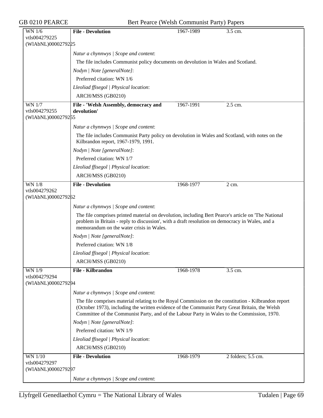| WN 1/6                              | <b>File - Devolution</b>                                                                                                                                                                                                                                                                              | 1967-1989 | 3.5 cm.            |
|-------------------------------------|-------------------------------------------------------------------------------------------------------------------------------------------------------------------------------------------------------------------------------------------------------------------------------------------------------|-----------|--------------------|
| vtls004279225                       |                                                                                                                                                                                                                                                                                                       |           |                    |
| (WIAbNL)0000279225                  |                                                                                                                                                                                                                                                                                                       |           |                    |
|                                     | Natur a chynnwys / Scope and content:                                                                                                                                                                                                                                                                 |           |                    |
|                                     | The file includes Communist policy documents on devolution in Wales and Scotland.                                                                                                                                                                                                                     |           |                    |
|                                     | Nodyn   Note [generalNote]:                                                                                                                                                                                                                                                                           |           |                    |
|                                     | Preferred citation: WN 1/6                                                                                                                                                                                                                                                                            |           |                    |
|                                     | Lleoliad ffisegol   Physical location:                                                                                                                                                                                                                                                                |           |                    |
|                                     | ARCH/MSS (GB0210)                                                                                                                                                                                                                                                                                     |           |                    |
| <b>WN 1/7</b>                       | File - 'Welsh Assembly, democracy and                                                                                                                                                                                                                                                                 | 1967-1991 | 2.5 cm.            |
| vtls004279255                       | devolution'                                                                                                                                                                                                                                                                                           |           |                    |
| (WIAbNL)0000279255                  |                                                                                                                                                                                                                                                                                                       |           |                    |
|                                     | Natur a chynnwys / Scope and content:                                                                                                                                                                                                                                                                 |           |                    |
|                                     | The file includes Communist Party policy on devolution in Wales and Scotland, with notes on the<br>Kilbrandon report, 1967-1979, 1991.                                                                                                                                                                |           |                    |
|                                     | Nodyn   Note [generalNote]:                                                                                                                                                                                                                                                                           |           |                    |
|                                     | Preferred citation: WN 1/7                                                                                                                                                                                                                                                                            |           |                    |
|                                     | Lleoliad ffisegol   Physical location:                                                                                                                                                                                                                                                                |           |                    |
|                                     | ARCH/MSS (GB0210)                                                                                                                                                                                                                                                                                     |           |                    |
| $WN$ $1/8$                          | <b>File - Devolution</b>                                                                                                                                                                                                                                                                              | 1968-1977 | $\overline{2}$ cm. |
| vtls004279262<br>(WIAbNL)0000279262 |                                                                                                                                                                                                                                                                                                       |           |                    |
|                                     | Natur a chynnwys / Scope and content:                                                                                                                                                                                                                                                                 |           |                    |
|                                     | The file comprises printed material on devolution, including Bert Pearce's article on 'The National<br>problem in Britain - reply to discussion', with a draft resolution on democracy in Wales, and a<br>memorandum on the water crisis in Wales.                                                    |           |                    |
|                                     | Nodyn   Note [generalNote]:                                                                                                                                                                                                                                                                           |           |                    |
|                                     | Preferred citation: WN 1/8                                                                                                                                                                                                                                                                            |           |                    |
|                                     | Lleoliad ffisegol   Physical location:                                                                                                                                                                                                                                                                |           |                    |
|                                     | ARCH/MSS (GB0210)                                                                                                                                                                                                                                                                                     |           |                    |
| WN 1/9                              | <b>File - Kilbrandon</b>                                                                                                                                                                                                                                                                              | 1968-1978 | 3.5 cm.            |
| vtls004279294                       |                                                                                                                                                                                                                                                                                                       |           |                    |
|                                     |                                                                                                                                                                                                                                                                                                       |           |                    |
|                                     |                                                                                                                                                                                                                                                                                                       |           |                    |
| (WIAbNL)0000279294                  | Natur a chynnwys / Scope and content:                                                                                                                                                                                                                                                                 |           |                    |
|                                     | The file comprises material relating to the Royal Commission on the constitution - Kilbrandon report<br>(October 1973), including the written evidence of the Communist Party Great Britain, the Welsh<br>Committee of the Communist Party, and of the Labour Party in Wales to the Commission, 1970. |           |                    |
|                                     | Nodyn   Note [generalNote]:                                                                                                                                                                                                                                                                           |           |                    |
|                                     | Preferred citation: WN 1/9                                                                                                                                                                                                                                                                            |           |                    |
|                                     | Lleoliad ffisegol   Physical location:                                                                                                                                                                                                                                                                |           |                    |
|                                     | ARCH/MSS (GB0210)                                                                                                                                                                                                                                                                                     |           |                    |
| WN 1/10                             | <b>File - Devolution</b>                                                                                                                                                                                                                                                                              | 1968-1979 | 2 folders; 5.5 cm. |
| vtls004279297<br>(WIAbNL)0000279297 |                                                                                                                                                                                                                                                                                                       |           |                    |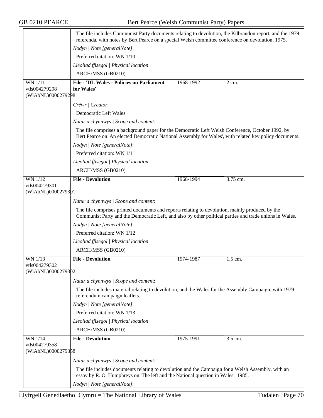|                                     | The file includes Communist Party documents relating to devolution, the Kilbrandon report, and the 1979<br>referenda, with notes by Bert Pearce on a special Welsh committee conference on devolution, 1975. |           |                      |  |
|-------------------------------------|--------------------------------------------------------------------------------------------------------------------------------------------------------------------------------------------------------------|-----------|----------------------|--|
|                                     | Nodyn   Note [generalNote]:                                                                                                                                                                                  |           |                      |  |
|                                     | Preferred citation: WN 1/10                                                                                                                                                                                  |           |                      |  |
|                                     | Lleoliad ffisegol   Physical location:                                                                                                                                                                       |           |                      |  |
|                                     | ARCH/MSS (GB0210)                                                                                                                                                                                            |           |                      |  |
| WN 1/11                             | <b>File - 'DL Wales - Policies on Parliament</b>                                                                                                                                                             | 1968-1992 | 2 cm.                |  |
| vtls004279298                       | for Wales'                                                                                                                                                                                                   |           |                      |  |
| (WIAbNL)0000279298                  |                                                                                                                                                                                                              |           |                      |  |
|                                     | Crëwr   Creator:                                                                                                                                                                                             |           |                      |  |
|                                     | Democratic Left Wales                                                                                                                                                                                        |           |                      |  |
|                                     | Natur a chynnwys / Scope and content:                                                                                                                                                                        |           |                      |  |
|                                     | The file comprises a background paper for the Democratic Left Welsh Conference, October 1992, by<br>Bert Pearce on 'An elected Democratic National Assembly for Wales', with related key policy documents.   |           |                      |  |
|                                     | Nodyn   Note [generalNote]:                                                                                                                                                                                  |           |                      |  |
|                                     | Preferred citation: WN 1/11                                                                                                                                                                                  |           |                      |  |
|                                     | Lleoliad ffisegol   Physical location:                                                                                                                                                                       |           |                      |  |
|                                     | ARCH/MSS (GB0210)                                                                                                                                                                                            |           |                      |  |
| <b>WN 1/12</b>                      | <b>File - Devolution</b>                                                                                                                                                                                     | 1968-1994 | 3.75 cm.             |  |
| vtls004279301<br>(WIAbNL)0000279301 |                                                                                                                                                                                                              |           |                      |  |
|                                     | Natur a chynnwys / Scope and content:                                                                                                                                                                        |           |                      |  |
|                                     | The file comprises printed documents and reports relating to devolution, mainly produced by the<br>Communist Party and the Democratic Left, and also by other political parties and trade unions in Wales.   |           |                      |  |
|                                     | Nodyn   Note [generalNote]:                                                                                                                                                                                  |           |                      |  |
|                                     | Preferred citation: WN 1/12                                                                                                                                                                                  |           |                      |  |
|                                     | Lleoliad ffisegol   Physical location:                                                                                                                                                                       |           |                      |  |
|                                     | ARCH/MSS (GB0210)                                                                                                                                                                                            |           |                      |  |
| WN 1/13                             | <b>File - Devolution</b>                                                                                                                                                                                     | 1974-1987 | $\overline{1.5}$ cm. |  |
| vtls004279302                       |                                                                                                                                                                                                              |           |                      |  |
| (WIAbNL)0000279302                  |                                                                                                                                                                                                              |           |                      |  |
|                                     | Natur a chynnwys / Scope and content:                                                                                                                                                                        |           |                      |  |
|                                     | The file includes material relating to devolution, and the Wales for the Assembly Campaign, with 1979<br>referendum campaign leaflets.                                                                       |           |                      |  |
|                                     | Nodyn   Note [generalNote]:                                                                                                                                                                                  |           |                      |  |
|                                     | Preferred citation: WN 1/13                                                                                                                                                                                  |           |                      |  |
|                                     | Lleoliad ffisegol   Physical location:                                                                                                                                                                       |           |                      |  |
|                                     | ARCH/MSS (GB0210)                                                                                                                                                                                            |           |                      |  |
| WN 1/14                             | <b>File - Devolution</b>                                                                                                                                                                                     | 1975-1991 | 3.5 cm.              |  |
| vtls004279358                       |                                                                                                                                                                                                              |           |                      |  |
| (WIAbNL)0000279358                  |                                                                                                                                                                                                              |           |                      |  |
|                                     | Natur a chynnwys / Scope and content:                                                                                                                                                                        |           |                      |  |
|                                     | The file includes documents relating to devolution and the Campaign for a Welsh Assembly, with an<br>essay by R. O. Humphreys on 'The left and the National question in Wales', 1985.                        |           |                      |  |
|                                     | Nodyn   Note [generalNote]:                                                                                                                                                                                  |           |                      |  |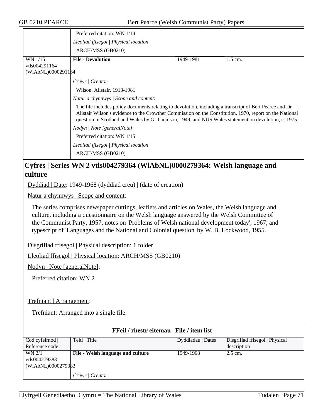|                                                                           | Preferred citation: WN 1/14                                                                                                                                                                                                                                                                                               |           |           |  |
|---------------------------------------------------------------------------|---------------------------------------------------------------------------------------------------------------------------------------------------------------------------------------------------------------------------------------------------------------------------------------------------------------------------|-----------|-----------|--|
|                                                                           | Lleoliad ffisegol   Physical location:                                                                                                                                                                                                                                                                                    |           |           |  |
|                                                                           | ARCH/MSS (GB0210)                                                                                                                                                                                                                                                                                                         |           |           |  |
| WN 1/15<br>vtls004291164<br>(WIAbNL)0000291164                            | <b>File - Devolution</b>                                                                                                                                                                                                                                                                                                  | 1949-1981 | $1.5$ cm. |  |
|                                                                           | Crëwr   Creator:                                                                                                                                                                                                                                                                                                          |           |           |  |
|                                                                           | Wilson, Alistair, 1913-1981                                                                                                                                                                                                                                                                                               |           |           |  |
|                                                                           | Natur a chynnwys / Scope and content:                                                                                                                                                                                                                                                                                     |           |           |  |
|                                                                           | The file includes policy documents relating to devolution, including a transcript of Bert Pearce and Dr<br>Alistair Wilson's evidence to the Crowther Commission on the Constitution, 1970, report on the National<br>question in Scotland and Wales by G. Thomson, 1949, and NUS Wales statement on devolution, c. 1975. |           |           |  |
|                                                                           | Nodyn   Note [generalNote]:                                                                                                                                                                                                                                                                                               |           |           |  |
|                                                                           | Preferred citation: WN 1/15                                                                                                                                                                                                                                                                                               |           |           |  |
|                                                                           | Lleoliad ffisegol   Physical location:                                                                                                                                                                                                                                                                                    |           |           |  |
|                                                                           | ARCH/MSS (GB0210)                                                                                                                                                                                                                                                                                                         |           |           |  |
| Cyfres   Series WN 2 vtls004279364 (WlAbNL)0000279364: Welsh language and |                                                                                                                                                                                                                                                                                                                           |           |           |  |
| culture                                                                   |                                                                                                                                                                                                                                                                                                                           |           |           |  |
| Dyddiad   Date: 1949-1968 (dyddiad creu)   (date of creation)             |                                                                                                                                                                                                                                                                                                                           |           |           |  |
| Natur a chynnwys   Scope and content:                                     |                                                                                                                                                                                                                                                                                                                           |           |           |  |

The series comprises newspaper cuttings, leaflets and articles on Wales, the Welsh language and culture, including a questionnaire on the Welsh language answered by the Welsh Committee of the Communist Party, 1957, notes on 'Problems of Welsh national development today', 1967, and typescript of 'Languages and the National and Colonial question' by W. B. Lockwood, 1955.

Disgrifiad ffisegol | Physical description: 1 folder

Lleoliad ffisegol | Physical location: ARCH/MSS (GB0210)

Nodyn | Note [generalNote]:

Preferred citation: WN 2

Trefniant | Arrangement:

Trefniant: Arranged into a single file.

| <b>FFeil</b> / rhestr eitemau   File / item list |                                   |                   |                                |  |  |
|--------------------------------------------------|-----------------------------------|-------------------|--------------------------------|--|--|
| Cod cyfeirnod                                    | Teitl   Title                     | Dyddiadau   Dates | Disgrifiad ffisegol   Physical |  |  |
| Reference code                                   |                                   |                   | description                    |  |  |
| WN 2/1                                           | File - Welsh language and culture | 1949-1968         | $2.5$ cm.                      |  |  |
| vtls004279383                                    |                                   |                   |                                |  |  |
| (WIAbNL)0000279383                               |                                   |                   |                                |  |  |
|                                                  | Crëwr / Creator:                  |                   |                                |  |  |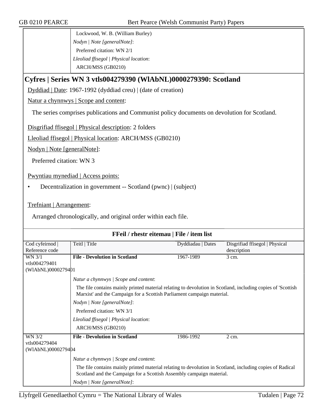Lockwood, W. B. (William Burley) *Nodyn | Note [generalNote]*: Preferred citation: WN 2/1 *Lleoliad ffisegol | Physical location*: ARCH/MSS (GB0210)

## **Cyfres | Series WN 3 vtls004279390 (WlAbNL)0000279390: Scotland**

Dyddiad | Date: 1967-1992 (dyddiad creu) | (date of creation)

Natur a chynnwys | Scope and content:

The series comprises publications and Communist policy documents on devolution for Scotland.

Disgrifiad ffisegol | Physical description: 2 folders

Lleoliad ffisegol | Physical location: ARCH/MSS (GB0210)

Nodyn | Note [generalNote]:

Preferred citation: WN 3

Pwyntiau mynediad | Access points:

• Decentralization in government -- Scotland (pwnc) | (subject)

Trefniant | Arrangement:

Arranged chronologically, and original order within each file.

| FFeil / rhestr eitemau   File / item list |                                                                                                                                                                                       |                   |                                |  |  |  |
|-------------------------------------------|---------------------------------------------------------------------------------------------------------------------------------------------------------------------------------------|-------------------|--------------------------------|--|--|--|
| Cod cyfeirnod                             | Teitl   Title                                                                                                                                                                         | Dyddiadau   Dates | Disgrifiad ffisegol   Physical |  |  |  |
| Reference code                            |                                                                                                                                                                                       |                   | description                    |  |  |  |
| WN 3/1                                    | <b>File - Devolution in Scotland</b>                                                                                                                                                  | 1967-1989         | $3 \text{ cm}$ .               |  |  |  |
| vtls004279401                             |                                                                                                                                                                                       |                   |                                |  |  |  |
| (WIAbNL)0000279401                        |                                                                                                                                                                                       |                   |                                |  |  |  |
|                                           | Natur a chynnwys / Scope and content:                                                                                                                                                 |                   |                                |  |  |  |
|                                           | The file contains mainly printed material relating to devolution in Scotland, including copies of 'Scottish<br>Marxist' and the Campaign for a Scottish Parliament campaign material. |                   |                                |  |  |  |
|                                           | Nodyn   Note [generalNote]:                                                                                                                                                           |                   |                                |  |  |  |
|                                           | Preferred citation: WN 3/1                                                                                                                                                            |                   |                                |  |  |  |
|                                           | Lleoliad ffisegol   Physical location:                                                                                                                                                |                   |                                |  |  |  |
|                                           | ARCH/MSS (GB0210)                                                                                                                                                                     |                   |                                |  |  |  |
| <b>WN 3/2</b>                             | <b>File - Devolution in Scotland</b>                                                                                                                                                  | 1986-1992         | 2 cm.                          |  |  |  |
| vtls004279404                             |                                                                                                                                                                                       |                   |                                |  |  |  |
| (WIAbNL)0000279404                        |                                                                                                                                                                                       |                   |                                |  |  |  |
|                                           | Natur a chynnwys / Scope and content:                                                                                                                                                 |                   |                                |  |  |  |
|                                           | The file contains mainly printed material relating to devolution in Scotland, including copies of Radical<br>Scotland and the Campaign for a Scottish Assembly campaign material.     |                   |                                |  |  |  |
|                                           | Nodyn   Note [generalNote]:                                                                                                                                                           |                   |                                |  |  |  |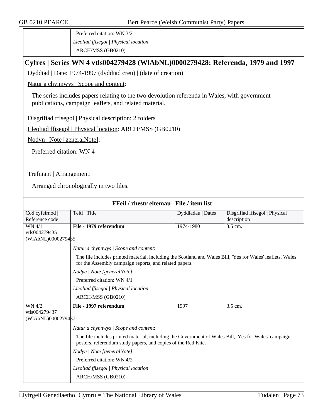Preferred citation: WN 3/2 *Lleoliad ffisegol | Physical location*: ARCH/MSS (GB0210)

## **Cyfres | Series WN 4 vtls004279428 (WlAbNL)0000279428: Referenda, 1979 and 1997**

Dyddiad | Date: 1974-1997 (dyddiad creu) | (date of creation)

Natur a chynnwys | Scope and content:

The series includes papers relating to the two devolution referenda in Wales, with government publications, campaign leaflets, and related material.

Disgrifiad ffisegol | Physical description: 2 folders

Lleoliad ffisegol | Physical location: ARCH/MSS (GB0210)

Nodyn | Note [generalNote]:

Preferred citation: WN 4

Trefniant | Arrangement:

Arranged chronologically in two files.

| FFeil / rhestr eitemau   File / item list |                                                                                                                                                                       |                   |                                |  |  |
|-------------------------------------------|-----------------------------------------------------------------------------------------------------------------------------------------------------------------------|-------------------|--------------------------------|--|--|
| Cod cyfeirnod                             | Teitl   Title                                                                                                                                                         | Dyddiadau   Dates | Disgrifiad ffisegol   Physical |  |  |
| Reference code                            |                                                                                                                                                                       |                   | description                    |  |  |
| WN 4/1                                    | File - 1979 referendum                                                                                                                                                | 1974-1980         | 3.5 cm.                        |  |  |
| vtls004279435                             |                                                                                                                                                                       |                   |                                |  |  |
| (WIAbNL)0000279485                        |                                                                                                                                                                       |                   |                                |  |  |
|                                           | Natur a chynnwys / Scope and content:                                                                                                                                 |                   |                                |  |  |
|                                           | The file includes printed material, including the Scotland and Wales Bill, 'Yes for Wales' leaflets, Wales<br>for the Assembly campaign reports, and related papers.  |                   |                                |  |  |
|                                           | Nodyn   Note [generalNote]:                                                                                                                                           |                   |                                |  |  |
|                                           | Preferred citation: WN 4/1                                                                                                                                            |                   |                                |  |  |
|                                           | Lleoliad ffisegol   Physical location:                                                                                                                                |                   |                                |  |  |
|                                           | ARCH/MSS (GB0210)                                                                                                                                                     |                   |                                |  |  |
| WN 4/2                                    | File - 1997 referendum                                                                                                                                                | 1997              | 3.5 cm.                        |  |  |
| vtls004279437                             |                                                                                                                                                                       |                   |                                |  |  |
| (WIAbNL)0000279487                        |                                                                                                                                                                       |                   |                                |  |  |
|                                           | Natur a chynnwys / Scope and content:                                                                                                                                 |                   |                                |  |  |
|                                           | The file includes printed material, including the Government of Wales Bill, 'Yes for Wales' campaign<br>posters, referendum study papers, and copies of the Red Kite. |                   |                                |  |  |
|                                           | Nodyn   Note [generalNote]:                                                                                                                                           |                   |                                |  |  |
|                                           | Preferred citation: WN 4/2                                                                                                                                            |                   |                                |  |  |
|                                           | Lleoliad ffisegol   Physical location:                                                                                                                                |                   |                                |  |  |
|                                           | ARCH/MSS (GB0210)                                                                                                                                                     |                   |                                |  |  |
|                                           |                                                                                                                                                                       |                   |                                |  |  |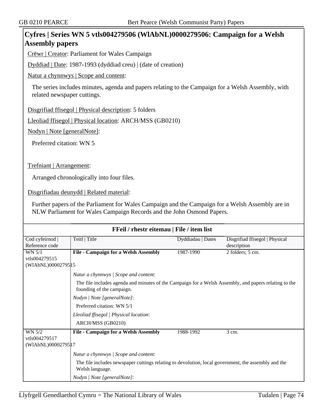# **Cyfres | Series WN 5 vtls004279506 (WlAbNL)0000279506: Campaign for a Welsh Assembly papers**

Crëwr | Creator: Parliament for Wales Campaign

Dyddiad | Date: 1987-1993 (dyddiad creu) | (date of creation)

Natur a chynnwys | Scope and content:

The series includes minutes, agenda and papers relating to the Campaign for a Welsh Assembly, with related newspaper cuttings.

Disgrifiad ffisegol | Physical description: 5 folders

Lleoliad ffisegol | Physical location: ARCH/MSS (GB0210)

Nodyn | Note [generalNote]:

Preferred citation: WN 5

Trefniant | Arrangement:

Arranged chronologically into four files.

Disgrifiadau deunydd | Related material:

Further papers of the Parliament for Wales Campaign and the Campaign for a Welsh Assembly are in NLW Parliament for Wales Campaign Records and the John Osmond Papers.

| FFeil / rhestr eitemau   File / item list            |                                                                                                                                                                                                |                   |                                               |  |  |
|------------------------------------------------------|------------------------------------------------------------------------------------------------------------------------------------------------------------------------------------------------|-------------------|-----------------------------------------------|--|--|
| Cod cyfeirnod  <br>Reference code                    | Teitl   Title                                                                                                                                                                                  | Dyddiadau   Dates | Disgrifiad ffisegol   Physical<br>description |  |  |
| WN 5/1<br>vtls004279515<br>(WIAbNL)00002795 15       | <b>File - Campaign for a Welsh Assembly</b>                                                                                                                                                    | 1987-1990         | 2 folders; 5 cm.                              |  |  |
|                                                      | Natur a chynnwys / Scope and content:<br>The file includes agenda and minutes of the Campaign for a Welsh Assembly, and papers relating to the<br>founding of the campaign.                    |                   |                                               |  |  |
|                                                      | Nodyn   Note [generalNote]:<br>Preferred citation: WN 5/1<br>Lleoliad ffisegol   Physical location:<br>ARCH/MSS (GB0210)                                                                       |                   |                                               |  |  |
| <b>WN 5/2</b><br>vtls004279517<br>(WIAbNL)0000279517 | <b>File - Campaign for a Welsh Assembly</b>                                                                                                                                                    | 1988-1992         | 3 cm.                                         |  |  |
|                                                      | Natur a chynnwys / Scope and content:<br>The file includes newspaper cuttings relating to devolution, local government, the assembly and the<br>Welsh language.<br>Nodyn   Note [generalNote]: |                   |                                               |  |  |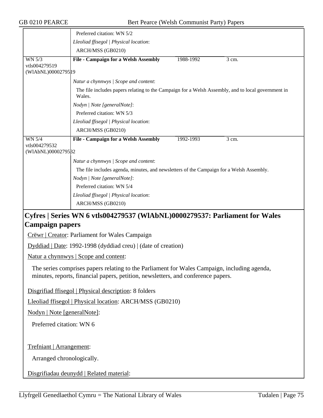|                                     | Preferred citation: WN 5/2                                                                                                                                                        |           |       |  |  |  |
|-------------------------------------|-----------------------------------------------------------------------------------------------------------------------------------------------------------------------------------|-----------|-------|--|--|--|
|                                     | Lleoliad ffisegol   Physical location:                                                                                                                                            |           |       |  |  |  |
|                                     | ARCH/MSS (GB0210)                                                                                                                                                                 |           |       |  |  |  |
| WN 5/3                              | <b>File - Campaign for a Welsh Assembly</b>                                                                                                                                       | 1988-1992 | 3 cm. |  |  |  |
| vtls004279519                       |                                                                                                                                                                                   |           |       |  |  |  |
| (WIAbNL)00002795 19                 |                                                                                                                                                                                   |           |       |  |  |  |
|                                     | Natur a chynnwys / Scope and content:                                                                                                                                             |           |       |  |  |  |
|                                     | The file includes papers relating to the Campaign for a Welsh Assembly, and to local government in<br>Wales.                                                                      |           |       |  |  |  |
|                                     | Nodyn   Note [generalNote]:                                                                                                                                                       |           |       |  |  |  |
|                                     | Preferred citation: WN 5/3                                                                                                                                                        |           |       |  |  |  |
|                                     | Lleoliad ffisegol   Physical location:                                                                                                                                            |           |       |  |  |  |
|                                     | ARCH/MSS (GB0210)                                                                                                                                                                 |           |       |  |  |  |
| <b>WN 5/4</b>                       | <b>File - Campaign for a Welsh Assembly</b>                                                                                                                                       | 1992-1993 | 3 cm. |  |  |  |
| vtls004279532<br>(WIAbNL)0000279532 |                                                                                                                                                                                   |           |       |  |  |  |
|                                     | Natur a chynnwys / Scope and content:                                                                                                                                             |           |       |  |  |  |
|                                     | The file includes agenda, minutes, and newsletters of the Campaign for a Welsh Assembly.                                                                                          |           |       |  |  |  |
|                                     | Nodyn   Note [generalNote]:                                                                                                                                                       |           |       |  |  |  |
|                                     | Preferred citation: WN 5/4                                                                                                                                                        |           |       |  |  |  |
|                                     | Lleoliad ffisegol   Physical location:                                                                                                                                            |           |       |  |  |  |
|                                     | ARCH/MSS (GB0210)                                                                                                                                                                 |           |       |  |  |  |
|                                     | Cyfres   Series WN 6 vtls004279537 (WlAbNL)0000279537: Parliament for Wales                                                                                                       |           |       |  |  |  |
| <b>Campaign papers</b>              |                                                                                                                                                                                   |           |       |  |  |  |
|                                     | Crëwr   Creator: Parliament for Wales Campaign                                                                                                                                    |           |       |  |  |  |
|                                     | Dyddiad   Date: 1992-1998 (dyddiad creu)   (date of creation)                                                                                                                     |           |       |  |  |  |
|                                     | Natur a chynnwys   Scope and content:                                                                                                                                             |           |       |  |  |  |
|                                     | The series comprises papers relating to the Parliament for Wales Campaign, including agenda,<br>minutes, reports, financial papers, petition, newsletters, and conference papers. |           |       |  |  |  |
|                                     | Disgrifiad ffisegol   Physical description: 8 folders                                                                                                                             |           |       |  |  |  |
|                                     | Lleoliad ffisegol   Physical location: ARCH/MSS (GB0210)                                                                                                                          |           |       |  |  |  |
|                                     | Nodyn   Note [generalNote]:                                                                                                                                                       |           |       |  |  |  |
| Preferred citation: WN 6            |                                                                                                                                                                                   |           |       |  |  |  |
|                                     | Trefniant   Arrangement:                                                                                                                                                          |           |       |  |  |  |
| Arranged chronologically.           |                                                                                                                                                                                   |           |       |  |  |  |
|                                     | Disgrifiadau deunydd   Related material:                                                                                                                                          |           |       |  |  |  |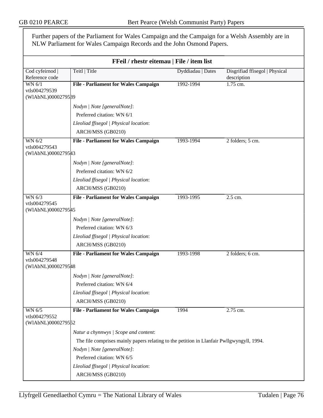Further papers of the Parliament for Wales Campaign and the Campaign for a Welsh Assembly are in NLW Parliament for Wales Campaign Records and the John Osmond Papers.

| FFeil / rhestr eitemau   File / item list     |                                                                                           |                   |                                               |  |
|-----------------------------------------------|-------------------------------------------------------------------------------------------|-------------------|-----------------------------------------------|--|
| Cod cyfeirnod<br>Reference code               | Teitl   Title                                                                             | Dyddiadau   Dates | Disgrifiad ffisegol   Physical<br>description |  |
| WN 6/1<br>vtls004279539<br>(WIAbNL)0000279589 | <b>File - Parliament for Wales Campaign</b>                                               | 1992-1994         | $1.75$ cm.                                    |  |
|                                               | Nodyn   Note [generalNote]:                                                               |                   |                                               |  |
|                                               | Preferred citation: WN 6/1                                                                |                   |                                               |  |
|                                               | Lleoliad ffisegol   Physical location:                                                    |                   |                                               |  |
|                                               | ARCH/MSS (GB0210)                                                                         |                   |                                               |  |
| WN 6/2                                        | <b>File - Parliament for Wales Campaign</b>                                               | 1993-1994         | 2 folders; 5 cm.                              |  |
| vtls004279543<br>(WIAbNL)0000279543           |                                                                                           |                   |                                               |  |
|                                               | Nodyn   Note [generalNote]:                                                               |                   |                                               |  |
|                                               | Preferred citation: WN 6/2                                                                |                   |                                               |  |
|                                               | Lleoliad ffisegol   Physical location:                                                    |                   |                                               |  |
|                                               | ARCH/MSS (GB0210)                                                                         |                   |                                               |  |
| WN 6/3                                        | <b>File - Parliament for Wales Campaign</b>                                               | 1993-1995         | 2.5 cm.                                       |  |
| vtls004279545<br>(WIAbNL)0000279545           |                                                                                           |                   |                                               |  |
|                                               | Nodyn   Note [generalNote]:                                                               |                   |                                               |  |
|                                               | Preferred citation: WN 6/3                                                                |                   |                                               |  |
|                                               | Lleoliad ffisegol   Physical location:                                                    |                   |                                               |  |
|                                               | ARCH/MSS (GB0210)                                                                         |                   |                                               |  |
| WN 6/4                                        | <b>File - Parliament for Wales Campaign</b>                                               | 1993-1998         | 2 folders; 6 cm.                              |  |
| vtls004279548<br>(WIAbNL)00002795#8           |                                                                                           |                   |                                               |  |
|                                               | Nodyn   Note [generalNote]:                                                               |                   |                                               |  |
|                                               | Preferred citation: WN 6/4                                                                |                   |                                               |  |
|                                               | Lleoliad ffisegol   Physical location:                                                    |                   |                                               |  |
|                                               | ARCH/MSS (GB0210)                                                                         |                   |                                               |  |
| WN 6/5                                        | <b>File - Parliament for Wales Campaign</b>                                               | 1994              | 2.75 cm.                                      |  |
| vtls004279552<br>(WIAbNL)0000279552           |                                                                                           |                   |                                               |  |
|                                               | Natur a chynnwys / Scope and content:                                                     |                   |                                               |  |
|                                               | The file comprises mainly papers relating to the petition in Llanfair Pwllgwyngyll, 1994. |                   |                                               |  |
|                                               | Nodyn   Note [generalNote]:                                                               |                   |                                               |  |
|                                               | Preferred citation: WN 6/5                                                                |                   |                                               |  |
|                                               | Lleoliad ffisegol   Physical location:                                                    |                   |                                               |  |
|                                               | ARCH/MSS (GB0210)                                                                         |                   |                                               |  |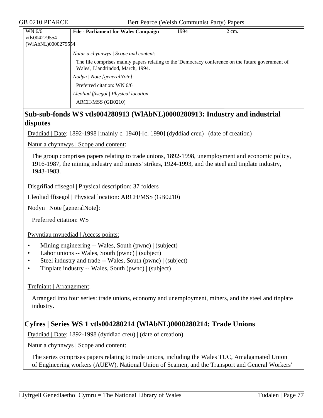| WN 6/6             | <b>File - Parliament for Wales Campaign</b>                                                                                             | 1994 | $2 \text{ cm}$ . |
|--------------------|-----------------------------------------------------------------------------------------------------------------------------------------|------|------------------|
| vtls004279554      |                                                                                                                                         |      |                  |
| (WIAbNL)0000279554 |                                                                                                                                         |      |                  |
|                    | Natur a chynnwys / Scope and content:                                                                                                   |      |                  |
|                    | The file comprises mainly papers relating to the 'Democracy conference on the future government of<br>Wales', Llandrindod, March, 1994. |      |                  |
|                    | Nodyn   Note [generalNote]:                                                                                                             |      |                  |
|                    | Preferred citation: WN 6/6                                                                                                              |      |                  |
|                    | Lleoliad ffisegol   Physical location:                                                                                                  |      |                  |
|                    | ARCH/MSS (GB0210)                                                                                                                       |      |                  |

## **Sub-sub-fonds WS vtls004280913 (WlAbNL)0000280913: Industry and industrial disputes**

Dyddiad | Date: 1892-1998 [mainly c. 1940]-[c. 1990] (dyddiad creu) | (date of creation)

Natur a chynnwys | Scope and content:

The group comprises papers relating to trade unions, 1892-1998, unemployment and economic policy, 1916-1987, the mining industry and miners' strikes, 1924-1993, and the steel and tinplate industry, 1943-1983.

Disgrifiad ffisegol | Physical description: 37 folders

Lleoliad ffisegol | Physical location: ARCH/MSS (GB0210)

Nodyn | Note [generalNote]:

Preferred citation: WS

Pwyntiau mynediad | Access points:

- Mining engineering -- Wales, South (pwnc) | (subject)
- Labor unions -- Wales, South (pwnc) | (subject)
- Steel industry and trade -- Wales, South (pwnc) | (subject)
- Tinplate industry -- Wales, South (pwnc) | (subject)

### Trefniant | Arrangement:

Arranged into four series: trade unions, economy and unemployment, miners, and the steel and tinplate industry.

## **Cyfres | Series WS 1 vtls004280214 (WlAbNL)0000280214: Trade Unions**

Dyddiad | Date: 1892-1998 (dyddiad creu) | (date of creation)

Natur a chynnwys | Scope and content:

The series comprises papers relating to trade unions, including the Wales TUC, Amalgamated Union of Engineering workers (AUEW), National Union of Seamen, and the Transport and General Workers'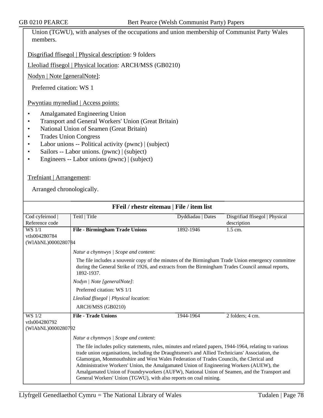Union (TGWU), with analyses of the occupations and union membership of Communist Party Wales members.

Disgrifiad ffisegol | Physical description: 9 folders

Lleoliad ffisegol | Physical location: ARCH/MSS (GB0210)

Nodyn | Note [generalNote]:

Preferred citation: WS 1

Pwyntiau mynediad | Access points:

- Amalgamated Engineering Union
- Transport and General Workers' Union (Great Britain)
- National Union of Seamen (Great Britain)
- Trades Union Congress
- Labor unions -- Political activity (pwnc) | (subject)
- Sailors -- Labor unions. (pwnc) | (subject)
- Engineers -- Labor unions (pwnc) | (subject)

Trefniant | Arrangement:

| FFeil / rhestr eitemau   File / item list |                                                                                                                                                                                                                                                                                                                                                                                                                                                                                                                                                                    |                   |                                |  |  |
|-------------------------------------------|--------------------------------------------------------------------------------------------------------------------------------------------------------------------------------------------------------------------------------------------------------------------------------------------------------------------------------------------------------------------------------------------------------------------------------------------------------------------------------------------------------------------------------------------------------------------|-------------------|--------------------------------|--|--|
| Cod cyfeirnod                             | Teitl   Title                                                                                                                                                                                                                                                                                                                                                                                                                                                                                                                                                      | Dyddiadau   Dates | Disgrifiad ffisegol   Physical |  |  |
| Reference code                            |                                                                                                                                                                                                                                                                                                                                                                                                                                                                                                                                                                    |                   | description                    |  |  |
| WS 1/1                                    | <b>File - Birmingham Trade Unions</b>                                                                                                                                                                                                                                                                                                                                                                                                                                                                                                                              | 1892-1946         | 1.5 cm.                        |  |  |
| vtls004280784                             |                                                                                                                                                                                                                                                                                                                                                                                                                                                                                                                                                                    |                   |                                |  |  |
| (WIAbNL)0000280784                        |                                                                                                                                                                                                                                                                                                                                                                                                                                                                                                                                                                    |                   |                                |  |  |
|                                           | Natur a chynnwys / Scope and content:                                                                                                                                                                                                                                                                                                                                                                                                                                                                                                                              |                   |                                |  |  |
|                                           | The file includes a souvenir copy of the minutes of the Birmingham Trade Union emergency committee<br>during the General Strike of 1926, and extracts from the Birmingham Trades Council annual reports,<br>1892-1937.                                                                                                                                                                                                                                                                                                                                             |                   |                                |  |  |
|                                           | Nodyn   Note [generalNote]:                                                                                                                                                                                                                                                                                                                                                                                                                                                                                                                                        |                   |                                |  |  |
|                                           | Preferred citation: WS 1/1                                                                                                                                                                                                                                                                                                                                                                                                                                                                                                                                         |                   |                                |  |  |
|                                           | Lleoliad ffisegol   Physical location:                                                                                                                                                                                                                                                                                                                                                                                                                                                                                                                             |                   |                                |  |  |
|                                           | ARCH/MSS (GB0210)                                                                                                                                                                                                                                                                                                                                                                                                                                                                                                                                                  |                   |                                |  |  |
| $\overline{\text{WS }1/2}$                | <b>File - Trade Unions</b>                                                                                                                                                                                                                                                                                                                                                                                                                                                                                                                                         | 1944-1964         | 2 folders; 4 cm.               |  |  |
| vtls004280792                             |                                                                                                                                                                                                                                                                                                                                                                                                                                                                                                                                                                    |                   |                                |  |  |
| (WIAbNL)0000280792                        |                                                                                                                                                                                                                                                                                                                                                                                                                                                                                                                                                                    |                   |                                |  |  |
|                                           | Natur a chynnwys / Scope and content:                                                                                                                                                                                                                                                                                                                                                                                                                                                                                                                              |                   |                                |  |  |
|                                           | The file includes policy statements, rules, minutes and related papers, 1944-1964, relating to various<br>trade union organisations, including the Draughtsmen's and Allied Technicians' Association, the<br>Glamorgan, Monmouthshire and West Wales Federation of Trades Councils, the Clerical and<br>Administrative Workers' Union, the Amalgamated Union of Engineering Workers (AUEW), the<br>Amalgamated Union of Foundryworkers (AUFW), National Union of Seamen, and the Transport and<br>General Workers' Union (TGWU), with also reports on coal mining. |                   |                                |  |  |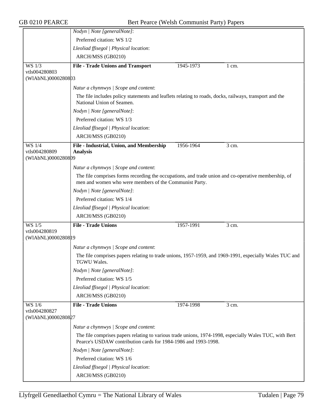|                                     | Nodyn   Note [generalNote]:                                                                                                                                              |           |         |
|-------------------------------------|--------------------------------------------------------------------------------------------------------------------------------------------------------------------------|-----------|---------|
|                                     | Preferred citation: WS 1/2                                                                                                                                               |           |         |
|                                     | Lleoliad ffisegol   Physical location:                                                                                                                                   |           |         |
|                                     | ARCH/MSS (GB0210)                                                                                                                                                        |           |         |
| WS 1/3                              | <b>File - Trade Unions and Transport</b>                                                                                                                                 | 1945-1973 | 1 cm.   |
| vtls004280803                       |                                                                                                                                                                          |           |         |
| (WIAbNL)0000280803                  |                                                                                                                                                                          |           |         |
|                                     | Natur a chynnwys / Scope and content:                                                                                                                                    |           |         |
|                                     | The file includes policy statements and leaflets relating to roads, docks, railways, transport and the<br>National Union of Seamen.                                      |           |         |
|                                     | Nodyn   Note [generalNote]:                                                                                                                                              |           |         |
|                                     | Preferred citation: WS 1/3                                                                                                                                               |           |         |
|                                     | Lleoliad ffisegol   Physical location:                                                                                                                                   |           |         |
|                                     | ARCH/MSS (GB0210)                                                                                                                                                        |           |         |
| WS 1/4<br>vtls004280809             | File - Industrial, Union, and Membership<br><b>Analysis</b>                                                                                                              | 1956-1964 | 3 cm.   |
| (WIAbNL)0000280809                  |                                                                                                                                                                          |           |         |
|                                     | Natur a chynnwys / Scope and content:                                                                                                                                    |           |         |
|                                     | The file comprises forms recording the occupations, and trade union and co-operative membership, of<br>men and women who were members of the Communist Party.            |           |         |
|                                     | Nodyn   Note [generalNote]:                                                                                                                                              |           |         |
|                                     | Preferred citation: WS 1/4                                                                                                                                               |           |         |
|                                     | Lleoliad ffisegol   Physical location:                                                                                                                                   |           |         |
|                                     | ARCH/MSS (GB0210)                                                                                                                                                        |           |         |
| WS 1/5                              | <b>File - Trade Unions</b>                                                                                                                                               | 1957-1991 | 3 cm.   |
| vtls004280819<br>(WIAbNL)0000280819 |                                                                                                                                                                          |           |         |
|                                     | Natur a chynnwys / Scope and content:                                                                                                                                    |           |         |
|                                     | The file comprises papers relating to trade unions, 1957-1959, and 1969-1991, especially Wales TUC and<br><b>TGWU Wales.</b>                                             |           |         |
|                                     | Nodyn   Note [generalNote]:                                                                                                                                              |           |         |
|                                     | Preferred citation: WS 1/5                                                                                                                                               |           |         |
|                                     | Lleoliad ffisegol   Physical location:                                                                                                                                   |           |         |
|                                     | ARCH/MSS (GB0210)                                                                                                                                                        |           |         |
| <b>WS</b> 1/6                       | <b>File - Trade Unions</b>                                                                                                                                               | 1974-1998 | $3$ cm. |
| vtls004280827<br>(WIAbNL)0000280827 |                                                                                                                                                                          |           |         |
|                                     | Natur a chynnwys / Scope and content:                                                                                                                                    |           |         |
|                                     | The file comprises papers relating to various trade unions, 1974-1998, especially Wales TUC, with Bert<br>Pearce's USDAW contribution cards for 1984-1986 and 1993-1998. |           |         |
|                                     | Nodyn   Note [generalNote]:                                                                                                                                              |           |         |
|                                     | Preferred citation: WS 1/6                                                                                                                                               |           |         |
|                                     | Lleoliad ffisegol   Physical location:                                                                                                                                   |           |         |
|                                     | ARCH/MSS (GB0210)                                                                                                                                                        |           |         |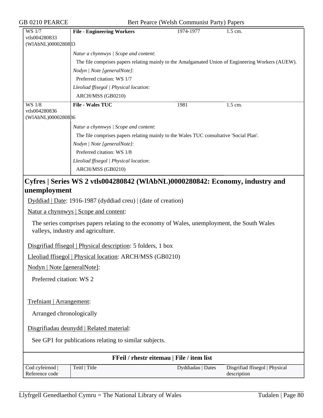| GB 0210 PEARCE                      |                                                                                                                                   | Bert Pearce (Welsh Communist Party) Papers |                                                                                                   |
|-------------------------------------|-----------------------------------------------------------------------------------------------------------------------------------|--------------------------------------------|---------------------------------------------------------------------------------------------------|
| <b>WS 1/7</b>                       | <b>File - Engineering Workers</b>                                                                                                 | 1974-1977                                  | 1.5 cm.                                                                                           |
| vtls004280833<br>(WIAbNL)000028083  |                                                                                                                                   |                                            |                                                                                                   |
|                                     |                                                                                                                                   |                                            |                                                                                                   |
|                                     | Natur a chynnwys / Scope and content:                                                                                             |                                            |                                                                                                   |
|                                     |                                                                                                                                   |                                            | The file comprises papers relating mainly to the Amalgamated Union of Engineering Workers (AUEW). |
|                                     | Nodyn   Note [generalNote]:                                                                                                       |                                            |                                                                                                   |
|                                     | Preferred citation: WS 1/7                                                                                                        |                                            |                                                                                                   |
|                                     | Lleoliad ffisegol   Physical location:                                                                                            |                                            |                                                                                                   |
|                                     | ARCH/MSS (GB0210)                                                                                                                 |                                            |                                                                                                   |
| <b>WS 1/8</b>                       | <b>File - Wales TUC</b>                                                                                                           | 1981                                       | $\overline{1.5}$ cm.                                                                              |
| vtls004280836<br>(WIAbNL)0000280886 |                                                                                                                                   |                                            |                                                                                                   |
|                                     | Natur a chynnwys / Scope and content:                                                                                             |                                            |                                                                                                   |
|                                     | The file comprises papers relating mainly to the Wales TUC consultative 'Social Plan'.                                            |                                            |                                                                                                   |
|                                     |                                                                                                                                   |                                            |                                                                                                   |
|                                     | Nodyn   Note [generalNote]:<br>Preferred citation: WS 1/8                                                                         |                                            |                                                                                                   |
|                                     |                                                                                                                                   |                                            |                                                                                                   |
|                                     | Lleoliad ffisegol   Physical location:                                                                                            |                                            |                                                                                                   |
|                                     | ARCH/MSS (GB0210)                                                                                                                 |                                            |                                                                                                   |
|                                     | Cyfres   Series WS 2 vtls004280842 (WIAbNL)0000280842: Economy, industry and                                                      |                                            |                                                                                                   |
| unemployment                        |                                                                                                                                   |                                            |                                                                                                   |
|                                     | Dyddiad   Date: 1916-1987 (dyddiad creu)   (date of creation)                                                                     |                                            |                                                                                                   |
|                                     | Natur a chynnwys   Scope and content:                                                                                             |                                            |                                                                                                   |
|                                     | The series comprises papers relating to the economy of Wales, unemployment, the South Wales<br>valleys, industry and agriculture. |                                            |                                                                                                   |
|                                     | Disgrifiad ffisegol   Physical description: 5 folders, 1 box                                                                      |                                            |                                                                                                   |
|                                     | Lleoliad ffisegol   Physical location: ARCH/MSS (GB0210)                                                                          |                                            |                                                                                                   |
|                                     | Nodyn   Note [generalNote]:                                                                                                       |                                            |                                                                                                   |
| Preferred citation: WS 2            |                                                                                                                                   |                                            |                                                                                                   |
| Trefniant   Arrangement:            |                                                                                                                                   |                                            |                                                                                                   |
|                                     |                                                                                                                                   |                                            |                                                                                                   |
|                                     | Arranged chronologically                                                                                                          |                                            |                                                                                                   |
|                                     | Disgrifiadau deunydd   Related material:                                                                                          |                                            |                                                                                                   |
|                                     | See GP1 for publications relating to similar subjects.                                                                            |                                            |                                                                                                   |
|                                     |                                                                                                                                   | FFeil / rhestr eitemau   File / item list  |                                                                                                   |
| Cod cyfeirnod  <br>Reference code   | Teitl   Title                                                                                                                     | Dyddiadau   Dates                          | Disgrifiad ffisegol   Physical<br>description                                                     |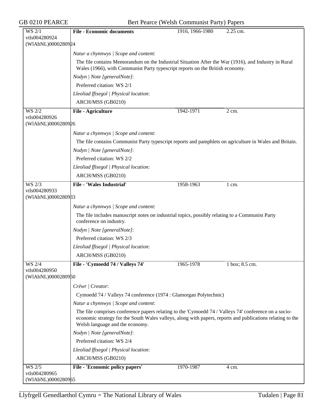GB 0210 PEARCE Bert Pearce (Welsh Communist Party) Papers

| WS 2/1                              | <b>File - Economic documents</b>                                                                                                                                                                                                                       | 1916, 1966-1980 | 2.25 cm.           |  |
|-------------------------------------|--------------------------------------------------------------------------------------------------------------------------------------------------------------------------------------------------------------------------------------------------------|-----------------|--------------------|--|
| vtls004280924                       |                                                                                                                                                                                                                                                        |                 |                    |  |
| (WIAbNL)0000280924                  |                                                                                                                                                                                                                                                        |                 |                    |  |
|                                     | Natur a chynnwys / Scope and content:                                                                                                                                                                                                                  |                 |                    |  |
|                                     | The file contains Memorandum on the Industrial Situation After the War (1916), and Industry in Rural<br>Wales (1966), with Communist Party typescript reports on the British economy.                                                                  |                 |                    |  |
|                                     | Nodyn   Note [generalNote]:                                                                                                                                                                                                                            |                 |                    |  |
|                                     | Preferred citation: WS 2/1                                                                                                                                                                                                                             |                 |                    |  |
|                                     | Lleoliad ffisegol   Physical location:                                                                                                                                                                                                                 |                 |                    |  |
|                                     | ARCH/MSS (GB0210)                                                                                                                                                                                                                                      |                 |                    |  |
| WS 2/2                              | File - Agriculture                                                                                                                                                                                                                                     | 1942-1971       | $\overline{2}$ cm. |  |
| vtls004280926<br>(WIAbNL)0000280926 |                                                                                                                                                                                                                                                        |                 |                    |  |
|                                     |                                                                                                                                                                                                                                                        |                 |                    |  |
|                                     | Natur a chynnwys / Scope and content:                                                                                                                                                                                                                  |                 |                    |  |
|                                     | The file contains Communist Party typescript reports and pamphlets on agriculture in Wales and Britain.                                                                                                                                                |                 |                    |  |
|                                     | Nodyn   Note [generalNote]:                                                                                                                                                                                                                            |                 |                    |  |
|                                     | Preferred citation: WS 2/2                                                                                                                                                                                                                             |                 |                    |  |
|                                     | Lleoliad ffisegol   Physical location:                                                                                                                                                                                                                 |                 |                    |  |
|                                     | ARCH/MSS (GB0210)                                                                                                                                                                                                                                      |                 |                    |  |
| WS 2/3                              | <b>File - 'Wales Industrial'</b>                                                                                                                                                                                                                       | 1958-1963       | 1 cm.              |  |
| vtls004280933<br>(WIAbNL)0000280933 |                                                                                                                                                                                                                                                        |                 |                    |  |
|                                     |                                                                                                                                                                                                                                                        |                 |                    |  |
|                                     | Natur a chynnwys / Scope and content:                                                                                                                                                                                                                  |                 |                    |  |
|                                     | The file includes manuscript notes on industrial topics, possibly relating to a Communist Party<br>conference on industry.                                                                                                                             |                 |                    |  |
|                                     | Nodyn   Note [generalNote]:                                                                                                                                                                                                                            |                 |                    |  |
|                                     | Preferred citation: WS 2/3                                                                                                                                                                                                                             |                 |                    |  |
|                                     | Lleoliad ffisegol   Physical location:                                                                                                                                                                                                                 |                 |                    |  |
|                                     | ARCH/MSS (GB0210)                                                                                                                                                                                                                                      |                 |                    |  |
| WS 2/4                              | File - 'Cymoedd 74 / Valleys 74'                                                                                                                                                                                                                       | 1965-1978       | 1 box; 8.5 cm.     |  |
| vtls004280950                       |                                                                                                                                                                                                                                                        |                 |                    |  |
| (WIAbNL)0000280950                  |                                                                                                                                                                                                                                                        |                 |                    |  |
|                                     | Crëwr   Creator:                                                                                                                                                                                                                                       |                 |                    |  |
|                                     | Cymoedd 74 / Valleys 74 conference (1974 : Glamorgan Polytechnic)                                                                                                                                                                                      |                 |                    |  |
|                                     | Natur a chynnwys / Scope and content:                                                                                                                                                                                                                  |                 |                    |  |
|                                     | The file comprises conference papers relating to the 'Cymoedd 74 / Valleys 74' conference on a socio-<br>economic strategy for the South Wales valleys, along with papers, reports and publications relating to the<br>Welsh language and the economy. |                 |                    |  |
|                                     | Nodyn   Note [generalNote]:                                                                                                                                                                                                                            |                 |                    |  |
|                                     | Preferred citation: WS 2/4                                                                                                                                                                                                                             |                 |                    |  |
|                                     | Lleoliad ffisegol   Physical location:                                                                                                                                                                                                                 |                 |                    |  |
|                                     | ARCH/MSS (GB0210)                                                                                                                                                                                                                                      |                 |                    |  |
| <b>WS 2/5</b>                       | File - 'Economic policy papers'                                                                                                                                                                                                                        | 1970-1987       | 4 cm.              |  |
| vtls004280965                       |                                                                                                                                                                                                                                                        |                 |                    |  |
| (WIAbNL)0000280965                  |                                                                                                                                                                                                                                                        |                 |                    |  |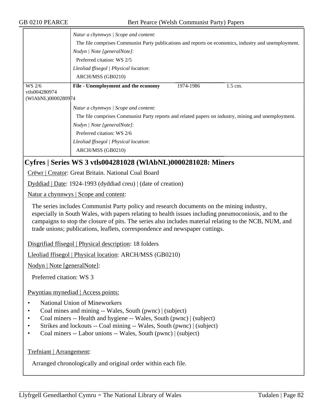|                                               | Natur a chynnwys / Scope and content:<br>The file comprises Communist Party publications and reports on economics, industry and unemployment.<br>Nodyn   Note [generalNote]:<br>Preferred citation: WS 2/5<br>Lleoliad ffisegol   Physical location:<br>ARCH/MSS (GB0210) |           |           |
|-----------------------------------------------|---------------------------------------------------------------------------------------------------------------------------------------------------------------------------------------------------------------------------------------------------------------------------|-----------|-----------|
| WS 2/6<br>vtls004280974<br>(WIAbNL)0000280974 | File - Unemployment and the economy                                                                                                                                                                                                                                       | 1974-1986 | $1.5$ cm. |
|                                               | Natur a chynnwys   Scope and content:<br>The file comprises Communist Party reports and related papers on industry, mining and unemployment.<br>Nodyn   Note [generalNote]:<br>Preferred citation: WS 2/6<br>Lleoliad ffisegol   Physical location:<br>ARCH/MSS (GB0210)  |           |           |

# **Cyfres | Series WS 3 vtls004281028 (WlAbNL)0000281028: Miners**

Crëwr | Creator: Great Britain. National Coal Board

Dyddiad | Date: 1924-1993 (dyddiad creu) | (date of creation)

Natur a chynnwys | Scope and content:

The series includes Communist Party policy and research documents on the mining industry, especially in South Wales, with papers relating to health issues including pneumoconiosis, and to the campaigns to stop the closure of pits. The series also includes material relating to the NCB, NUM, and trade unions; publications, leaflets, correspondence and newspaper cuttings.

Disgrifiad ffisegol | Physical description: 18 folders

Lleoliad ffisegol | Physical location: ARCH/MSS (GB0210)

Nodyn | Note [generalNote]:

Preferred citation: WS 3

Pwyntiau mynediad | Access points:

- National Union of Mineworkers
- Coal mines and mining -- Wales, South (pwnc) | (subject)
- Coal miners -- Health and hygiene -- Wales, South (pwnc) | (subject)
- Strikes and lockouts -- Coal mining -- Wales, South (pwnc) | (subject)
- Coal miners -- Labor unions -- Wales, South (pwnc) | (subject)

Trefniant | Arrangement:

Arranged chronologically and original order within each file.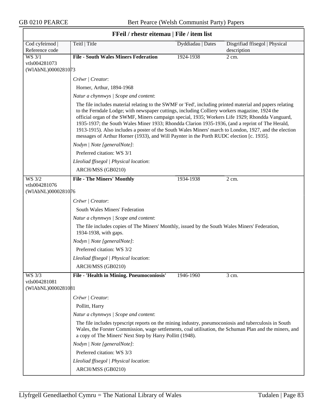| FFeil / rhestr eitemau   File / item list |                                                                                                                                                                                                                                                                                                                                                                                                                                                                                                                                                                                                                      |                   |                                |  |  |
|-------------------------------------------|----------------------------------------------------------------------------------------------------------------------------------------------------------------------------------------------------------------------------------------------------------------------------------------------------------------------------------------------------------------------------------------------------------------------------------------------------------------------------------------------------------------------------------------------------------------------------------------------------------------------|-------------------|--------------------------------|--|--|
| Cod cyfeirnod                             | Teitl   Title                                                                                                                                                                                                                                                                                                                                                                                                                                                                                                                                                                                                        | Dyddiadau   Dates | Disgrifiad ffisegol   Physical |  |  |
| Reference code                            |                                                                                                                                                                                                                                                                                                                                                                                                                                                                                                                                                                                                                      |                   | description                    |  |  |
| <b>WS 3/1</b><br>vtls004281073            | <b>File - South Wales Miners Federation</b>                                                                                                                                                                                                                                                                                                                                                                                                                                                                                                                                                                          | 1924-1938         | 2 cm.                          |  |  |
| (WIAbNL)0000281073                        |                                                                                                                                                                                                                                                                                                                                                                                                                                                                                                                                                                                                                      |                   |                                |  |  |
|                                           | Crëwr   Creator:                                                                                                                                                                                                                                                                                                                                                                                                                                                                                                                                                                                                     |                   |                                |  |  |
|                                           | Horner, Arthur, 1894-1968                                                                                                                                                                                                                                                                                                                                                                                                                                                                                                                                                                                            |                   |                                |  |  |
|                                           | Natur a chynnwys / Scope and content:                                                                                                                                                                                                                                                                                                                                                                                                                                                                                                                                                                                |                   |                                |  |  |
|                                           | The file includes material relating to the SWMF or 'Fed', including printed material and papers relating<br>to the Ferndale Lodge; with newspaper cuttings, including Colliery workers magazine, 1924 the<br>official organ of the SWMF, Miners campaign special, 1935; Workers Life 1929; Rhondda Vanguard,<br>1935-1937; the South Wales Miner 1933; Rhondda Clarion 1935-1936, (and a reprint of The Herald,<br>1913-1915). Also includes a poster of the South Wales Miners' march to London, 1927, and the election<br>messages of Arthur Horner (1933), and Will Paynter in the Porth RUDC election [c. 1935]. |                   |                                |  |  |
|                                           | Nodyn   Note [generalNote]:                                                                                                                                                                                                                                                                                                                                                                                                                                                                                                                                                                                          |                   |                                |  |  |
|                                           | Preferred citation: WS 3/1                                                                                                                                                                                                                                                                                                                                                                                                                                                                                                                                                                                           |                   |                                |  |  |
|                                           | Lleoliad ffisegol   Physical location:                                                                                                                                                                                                                                                                                                                                                                                                                                                                                                                                                                               |                   |                                |  |  |
|                                           | ARCH/MSS (GB0210)                                                                                                                                                                                                                                                                                                                                                                                                                                                                                                                                                                                                    |                   |                                |  |  |
| WS 3/2                                    | <b>File - The Miners' Monthly</b>                                                                                                                                                                                                                                                                                                                                                                                                                                                                                                                                                                                    | 1934-1938         | 2 cm.                          |  |  |
| vtls004281076<br>(WIAbNL)0000281076       |                                                                                                                                                                                                                                                                                                                                                                                                                                                                                                                                                                                                                      |                   |                                |  |  |
|                                           | Crëwr   Creator:                                                                                                                                                                                                                                                                                                                                                                                                                                                                                                                                                                                                     |                   |                                |  |  |
|                                           | South Wales Miners' Federation                                                                                                                                                                                                                                                                                                                                                                                                                                                                                                                                                                                       |                   |                                |  |  |
|                                           | Natur a chynnwys / Scope and content:                                                                                                                                                                                                                                                                                                                                                                                                                                                                                                                                                                                |                   |                                |  |  |
|                                           | The file includes copies of The Miners' Monthly, issued by the South Wales Miners' Federation,                                                                                                                                                                                                                                                                                                                                                                                                                                                                                                                       |                   |                                |  |  |
|                                           | 1934-1938, with gaps.                                                                                                                                                                                                                                                                                                                                                                                                                                                                                                                                                                                                |                   |                                |  |  |
|                                           | Nodyn   Note [generalNote]:                                                                                                                                                                                                                                                                                                                                                                                                                                                                                                                                                                                          |                   |                                |  |  |
|                                           | Preferred citation: WS 3/2                                                                                                                                                                                                                                                                                                                                                                                                                                                                                                                                                                                           |                   |                                |  |  |
|                                           | Lleoliad ffisegol   Physical location:                                                                                                                                                                                                                                                                                                                                                                                                                                                                                                                                                                               |                   |                                |  |  |
|                                           | ARCH/MSS (GB0210)                                                                                                                                                                                                                                                                                                                                                                                                                                                                                                                                                                                                    |                   |                                |  |  |
| WS 3/3<br>vtls004281081                   | File - 'Health in Mining. Pneumoconiosis'                                                                                                                                                                                                                                                                                                                                                                                                                                                                                                                                                                            | 1946-1960         | 3 cm.                          |  |  |
| (WIAbNL)0000281081                        |                                                                                                                                                                                                                                                                                                                                                                                                                                                                                                                                                                                                                      |                   |                                |  |  |
|                                           | Crëwr   Creator:                                                                                                                                                                                                                                                                                                                                                                                                                                                                                                                                                                                                     |                   |                                |  |  |
|                                           | Pollitt, Harry                                                                                                                                                                                                                                                                                                                                                                                                                                                                                                                                                                                                       |                   |                                |  |  |
|                                           | Natur a chynnwys / Scope and content:                                                                                                                                                                                                                                                                                                                                                                                                                                                                                                                                                                                |                   |                                |  |  |
|                                           | The file includes typescript reports on the mining industry, pneumoconiosis and tuberculosis in South<br>Wales, the Forster Commission, wage settlements, coal utilisation, the Schuman Plan and the miners, and<br>a copy of The Miners' Next Step by Harry Pollitt (1948).                                                                                                                                                                                                                                                                                                                                         |                   |                                |  |  |
|                                           | Nodyn   Note [generalNote]:                                                                                                                                                                                                                                                                                                                                                                                                                                                                                                                                                                                          |                   |                                |  |  |
|                                           | Preferred citation: WS 3/3                                                                                                                                                                                                                                                                                                                                                                                                                                                                                                                                                                                           |                   |                                |  |  |
|                                           | Lleoliad ffisegol   Physical location:                                                                                                                                                                                                                                                                                                                                                                                                                                                                                                                                                                               |                   |                                |  |  |
|                                           | ARCH/MSS (GB0210)                                                                                                                                                                                                                                                                                                                                                                                                                                                                                                                                                                                                    |                   |                                |  |  |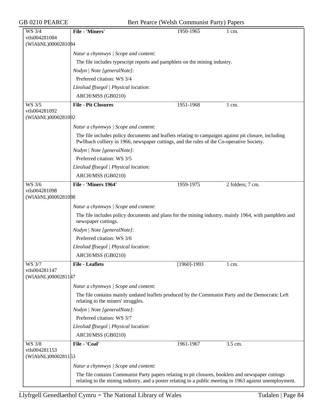| <b>GB 0210 PEARCE</b>                                |                                                                                                                                                                                                                | Bert Pearce (Welsh Communist Party) Papers |                  |  |
|------------------------------------------------------|----------------------------------------------------------------------------------------------------------------------------------------------------------------------------------------------------------------|--------------------------------------------|------------------|--|
| WS 3/4<br>vtls004281084                              | <b>File - 'Miners'</b>                                                                                                                                                                                         | 1950-1965                                  | 1 cm.            |  |
| (WIAbNL)0000281084                                   |                                                                                                                                                                                                                |                                            |                  |  |
|                                                      | Natur a chynnwys / Scope and content:                                                                                                                                                                          |                                            |                  |  |
|                                                      | The file includes typescript reports and pamphlets on the mining industry.                                                                                                                                     |                                            |                  |  |
|                                                      | Nodyn   Note [generalNote]:                                                                                                                                                                                    |                                            |                  |  |
|                                                      | Preferred citation: WS 3/4                                                                                                                                                                                     |                                            |                  |  |
|                                                      | Lleoliad ffisegol   Physical location:                                                                                                                                                                         |                                            |                  |  |
|                                                      | ARCH/MSS (GB0210)                                                                                                                                                                                              |                                            |                  |  |
| <b>WS 3/5</b><br>vtls004281092                       | <b>File - Pit Closures</b>                                                                                                                                                                                     | 1951-1968                                  | $1 \text{ cm}$ . |  |
| (WIAbNL)0000281092                                   |                                                                                                                                                                                                                |                                            |                  |  |
|                                                      | Natur a chynnwys / Scope and content:                                                                                                                                                                          |                                            |                  |  |
|                                                      | The file includes policy documents and leaflets relating to campaigns against pit closure, including<br>Pwllbach colliery in 1966, newspaper cuttings, and the rules of the Co-operative Society.              |                                            |                  |  |
|                                                      | Nodyn   Note [generalNote]:                                                                                                                                                                                    |                                            |                  |  |
|                                                      | Preferred citation: WS 3/5                                                                                                                                                                                     |                                            |                  |  |
|                                                      | Lleoliad ffisegol   Physical location:                                                                                                                                                                         |                                            |                  |  |
|                                                      | ARCH/MSS (GB0210)                                                                                                                                                                                              |                                            |                  |  |
| <b>WS 3/6</b>                                        | File - 'Miners 1964'                                                                                                                                                                                           | 1959-1975                                  | 2 folders; 7 cm. |  |
| vtls004281098<br>(WIAbNL)0000281098                  |                                                                                                                                                                                                                |                                            |                  |  |
|                                                      | Natur a chynnwys / Scope and content:                                                                                                                                                                          |                                            |                  |  |
|                                                      | The file includes policy documents and plans for the mining industry, mainly 1964, with pamphlets and<br>newspaper cuttings.                                                                                   |                                            |                  |  |
|                                                      | Nodyn   Note [generalNote]:                                                                                                                                                                                    |                                            |                  |  |
|                                                      | Preferred citation: WS 3/6                                                                                                                                                                                     |                                            |                  |  |
|                                                      | Lleoliad ffisegol   Physical location:                                                                                                                                                                         |                                            |                  |  |
|                                                      | ARCH/MSS (GB0210)                                                                                                                                                                                              |                                            |                  |  |
| WS 3/7<br>vtls004281147<br>(WIAbNL)00002811#7        | <b>File - Leaflets</b>                                                                                                                                                                                         | $[1960] - 1993$                            | $1 \text{ cm}$ . |  |
|                                                      | Natur a chynnwys / Scope and content:                                                                                                                                                                          |                                            |                  |  |
|                                                      | The file contains mainly undated leaflets produced by the Communist Party and the Democratic Left<br>relating to the miners' struggles.                                                                        |                                            |                  |  |
|                                                      | Nodyn   Note [generalNote]:                                                                                                                                                                                    |                                            |                  |  |
|                                                      | Preferred citation: WS 3/7                                                                                                                                                                                     |                                            |                  |  |
|                                                      | Lleoliad ffisegol   Physical location:                                                                                                                                                                         |                                            |                  |  |
|                                                      | ARCH/MSS (GB0210)                                                                                                                                                                                              |                                            |                  |  |
| <b>WS 3/8</b><br>vtls004281153<br>(WIAbNL)0000281153 | File - 'Coal'                                                                                                                                                                                                  | 1961-1967                                  | 3.5 cm.          |  |
|                                                      |                                                                                                                                                                                                                |                                            |                  |  |
|                                                      | Natur a chynnwys / Scope and content:                                                                                                                                                                          |                                            |                  |  |
|                                                      | The file contains Communist Party papers relating to pit closures, booklets and newspaper cuttings<br>relating to the mining industry, and a poster relating to a public meeting in 1963 against unemployment. |                                            |                  |  |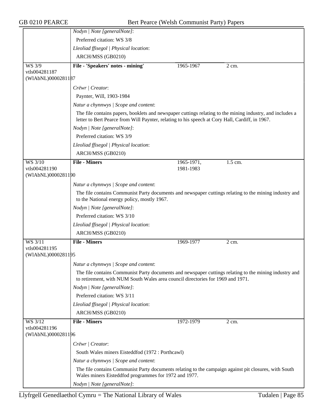|                                     | Nodyn   Note [generalNote]:                                                                                                                                                                                  |            |                  |
|-------------------------------------|--------------------------------------------------------------------------------------------------------------------------------------------------------------------------------------------------------------|------------|------------------|
|                                     | Preferred citation: WS 3/8                                                                                                                                                                                   |            |                  |
|                                     | Lleoliad ffisegol   Physical location:                                                                                                                                                                       |            |                  |
|                                     | ARCH/MSS (GB0210)                                                                                                                                                                                            |            |                  |
| WS 3/9                              | File - 'Speakers' notes - mining'                                                                                                                                                                            | 1965-1967  | 2 cm.            |
| vtls004281187<br>(WIAbNL)0000281187 |                                                                                                                                                                                                              |            |                  |
|                                     | Crëwr   Creator:                                                                                                                                                                                             |            |                  |
|                                     | Paynter, Will, 1903-1984                                                                                                                                                                                     |            |                  |
|                                     | Natur a chynnwys / Scope and content:                                                                                                                                                                        |            |                  |
|                                     | The file contains papers, booklets and newspaper cuttings relating to the mining industry, and includes a<br>letter to Bert Pearce from Will Paynter, relating to his speech at Cory Hall, Cardiff, in 1967. |            |                  |
|                                     | Nodyn   Note [generalNote]:                                                                                                                                                                                  |            |                  |
|                                     | Preferred citation: WS 3/9                                                                                                                                                                                   |            |                  |
|                                     | Lleoliad ffisegol   Physical location:                                                                                                                                                                       |            |                  |
|                                     |                                                                                                                                                                                                              |            |                  |
| <b>WS 3/10</b>                      | ARCH/MSS (GB0210)<br><b>File - Miners</b>                                                                                                                                                                    | 1965-1971, | $1.5$ cm.        |
| vtls004281190<br>(WIAbNL)0000281190 |                                                                                                                                                                                                              | 1981-1983  |                  |
|                                     | Natur a chynnwys / Scope and content:                                                                                                                                                                        |            |                  |
|                                     | The file contains Communist Party documents and newspaper cuttings relating to the mining industry and<br>to the National energy policy, mostly 1967.                                                        |            |                  |
|                                     | Nodyn   Note [generalNote]:                                                                                                                                                                                  |            |                  |
|                                     | Preferred citation: WS 3/10                                                                                                                                                                                  |            |                  |
|                                     | Lleoliad ffisegol   Physical location:                                                                                                                                                                       |            |                  |
|                                     | ARCH/MSS (GB0210)                                                                                                                                                                                            |            |                  |
| WS 3/11                             | <b>File - Miners</b>                                                                                                                                                                                         | 1969-1977  | $2 \text{ cm}$ . |
| vtls004281195<br>(WIAbNL)0000281195 |                                                                                                                                                                                                              |            |                  |
|                                     | Natur a chynnwys / Scope and content:                                                                                                                                                                        |            |                  |
|                                     | The file contains Communist Party documents and newspaper cuttings relating to the mining industry and<br>to retirement, with NUM South Wales area council directories for 1969 and 1971.                    |            |                  |
|                                     | Nodyn   Note [generalNote]:                                                                                                                                                                                  |            |                  |
|                                     | Preferred citation: WS 3/11                                                                                                                                                                                  |            |                  |
|                                     | Lleoliad ffisegol   Physical location:                                                                                                                                                                       |            |                  |
|                                     | ARCH/MSS (GB0210)                                                                                                                                                                                            |            |                  |
| WS 3/12                             | <b>File - Miners</b>                                                                                                                                                                                         | 1972-1979  | 2 cm.            |
| vtls004281196                       |                                                                                                                                                                                                              |            |                  |
| (WIAbNL)0000281196                  |                                                                                                                                                                                                              |            |                  |
|                                     | Crëwr   Creator:                                                                                                                                                                                             |            |                  |
|                                     | South Wales miners Eisteddfod (1972: Porthcawl)                                                                                                                                                              |            |                  |
|                                     | Natur a chynnwys / Scope and content:                                                                                                                                                                        |            |                  |
|                                     | The file contains Communist Party documents relating to the campaign against pit closures, with South<br>Wales miners Eisteddfod programmes for 1972 and 1977.                                               |            |                  |
|                                     | Nodyn   Note [generalNote]:                                                                                                                                                                                  |            |                  |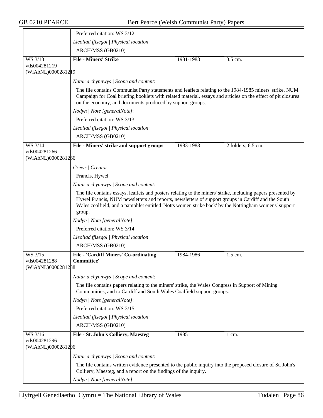|                                                | Preferred citation: WS 3/12                                                                                                                                                                                                                                                                                                          |           |                    |
|------------------------------------------------|--------------------------------------------------------------------------------------------------------------------------------------------------------------------------------------------------------------------------------------------------------------------------------------------------------------------------------------|-----------|--------------------|
|                                                | Lleoliad ffisegol   Physical location:                                                                                                                                                                                                                                                                                               |           |                    |
|                                                | ARCH/MSS (GB0210)                                                                                                                                                                                                                                                                                                                    |           |                    |
| WS 3/13                                        | <b>File - Miners' Strike</b>                                                                                                                                                                                                                                                                                                         | 1981-1988 | 3.5 cm.            |
| vtls004281219<br>(WIAbNL)00002812 19           |                                                                                                                                                                                                                                                                                                                                      |           |                    |
|                                                | Natur a chynnwys / Scope and content:                                                                                                                                                                                                                                                                                                |           |                    |
|                                                | The file contains Communist Party statements and leaflets relating to the 1984-1985 miners' strike, NUM<br>Campaign for Coal briefing booklets with related material, essays and articles on the effect of pit closures<br>on the economy, and documents produced by support groups.                                                 |           |                    |
|                                                | Nodyn   Note [generalNote]:                                                                                                                                                                                                                                                                                                          |           |                    |
|                                                | Preferred citation: WS 3/13                                                                                                                                                                                                                                                                                                          |           |                    |
|                                                | Lleoliad ffisegol   Physical location:                                                                                                                                                                                                                                                                                               |           |                    |
|                                                | ARCH/MSS (GB0210)                                                                                                                                                                                                                                                                                                                    |           |                    |
| WS 3/14<br>vtls004281266                       | File - Miners' strike and support groups                                                                                                                                                                                                                                                                                             | 1983-1988 | 2 folders; 6.5 cm. |
| (WIAbNL)0000281266                             |                                                                                                                                                                                                                                                                                                                                      |           |                    |
|                                                | Crëwr   Creator:                                                                                                                                                                                                                                                                                                                     |           |                    |
|                                                | Francis, Hywel                                                                                                                                                                                                                                                                                                                       |           |                    |
|                                                | Natur a chynnwys / Scope and content:                                                                                                                                                                                                                                                                                                |           |                    |
|                                                | The file contains essays, leaflets and posters relating to the miners' strike, including papers presented by<br>Hywel Francis, NUM newsletters and reports, newsletters of support groups in Cardiff and the South<br>Wales coalfield, and a pamphlet entitled 'Notts women strike back' by the Nottingham womens' support<br>group. |           |                    |
|                                                | Nodyn   Note [generalNote]:                                                                                                                                                                                                                                                                                                          |           |                    |
|                                                | Preferred citation: WS 3/14                                                                                                                                                                                                                                                                                                          |           |                    |
|                                                | Lleoliad ffisegol   Physical location:                                                                                                                                                                                                                                                                                               |           |                    |
|                                                | ARCH/MSS (GB0210)                                                                                                                                                                                                                                                                                                                    |           |                    |
| WS 3/15<br>vtls004281288<br>(WIAbNL)0000281288 | <b>File - 'Cardiff Miners' Co-ordinating</b><br>Committee'                                                                                                                                                                                                                                                                           | 1984-1986 | 1.5 cm.            |
|                                                | Natur a chynnwys / Scope and content:                                                                                                                                                                                                                                                                                                |           |                    |
|                                                | The file contains papers relating to the miners' strike, the Wales Congress in Support of Mining<br>Communities, and to Cardiff and South Wales Coalfield support groups.                                                                                                                                                            |           |                    |
|                                                | Nodyn   Note [generalNote]:                                                                                                                                                                                                                                                                                                          |           |                    |
|                                                | Preferred citation: WS 3/15                                                                                                                                                                                                                                                                                                          |           |                    |
|                                                | Lleoliad ffisegol   Physical location:                                                                                                                                                                                                                                                                                               |           |                    |
|                                                | ARCH/MSS (GB0210)                                                                                                                                                                                                                                                                                                                    |           |                    |
| WS 3/16<br>vtls004281296                       | File - St. John's Colliery, Maesteg                                                                                                                                                                                                                                                                                                  | 1985      | $1 \text{ cm}$ .   |
| (WIAbNL)0000281296                             |                                                                                                                                                                                                                                                                                                                                      |           |                    |
|                                                | Natur a chynnwys / Scope and content:                                                                                                                                                                                                                                                                                                |           |                    |
|                                                | The file contains written evidence presented to the public inquiry into the proposed closure of St. John's<br>Colliery, Maesteg, and a report on the findings of the inquiry.                                                                                                                                                        |           |                    |
|                                                | Nodyn   Note [generalNote]:                                                                                                                                                                                                                                                                                                          |           |                    |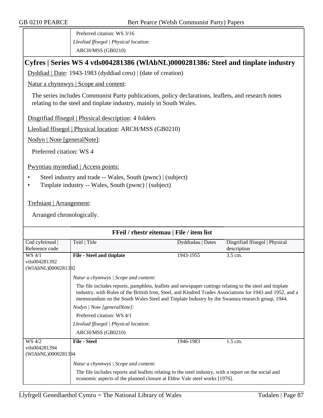Preferred citation: WS 3/16 *Lleoliad ffisegol | Physical location*: ARCH/MSS (GB0210)

## **Cyfres | Series WS 4 vtls004281386 (WlAbNL)0000281386: Steel and tinplate industry**

Dyddiad | Date: 1943-1983 (dyddiad creu) | (date of creation)

Natur a chynnwys | Scope and content:

The series includes Communist Party publications, policy declarations, leaflets, and research notes relating to the steel and tinplate industry, mainly in South Wales.

Disgrifiad ffisegol | Physical description: 4 folders

Lleoliad ffisegol | Physical location: ARCH/MSS (GB0210)

Nodyn | Note [generalNote]:

Preferred citation: WS 4

Pwyntiau mynediad | Access points:

- Steel industry and trade -- Wales, South (pwnc) | (subject)
- Tinplate industry -- Wales, South (pwnc) | (subject)

Trefniant | Arrangement:

| FFeil / rhestr eitemau   File / item list |                                                                                                                                                                                                                                                                                                                         |                   |                                |  |  |
|-------------------------------------------|-------------------------------------------------------------------------------------------------------------------------------------------------------------------------------------------------------------------------------------------------------------------------------------------------------------------------|-------------------|--------------------------------|--|--|
| Cod cyfeirnod                             | Teitl   Title                                                                                                                                                                                                                                                                                                           | Dyddiadau   Dates | Disgrifiad ffisegol   Physical |  |  |
| Reference code                            |                                                                                                                                                                                                                                                                                                                         |                   | description                    |  |  |
| WS 4/1                                    | <b>File - Steel and tinplate</b>                                                                                                                                                                                                                                                                                        | 1943-1955         | 3.5 cm.                        |  |  |
| vtls004281392                             |                                                                                                                                                                                                                                                                                                                         |                   |                                |  |  |
| (WIAbNL)0000281392                        |                                                                                                                                                                                                                                                                                                                         |                   |                                |  |  |
|                                           | Natur a chynnwys / Scope and content:                                                                                                                                                                                                                                                                                   |                   |                                |  |  |
|                                           | The file includes reports, pamphlets, leaflets and newspaper cuttings relating to the steel and tinplate<br>industry, with Rules of the British Iron, Steel, and Kindred Trades Associations for 1943 and 1952, and a<br>memorandum on the South Wales Steel and Tinplate Industry by the Swansea research group, 1944. |                   |                                |  |  |
|                                           | Nodyn   Note [generalNote]:                                                                                                                                                                                                                                                                                             |                   |                                |  |  |
|                                           | Preferred citation: WS 4/1                                                                                                                                                                                                                                                                                              |                   |                                |  |  |
|                                           | Lleoliad ffisegol   Physical location:                                                                                                                                                                                                                                                                                  |                   |                                |  |  |
|                                           | ARCH/MSS (GB0210)                                                                                                                                                                                                                                                                                                       |                   |                                |  |  |
| WS 4/2                                    | <b>File - Steel</b>                                                                                                                                                                                                                                                                                                     | 1946-1983         | 1.5 cm.                        |  |  |
| vtls004281394                             |                                                                                                                                                                                                                                                                                                                         |                   |                                |  |  |
|                                           | (WIAbNL)0000281394                                                                                                                                                                                                                                                                                                      |                   |                                |  |  |
|                                           | Natur a chynnwys / Scope and content:                                                                                                                                                                                                                                                                                   |                   |                                |  |  |
|                                           | The file includes reports and leaflets relating to the steel industry, with a report on the social and<br>economic aspects of the planned closure at Ebbw Vale steel works [1976].                                                                                                                                      |                   |                                |  |  |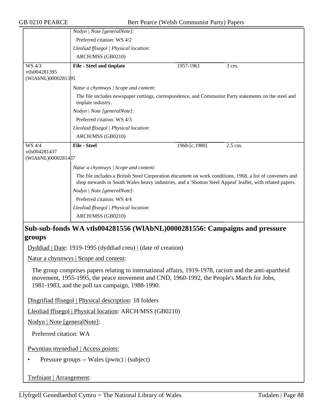|                                     | Nodyn   Note [generalNote]:                                                                                                                                                                                           |               |         |
|-------------------------------------|-----------------------------------------------------------------------------------------------------------------------------------------------------------------------------------------------------------------------|---------------|---------|
|                                     | Preferred citation: WS 4/2                                                                                                                                                                                            |               |         |
|                                     | Lleoliad ffisegol   Physical location:                                                                                                                                                                                |               |         |
|                                     | ARCH/MSS (GB0210)                                                                                                                                                                                                     |               |         |
| WS 4/3                              | <b>File - Steel and tinplate</b>                                                                                                                                                                                      | 1957-1961     | 3 cm.   |
| vtls004281395<br>(WIAbNL)0000281395 |                                                                                                                                                                                                                       |               |         |
|                                     | Natur a chynnwys / Scope and content:                                                                                                                                                                                 |               |         |
|                                     | The file includes newspaper cuttings, correspondence, and Communist Party statements on the steel and<br>tinplate industry.                                                                                           |               |         |
|                                     | Nodyn   Note [generalNote]:                                                                                                                                                                                           |               |         |
|                                     | Preferred citation: WS 4/3                                                                                                                                                                                            |               |         |
|                                     | Lleoliad ffisegol   Physical location:                                                                                                                                                                                |               |         |
|                                     | ARCH/MSS (GB0210)                                                                                                                                                                                                     |               |         |
| WS 4/4                              | <b>File - Steel</b>                                                                                                                                                                                                   | 1968-[c.1980] | 2.5 cm. |
| vtls004281437                       |                                                                                                                                                                                                                       |               |         |
| (WIAbNL)0000281487                  |                                                                                                                                                                                                                       |               |         |
|                                     | Natur a chynnwys / Scope and content:                                                                                                                                                                                 |               |         |
|                                     | The file includes a British Steel Corporation document on work conditions, 1968, a list of conveners and<br>shop stewards in South Wales heavy industries, and a 'Shotton Steel Appeal' leaflet, with related papers. |               |         |
|                                     | Nodyn   Note [generalNote]:                                                                                                                                                                                           |               |         |
|                                     | Preferred citation: WS 4/4                                                                                                                                                                                            |               |         |
|                                     | Lleoliad ffisegol   Physical location:                                                                                                                                                                                |               |         |
|                                     | ARCH/MSS (GB0210)                                                                                                                                                                                                     |               |         |
|                                     | Sub-sub-fonds WA vtls004281556 (WIAbNL)0000281556: Campaigns and pressure                                                                                                                                             |               |         |

## **groups**

Dyddiad | Date: 1919-1995 (dyddiad creu) | (date of creation)

Natur a chynnwys | Scope and content:

The group comprises papers relating to international affairs, 1919-1978, racism and the anti-apartheid movement, 1955-1995, the peace movement and CND, 1960-1992, the People's March for Jobs, 1981-1983, and the poll tax campaign, 1988-1990.

Disgrifiad ffisegol | Physical description: 18 folders

Lleoliad ffisegol | Physical location: ARCH/MSS (GB0210)

Nodyn | Note [generalNote]:

Preferred citation: WA

Pwyntiau mynediad | Access points:

• Pressure groups -- Wales (pwnc) | (subject)

Trefniant | Arrangement: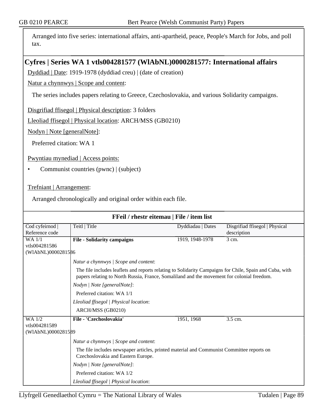Arranged into five series: international affairs, anti-apartheid, peace, People's March for Jobs, and poll tax.

# **Cyfres | Series WA 1 vtls004281577 (WlAbNL)0000281577: International affairs**

Dyddiad | Date: 1919-1978 (dyddiad creu) | (date of creation)

Natur a chynnwys | Scope and content:

The series includes papers relating to Greece, Czechoslovakia, and various Solidarity campaigns.

Disgrifiad ffisegol | Physical description: 3 folders

Lleoliad ffisegol | Physical location: ARCH/MSS (GB0210)

Nodyn | Note [generalNote]:

Preferred citation: WA 1

Pwyntiau mynediad | Access points:

• Communist countries (pwnc) | (subject)

Trefniant | Arrangement:

Arranged chronologically and original order within each file.

| FFeil / rhestr eitemau   File / item list |                                                                                                                                                                                                       |                   |                                               |
|-------------------------------------------|-------------------------------------------------------------------------------------------------------------------------------------------------------------------------------------------------------|-------------------|-----------------------------------------------|
| Cod cyfeirnod  <br>Reference code         | Teitl   Title                                                                                                                                                                                         | Dyddiadau   Dates | Disgrifiad ffisegol   Physical<br>description |
| WA 1/1<br>vtls004281586                   | <b>File - Solidarity campaigns</b>                                                                                                                                                                    | 1919, 1948-1978   | 3 cm.                                         |
| (WIAbNL)0000281586                        |                                                                                                                                                                                                       |                   |                                               |
|                                           | Natur a chynnwys / Scope and content:                                                                                                                                                                 |                   |                                               |
|                                           | The file includes leaflets and reports relating to Solidarity Campaigns for Chile, Spain and Cuba, with<br>papers relating to North Russia, France, Somaliland and the movement for colonial freedom. |                   |                                               |
|                                           | Nodyn   Note [generalNote]:                                                                                                                                                                           |                   |                                               |
|                                           | Preferred citation: WA 1/1                                                                                                                                                                            |                   |                                               |
|                                           | Lleoliad ffisegol   Physical location:                                                                                                                                                                |                   |                                               |
|                                           | ARCH/MSS (GB0210)                                                                                                                                                                                     |                   |                                               |
| <b>WA 1/2</b>                             | File - 'Czechoslovakia'                                                                                                                                                                               | 1951, 1968        | 3.5 cm.                                       |
| vtls004281589<br>(WIAbNL)0000281589       |                                                                                                                                                                                                       |                   |                                               |
|                                           | Natur a chynnwys / Scope and content:                                                                                                                                                                 |                   |                                               |
|                                           | The file includes newspaper articles, printed material and Communist Committee reports on<br>Czechoslovakia and Eastern Europe.                                                                       |                   |                                               |
|                                           | Nodyn   Note [generalNote]:                                                                                                                                                                           |                   |                                               |
|                                           | Preferred citation: WA 1/2                                                                                                                                                                            |                   |                                               |
|                                           | Lleoliad ffisegol   Physical location:                                                                                                                                                                |                   |                                               |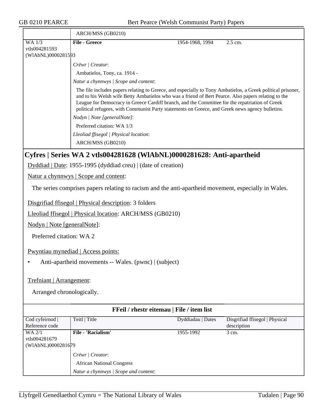| <b>GB 0210 PEARCE</b>           |                                                                                                                                                                                                                                                                                                                                                                                                                         | Bert Pearce (Welsh Communist Party) Papers                                                           |  |  |  |
|---------------------------------|-------------------------------------------------------------------------------------------------------------------------------------------------------------------------------------------------------------------------------------------------------------------------------------------------------------------------------------------------------------------------------------------------------------------------|------------------------------------------------------------------------------------------------------|--|--|--|
|                                 | ARCH/MSS (GB0210)                                                                                                                                                                                                                                                                                                                                                                                                       |                                                                                                      |  |  |  |
| <b>WA 1/3</b><br>vtls004281593  | <b>File - Greece</b>                                                                                                                                                                                                                                                                                                                                                                                                    | 1954-1968, 1994<br>2.5 cm.                                                                           |  |  |  |
| (WIAbNL)0000281593              |                                                                                                                                                                                                                                                                                                                                                                                                                         |                                                                                                      |  |  |  |
|                                 | Crëwr   Creator:                                                                                                                                                                                                                                                                                                                                                                                                        |                                                                                                      |  |  |  |
|                                 | Ambatielos, Tony, ca. 1914 -                                                                                                                                                                                                                                                                                                                                                                                            |                                                                                                      |  |  |  |
|                                 | Natur a chynnwys / Scope and content:                                                                                                                                                                                                                                                                                                                                                                                   |                                                                                                      |  |  |  |
|                                 | The file includes papers relating to Greece, and especially to Tony Ambatielos, a Greek political prisoner,<br>and to his Welsh wife Betty Ambatielos who was a friend of Bert Pearce. Also papers relating to the<br>League for Democracy in Greece Cardiff branch, and the Committee for the repatriation of Greek<br>political refugees, with Communist Party statements on Greece, and Greek news agency bulletins. |                                                                                                      |  |  |  |
|                                 | Nodyn   Note [generalNote]:                                                                                                                                                                                                                                                                                                                                                                                             |                                                                                                      |  |  |  |
|                                 | Preferred citation: WA 1/3                                                                                                                                                                                                                                                                                                                                                                                              |                                                                                                      |  |  |  |
|                                 | Lleoliad ffisegol   Physical location:                                                                                                                                                                                                                                                                                                                                                                                  |                                                                                                      |  |  |  |
|                                 | ARCH/MSS (GB0210)                                                                                                                                                                                                                                                                                                                                                                                                       |                                                                                                      |  |  |  |
|                                 |                                                                                                                                                                                                                                                                                                                                                                                                                         | Cyfres   Series WA 2 vtls004281628 (WIAbNL)0000281628: Anti-apartheid                                |  |  |  |
|                                 | Dyddiad   Date: 1955-1995 (dyddiad creu)   (date of creation)                                                                                                                                                                                                                                                                                                                                                           |                                                                                                      |  |  |  |
|                                 | <u>Natur a chynnwys</u>   Scope and content:                                                                                                                                                                                                                                                                                                                                                                            |                                                                                                      |  |  |  |
|                                 |                                                                                                                                                                                                                                                                                                                                                                                                                         |                                                                                                      |  |  |  |
|                                 |                                                                                                                                                                                                                                                                                                                                                                                                                         | The series comprises papers relating to racism and the anti-apartheid movement, especially in Wales. |  |  |  |
|                                 | Disgrifiad ffisegol   Physical description: 3 folders                                                                                                                                                                                                                                                                                                                                                                   |                                                                                                      |  |  |  |
|                                 | Lleoliad ffisegol   Physical location: ARCH/MSS (GB0210)                                                                                                                                                                                                                                                                                                                                                                |                                                                                                      |  |  |  |
| Nodyn   Note [generalNote]:     |                                                                                                                                                                                                                                                                                                                                                                                                                         |                                                                                                      |  |  |  |
| Preferred citation: WA 2        |                                                                                                                                                                                                                                                                                                                                                                                                                         |                                                                                                      |  |  |  |
|                                 |                                                                                                                                                                                                                                                                                                                                                                                                                         |                                                                                                      |  |  |  |
|                                 | <b>Pwyntiau mynediad</b>   Access points:                                                                                                                                                                                                                                                                                                                                                                               |                                                                                                      |  |  |  |
|                                 | Anti-apartheid movements -- Wales. (pwnc)   (subject)                                                                                                                                                                                                                                                                                                                                                                   |                                                                                                      |  |  |  |
|                                 |                                                                                                                                                                                                                                                                                                                                                                                                                         |                                                                                                      |  |  |  |
| Trefniant   Arrangement:        |                                                                                                                                                                                                                                                                                                                                                                                                                         |                                                                                                      |  |  |  |
|                                 |                                                                                                                                                                                                                                                                                                                                                                                                                         |                                                                                                      |  |  |  |
| Arranged chronologically.       |                                                                                                                                                                                                                                                                                                                                                                                                                         |                                                                                                      |  |  |  |
|                                 |                                                                                                                                                                                                                                                                                                                                                                                                                         |                                                                                                      |  |  |  |
|                                 |                                                                                                                                                                                                                                                                                                                                                                                                                         | FFeil / rhestr eitemau   File / item list                                                            |  |  |  |
| Cod cyfeirnod<br>Reference code | Teitl   Title                                                                                                                                                                                                                                                                                                                                                                                                           | Dyddiadau   Dates<br>Disgrifiad ffisegol   Physical<br>description                                   |  |  |  |
| $WA$ $2/1$                      | File - 'Racialism'                                                                                                                                                                                                                                                                                                                                                                                                      | 1955-1992<br>3 cm.                                                                                   |  |  |  |
| vtls004281679                   |                                                                                                                                                                                                                                                                                                                                                                                                                         |                                                                                                      |  |  |  |
| (WIAbNL)0000281679              |                                                                                                                                                                                                                                                                                                                                                                                                                         |                                                                                                      |  |  |  |
|                                 | Crëwr   Creator:                                                                                                                                                                                                                                                                                                                                                                                                        |                                                                                                      |  |  |  |
|                                 | <b>African National Congress</b>                                                                                                                                                                                                                                                                                                                                                                                        |                                                                                                      |  |  |  |

*Natur a chynnwys | Scope and content*: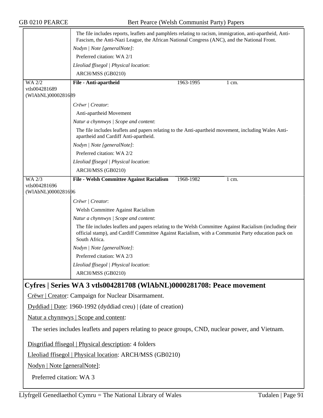|                                                                                                    | The file includes reports, leaflets and pamphlets relating to racism, immigration, anti-apartheid, Anti-<br>Fascism, the Anti-Nazi League, the African National Congress (ANC), and the National Front.                         |           |       |  |
|----------------------------------------------------------------------------------------------------|---------------------------------------------------------------------------------------------------------------------------------------------------------------------------------------------------------------------------------|-----------|-------|--|
|                                                                                                    | Nodyn   Note [generalNote]:                                                                                                                                                                                                     |           |       |  |
|                                                                                                    | Preferred citation: WA 2/1                                                                                                                                                                                                      |           |       |  |
|                                                                                                    | Lleoliad ffisegol   Physical location:                                                                                                                                                                                          |           |       |  |
|                                                                                                    | ARCH/MSS (GB0210)                                                                                                                                                                                                               |           |       |  |
| WA 2/2                                                                                             | File - Anti-apartheid                                                                                                                                                                                                           | 1963-1995 | 1 cm. |  |
| vtls004281689<br>(WIAbNL)0000281689                                                                |                                                                                                                                                                                                                                 |           |       |  |
|                                                                                                    |                                                                                                                                                                                                                                 |           |       |  |
|                                                                                                    | Crëwr   Creator:                                                                                                                                                                                                                |           |       |  |
|                                                                                                    | Anti-apartheid Movement                                                                                                                                                                                                         |           |       |  |
|                                                                                                    | Natur a chynnwys / Scope and content:                                                                                                                                                                                           |           |       |  |
|                                                                                                    | The file includes leaflets and papers relating to the Anti-apartheid movement, including Wales Anti-<br>apartheid and Cardiff Anti-apartheid.                                                                                   |           |       |  |
|                                                                                                    | Nodyn   Note [generalNote]:                                                                                                                                                                                                     |           |       |  |
|                                                                                                    | Preferred citation: WA 2/2                                                                                                                                                                                                      |           |       |  |
|                                                                                                    | Lleoliad ffisegol   Physical location:                                                                                                                                                                                          |           |       |  |
|                                                                                                    | ARCH/MSS (GB0210)                                                                                                                                                                                                               |           |       |  |
| <b>WA 2/3</b><br>vtls004281696                                                                     | File - Welsh Committee Against Racialism                                                                                                                                                                                        | 1968-1982 | 1 cm. |  |
| (WIAbNL)0000281696                                                                                 |                                                                                                                                                                                                                                 |           |       |  |
|                                                                                                    | Crëwr   Creator:                                                                                                                                                                                                                |           |       |  |
|                                                                                                    | Welsh Committee Against Racialism                                                                                                                                                                                               |           |       |  |
|                                                                                                    | Natur a chynnwys / Scope and content:                                                                                                                                                                                           |           |       |  |
|                                                                                                    | The file includes leaflets and papers relating to the Welsh Committee Against Racialism (including their<br>official stamp), and Cardiff Committee Against Racialism, with a Communist Party education pack on<br>South Africa. |           |       |  |
|                                                                                                    | Nodyn   Note [generalNote]:                                                                                                                                                                                                     |           |       |  |
|                                                                                                    | Preferred citation: WA 2/3                                                                                                                                                                                                      |           |       |  |
|                                                                                                    | Lleoliad ffisegol   Physical location:                                                                                                                                                                                          |           |       |  |
|                                                                                                    | ARCH/MSS (GB0210)                                                                                                                                                                                                               |           |       |  |
|                                                                                                    | Cyfres   Series WA 3 vtls004281708 (WIAbNL)0000281708: Peace movement                                                                                                                                                           |           |       |  |
|                                                                                                    | Crëwr   Creator: Campaign for Nuclear Disarmament.                                                                                                                                                                              |           |       |  |
|                                                                                                    | Dyddiad   Date: 1960-1992 (dyddiad creu)   (date of creation)                                                                                                                                                                   |           |       |  |
|                                                                                                    | Natur a chynnwys   Scope and content:                                                                                                                                                                                           |           |       |  |
| The series includes leaflets and papers relating to peace groups, CND, nuclear power, and Vietnam. |                                                                                                                                                                                                                                 |           |       |  |
|                                                                                                    | Disgrifiad ffisegol   Physical description: 4 folders                                                                                                                                                                           |           |       |  |
|                                                                                                    | Lleoliad ffisegol   Physical location: ARCH/MSS (GB0210)                                                                                                                                                                        |           |       |  |
| Nodyn   Note [generalNote]:                                                                        |                                                                                                                                                                                                                                 |           |       |  |
| Preferred citation: WA 3                                                                           |                                                                                                                                                                                                                                 |           |       |  |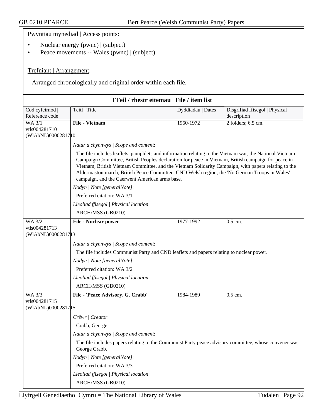|                                             | Pwyntiau mynediad   Access points:                                                                                                                                                                    |                   |                                |  |
|---------------------------------------------|-------------------------------------------------------------------------------------------------------------------------------------------------------------------------------------------------------|-------------------|--------------------------------|--|
|                                             | Nuclear energy (pwnc)   (subject)                                                                                                                                                                     |                   |                                |  |
| Peace movements -- Wales (pwnc)   (subject) |                                                                                                                                                                                                       |                   |                                |  |
|                                             |                                                                                                                                                                                                       |                   |                                |  |
| Trefniant   Arrangement:                    |                                                                                                                                                                                                       |                   |                                |  |
|                                             |                                                                                                                                                                                                       |                   |                                |  |
|                                             | Arranged chronologically and original order within each file.                                                                                                                                         |                   |                                |  |
|                                             | FFeil / rhestr eitemau   File / item list                                                                                                                                                             |                   |                                |  |
| Cod cyfeirnod                               | Teitl   Title                                                                                                                                                                                         | Dyddiadau   Dates | Disgrifiad ffisegol   Physical |  |
| Reference code                              |                                                                                                                                                                                                       |                   | description                    |  |
| $WA$ $3/1$                                  | <b>File - Vietnam</b>                                                                                                                                                                                 | 1960-1972         | 2 folders; 6.5 cm.             |  |
| vtls004281710<br>(WIAbNL)00002817 10        |                                                                                                                                                                                                       |                   |                                |  |
|                                             | Natur a chynnwys / Scope and content:                                                                                                                                                                 |                   |                                |  |
|                                             | The file includes leaflets, pamphlets and information relating to the Vietnam war, the National Vietnam                                                                                               |                   |                                |  |
|                                             | Campaign Committee, British Peoples declaration for peace in Vietnam, British campaign for peace in                                                                                                   |                   |                                |  |
|                                             | Vietnam, British Vietnam Committee, and the Vietnam Solidarity Campaign, with papers relating to the<br>Aldermaston march, British Peace Committee, CND Welsh region, the 'No German Troops in Wales' |                   |                                |  |
|                                             | campaign, and the Caerwent American arms base.                                                                                                                                                        |                   |                                |  |
|                                             | Nodyn   Note [generalNote]:                                                                                                                                                                           |                   |                                |  |
|                                             | Preferred citation: WA 3/1                                                                                                                                                                            |                   |                                |  |
|                                             | Lleoliad ffisegol   Physical location:                                                                                                                                                                |                   |                                |  |
|                                             | ARCH/MSS (GB0210)                                                                                                                                                                                     |                   |                                |  |
| <b>WA 3/2</b>                               | <b>File - Nuclear power</b>                                                                                                                                                                           | 1977-1992         | 0.5 cm.                        |  |
| vtls004281713<br>(WIAbNL)0000281713         |                                                                                                                                                                                                       |                   |                                |  |
|                                             | Natur a chynnwys / Scope and content:                                                                                                                                                                 |                   |                                |  |
|                                             | The file includes Communist Party and CND leaflets and papers relating to nuclear power.                                                                                                              |                   |                                |  |
|                                             | Nodyn   Note [generalNote]:                                                                                                                                                                           |                   |                                |  |
|                                             | Preferred citation: WA 3/2                                                                                                                                                                            |                   |                                |  |
|                                             | Lleoliad ffisegol   Physical location:                                                                                                                                                                |                   |                                |  |
|                                             | ARCH/MSS (GB0210)                                                                                                                                                                                     |                   |                                |  |
| WA 3/3                                      | File - 'Peace Advisory. G. Crabb'                                                                                                                                                                     | 1984-1989         | 0.5 cm.                        |  |
| vtls004281715<br>(WIAbNL)00002817 15        |                                                                                                                                                                                                       |                   |                                |  |
|                                             | Crëwr   Creator:                                                                                                                                                                                      |                   |                                |  |
|                                             | Crabb, George                                                                                                                                                                                         |                   |                                |  |
|                                             | Natur a chynnwys / Scope and content:                                                                                                                                                                 |                   |                                |  |
|                                             | The file includes papers relating to the Communist Party peace advisory committee, whose convener was                                                                                                 |                   |                                |  |
|                                             | George Crabb.                                                                                                                                                                                         |                   |                                |  |
|                                             | Nodyn   Note [generalNote]:                                                                                                                                                                           |                   |                                |  |
|                                             | Preferred citation: WA 3/3                                                                                                                                                                            |                   |                                |  |
|                                             | Lleoliad ffisegol   Physical location:                                                                                                                                                                |                   |                                |  |
|                                             | ARCH/MSS (GB0210)                                                                                                                                                                                     |                   |                                |  |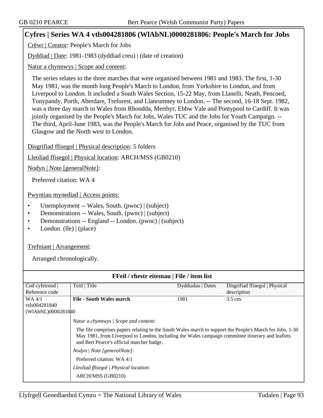## **Cyfres | Series WA 4 vtls004281806 (WlAbNL)0000281806: People's March for Jobs**

Crëwr | Creator: People's March for Jobs

Dyddiad | Date: 1981-1983 (dyddiad creu) | (date of creation)

Natur a chynnwys | Scope and content:

The series relates to the three marches that were organised between 1981 and 1983. The first, 1-30 May 1981, was the month long People's March to London, from Yorkshire to London, and from Liverpool to London. It included a South Wales Section, 15-22 May, from Llanelli, Neath, Pencoed, Tonypandy, Porth, Aberdare, Treforest, and Llanrumney to London. -- The second, 16-18 Sept. 1982, was a three day march in Wales from Rhondda, Merthyr, Ebbw Vale and Pontypool to Cardiff. It was jointly organised by the People's March for Jobs, Wales TUC and the Jobs for Youth Campaign. -- The third, April-June 1983, was the People's March for Jobs and Peace, organised by the TUC from Glasgow and the North west to London.

Disgrifiad ffisegol | Physical description: 5 folders

Lleoliad ffisegol | Physical location: ARCH/MSS (GB0210)

Nodyn | Note [generalNote]:

Preferred citation: WA 4

Pwyntiau mynediad | Access points:

- Unemployment -- Wales, South. (pwnc) | (subject)
- Demonstrations -- Wales, South. (pwnc) | (subject)
- Demonstrations -- England -- London. (pwnc) | (subject)
- London. (lle) | (place)

Trefniant | Arrangement:

| <b>FFeil</b> / rhestr eitemau   File / item list |                                                                                                                                                                                                                                                            |                   |                                |
|--------------------------------------------------|------------------------------------------------------------------------------------------------------------------------------------------------------------------------------------------------------------------------------------------------------------|-------------------|--------------------------------|
| Cod cyfeirnod                                    | Teitl   Title                                                                                                                                                                                                                                              | Dyddiadau   Dates | Disgrifiad ffisegol   Physical |
| Reference code                                   |                                                                                                                                                                                                                                                            |                   | description                    |
| WA 4/1                                           | <b>File - South Wales march</b>                                                                                                                                                                                                                            | 1981              | 3.5 cm.                        |
| vtls004281840                                    |                                                                                                                                                                                                                                                            |                   |                                |
| (WIAbNL)0000281840                               |                                                                                                                                                                                                                                                            |                   |                                |
|                                                  | Natur a chynnwys   Scope and content:                                                                                                                                                                                                                      |                   |                                |
|                                                  | The file comprises papers relating to the South Wales march to support the People's March for Jobs, 1-30<br>May 1981, from Liverpool to London, including the Wales campaign committee itinerary and leaflets<br>and Bert Pearce's official marcher badge. |                   |                                |
|                                                  | Nodyn / Note [generalNote]:                                                                                                                                                                                                                                |                   |                                |
|                                                  | Preferred citation: WA 4/1                                                                                                                                                                                                                                 |                   |                                |
|                                                  | Lleoliad ffisegol   Physical location:                                                                                                                                                                                                                     |                   |                                |
|                                                  | ARCH/MSS (GB0210)                                                                                                                                                                                                                                          |                   |                                |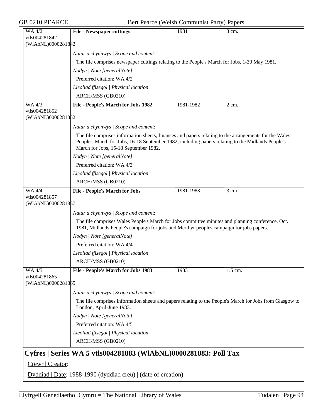| GB 0210 PEARCE                                       | Bert Pearce (Welsh Communist Party) Papers                                                                                                                                                                                                          |           |                                                                                                          |  |
|------------------------------------------------------|-----------------------------------------------------------------------------------------------------------------------------------------------------------------------------------------------------------------------------------------------------|-----------|----------------------------------------------------------------------------------------------------------|--|
| WA 4/2<br>vtls004281842<br>(WIAbNL)0000281842        | <b>File - Newspaper cuttings</b>                                                                                                                                                                                                                    | 1981      | 3 cm.                                                                                                    |  |
|                                                      | Natur a chynnwys / Scope and content:                                                                                                                                                                                                               |           |                                                                                                          |  |
|                                                      | The file comprises newspaper cuttings relating to the People's March for Jobs, 1-30 May 1981.                                                                                                                                                       |           |                                                                                                          |  |
|                                                      | Nodyn   Note [generalNote]:                                                                                                                                                                                                                         |           |                                                                                                          |  |
|                                                      | Preferred citation: WA 4/2                                                                                                                                                                                                                          |           |                                                                                                          |  |
|                                                      | Lleoliad ffisegol   Physical location:                                                                                                                                                                                                              |           |                                                                                                          |  |
|                                                      | ARCH/MSS (GB0210)                                                                                                                                                                                                                                   |           |                                                                                                          |  |
| <b>WA 4/3</b>                                        | File - People's March for Jobs 1982                                                                                                                                                                                                                 | 1981-1982 | $2 \text{ cm}$ .                                                                                         |  |
| vtls004281852<br>(WIAbNL)0000281852                  |                                                                                                                                                                                                                                                     |           |                                                                                                          |  |
|                                                      | Natur a chynnwys / Scope and content:                                                                                                                                                                                                               |           |                                                                                                          |  |
|                                                      | The file comprises information sheets, finances and papers relating to the arrangements for the Wales<br>People's March for Jobs, 16-18 September 1982, including papers relating to the Midlands People's<br>March for Jobs, 15-18 September 1982. |           |                                                                                                          |  |
|                                                      | Nodyn   Note [generalNote]:                                                                                                                                                                                                                         |           |                                                                                                          |  |
|                                                      | Preferred citation: WA 4/3                                                                                                                                                                                                                          |           |                                                                                                          |  |
|                                                      | Lleoliad ffisegol   Physical location:                                                                                                                                                                                                              |           |                                                                                                          |  |
|                                                      | ARCH/MSS (GB0210)                                                                                                                                                                                                                                   |           |                                                                                                          |  |
| <b>WA 4/4</b><br>vtls004281857<br>(WIAbNL)0000281857 | <b>File - People's March for Jobs</b>                                                                                                                                                                                                               | 1981-1983 | 3 cm.                                                                                                    |  |
|                                                      | Natur a chynnwys / Scope and content:                                                                                                                                                                                                               |           |                                                                                                          |  |
|                                                      | The file comprises Wales People's March for Jobs committee minutes and planning conference, Oct.<br>1981, Midlands People's campaign for jobs and Merthyr peoples campaign for jobs papers.                                                         |           |                                                                                                          |  |
|                                                      | Nodyn   Note [generalNote]:                                                                                                                                                                                                                         |           |                                                                                                          |  |
|                                                      | Preferred citation: WA 4/4                                                                                                                                                                                                                          |           |                                                                                                          |  |
|                                                      | Lleoliad ffisegol   Physical location:                                                                                                                                                                                                              |           |                                                                                                          |  |
|                                                      | ARCH/MSS (GB0210)                                                                                                                                                                                                                                   |           |                                                                                                          |  |
| WA 4/5<br>vtls004281865<br>(WIAbNL)0000281865        | File - People's March for Jobs 1983                                                                                                                                                                                                                 | 1983      | $1.5$ cm.                                                                                                |  |
|                                                      | Natur a chynnwys / Scope and content:<br>London, April-June 1983.<br>Nodyn   Note [generalNote]:<br>Preferred citation: WA 4/5<br>Lleoliad ffisegol   Physical location:<br>ARCH/MSS (GB0210)                                                       |           | The file comprises information sheets and papers relating to the People's March for Jobs from Glasgow to |  |
|                                                      | Cyfres   Series WA 5 vtls004281883 (WIAbNL)0000281883: Poll Tax                                                                                                                                                                                     |           |                                                                                                          |  |
| Crëwr   Creator:                                     |                                                                                                                                                                                                                                                     |           |                                                                                                          |  |
|                                                      | Dyddiad   Date: 1988-1990 (dyddiad creu)   (date of creation)                                                                                                                                                                                       |           |                                                                                                          |  |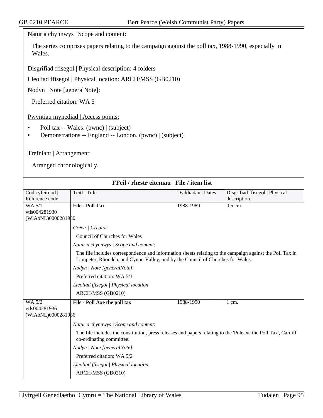Natur a chynnwys | Scope and content:

The series comprises papers relating to the campaign against the poll tax, 1988-1990, especially in Wales.

Disgrifiad ffisegol | Physical description: 4 folders

Lleoliad ffisegol | Physical location: ARCH/MSS (GB0210)

Nodyn | Note [generalNote]:

Preferred citation: WA 5

Pwyntiau mynediad | Access points:

- Poll tax -- Wales. (pwnc) | (subject)
- Demonstrations -- England -- London. (pwnc) | (subject)

## Trefniant | Arrangement:

| FFeil / rhestr eitemau   File / item list     |                                                                                                                                                                                                                                                                                                                                                                                                                      |                   |                                               |
|-----------------------------------------------|----------------------------------------------------------------------------------------------------------------------------------------------------------------------------------------------------------------------------------------------------------------------------------------------------------------------------------------------------------------------------------------------------------------------|-------------------|-----------------------------------------------|
| Cod cyfeirnod<br>Reference code               | Teitl   Title                                                                                                                                                                                                                                                                                                                                                                                                        | Dyddiadau   Dates | Disgrifiad ffisegol   Physical<br>description |
| WA 5/1<br>vtls004281930<br>(WIAbNL)0000281980 | <b>File - Poll Tax</b>                                                                                                                                                                                                                                                                                                                                                                                               | 1988-1989         | $0.5$ cm.                                     |
|                                               | Crëwr   Creator:<br>Council of Churches for Wales<br>Natur a chynnwys / Scope and content:<br>The file includes correspondence and information sheets relating to the campaign against the Poll Tax in<br>Lampeter, Rhondda, and Cynon Valley, and by the Council of Churches for Wales.<br>Nodyn   Note [generalNote]:<br>Preferred citation: WA 5/1<br>Lleoliad ffisegol   Physical location:<br>ARCH/MSS (GB0210) |                   |                                               |
| WA 5/2<br>vtls004281936<br>(WIAbNL)0000281986 | File - Poll Axe the poll tax<br>Natur a chynnwys / Scope and content:<br>The file includes the constitution, press releases and papers relating to the 'Poleaxe the Poll Tax', Cardiff<br>co-ordinating committee.<br>Nodyn   Note [generalNote]:<br>Preferred citation: WA 5/2<br>Lleoliad ffisegol   Physical location:<br>ARCH/MSS (GB0210)                                                                       | 1988-1990         | $1 \text{ cm}$ .                              |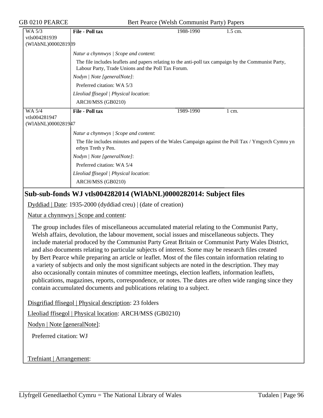GB 0210 PEARCE Bert Pearce (Welsh Communist Party) Papers

| <b>File - Poll tax</b>                                                                                                                                     | 1988-1990 | 1.5 cm.                                                                                            |  |  |
|------------------------------------------------------------------------------------------------------------------------------------------------------------|-----------|----------------------------------------------------------------------------------------------------|--|--|
|                                                                                                                                                            |           |                                                                                                    |  |  |
| (WIAbNL)0000281939                                                                                                                                         |           |                                                                                                    |  |  |
| Natur a chynnwys / Scope and content:                                                                                                                      |           |                                                                                                    |  |  |
| The file includes leaflets and papers relating to the anti-poll tax campaign by the Communist Party,<br>Labour Party, Trade Unions and the Poll Tax Forum. |           |                                                                                                    |  |  |
| Nodyn   Note [generalNote]:                                                                                                                                |           |                                                                                                    |  |  |
| Preferred citation: WA 5/3                                                                                                                                 |           |                                                                                                    |  |  |
| Lleoliad ffisegol   Physical location:                                                                                                                     |           |                                                                                                    |  |  |
| ARCH/MSS (GB0210)                                                                                                                                          |           |                                                                                                    |  |  |
| <b>File - Poll tax</b>                                                                                                                                     | 1989-1990 | 1 cm.                                                                                              |  |  |
|                                                                                                                                                            |           |                                                                                                    |  |  |
| (WIAbNL)0000281947                                                                                                                                         |           |                                                                                                    |  |  |
| Natur a chynnwys / Scope and content:                                                                                                                      |           |                                                                                                    |  |  |
| erbyn Treth y Pen.                                                                                                                                         |           |                                                                                                    |  |  |
| Nodyn   Note [generalNote]:                                                                                                                                |           |                                                                                                    |  |  |
| Preferred citation: WA 5/4                                                                                                                                 |           |                                                                                                    |  |  |
| Lleoliad ffisegol   Physical location:                                                                                                                     |           |                                                                                                    |  |  |
| ARCH/MSS (GB0210)                                                                                                                                          |           |                                                                                                    |  |  |
|                                                                                                                                                            |           | The file includes minutes and papers of the Wales Campaign against the Poll Tax / Ymgyrch Cymru yn |  |  |

# **Sub-sub-fonds WJ vtls004282014 (WlAbNL)0000282014: Subject files**

Dyddiad | Date: 1935-2000 (dyddiad creu) | (date of creation)

Natur a chynnwys | Scope and content:

The group includes files of miscellaneous accumulated material relating to the Communist Party, Welsh affairs, devolution, the labour movement, social issues and miscellaneous subjects. They include material produced by the Communist Party Great Britain or Communist Party Wales District, and also documents relating to particular subjects of interest. Some may be research files created by Bert Pearce while preparing an article or leaflet. Most of the files contain information relating to a variety of subjects and only the most significant subjects are noted in the description. They may also occasionally contain minutes of committee meetings, election leaflets, information leaflets, publications, magazines, reports, correspondence, or notes. The dates are often wide ranging since they contain accumulated documents and publications relating to a subject.

Disgrifiad ffisegol | Physical description: 23 folders

Lleoliad ffisegol | Physical location: ARCH/MSS (GB0210)

Nodyn | Note [generalNote]:

Preferred citation: WJ

Trefniant | Arrangement: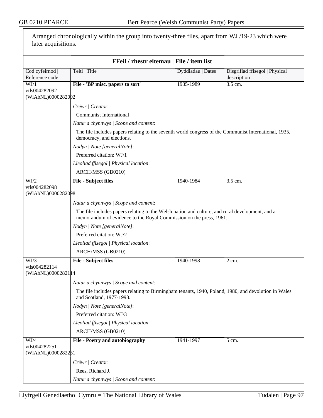| later acquisitions.                                     | Arranged chronologically within the group into twenty-three files, apart from WJ /19-23 which were                                                                    |                                                                                                       |                                               |  |
|---------------------------------------------------------|-----------------------------------------------------------------------------------------------------------------------------------------------------------------------|-------------------------------------------------------------------------------------------------------|-----------------------------------------------|--|
|                                                         |                                                                                                                                                                       | FFeil / rhestr eitemau   File / item list                                                             |                                               |  |
| Cod cyfeirnod<br>Reference code                         | Teitl   Title                                                                                                                                                         | Dyddiadau   Dates                                                                                     | Disgrifiad ffisegol   Physical<br>description |  |
| WJ/1                                                    | File - 'BP misc. papers to sort'                                                                                                                                      | 1935-1989                                                                                             | 3.5 cm.                                       |  |
| vtls004282092<br>(WIAbNL)0000282092                     |                                                                                                                                                                       |                                                                                                       |                                               |  |
|                                                         | Crëwr   Creator:                                                                                                                                                      |                                                                                                       |                                               |  |
|                                                         | <b>Communist International</b>                                                                                                                                        |                                                                                                       |                                               |  |
|                                                         | Natur a chynnwys / Scope and content:                                                                                                                                 |                                                                                                       |                                               |  |
|                                                         | democracy, and elections.                                                                                                                                             | The file includes papers relating to the seventh world congress of the Communist International, 1935, |                                               |  |
| Nodyn   Note [generalNote]:<br>Preferred citation: WJ/1 |                                                                                                                                                                       |                                                                                                       |                                               |  |
|                                                         |                                                                                                                                                                       |                                                                                                       |                                               |  |
|                                                         | ARCH/MSS (GB0210)                                                                                                                                                     |                                                                                                       |                                               |  |
| WJ/2                                                    | <b>File - Subject files</b>                                                                                                                                           | 1940-1984                                                                                             | 3.5 cm.                                       |  |
| vtls004282098<br>(WIAbNL)0000282098                     |                                                                                                                                                                       |                                                                                                       |                                               |  |
|                                                         | Natur a chynnwys / Scope and content:                                                                                                                                 |                                                                                                       |                                               |  |
|                                                         | The file includes papers relating to the Welsh nation and culture, and rural development, and a<br>memorandum of evidence to the Royal Commission on the press, 1961. |                                                                                                       |                                               |  |
|                                                         | Nodyn   Note [generalNote]:                                                                                                                                           |                                                                                                       |                                               |  |
|                                                         | Preferred citation: WJ/2                                                                                                                                              |                                                                                                       |                                               |  |
|                                                         | Lleoliad ffisegol   Physical location:                                                                                                                                |                                                                                                       |                                               |  |
|                                                         | ARCH/MSS (GB0210)                                                                                                                                                     |                                                                                                       |                                               |  |
| WJ/3                                                    | <b>File - Subject files</b>                                                                                                                                           | 1940-1998                                                                                             | 2 cm.                                         |  |
| vtls004282114<br>(WIAbNL)00002821 14                    |                                                                                                                                                                       |                                                                                                       |                                               |  |
|                                                         | Natur a chynnwys / Scope and content:                                                                                                                                 |                                                                                                       |                                               |  |
|                                                         | The file includes papers relating to Birmingham tenants, 1940, Poland, 1980, and devolution in Wales<br>and Scotland, 1977-1998.                                      |                                                                                                       |                                               |  |
|                                                         | Nodyn   Note [generalNote]:                                                                                                                                           |                                                                                                       |                                               |  |
|                                                         | Preferred citation: WJ/3                                                                                                                                              |                                                                                                       |                                               |  |
|                                                         | Lleoliad ffisegol   Physical location:                                                                                                                                |                                                                                                       |                                               |  |
|                                                         | ARCH/MSS (GB0210)                                                                                                                                                     |                                                                                                       |                                               |  |
| WJ/4<br>vtls004282251                                   | File - Poetry and autobiography                                                                                                                                       | 1941-1997                                                                                             | 5 cm.                                         |  |
| (WIAbNL)0000282251                                      |                                                                                                                                                                       |                                                                                                       |                                               |  |
|                                                         | Crëwr   Creator:                                                                                                                                                      |                                                                                                       |                                               |  |
|                                                         | Rees, Richard J.                                                                                                                                                      |                                                                                                       |                                               |  |
|                                                         | Natur a chynnwys / Scope and content:                                                                                                                                 |                                                                                                       |                                               |  |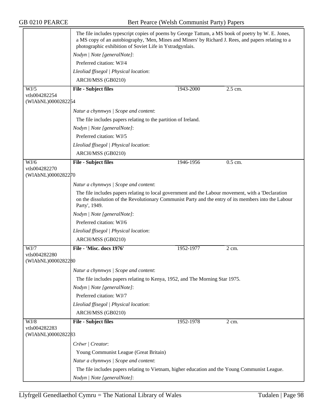|                                             | The file includes typescript copies of poems by George Tattum, a MS book of poetry by W. E. Jones,<br>a MS copy of an autobiography, 'Men, Mines and Miners' by Richard J. Rees, and papers relating to a<br>photographic exhibition of Soviet Life in Ystradgynlais. |           |                  |
|---------------------------------------------|-----------------------------------------------------------------------------------------------------------------------------------------------------------------------------------------------------------------------------------------------------------------------|-----------|------------------|
|                                             | Nodyn   Note [generalNote]:                                                                                                                                                                                                                                           |           |                  |
|                                             | Preferred citation: WJ/4                                                                                                                                                                                                                                              |           |                  |
|                                             | Lleoliad ffisegol   Physical location:                                                                                                                                                                                                                                |           |                  |
|                                             | ARCH/MSS (GB0210)                                                                                                                                                                                                                                                     |           |                  |
| WJ/5                                        | <b>File - Subject files</b>                                                                                                                                                                                                                                           | 1943-2000 | 2.5 cm.          |
| vtls004282254<br>(WIAbNL)0000282254         |                                                                                                                                                                                                                                                                       |           |                  |
|                                             | Natur a chynnwys / Scope and content:                                                                                                                                                                                                                                 |           |                  |
|                                             | The file includes papers relating to the partition of Ireland.                                                                                                                                                                                                        |           |                  |
|                                             | Nodyn   Note [generalNote]:                                                                                                                                                                                                                                           |           |                  |
|                                             | Preferred citation: WJ/5                                                                                                                                                                                                                                              |           |                  |
|                                             | Lleoliad ffisegol   Physical location:                                                                                                                                                                                                                                |           |                  |
|                                             | ARCH/MSS (GB0210)                                                                                                                                                                                                                                                     |           |                  |
| WJ/6                                        | <b>File - Subject files</b>                                                                                                                                                                                                                                           | 1946-1956 | $0.5$ cm.        |
| vtls004282270<br>(WIAbNL)0000282270         |                                                                                                                                                                                                                                                                       |           |                  |
|                                             | Natur a chynnwys / Scope and content:                                                                                                                                                                                                                                 |           |                  |
|                                             | The file includes papers relating to local government and the Labour movement, with a 'Declaration'<br>on the dissolution of the Revolutionary Communist Party and the entry of its members into the Labour<br>Party', 1949.                                          |           |                  |
|                                             | Nodyn   Note [generalNote]:                                                                                                                                                                                                                                           |           |                  |
|                                             | Preferred citation: WJ/6                                                                                                                                                                                                                                              |           |                  |
|                                             | Lleoliad ffisegol   Physical location:                                                                                                                                                                                                                                |           |                  |
|                                             | ARCH/MSS (GB0210)                                                                                                                                                                                                                                                     |           |                  |
| WJ/7                                        | File - 'Misc. docs 1976'                                                                                                                                                                                                                                              | 1952-1977 | $2 \text{ cm}$ . |
| vtls004282280                               |                                                                                                                                                                                                                                                                       |           |                  |
| (WIAbNL)0000282280                          |                                                                                                                                                                                                                                                                       |           |                  |
|                                             | Natur a chynnwys / Scope and content:                                                                                                                                                                                                                                 |           |                  |
|                                             | The file includes papers relating to Kenya, 1952, and The Morning Star 1975.                                                                                                                                                                                          |           |                  |
|                                             | Nodyn   Note [generalNote]:                                                                                                                                                                                                                                           |           |                  |
|                                             | Preferred citation: WJ/7                                                                                                                                                                                                                                              |           |                  |
|                                             | Lleoliad ffisegol   Physical location:                                                                                                                                                                                                                                |           |                  |
|                                             | ARCH/MSS (GB0210)                                                                                                                                                                                                                                                     |           |                  |
| WJ/8<br>vtls004282283<br>(WIAbNL)0000282283 | <b>File - Subject files</b>                                                                                                                                                                                                                                           | 1952-1978 | 2 cm.            |
|                                             |                                                                                                                                                                                                                                                                       |           |                  |
|                                             | Crëwr   Creator:                                                                                                                                                                                                                                                      |           |                  |
|                                             | Young Communist League (Great Britain)                                                                                                                                                                                                                                |           |                  |
|                                             | Natur a chynnwys / Scope and content:                                                                                                                                                                                                                                 |           |                  |
|                                             | The file includes papers relating to Vietnam, higher education and the Young Communist League.                                                                                                                                                                        |           |                  |
|                                             | Nodyn   Note [generalNote]:                                                                                                                                                                                                                                           |           |                  |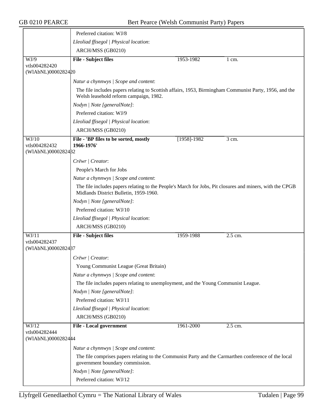|                                              | Preferred citation: WJ/8                                                                                                                           |                 |                  |
|----------------------------------------------|----------------------------------------------------------------------------------------------------------------------------------------------------|-----------------|------------------|
|                                              | Lleoliad ffisegol   Physical location:                                                                                                             |                 |                  |
|                                              | ARCH/MSS (GB0210)                                                                                                                                  |                 |                  |
| WJ/9                                         | <b>File - Subject files</b>                                                                                                                        | 1953-1982       | $1 \text{ cm}$ . |
| vtls004282420<br>(WIAbNL)0000282420          |                                                                                                                                                    |                 |                  |
|                                              | Natur a chynnwys / Scope and content:                                                                                                              |                 |                  |
|                                              | The file includes papers relating to Scottish affairs, 1953, Birmingham Communist Party, 1956, and the<br>Welsh leasehold reform campaign, 1982.   |                 |                  |
|                                              | Nodyn   Note [generalNote]:                                                                                                                        |                 |                  |
|                                              | Preferred citation: WJ/9                                                                                                                           |                 |                  |
|                                              | Lleoliad ffisegol   Physical location:                                                                                                             |                 |                  |
|                                              | ARCH/MSS (GB0210)                                                                                                                                  |                 |                  |
| WJ/10<br>vtls004282432<br>(WIAbNL)0000282482 | File - 'BP files to be sorted, mostly<br>1966-1976'                                                                                                | $[1958] - 1982$ | 3 cm.            |
|                                              | Crëwr   Creator:                                                                                                                                   |                 |                  |
|                                              | People's March for Jobs                                                                                                                            |                 |                  |
|                                              | Natur a chynnwys / Scope and content:                                                                                                              |                 |                  |
|                                              | The file includes papers relating to the People's March for Jobs, Pit closures and miners, with the CPGB<br>Midlands District Bulletin, 1959-1960. |                 |                  |
|                                              | Nodyn   Note [generalNote]:                                                                                                                        |                 |                  |
|                                              | Preferred citation: WJ/10                                                                                                                          |                 |                  |
|                                              | Lleoliad ffisegol   Physical location:                                                                                                             |                 |                  |
|                                              | ARCH/MSS (GB0210)                                                                                                                                  |                 |                  |
| WJ/11                                        | <b>File - Subject files</b>                                                                                                                        | 1959-1988       | 2.5 cm.          |
| vtls004282437<br>(WIAbNL)0000282487          |                                                                                                                                                    |                 |                  |
|                                              | Crëwr   Creator:                                                                                                                                   |                 |                  |
|                                              | Young Communist League (Great Britain)                                                                                                             |                 |                  |
|                                              | Natur a chynnwys / Scope and content:                                                                                                              |                 |                  |
|                                              | The file includes papers relating to unemployment, and the Young Communist League.                                                                 |                 |                  |
|                                              | Nodyn   Note [generalNote]:                                                                                                                        |                 |                  |
|                                              | Preferred citation: WJ/11                                                                                                                          |                 |                  |
|                                              | Lleoliad ffisegol   Physical location:                                                                                                             |                 |                  |
|                                              | ARCH/MSS (GB0210)                                                                                                                                  |                 |                  |
| WJ/12<br>vtls004282444<br>(WIAbNL)0000282444 | <b>File - Local government</b>                                                                                                                     | 1961-2000       | 2.5 cm.          |
|                                              | Natur a chynnwys / Scope and content:                                                                                                              |                 |                  |
|                                              | The file comprises papers relating to the Communist Party and the Carmarthen conference of the local<br>government boundary commission.            |                 |                  |
|                                              | Nodyn   Note [generalNote]:                                                                                                                        |                 |                  |
|                                              | Preferred citation: WJ/12                                                                                                                          |                 |                  |
|                                              |                                                                                                                                                    |                 |                  |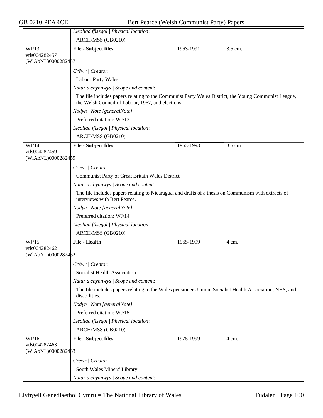|                                     | Lleoliad ffisegol   Physical location:                                                                                                                    |           |         |
|-------------------------------------|-----------------------------------------------------------------------------------------------------------------------------------------------------------|-----------|---------|
|                                     | ARCH/MSS (GB0210)                                                                                                                                         |           |         |
| WJ/13                               | <b>File - Subject files</b>                                                                                                                               | 1963-1991 | 3.5 cm. |
| vtls004282457                       |                                                                                                                                                           |           |         |
| (WIAbNL)0000282457                  |                                                                                                                                                           |           |         |
|                                     | Crëwr   Creator:                                                                                                                                          |           |         |
|                                     | <b>Labour Party Wales</b>                                                                                                                                 |           |         |
|                                     | Natur a chynnwys / Scope and content:                                                                                                                     |           |         |
|                                     | The file includes papers relating to the Communist Party Wales District, the Young Communist League,<br>the Welsh Council of Labour, 1967, and elections. |           |         |
|                                     | Nodyn   Note [generalNote]:                                                                                                                               |           |         |
|                                     | Preferred citation: WJ/13                                                                                                                                 |           |         |
|                                     | Lleoliad ffisegol   Physical location:                                                                                                                    |           |         |
|                                     | ARCH/MSS (GB0210)                                                                                                                                         |           |         |
| WJ/14                               | <b>File - Subject files</b>                                                                                                                               | 1963-1993 | 3.5 cm. |
| vtls004282459<br>(WIAbNL)0000282459 |                                                                                                                                                           |           |         |
|                                     | Crëwr   Creator:                                                                                                                                          |           |         |
|                                     | Communist Party of Great Britain Wales District                                                                                                           |           |         |
|                                     | Natur a chynnwys / Scope and content:                                                                                                                     |           |         |
|                                     | The file includes papers relating to Nicaragua, and drafts of a thesis on Communism with extracts of<br>interviews with Bert Pearce.                      |           |         |
|                                     | Nodyn   Note [generalNote]:                                                                                                                               |           |         |
|                                     | Preferred citation: WJ/14                                                                                                                                 |           |         |
|                                     | Lleoliad ffisegol   Physical location:                                                                                                                    |           |         |
|                                     | ARCH/MSS (GB0210)                                                                                                                                         |           |         |
| WJ/15                               | <b>File - Health</b>                                                                                                                                      | 1965-1999 | 4 cm.   |
| vtls004282462<br>(WIAbNL)0000282462 |                                                                                                                                                           |           |         |
|                                     | Crëwr / Creator:                                                                                                                                          |           |         |
|                                     | Socialist Health Association                                                                                                                              |           |         |
|                                     | Natur a chynnwys / Scope and content:                                                                                                                     |           |         |
|                                     | The file includes papers relating to the Wales pensioners Union, Socialist Health Association, NHS, and<br>disabilities.                                  |           |         |
|                                     | Nodyn   Note [generalNote]:                                                                                                                               |           |         |
|                                     | Preferred citation: WJ/15                                                                                                                                 |           |         |
|                                     | Lleoliad ffisegol   Physical location:                                                                                                                    |           |         |
|                                     | ARCH/MSS (GB0210)                                                                                                                                         |           |         |
| WJ/16                               | <b>File - Subject files</b>                                                                                                                               | 1975-1999 | 4 cm.   |
| vtls004282463                       |                                                                                                                                                           |           |         |
| (WIAbNL)0000282463                  |                                                                                                                                                           |           |         |
|                                     | Crëwr   Creator:                                                                                                                                          |           |         |
|                                     | South Wales Miners' Library                                                                                                                               |           |         |
|                                     | Natur a chynnwys / Scope and content:                                                                                                                     |           |         |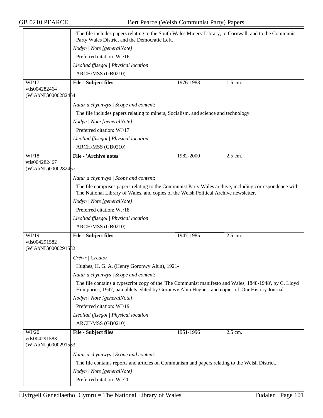|                                     | The file includes papers relating to the South Wales Miners' Library, to Cornwall, and to the Communist<br>Party Wales District and the Democratic Left.                                                 |           |         |
|-------------------------------------|----------------------------------------------------------------------------------------------------------------------------------------------------------------------------------------------------------|-----------|---------|
|                                     | Nodyn   Note [generalNote]:                                                                                                                                                                              |           |         |
|                                     | Preferred citation: WJ/16                                                                                                                                                                                |           |         |
|                                     | Lleoliad ffisegol   Physical location:                                                                                                                                                                   |           |         |
|                                     | ARCH/MSS (GB0210)                                                                                                                                                                                        |           |         |
| WJ/17                               | <b>File - Subject files</b>                                                                                                                                                                              | 1976-1983 | 1.5 cm. |
| vtls004282464                       |                                                                                                                                                                                                          |           |         |
| (WIAbNL)0000282464                  |                                                                                                                                                                                                          |           |         |
|                                     | Natur a chynnwys / Scope and content:                                                                                                                                                                    |           |         |
|                                     | The file includes papers relating to miners, Socialism, and science and technology.                                                                                                                      |           |         |
|                                     | Nodyn   Note [generalNote]:                                                                                                                                                                              |           |         |
|                                     | Preferred citation: WJ/17                                                                                                                                                                                |           |         |
|                                     | Lleoliad ffisegol   Physical location:                                                                                                                                                                   |           |         |
|                                     | ARCH/MSS (GB0210)                                                                                                                                                                                        |           |         |
| WJ/18                               | <b>File - 'Archive notes'</b>                                                                                                                                                                            | 1982-2000 | 2.5 cm. |
| vtls004282467                       |                                                                                                                                                                                                          |           |         |
| (WIAbNL)0000282467                  |                                                                                                                                                                                                          |           |         |
|                                     | Natur a chynnwys / Scope and content:                                                                                                                                                                    |           |         |
|                                     | The file comprises papers relating to the Communist Party Wales archive, including correspondence with<br>The National Library of Wales, and copies of the Welsh Political Archive newsletter.           |           |         |
|                                     | Nodyn   Note [generalNote]:                                                                                                                                                                              |           |         |
|                                     | Preferred citation: WJ/18                                                                                                                                                                                |           |         |
|                                     | Lleoliad ffisegol   Physical location:                                                                                                                                                                   |           |         |
|                                     | ARCH/MSS (GB0210)                                                                                                                                                                                        |           |         |
| WJ/19                               | <b>File - Subject files</b>                                                                                                                                                                              | 1947-1985 | 2.5 cm. |
| vtls004291582                       |                                                                                                                                                                                                          |           |         |
| (WIAbNL)0000291582                  |                                                                                                                                                                                                          |           |         |
|                                     | Crëwr   Creator:                                                                                                                                                                                         |           |         |
|                                     | Hughes, H. G. A. (Henry Goronwy Alun), 1921-                                                                                                                                                             |           |         |
|                                     | Natur a chynnwys / Scope and content:                                                                                                                                                                    |           |         |
|                                     | The file contains a typescript copy of the 'The Communist manifesto and Wales, 1848-1948', by C. Lloyd<br>Humphries, 1947, pamphlets edited by Goronwy Alun Hughes, and copies of 'Our History Journal'. |           |         |
|                                     | Nodyn   Note [generalNote]:                                                                                                                                                                              |           |         |
|                                     | Preferred citation: WJ/19                                                                                                                                                                                |           |         |
|                                     | Lleoliad ffisegol   Physical location:                                                                                                                                                                   |           |         |
|                                     | ARCH/MSS (GB0210)                                                                                                                                                                                        |           |         |
| WJ/20                               | <b>File - Subject files</b>                                                                                                                                                                              | 1951-1996 | 2.5 cm. |
| vtls004291583<br>(WIAbNL)0000291583 |                                                                                                                                                                                                          |           |         |
|                                     | Natur a chynnwys / Scope and content:                                                                                                                                                                    |           |         |
|                                     |                                                                                                                                                                                                          |           |         |
|                                     | The file contains reports and articles on Communism and papers relating to the Welsh District.                                                                                                           |           |         |
|                                     | Nodyn   Note [generalNote]:                                                                                                                                                                              |           |         |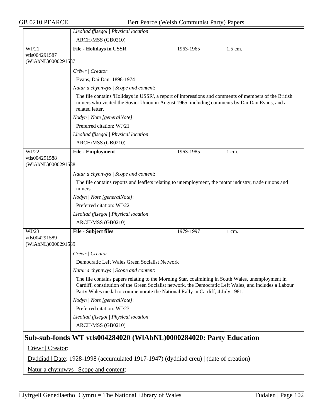|                                       | Lleoliad ffisegol   Physical location:                                                                                                                                                                                                                                                      |           |                  |
|---------------------------------------|---------------------------------------------------------------------------------------------------------------------------------------------------------------------------------------------------------------------------------------------------------------------------------------------|-----------|------------------|
|                                       | ARCH/MSS (GB0210)                                                                                                                                                                                                                                                                           |           |                  |
| WJ/21                                 | <b>File - Holidays in USSR</b>                                                                                                                                                                                                                                                              | 1963-1965 | 1.5 cm.          |
| vtls004291587                         |                                                                                                                                                                                                                                                                                             |           |                  |
| (WIAbNL)0000291587                    |                                                                                                                                                                                                                                                                                             |           |                  |
|                                       | Crëwr   Creator:                                                                                                                                                                                                                                                                            |           |                  |
|                                       | Evans, Dai Dan, 1898-1974                                                                                                                                                                                                                                                                   |           |                  |
|                                       | Natur a chynnwys / Scope and content:                                                                                                                                                                                                                                                       |           |                  |
|                                       | The file contains 'Holidays in USSR', a report of impressions and comments of members of the British<br>miners who visited the Soviet Union in August 1965, including comments by Dai Dan Evans, and a<br>related letter.                                                                   |           |                  |
|                                       | Nodyn   Note [generalNote]:                                                                                                                                                                                                                                                                 |           |                  |
|                                       | Preferred citation: WJ/21                                                                                                                                                                                                                                                                   |           |                  |
|                                       | Lleoliad ffisegol   Physical location:                                                                                                                                                                                                                                                      |           |                  |
|                                       | ARCH/MSS (GB0210)                                                                                                                                                                                                                                                                           |           |                  |
| WJ/22                                 | <b>File - Employment</b>                                                                                                                                                                                                                                                                    | 1963-1985 | $1 \text{ cm}$ . |
| vtls004291588                         |                                                                                                                                                                                                                                                                                             |           |                  |
| (WIAbNL)0000291588                    |                                                                                                                                                                                                                                                                                             |           |                  |
|                                       | Natur a chynnwys / Scope and content:                                                                                                                                                                                                                                                       |           |                  |
|                                       | The file contains reports and leaflets relating to unemployment, the motor industry, trade unions and<br>miners.                                                                                                                                                                            |           |                  |
|                                       | Nodyn   Note [generalNote]:                                                                                                                                                                                                                                                                 |           |                  |
|                                       | Preferred citation: WJ/22                                                                                                                                                                                                                                                                   |           |                  |
|                                       | Lleoliad ffisegol   Physical location:                                                                                                                                                                                                                                                      |           |                  |
|                                       | ARCH/MSS (GB0210)                                                                                                                                                                                                                                                                           |           |                  |
| WJ/23                                 | <b>File - Subject files</b>                                                                                                                                                                                                                                                                 | 1979-1997 | $1 \text{ cm}$ . |
| vtls004291589<br>(WIAbNL)0000291589   |                                                                                                                                                                                                                                                                                             |           |                  |
|                                       | Crëwr   Creator:                                                                                                                                                                                                                                                                            |           |                  |
|                                       | Democratic Left Wales Green Socialist Network                                                                                                                                                                                                                                               |           |                  |
|                                       | Natur a chynnwys / Scope and content:                                                                                                                                                                                                                                                       |           |                  |
|                                       | The file contains papers relating to the Morning Star, coalmining in South Wales, unemployment in<br>Cardiff, constitution of the Green Socialist network, the Democratic Left Wales, and includes a Labour<br>Party Wales medal to commemorate the National Rally in Cardiff, 4 July 1981. |           |                  |
|                                       | Nodyn   Note [generalNote]:                                                                                                                                                                                                                                                                 |           |                  |
|                                       | Preferred citation: WJ/23                                                                                                                                                                                                                                                                   |           |                  |
|                                       | Lleoliad ffisegol   Physical location:                                                                                                                                                                                                                                                      |           |                  |
|                                       | ARCH/MSS (GB0210)                                                                                                                                                                                                                                                                           |           |                  |
|                                       | Sub-sub-fonds WT vtls004284020 (WlAbNL)0000284020: Party Education                                                                                                                                                                                                                          |           |                  |
| Crëwr   Creator:                      |                                                                                                                                                                                                                                                                                             |           |                  |
|                                       | Dyddiad   Date: 1928-1998 (accumulated 1917-1947) (dyddiad creu)   (date of creation)                                                                                                                                                                                                       |           |                  |
| Natur a chynnwys   Scope and content: |                                                                                                                                                                                                                                                                                             |           |                  |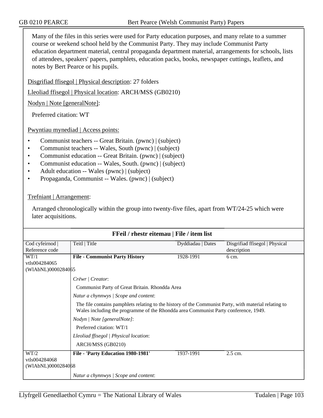Many of the files in this series were used for Party education purposes, and many relate to a summer course or weekend school held by the Communist Party. They may include Communist Party education department material, central propaganda department material, arrangements for schools, lists of attendees, speakers' papers, pamphlets, education packs, books, newspaper cuttings, leaflets, and notes by Bert Pearce or his pupils.

Disgrifiad ffisegol | Physical description: 27 folders

Lleoliad ffisegol | Physical location: ARCH/MSS (GB0210)

Nodyn | Note [generalNote]:

Preferred citation: WT

Pwyntiau mynediad | Access points:

- Communist teachers -- Great Britain. (pwnc) | (subject)
- Communist teachers -- Wales, South (pwnc) | (subject)
- Communist education -- Great Britain. (pwnc) | (subject)
- Communist education -- Wales, South. (pwnc) | (subject)
- Adult education -- Wales (pwnc) | (subject)
- Propaganda, Communist -- Wales. (pwnc) | (subject)

## Trefniant | Arrangement:

Arranged chronologically within the group into twenty-five files, apart from WT/24-25 which were later acquisitions.

| FFeil / rhestr eitemau   File / item list |                                                                                                                                                                                              |                   |                                |
|-------------------------------------------|----------------------------------------------------------------------------------------------------------------------------------------------------------------------------------------------|-------------------|--------------------------------|
| Cod cyfeirnod                             | Teitl   Title                                                                                                                                                                                | Dyddiadau   Dates | Disgrifiad ffisegol   Physical |
| Reference code                            |                                                                                                                                                                                              |                   | description                    |
| WT/1                                      | <b>File - Communist Party History</b>                                                                                                                                                        | 1928-1991         | $6 \text{ cm}$ .               |
| vtls004284065                             |                                                                                                                                                                                              |                   |                                |
| (WIAbNL)0000284065                        |                                                                                                                                                                                              |                   |                                |
|                                           | Crëwr   Creator:                                                                                                                                                                             |                   |                                |
|                                           | Communist Party of Great Britain. Rhondda Area                                                                                                                                               |                   |                                |
|                                           | Natur a chynnwys / Scope and content:                                                                                                                                                        |                   |                                |
|                                           | The file contains pamphlets relating to the history of the Communist Party, with material relating to<br>Wales including the programme of the Rhondda area Communist Party conference, 1949. |                   |                                |
|                                           | Nodyn   Note [generalNote]:                                                                                                                                                                  |                   |                                |
|                                           | Preferred citation: WT/1                                                                                                                                                                     |                   |                                |
|                                           | Lleoliad ffisegol   Physical location:                                                                                                                                                       |                   |                                |
|                                           | ARCH/MSS (GB0210)                                                                                                                                                                            |                   |                                |
| WT/2                                      | File - 'Party Education 1980-1981'                                                                                                                                                           | 1937-1991         | $2.5$ cm.                      |
| vtls004284068                             |                                                                                                                                                                                              |                   |                                |
| (WIAbNL)0000284068                        |                                                                                                                                                                                              |                   |                                |
|                                           | Natur a chynnwys / Scope and content:                                                                                                                                                        |                   |                                |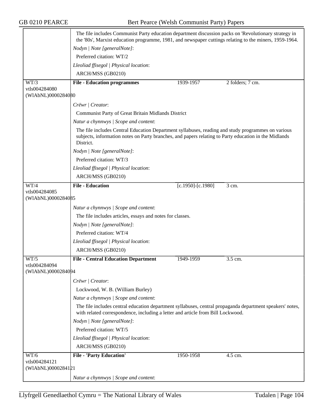|                                     | The file includes Communist Party education department discussion packs on 'Revolutionary strategy in<br>the '80s', Marxist education programme, 1981, and newspaper cuttings relating to the miners, 1959-1964.         |                         |                  |
|-------------------------------------|--------------------------------------------------------------------------------------------------------------------------------------------------------------------------------------------------------------------------|-------------------------|------------------|
|                                     | Nodyn   Note [generalNote]:                                                                                                                                                                                              |                         |                  |
|                                     | Preferred citation: WT/2                                                                                                                                                                                                 |                         |                  |
|                                     | Lleoliad ffisegol   Physical location:                                                                                                                                                                                   |                         |                  |
|                                     | ARCH/MSS (GB0210)                                                                                                                                                                                                        |                         |                  |
| WT/3                                | <b>File - Education programmes</b>                                                                                                                                                                                       | 1939-1957               | 2 folders; 7 cm. |
| vtls004284080                       |                                                                                                                                                                                                                          |                         |                  |
| (WIAbNL)0000284080                  |                                                                                                                                                                                                                          |                         |                  |
|                                     | Crëwr   Creator:                                                                                                                                                                                                         |                         |                  |
|                                     | Communist Party of Great Britain Midlands District                                                                                                                                                                       |                         |                  |
|                                     | Natur a chynnwys / Scope and content:                                                                                                                                                                                    |                         |                  |
|                                     | The file includes Central Education Department syllabuses, reading and study programmes on various<br>subjects, information notes on Party branches, and papers relating to Party education in the Midlands<br>District. |                         |                  |
|                                     | Nodyn   Note [generalNote]:                                                                                                                                                                                              |                         |                  |
|                                     | Preferred citation: WT/3                                                                                                                                                                                                 |                         |                  |
|                                     | Lleoliad ffisegol   Physical location:                                                                                                                                                                                   |                         |                  |
|                                     | ARCH/MSS (GB0210)                                                                                                                                                                                                        |                         |                  |
| WT/4                                | <b>File - Education</b>                                                                                                                                                                                                  | $[c.1950]$ - $[c.1980]$ | 3 cm.            |
| vtls004284085                       |                                                                                                                                                                                                                          |                         |                  |
| (WIAbNL)0000284085                  |                                                                                                                                                                                                                          |                         |                  |
|                                     | Natur a chynnwys   Scope and content:                                                                                                                                                                                    |                         |                  |
|                                     | The file includes articles, essays and notes for classes.                                                                                                                                                                |                         |                  |
|                                     | Nodyn   Note [generalNote]:                                                                                                                                                                                              |                         |                  |
|                                     | Preferred citation: WT/4                                                                                                                                                                                                 |                         |                  |
|                                     | Lleoliad ffisegol   Physical location:                                                                                                                                                                                   |                         |                  |
|                                     | ARCH/MSS (GB0210)                                                                                                                                                                                                        |                         |                  |
| WT/5                                | <b>File - Central Education Department</b>                                                                                                                                                                               | 1949-1959               | 3.5 cm.          |
| vtls004284094<br>(WIAbNL)0000284094 |                                                                                                                                                                                                                          |                         |                  |
|                                     |                                                                                                                                                                                                                          |                         |                  |
|                                     | Crëwr   Creator:                                                                                                                                                                                                         |                         |                  |
|                                     | Lockwood, W. B. (William Burley)                                                                                                                                                                                         |                         |                  |
|                                     | Natur a chynnwys / Scope and content:                                                                                                                                                                                    |                         |                  |
|                                     | The file includes central education department syllabuses, central propaganda department speakers' notes,<br>with related correspondence, including a letter and article from Bill Lockwood.                             |                         |                  |
|                                     | Nodyn   Note [generalNote]:                                                                                                                                                                                              |                         |                  |
|                                     | Preferred citation: WT/5                                                                                                                                                                                                 |                         |                  |
|                                     | Lleoliad ffisegol   Physical location:                                                                                                                                                                                   |                         |                  |
|                                     | ARCH/MSS (GB0210)                                                                                                                                                                                                        |                         |                  |
| WT/6                                | <b>File - 'Party Education'</b>                                                                                                                                                                                          | 1950-1958               | 4.5 cm.          |
| vtls004284121                       |                                                                                                                                                                                                                          |                         |                  |
| (WIAbNL)0000284121                  |                                                                                                                                                                                                                          |                         |                  |
|                                     | Natur a chynnwys / Scope and content:                                                                                                                                                                                    |                         |                  |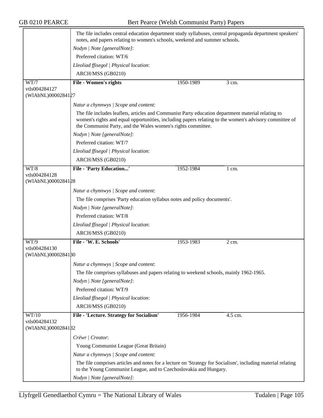|                                     | The file includes central education department study syllabuses, central propaganda department speakers'<br>notes, and papers relating to women's schools, weekend and summer schools.                                                                                       |           |                  |
|-------------------------------------|------------------------------------------------------------------------------------------------------------------------------------------------------------------------------------------------------------------------------------------------------------------------------|-----------|------------------|
|                                     | Nodyn   Note [generalNote]:                                                                                                                                                                                                                                                  |           |                  |
|                                     | Preferred citation: WT/6                                                                                                                                                                                                                                                     |           |                  |
|                                     | Lleoliad ffisegol   Physical location:                                                                                                                                                                                                                                       |           |                  |
|                                     | ARCH/MSS (GB0210)                                                                                                                                                                                                                                                            |           |                  |
| WT/7                                | <b>File - Women's rights</b>                                                                                                                                                                                                                                                 | 1950-1989 | 3 cm.            |
| vtls004284127                       |                                                                                                                                                                                                                                                                              |           |                  |
| (WIAbNL)0000284127                  |                                                                                                                                                                                                                                                                              |           |                  |
|                                     | Natur a chynnwys / Scope and content:                                                                                                                                                                                                                                        |           |                  |
|                                     | The file includes leaflets, articles and Communist Party education department material relating to<br>women's rights and equal opportunities, including papers relating to the women's advisory committee of<br>the Communist Party, and the Wales women's rights committee. |           |                  |
|                                     | Nodyn   Note [generalNote]:                                                                                                                                                                                                                                                  |           |                  |
|                                     | Preferred citation: WT/7                                                                                                                                                                                                                                                     |           |                  |
|                                     | Lleoliad ffisegol   Physical location:                                                                                                                                                                                                                                       |           |                  |
|                                     | ARCH/MSS (GB0210)                                                                                                                                                                                                                                                            |           |                  |
| WT/8                                | <b>File - 'Party Education'</b>                                                                                                                                                                                                                                              | 1952-1984 | $1 \text{ cm}$ . |
| vtls004284128<br>(WIAbNL)0000284128 |                                                                                                                                                                                                                                                                              |           |                  |
|                                     | Natur a chynnwys / Scope and content:                                                                                                                                                                                                                                        |           |                  |
|                                     | The file comprises 'Party education syllabus notes and policy documents'.                                                                                                                                                                                                    |           |                  |
|                                     | Nodyn   Note [generalNote]:                                                                                                                                                                                                                                                  |           |                  |
|                                     | Preferred citation: WT/8                                                                                                                                                                                                                                                     |           |                  |
|                                     | Lleoliad ffisegol   Physical location:                                                                                                                                                                                                                                       |           |                  |
|                                     | ARCH/MSS (GB0210)                                                                                                                                                                                                                                                            |           |                  |
| WT/9                                | File - 'W. E. Schools'                                                                                                                                                                                                                                                       | 1953-1983 | 2 cm.            |
| vtls004284130                       |                                                                                                                                                                                                                                                                              |           |                  |
| (WIAbNL)0000284180                  |                                                                                                                                                                                                                                                                              |           |                  |
|                                     | Natur a chynnwys / Scope and content:                                                                                                                                                                                                                                        |           |                  |
|                                     | The file comprises syllabuses and papers relating to weekend schools, mainly 1962-1965.                                                                                                                                                                                      |           |                  |
|                                     | Nodyn   Note [generalNote]:                                                                                                                                                                                                                                                  |           |                  |
|                                     | Preferred citation: WT/9                                                                                                                                                                                                                                                     |           |                  |
|                                     | Lleoliad ffisegol   Physical location:                                                                                                                                                                                                                                       |           |                  |
|                                     | ARCH/MSS (GB0210)                                                                                                                                                                                                                                                            |           |                  |
| WT/10                               | File - 'Lecture. Strategy for Socialism'                                                                                                                                                                                                                                     | 1956-1984 | 4.5 cm.          |
| vtls004284132<br>(WIAbNL)0000284132 |                                                                                                                                                                                                                                                                              |           |                  |
|                                     | Crëwr   Creator:                                                                                                                                                                                                                                                             |           |                  |
|                                     | Young Communist League (Great Britain)                                                                                                                                                                                                                                       |           |                  |
|                                     | Natur a chynnwys / Scope and content:                                                                                                                                                                                                                                        |           |                  |
|                                     | The file comprises articles and notes for a lecture on 'Strategy for Socialism', including material relating<br>to the Young Communist League, and to Czechoslovakia and Hungary.                                                                                            |           |                  |
|                                     | Nodyn   Note [generalNote]:                                                                                                                                                                                                                                                  |           |                  |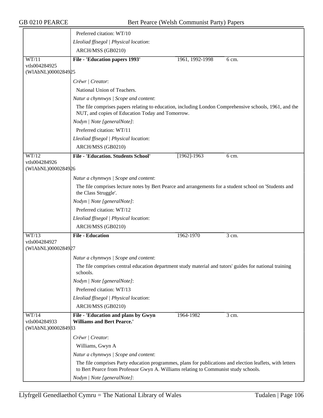|                                     | Preferred citation: WT/10                                                                                                                                  |                 |       |
|-------------------------------------|------------------------------------------------------------------------------------------------------------------------------------------------------------|-----------------|-------|
|                                     | Lleoliad ffisegol   Physical location:                                                                                                                     |                 |       |
|                                     | ARCH/MSS (GB0210)                                                                                                                                          |                 |       |
| WT/11                               | File - 'Education papers 1993'                                                                                                                             | 1961, 1992-1998 | 6 cm. |
| vtls004284925                       |                                                                                                                                                            |                 |       |
| (WIAbNL)0000284925                  |                                                                                                                                                            |                 |       |
|                                     | Crëwr   Creator:                                                                                                                                           |                 |       |
|                                     | National Union of Teachers.                                                                                                                                |                 |       |
|                                     | Natur a chynnwys / Scope and content:                                                                                                                      |                 |       |
|                                     | The file comprises papers relating to education, including London Comprehensive schools, 1961, and the<br>NUT, and copies of Education Today and Tomorrow. |                 |       |
|                                     | Nodyn   Note [generalNote]:                                                                                                                                |                 |       |
|                                     | Preferred citation: WT/11                                                                                                                                  |                 |       |
|                                     | Lleoliad ffisegol   Physical location:                                                                                                                     |                 |       |
|                                     | ARCH/MSS (GB0210)                                                                                                                                          |                 |       |
| WT/12                               | <b>File - 'Education. Students School'</b>                                                                                                                 | $[1962] - 1963$ | 6 cm. |
| vtls004284926                       |                                                                                                                                                            |                 |       |
| (WIAbNL)0000284926                  |                                                                                                                                                            |                 |       |
|                                     | Natur a chynnwys / Scope and content:                                                                                                                      |                 |       |
|                                     | The file comprises lecture notes by Bert Pearce and arrangements for a student school on 'Students and<br>the Class Struggle'.                             |                 |       |
|                                     | Nodyn   Note [generalNote]:                                                                                                                                |                 |       |
|                                     | Preferred citation: WT/12                                                                                                                                  |                 |       |
|                                     | Lleoliad ffisegol   Physical location:                                                                                                                     |                 |       |
|                                     | ARCH/MSS (GB0210)                                                                                                                                          |                 |       |
| WT/13                               | <b>File - Education</b>                                                                                                                                    | 1962-1970       | 3 cm. |
| vtls004284927<br>(WIAbNL)0000284927 |                                                                                                                                                            |                 |       |
|                                     | Natur a chynnwys / Scope and content:                                                                                                                      |                 |       |
|                                     | The file comprises central education department study material and tutors' guides for national training<br>schools.                                        |                 |       |
|                                     | Nodyn   Note [generalNote]:                                                                                                                                |                 |       |
|                                     | Preferred citation: WT/13                                                                                                                                  |                 |       |
|                                     | Lleoliad ffisegol   Physical location:                                                                                                                     |                 |       |
|                                     | ARCH/MSS (GB0210)                                                                                                                                          |                 |       |
| WT/14                               | File - 'Education and plans by Gwyn                                                                                                                        | 1964-1982       | 3 cm. |
| vtls004284933                       | <b>Williams and Bert Pearce.'</b>                                                                                                                          |                 |       |
| (WIAbNL)000028493                   | Crëwr   Creator:                                                                                                                                           |                 |       |
|                                     | Williams, Gwyn A                                                                                                                                           |                 |       |
|                                     | Natur a chynnwys / Scope and content:                                                                                                                      |                 |       |
|                                     | The file comprises Party education programmes, plans for publications and election leaflets, with letters                                                  |                 |       |
|                                     | to Bert Pearce from Professor Gwyn A. Williams relating to Communist study schools.                                                                        |                 |       |
|                                     | Nodyn   Note [generalNote]:                                                                                                                                |                 |       |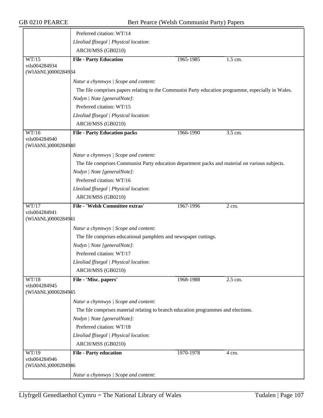|                                     | Preferred citation: WT/14                                                                           |           |           |
|-------------------------------------|-----------------------------------------------------------------------------------------------------|-----------|-----------|
|                                     | Lleoliad ffisegol   Physical location:                                                              |           |           |
|                                     | ARCH/MSS (GB0210)                                                                                   |           |           |
| WT/15                               | <b>File - Party Education</b>                                                                       | 1965-1985 | $1.5$ cm. |
| vtls004284934                       |                                                                                                     |           |           |
| (WIAbNL)0000284984                  |                                                                                                     |           |           |
|                                     | Natur a chynnwys / Scope and content:                                                               |           |           |
|                                     | The file comprises papers relating to the Communist Party education programme, especially in Wales. |           |           |
|                                     | Nodyn   Note [generalNote]:                                                                         |           |           |
|                                     | Preferred citation: WT/15                                                                           |           |           |
|                                     | Lleoliad ffisegol   Physical location:                                                              |           |           |
|                                     | ARCH/MSS (GB0210)                                                                                   |           |           |
| WT/16                               | <b>File - Party Education packs</b>                                                                 | 1966-1990 | 3.5 cm.   |
| vtls004284940<br>(WIAbNL)0000284940 |                                                                                                     |           |           |
|                                     |                                                                                                     |           |           |
|                                     | Natur a chynnwys / Scope and content:                                                               |           |           |
|                                     | The file comprises Communist Party education department packs and material on various subjects.     |           |           |
|                                     | Nodyn   Note [generalNote]:                                                                         |           |           |
|                                     | Preferred citation: WT/16                                                                           |           |           |
|                                     | Lleoliad ffisegol   Physical location:                                                              |           |           |
|                                     | ARCH/MSS (GB0210)                                                                                   |           |           |
| WT/17<br>vtls004284941              | <b>File - 'Welsh Committee extras'</b>                                                              | 1967-1996 | 2 cm.     |
| (WIAbNL)0000284941                  |                                                                                                     |           |           |
|                                     | Natur a chynnwys / Scope and content:                                                               |           |           |
|                                     | The file comprises educational pamphlets and newspaper cuttings.                                    |           |           |
|                                     | Nodyn   Note [generalNote]:                                                                         |           |           |
|                                     | Preferred citation: WT/17                                                                           |           |           |
|                                     | Lleoliad ffisegol   Physical location:                                                              |           |           |
|                                     | ARCH/MSS (GB0210)                                                                                   |           |           |
| WT/18                               | File - 'Misc. papers'                                                                               | 1968-1988 | 2.5 cm.   |
| vtls004284945                       |                                                                                                     |           |           |
| (WIAbNL)0000284945                  |                                                                                                     |           |           |
|                                     | Natur a chynnwys / Scope and content:                                                               |           |           |
|                                     | The file comprises material relating to branch education programmes and elections.                  |           |           |
|                                     | Nodyn   Note [generalNote]:                                                                         |           |           |
|                                     | Preferred citation: WT/18                                                                           |           |           |
|                                     | Lleoliad ffisegol   Physical location:                                                              |           |           |
|                                     | ARCH/MSS (GB0210)                                                                                   |           |           |
| WT/19                               | <b>File - Party education</b>                                                                       | 1970-1978 | 4 cm.     |
| vtls004284946                       |                                                                                                     |           |           |
| (WIAbNL)0000284946                  |                                                                                                     |           |           |
|                                     | Natur a chynnwys / Scope and content:                                                               |           |           |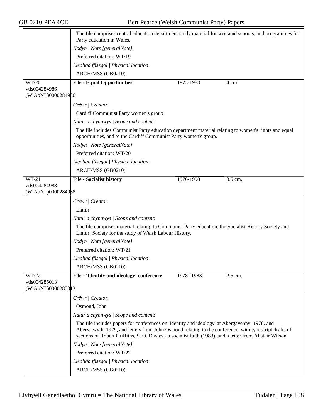|                        | The file comprises central education department study material for weekend schools, and programmes for<br>Party education in Wales.                                                                                                                                                                                 |
|------------------------|---------------------------------------------------------------------------------------------------------------------------------------------------------------------------------------------------------------------------------------------------------------------------------------------------------------------|
|                        | Nodyn   Note [generalNote]:                                                                                                                                                                                                                                                                                         |
|                        | Preferred citation: WT/19                                                                                                                                                                                                                                                                                           |
|                        | Lleoliad ffisegol   Physical location:                                                                                                                                                                                                                                                                              |
|                        | ARCH/MSS (GB0210)                                                                                                                                                                                                                                                                                                   |
| WT/20                  | <b>File - Equal Opportunities</b><br>1973-1983<br>4 cm.                                                                                                                                                                                                                                                             |
| vtls004284986          |                                                                                                                                                                                                                                                                                                                     |
| (WIAbNL)0000284986     |                                                                                                                                                                                                                                                                                                                     |
|                        | Crëwr   Creator:                                                                                                                                                                                                                                                                                                    |
|                        | Cardiff Communist Party women's group                                                                                                                                                                                                                                                                               |
|                        | Natur a chynnwys / Scope and content:                                                                                                                                                                                                                                                                               |
|                        | The file includes Communist Party education department material relating to women's rights and equal<br>opportunities, and to the Cardiff Communist Party women's group.                                                                                                                                            |
|                        | Nodyn   Note [generalNote]:                                                                                                                                                                                                                                                                                         |
|                        | Preferred citation: WT/20                                                                                                                                                                                                                                                                                           |
|                        | Lleoliad ffisegol   Physical location:                                                                                                                                                                                                                                                                              |
|                        | ARCH/MSS (GB0210)                                                                                                                                                                                                                                                                                                   |
| WT/21                  | <b>File - Socialist history</b><br>1976-1998<br>3.5 cm.                                                                                                                                                                                                                                                             |
| vtls004284988          |                                                                                                                                                                                                                                                                                                                     |
| (WIAbNL)0000284988     |                                                                                                                                                                                                                                                                                                                     |
|                        | Crëwr   Creator:                                                                                                                                                                                                                                                                                                    |
|                        | Llafur                                                                                                                                                                                                                                                                                                              |
|                        | Natur a chynnwys / Scope and content:                                                                                                                                                                                                                                                                               |
|                        | The file comprises material relating to Communist Party education, the Socialist History Society and<br>Llafur: Society for the study of Welsh Labour History.                                                                                                                                                      |
|                        | Nodyn   Note [generalNote]:                                                                                                                                                                                                                                                                                         |
|                        | Preferred citation: WT/21                                                                                                                                                                                                                                                                                           |
|                        | Lleoliad ffisegol   Physical location:                                                                                                                                                                                                                                                                              |
|                        | ARCH/MSS (GB0210)                                                                                                                                                                                                                                                                                                   |
| WT/22<br>vtls004285013 | File - 'Identity and ideology' conference<br>1978-[1983]<br>2.5 cm.                                                                                                                                                                                                                                                 |
| (WIAbNL)00002850 13    |                                                                                                                                                                                                                                                                                                                     |
|                        | Crëwr   Creator:                                                                                                                                                                                                                                                                                                    |
|                        | Osmond, John                                                                                                                                                                                                                                                                                                        |
|                        | Natur a chynnwys / Scope and content:                                                                                                                                                                                                                                                                               |
|                        | The file includes papers for conferences on 'Identity and ideology' at Abergavenny, 1978, and<br>Aberystwyth, 1979, and letters from John Osmond relating to the conference, with typescript drafts of<br>sections of Robert Griffiths, S. O. Davies - a socialist faith (1983), and a letter from Alistair Wilson. |
|                        | Nodyn   Note [generalNote]:                                                                                                                                                                                                                                                                                         |
|                        | Preferred citation: WT/22                                                                                                                                                                                                                                                                                           |
|                        | Lleoliad ffisegol   Physical location:                                                                                                                                                                                                                                                                              |
|                        | ARCH/MSS (GB0210)                                                                                                                                                                                                                                                                                                   |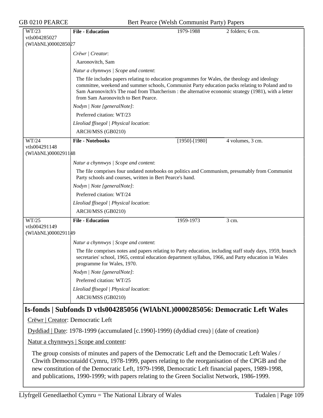GB 0210 PEARCE Bert Pearce (Welsh Communist Party) Papers

| WT/23                               | <b>File - Education</b>                                                                                                                                                                                                                                                                                                                             | 1979-1988           | 2 folders; 6 cm. |  |
|-------------------------------------|-----------------------------------------------------------------------------------------------------------------------------------------------------------------------------------------------------------------------------------------------------------------------------------------------------------------------------------------------------|---------------------|------------------|--|
| vtls004285027                       |                                                                                                                                                                                                                                                                                                                                                     |                     |                  |  |
| (WIAbNL)0000285027                  |                                                                                                                                                                                                                                                                                                                                                     |                     |                  |  |
|                                     | Crëwr   Creator:                                                                                                                                                                                                                                                                                                                                    |                     |                  |  |
|                                     | Aaronovitch, Sam                                                                                                                                                                                                                                                                                                                                    |                     |                  |  |
|                                     | Natur a chynnwys / Scope and content:                                                                                                                                                                                                                                                                                                               |                     |                  |  |
|                                     | The file includes papers relating to education programmes for Wales, the theology and ideology<br>committee, weekend and summer schools, Communist Party education packs relating to Poland and to<br>Sam Aaronovitch's The road from Thatcherism : the alternative economic strategy (1981), with a letter<br>from Sam Aaronovitch to Bert Pearce. |                     |                  |  |
|                                     | Nodyn   Note [generalNote]:                                                                                                                                                                                                                                                                                                                         |                     |                  |  |
|                                     | Preferred citation: WT/23                                                                                                                                                                                                                                                                                                                           |                     |                  |  |
|                                     | Lleoliad ffisegol   Physical location:                                                                                                                                                                                                                                                                                                              |                     |                  |  |
|                                     | ARCH/MSS (GB0210)                                                                                                                                                                                                                                                                                                                                   |                     |                  |  |
| WT/24                               | <b>File - Notebooks</b>                                                                                                                                                                                                                                                                                                                             | $[1950]$ - $[1980]$ | 4 volumes, 3 cm. |  |
| vtls004291148<br>(WIAbNL)0000291148 |                                                                                                                                                                                                                                                                                                                                                     |                     |                  |  |
|                                     | Natur a chynnwys / Scope and content:                                                                                                                                                                                                                                                                                                               |                     |                  |  |
|                                     | The file comprises four undated notebooks on politics and Communism, presumably from Communist<br>Party schools and courses, written in Bert Pearce's hand.                                                                                                                                                                                         |                     |                  |  |
|                                     | Nodyn   Note [generalNote]:                                                                                                                                                                                                                                                                                                                         |                     |                  |  |
|                                     | Preferred citation: WT/24                                                                                                                                                                                                                                                                                                                           |                     |                  |  |
|                                     | Lleoliad ffisegol   Physical location:                                                                                                                                                                                                                                                                                                              |                     |                  |  |
|                                     | ARCH/MSS (GB0210)                                                                                                                                                                                                                                                                                                                                   |                     |                  |  |
| WT/25                               | <b>File - Education</b>                                                                                                                                                                                                                                                                                                                             | 1959-1973           | 3 cm.            |  |
| vtls004291149<br>(WIAbNL)00002911#9 |                                                                                                                                                                                                                                                                                                                                                     |                     |                  |  |
|                                     | Natur a chynnwys / Scope and content:                                                                                                                                                                                                                                                                                                               |                     |                  |  |
|                                     | The file comprises notes and papers relating to Party education, including staff study days, 1959, branch<br>secretaries' school, 1965, central education department syllabus, 1966, and Party education in Wales<br>programme for Wales, 1970.                                                                                                     |                     |                  |  |
|                                     | Nodyn   Note [generalNote]:                                                                                                                                                                                                                                                                                                                         |                     |                  |  |
|                                     | Preferred citation: WT/25                                                                                                                                                                                                                                                                                                                           |                     |                  |  |
|                                     | Lleoliad ffisegol   Physical location:                                                                                                                                                                                                                                                                                                              |                     |                  |  |
|                                     | ARCH/MSS (GB0210)                                                                                                                                                                                                                                                                                                                                   |                     |                  |  |
|                                     | Is-fonds   Subfonds D vtls004285056 (WIAbNL)0000285056: Democratic Left Wales                                                                                                                                                                                                                                                                       |                     |                  |  |
|                                     |                                                                                                                                                                                                                                                                                                                                                     |                     |                  |  |

Crëwr | Creator: Democratic Left

Dyddiad | Date: 1978-1999 (accumulated [c.1990]-1999) (dyddiad creu) | (date of creation)

Natur a chynnwys | Scope and content:

The group consists of minutes and papers of the Democratic Left and the Democratic Left Wales / Chwith Democrataidd Cymru, 1978-1999, papers relating to the reorganisation of the CPGB and the new constitution of the Democratic Left, 1979-1998, Democratic Left financial papers, 1989-1998, and publications, 1990-1999; with papers relating to the Green Socialist Network, 1986-1999.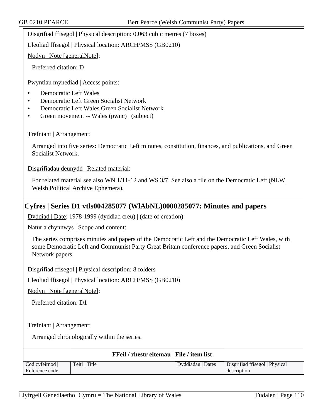Disgrifiad ffisegol | Physical description: 0.063 cubic metres (7 boxes)

Lleoliad ffisegol | Physical location: ARCH/MSS (GB0210)

Nodyn | Note [generalNote]:

Preferred citation: D

Pwyntiau mynediad | Access points:

- Democratic Left Wales
- Democratic Left Green Socialist Network
- Democratic Left Wales Green Socialist Network
- Green movement -- Wales (pwnc) | (subject)

## Trefniant | Arrangement:

Arranged into five series: Democratic Left minutes, constitution, finances, and publications, and Green Socialist Network.

Disgrifiadau deunydd | Related material:

For related material see also WN 1/11-12 and WS 3/7. See also a file on the Democratic Left (NLW, Welsh Political Archive Ephemera).

## **Cyfres | Series D1 vtls004285077 (WlAbNL)0000285077: Minutes and papers**

Dyddiad | Date: 1978-1999 (dyddiad creu) | (date of creation)

Natur a chynnwys | Scope and content:

The series comprises minutes and papers of the Democratic Left and the Democratic Left Wales, with some Democratic Left and Communist Party Great Britain conference papers, and Green Socialist Network papers.

Disgrifiad ffisegol | Physical description: 8 folders

Lleoliad ffisegol | Physical location: ARCH/MSS (GB0210)

Nodyn | Note [generalNote]:

Preferred citation: D1

Trefniant | Arrangement:

Arranged chronologically within the series.

| <b>FFeil / rhestr eitemau   File / item list</b> |               |                   |                                |
|--------------------------------------------------|---------------|-------------------|--------------------------------|
| Cod cyfeirnod                                    | Teitl   Title | Dyddiadau   Dates | Disgrifiad ffisegol   Physical |
| Reference code                                   |               |                   | description                    |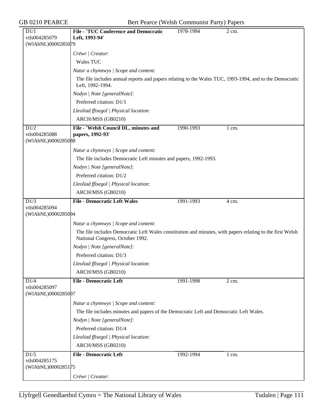GB 0210 PEARCE Bert Pearce (Welsh Communist Party) Papers

| D1/1                                        | <b>File - 'TUC Conference and Democratic</b>                                                                                                  | 1978-1994 | 2 cm.            |
|---------------------------------------------|-----------------------------------------------------------------------------------------------------------------------------------------------|-----------|------------------|
| vtls004285079                               | Left, 1993-94'                                                                                                                                |           |                  |
| (WIAbNL)0000285079                          |                                                                                                                                               |           |                  |
|                                             | Crëwr   Creator:                                                                                                                              |           |                  |
|                                             | Wales TUC                                                                                                                                     |           |                  |
|                                             | Natur a chynnwys / Scope and content:                                                                                                         |           |                  |
|                                             | The file includes annual reports and papers relating to the Wales TUC, 1993-1994, and to the Democratic<br>Left, 1992-1994.                   |           |                  |
|                                             | Nodyn   Note [generalNote]:                                                                                                                   |           |                  |
|                                             | Preferred citation: D1/1                                                                                                                      |           |                  |
|                                             | Lleoliad ffisegol   Physical location:                                                                                                        |           |                  |
|                                             | ARCH/MSS (GB0210)                                                                                                                             |           |                  |
| D1/2<br>vtls004285088<br>(WIAbNL)0000285088 | File - 'Welsh Council DL, minutes and<br>papers, 1992-93'                                                                                     | 1990-1993 | $1 \text{ cm}$ . |
|                                             | Natur a chynnwys / Scope and content:                                                                                                         |           |                  |
|                                             | The file includes Democratic Left minutes and papers, 1992-1993.                                                                              |           |                  |
|                                             | Nodyn   Note [generalNote]:                                                                                                                   |           |                  |
|                                             | Preferred citation: D1/2                                                                                                                      |           |                  |
|                                             | Lleoliad ffisegol   Physical location:                                                                                                        |           |                  |
|                                             | ARCH/MSS (GB0210)                                                                                                                             |           |                  |
| D1/3                                        | <b>File - Democratic Left Wales</b>                                                                                                           | 1991-1993 | 4 cm.            |
| vtls004285094<br>(WIAbNL)0000285094         |                                                                                                                                               |           |                  |
|                                             | Natur a chynnwys / Scope and content:                                                                                                         |           |                  |
|                                             | The file includes Democratic Left Wales constitution and minutes, with papers relating to the first Welsh<br>National Congress, October 1992. |           |                  |
|                                             | Nodyn   Note [generalNote]:                                                                                                                   |           |                  |
|                                             | Preferred citation: D1/3                                                                                                                      |           |                  |
|                                             | Lleoliad ffisegol   Physical location:                                                                                                        |           |                  |
|                                             | ARCH/MSS (GB0210)                                                                                                                             |           |                  |
| D1/4<br>vtls004285097<br>(WIAbNL)0000285097 | <b>File - Democratic Left</b>                                                                                                                 | 1991-1998 | 2 cm.            |
|                                             | Natur a chynnwys / Scope and content:                                                                                                         |           |                  |
|                                             | The file includes minutes and papers of the Democratic Left and Democratic Left Wales.                                                        |           |                  |
|                                             | Nodyn   Note [generalNote]:                                                                                                                   |           |                  |
|                                             | Preferred citation: D1/4                                                                                                                      |           |                  |
|                                             | Lleoliad ffisegol   Physical location:                                                                                                        |           |                  |
|                                             | ARCH/MSS (GB0210)                                                                                                                             |           |                  |
| D1/5                                        | <b>File - Democratic Left</b>                                                                                                                 | 1992-1994 | $1 \text{ cm}$ . |
| vtls004285175<br>(WIAbNL)0000285175         |                                                                                                                                               |           |                  |
|                                             | Crëwr   Creator:                                                                                                                              |           |                  |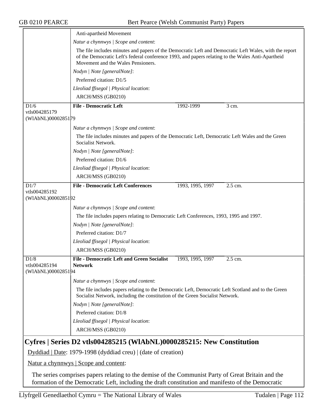|                                                               | Anti-apartheid Movement                                                                                                                                                                                                                           |  |  |  |
|---------------------------------------------------------------|---------------------------------------------------------------------------------------------------------------------------------------------------------------------------------------------------------------------------------------------------|--|--|--|
|                                                               | Natur a chynnwys / Scope and content:                                                                                                                                                                                                             |  |  |  |
|                                                               | The file includes minutes and papers of the Democratic Left and Democratic Left Wales, with the report<br>of the Democratic Left's federal conference 1993, and papers relating to the Wales Anti-Apartheid<br>Movement and the Wales Pensioners. |  |  |  |
|                                                               | Nodyn   Note [generalNote]:                                                                                                                                                                                                                       |  |  |  |
|                                                               | Preferred citation: D1/5                                                                                                                                                                                                                          |  |  |  |
|                                                               | Lleoliad ffisegol   Physical location:                                                                                                                                                                                                            |  |  |  |
|                                                               | ARCH/MSS (GB0210)                                                                                                                                                                                                                                 |  |  |  |
| D1/6                                                          | <b>File - Democratic Left</b><br>1992-1999<br>$3$ cm.                                                                                                                                                                                             |  |  |  |
| vtls004285179<br>(WIAbNL)0000285179                           |                                                                                                                                                                                                                                                   |  |  |  |
|                                                               | Natur a chynnwys / Scope and content:                                                                                                                                                                                                             |  |  |  |
|                                                               | The file includes minutes and papers of the Democratic Left, Democratic Left Wales and the Green                                                                                                                                                  |  |  |  |
|                                                               | Socialist Network.                                                                                                                                                                                                                                |  |  |  |
|                                                               | Nodyn   Note [generalNote]:                                                                                                                                                                                                                       |  |  |  |
|                                                               | Preferred citation: D1/6                                                                                                                                                                                                                          |  |  |  |
|                                                               | Lleoliad ffisegol   Physical location:                                                                                                                                                                                                            |  |  |  |
|                                                               | ARCH/MSS (GB0210)                                                                                                                                                                                                                                 |  |  |  |
| D1/7                                                          | <b>File - Democratic Left Conferences</b><br>1993, 1995, 1997<br>2.5 cm.                                                                                                                                                                          |  |  |  |
| vtls004285192<br>(WIAbNL)0000285192                           |                                                                                                                                                                                                                                                   |  |  |  |
|                                                               |                                                                                                                                                                                                                                                   |  |  |  |
|                                                               | Natur a chynnwys / Scope and content:                                                                                                                                                                                                             |  |  |  |
|                                                               | The file includes papers relating to Democratic Left Conferences, 1993, 1995 and 1997.                                                                                                                                                            |  |  |  |
|                                                               | Nodyn   Note [generalNote]:                                                                                                                                                                                                                       |  |  |  |
|                                                               | Preferred citation: D1/7                                                                                                                                                                                                                          |  |  |  |
|                                                               | Lleoliad ffisegol   Physical location:                                                                                                                                                                                                            |  |  |  |
|                                                               | ARCH/MSS (GB0210)                                                                                                                                                                                                                                 |  |  |  |
| D1/8<br>vtls004285194<br>(WIAbNL)0000285194                   | <b>File - Democratic Left and Green Socialist</b><br>2.5 cm.<br>1993, 1995, 1997<br><b>Network</b>                                                                                                                                                |  |  |  |
|                                                               | Natur a chynnwys   Scope and content:                                                                                                                                                                                                             |  |  |  |
|                                                               | The file includes papers relating to the Democratic Left, Democratic Left Scotland and to the Green<br>Socialist Network, including the constitution of the Green Socialist Network.                                                              |  |  |  |
|                                                               | Nodyn   Note [generalNote]:                                                                                                                                                                                                                       |  |  |  |
|                                                               | Preferred citation: D1/8                                                                                                                                                                                                                          |  |  |  |
|                                                               | Lleoliad ffisegol   Physical location:                                                                                                                                                                                                            |  |  |  |
|                                                               | ARCH/MSS (GB0210)                                                                                                                                                                                                                                 |  |  |  |
|                                                               | Cyfres   Series D2 vtls004285215 (WIAbNL)0000285215: New Constitution                                                                                                                                                                             |  |  |  |
| Dyddiad   Date: 1979-1998 (dyddiad creu)   (date of creation) |                                                                                                                                                                                                                                                   |  |  |  |
|                                                               | <u>Natur a chynnwys</u>   Scope and content:                                                                                                                                                                                                      |  |  |  |

The series comprises papers relating to the demise of the Communist Party of Great Britain and the formation of the Democratic Left, including the draft constitution and manifesto of the Democratic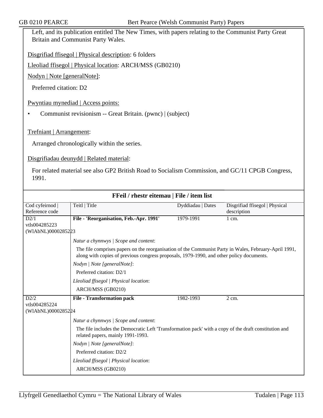Left, and its publication entitled The New Times, with papers relating to the Communist Party Great Britain and Communist Party Wales.

Disgrifiad ffisegol | Physical description: 6 folders

Lleoliad ffisegol | Physical location: ARCH/MSS (GB0210)

Nodyn | Note [generalNote]:

Preferred citation: D2

Pwyntiau mynediad | Access points:

• Communist revisionism -- Great Britain. (pwnc) | (subject)

Trefniant | Arrangement:

Arranged chronologically within the series.

Disgrifiadau deunydd | Related material:

For related material see also GP2 British Road to Socialism Commission, and GC/11 CPGB Congress, 1991.

| FFeil / rhestr eitemau   File / item list |                                                                                                                                                                                                   |                   |                                |  |
|-------------------------------------------|---------------------------------------------------------------------------------------------------------------------------------------------------------------------------------------------------|-------------------|--------------------------------|--|
| Cod cyfeirnod                             | Teitl   Title                                                                                                                                                                                     | Dyddiadau   Dates | Disgrifiad ffisegol   Physical |  |
| Reference code                            |                                                                                                                                                                                                   |                   | description                    |  |
| D2/1                                      | File - 'Reorganisation, Feb.-Apr. 1991'                                                                                                                                                           | 1979-1991         | $1$ cm.                        |  |
| vtls004285223                             |                                                                                                                                                                                                   |                   |                                |  |
| (WIAbNL)0000285223                        |                                                                                                                                                                                                   |                   |                                |  |
|                                           | Natur a chynnwys   Scope and content:                                                                                                                                                             |                   |                                |  |
|                                           | The file comprises papers on the reorganisation of the Communist Party in Wales, February-April 1991,<br>along with copies of previous congress proposals, 1979-1990, and other policy documents. |                   |                                |  |
|                                           | Nodyn   Note [generalNote]:                                                                                                                                                                       |                   |                                |  |
|                                           | Preferred citation: D2/1                                                                                                                                                                          |                   |                                |  |
|                                           | Lleoliad ffisegol   Physical location:                                                                                                                                                            |                   |                                |  |
|                                           | ARCH/MSS (GB0210)                                                                                                                                                                                 |                   |                                |  |
| D2/2                                      | <b>File - Transformation pack</b>                                                                                                                                                                 | 1982-1993         | 2 cm.                          |  |
| vtls004285224                             |                                                                                                                                                                                                   |                   |                                |  |
| (WIAbNL)0000285224                        |                                                                                                                                                                                                   |                   |                                |  |
|                                           | Natur a chynnwys / Scope and content:                                                                                                                                                             |                   |                                |  |
|                                           | The file includes the Democratic Left 'Transformation pack' with a copy of the draft constitution and<br>related papers, mainly 1991-1993.                                                        |                   |                                |  |
|                                           | Nodyn   Note [generalNote]:                                                                                                                                                                       |                   |                                |  |
|                                           | Preferred citation: D2/2                                                                                                                                                                          |                   |                                |  |
|                                           | Lleoliad ffisegol   Physical location:                                                                                                                                                            |                   |                                |  |
|                                           | ARCH/MSS (GB0210)                                                                                                                                                                                 |                   |                                |  |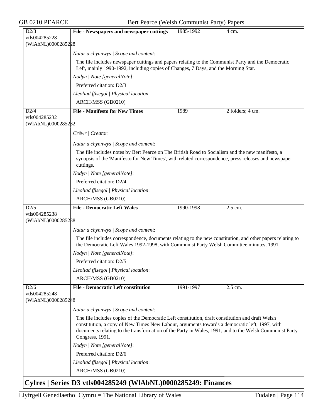GB 0210 PEARCE Bert Pearce (Welsh Communist Party) Papers

| D2/3                                | File - Newspapers and newspaper cuttings                                                                                                                                                                                                                                                                                       | 1985-1992 | 4 cm.            |  |  |
|-------------------------------------|--------------------------------------------------------------------------------------------------------------------------------------------------------------------------------------------------------------------------------------------------------------------------------------------------------------------------------|-----------|------------------|--|--|
| vtls004285228                       |                                                                                                                                                                                                                                                                                                                                |           |                  |  |  |
| (WIAbNL)0000285228                  |                                                                                                                                                                                                                                                                                                                                |           |                  |  |  |
|                                     | Natur a chynnwys / Scope and content:                                                                                                                                                                                                                                                                                          |           |                  |  |  |
|                                     | The file includes newspaper cuttings and papers relating to the Communist Party and the Democratic<br>Left, mainly 1990-1992, including copies of Changes, 7 Days, and the Morning Star.                                                                                                                                       |           |                  |  |  |
|                                     | Nodyn   Note [generalNote]:                                                                                                                                                                                                                                                                                                    |           |                  |  |  |
|                                     | Preferred citation: D2/3                                                                                                                                                                                                                                                                                                       |           |                  |  |  |
|                                     | Lleoliad ffisegol   Physical location:                                                                                                                                                                                                                                                                                         |           |                  |  |  |
|                                     | ARCH/MSS (GB0210)                                                                                                                                                                                                                                                                                                              |           |                  |  |  |
| D2/4                                | <b>File - Manifesto for New Times</b>                                                                                                                                                                                                                                                                                          | 1989      | 2 folders; 4 cm. |  |  |
| vtls004285232                       |                                                                                                                                                                                                                                                                                                                                |           |                  |  |  |
| (WIAbNL)0000285282                  |                                                                                                                                                                                                                                                                                                                                |           |                  |  |  |
|                                     | Crëwr   Creator:                                                                                                                                                                                                                                                                                                               |           |                  |  |  |
|                                     | Natur a chynnwys / Scope and content:                                                                                                                                                                                                                                                                                          |           |                  |  |  |
|                                     | The file includes notes by Bert Pearce on The British Road to Socialism and the new manifesto, a<br>synopsis of the 'Manifesto for New Times', with related correspondence, press releases and newspaper<br>cuttings.                                                                                                          |           |                  |  |  |
|                                     | Nodyn   Note [generalNote]:                                                                                                                                                                                                                                                                                                    |           |                  |  |  |
|                                     | Preferred citation: D2/4                                                                                                                                                                                                                                                                                                       |           |                  |  |  |
|                                     | Lleoliad ffisegol   Physical location:                                                                                                                                                                                                                                                                                         |           |                  |  |  |
|                                     | ARCH/MSS (GB0210)                                                                                                                                                                                                                                                                                                              |           |                  |  |  |
| D2/5                                | <b>File - Democratic Left Wales</b>                                                                                                                                                                                                                                                                                            | 1990-1998 | 2.5 cm.          |  |  |
| vtls004285238                       |                                                                                                                                                                                                                                                                                                                                |           |                  |  |  |
| (WIAbNL)0000285288                  |                                                                                                                                                                                                                                                                                                                                |           |                  |  |  |
|                                     | Natur a chynnwys / Scope and content:                                                                                                                                                                                                                                                                                          |           |                  |  |  |
|                                     | The file includes correspondence, documents relating to the new constitution, and other papers relating to<br>the Democratic Left Wales, 1992-1998, with Communist Party Welsh Committee minutes, 1991.                                                                                                                        |           |                  |  |  |
|                                     | Nodyn   Note [generalNote]:                                                                                                                                                                                                                                                                                                    |           |                  |  |  |
|                                     | Preferred citation: D2/5                                                                                                                                                                                                                                                                                                       |           |                  |  |  |
|                                     | Lleoliad ffisegol   Physical location:                                                                                                                                                                                                                                                                                         |           |                  |  |  |
|                                     | ARCH/MSS (GB0210)                                                                                                                                                                                                                                                                                                              |           |                  |  |  |
| D2/6                                | <b>File - Democratic Left constitution</b>                                                                                                                                                                                                                                                                                     | 1991-1997 | 2.5 cm.          |  |  |
| vtls004285248<br>(WIAbNL)0000285248 |                                                                                                                                                                                                                                                                                                                                |           |                  |  |  |
|                                     | Natur a chynnwys / Scope and content:                                                                                                                                                                                                                                                                                          |           |                  |  |  |
|                                     | The file includes copies of the Democratic Left constitution, draft constitution and draft Welsh<br>constitution, a copy of New Times New Labour, arguments towards a democratic left, 1997, with<br>documents relating to the transformation of the Party in Wales, 1991, and to the Welsh Communist Party<br>Congress, 1991. |           |                  |  |  |
|                                     | Nodyn   Note [generalNote]:                                                                                                                                                                                                                                                                                                    |           |                  |  |  |
|                                     | Preferred citation: D2/6                                                                                                                                                                                                                                                                                                       |           |                  |  |  |
|                                     | Lleoliad ffisegol   Physical location:                                                                                                                                                                                                                                                                                         |           |                  |  |  |
|                                     | ARCH/MSS (GB0210)                                                                                                                                                                                                                                                                                                              |           |                  |  |  |
|                                     | $\Gamma$ vfres   Series D3 vtls004285249 (WIAbNL)0000285249 $\cdot$ Finances                                                                                                                                                                                                                                                   |           |                  |  |  |

## **Cyfres | Series D3 vtls004285249 (WlAbNL)0000285249: Finances**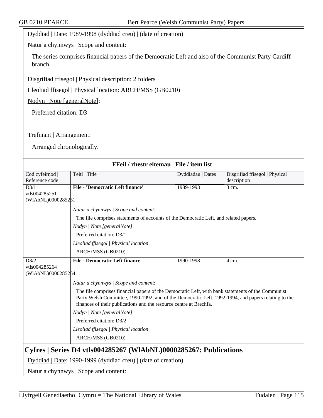Dyddiad | Date: 1989-1998 (dyddiad creu) | (date of creation)

Natur a chynnwys | Scope and content:

The series comprises financial papers of the Democratic Left and also of the Communist Party Cardiff branch.

Disgrifiad ffisegol | Physical description: 2 folders

Lleoliad ffisegol | Physical location: ARCH/MSS (GB0210)

Nodyn | Note [generalNote]:

Preferred citation: D3

Trefniant | Arrangement:

Arranged chronologically.

| FFeil / rhestr eitemau   File / item list                         |                                                                                                     |                   |                                |  |
|-------------------------------------------------------------------|-----------------------------------------------------------------------------------------------------|-------------------|--------------------------------|--|
| Cod cyfeirnod                                                     | Teitl   Title                                                                                       | Dyddiadau   Dates | Disgrifiad ffisegol   Physical |  |
| Reference code                                                    |                                                                                                     |                   | description                    |  |
| D3/1                                                              | <b>File - 'Democratic Left finance'</b>                                                             | 1989-1993         | 3 cm.                          |  |
| vtls004285251                                                     |                                                                                                     |                   |                                |  |
| (WIAbNL)0000285251                                                |                                                                                                     |                   |                                |  |
|                                                                   | Natur a chynnwys / Scope and content:                                                               |                   |                                |  |
|                                                                   | The file comprises statements of accounts of the Democratic Left, and related papers.               |                   |                                |  |
|                                                                   | Nodyn   Note [generalNote]:                                                                         |                   |                                |  |
|                                                                   | Preferred citation: D3/1                                                                            |                   |                                |  |
|                                                                   | Lleoliad ffisegol   Physical location:                                                              |                   |                                |  |
|                                                                   | ARCH/MSS (GB0210)                                                                                   |                   |                                |  |
| D3/2                                                              | <b>File - Democratic Left finance</b>                                                               | 1990-1998         | 4 cm.                          |  |
| vtls004285264                                                     |                                                                                                     |                   |                                |  |
| (WIAbNL)0000285264                                                |                                                                                                     |                   |                                |  |
|                                                                   | Natur a chynnwys / Scope and content:                                                               |                   |                                |  |
|                                                                   | The file comprises financial papers of the Democratic Left, with bank statements of the Communist   |                   |                                |  |
|                                                                   | Party Welsh Committee, 1990-1992, and of the Democratic Left, 1992-1994, and papers relating to the |                   |                                |  |
|                                                                   | finances of their publications and the resource centre at Brechfa.                                  |                   |                                |  |
|                                                                   | Nodyn   Note [generalNote]:                                                                         |                   |                                |  |
|                                                                   | Preferred citation: D3/2                                                                            |                   |                                |  |
|                                                                   | Lleoliad ffisegol   Physical location:                                                              |                   |                                |  |
|                                                                   | ARCH/MSS (GB0210)                                                                                   |                   |                                |  |
| Cyfres   Series D4 vtls004285267 (WlAbNL)0000285267: Publications |                                                                                                     |                   |                                |  |
|                                                                   |                                                                                                     |                   |                                |  |
| Dyddiad   Date: 1990-1999 (dyddiad creu)   (date of creation)     |                                                                                                     |                   |                                |  |
|                                                                   | Natur a chynnwys   Scope and content:                                                               |                   |                                |  |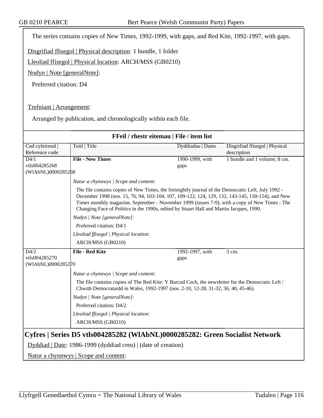The series contains copies of New Times, 1992-1999, with gaps, and Red Kite, 1992-1997, with gaps.

Disgrifiad ffisegol | Physical description: 1 bundle, 1 folder

Lleoliad ffisegol | Physical location: ARCH/MSS (GB0210)

Nodyn | Note [generalNote]:

Preferred citation: D4

Trefniant | Arrangement:

Arranged by publication, and chronologically within each file.

| FFeil / rhestr eitemau   File / item list                                                                                                     |                                                                                                                                                                                                                                                                                                                                                                                                     |                   |                                |  |  |
|-----------------------------------------------------------------------------------------------------------------------------------------------|-----------------------------------------------------------------------------------------------------------------------------------------------------------------------------------------------------------------------------------------------------------------------------------------------------------------------------------------------------------------------------------------------------|-------------------|--------------------------------|--|--|
| Cod cyfeirnod                                                                                                                                 | Teitl   Title                                                                                                                                                                                                                                                                                                                                                                                       | Dyddiadau   Dates | Disgrifiad ffisegol   Physical |  |  |
| Reference code                                                                                                                                |                                                                                                                                                                                                                                                                                                                                                                                                     |                   | description                    |  |  |
| $\overline{D4/1}$                                                                                                                             | <b>File - New Times</b>                                                                                                                                                                                                                                                                                                                                                                             | 1990-1999, with   | 1 bundle and 1 volume; 8 cm.   |  |  |
| vtls004285268                                                                                                                                 |                                                                                                                                                                                                                                                                                                                                                                                                     | gaps              |                                |  |  |
| (WIAbNL)0000285268                                                                                                                            |                                                                                                                                                                                                                                                                                                                                                                                                     |                   |                                |  |  |
|                                                                                                                                               | Natur a chynnwys / Scope and content:                                                                                                                                                                                                                                                                                                                                                               |                   |                                |  |  |
|                                                                                                                                               | The file contains copies of New Times, the fortnightly journal of the Democratic Left, July 1992 -<br>December 1998 (nos. 15, 76, 94, 103-104, 107, 109-122, 124, 129, 132, 143-145, 150-154), and New<br>Times monthly magazine, September - November 1999 (issues 7-9), with a copy of New Times : The<br>Changing Face of Politics in the 1990s, edited by Stuart Hall and Martin Jacques, 1990. |                   |                                |  |  |
|                                                                                                                                               | Nodyn   Note [generalNote]:                                                                                                                                                                                                                                                                                                                                                                         |                   |                                |  |  |
|                                                                                                                                               | Preferred citation: D4/1                                                                                                                                                                                                                                                                                                                                                                            |                   |                                |  |  |
|                                                                                                                                               | Lleoliad ffisegol   Physical location:                                                                                                                                                                                                                                                                                                                                                              |                   |                                |  |  |
|                                                                                                                                               | ARCH/MSS (GB0210)                                                                                                                                                                                                                                                                                                                                                                                   |                   |                                |  |  |
| D4/2                                                                                                                                          | <b>File - Red Kite</b>                                                                                                                                                                                                                                                                                                                                                                              | 1992-1997, with   | 3 cm.                          |  |  |
| vtls004285270                                                                                                                                 |                                                                                                                                                                                                                                                                                                                                                                                                     | gaps              |                                |  |  |
| (WIAbNL)0000285270                                                                                                                            |                                                                                                                                                                                                                                                                                                                                                                                                     |                   |                                |  |  |
|                                                                                                                                               | Natur a chynnwys / Scope and content:                                                                                                                                                                                                                                                                                                                                                               |                   |                                |  |  |
|                                                                                                                                               | The file contains copies of The Red Kite: Y Barcud Coch, the newsletter for the Democratic Left /<br>Chwith Democrataidd in Wales, 1992-1997 (nos. 2-10, 12-28, 31-32, 36, 40, 45-46).                                                                                                                                                                                                              |                   |                                |  |  |
|                                                                                                                                               | Nodyn   Note [generalNote]:                                                                                                                                                                                                                                                                                                                                                                         |                   |                                |  |  |
|                                                                                                                                               | Preferred citation: D4/2                                                                                                                                                                                                                                                                                                                                                                            |                   |                                |  |  |
|                                                                                                                                               | Lleoliad ffisegol   Physical location:                                                                                                                                                                                                                                                                                                                                                              |                   |                                |  |  |
|                                                                                                                                               | ARCH/MSS (GB0210)                                                                                                                                                                                                                                                                                                                                                                                   |                   |                                |  |  |
| Cyfres   Series D5 vtls004285282 (WIAbNL)0000285282: Green Socialist Network<br>Dyddiad   Date: 1986-1999 (dyddiad creu)   (date of creation) |                                                                                                                                                                                                                                                                                                                                                                                                     |                   |                                |  |  |
| <u>Natur a chynnwys</u>   Scope and content:                                                                                                  |                                                                                                                                                                                                                                                                                                                                                                                                     |                   |                                |  |  |